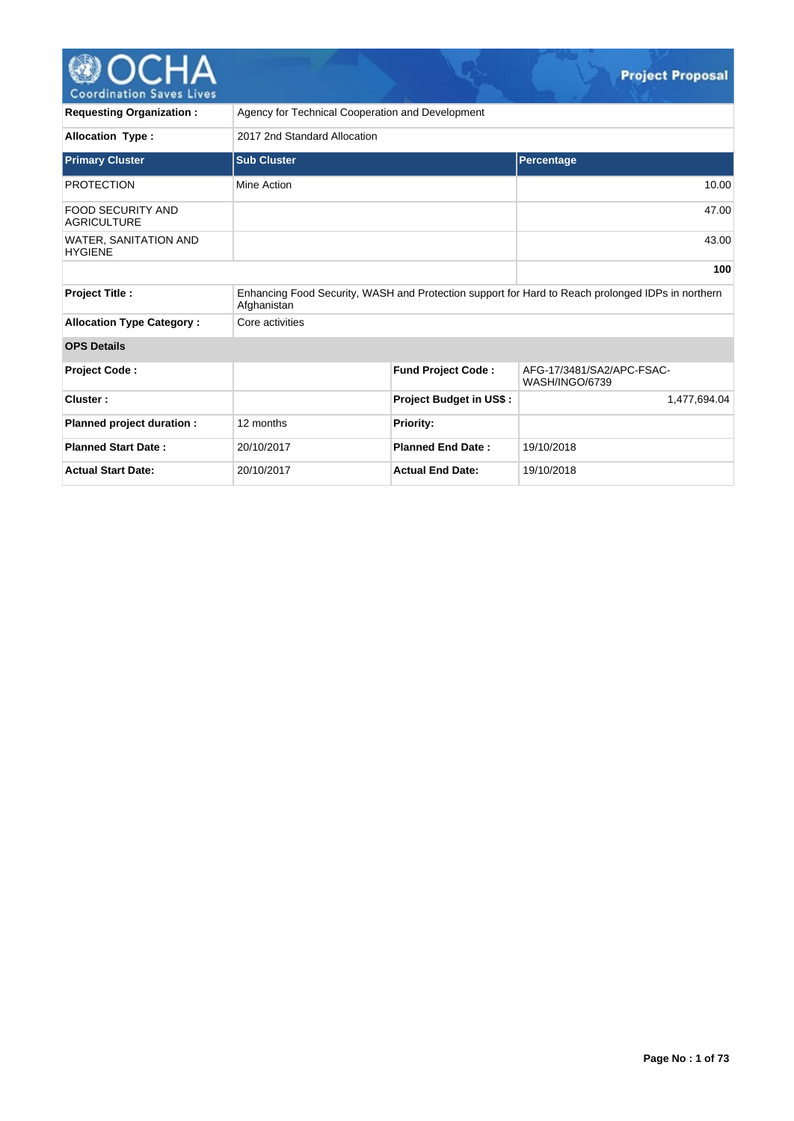

| <b>Requesting Organization:</b>         | Agency for Technical Cooperation and Development                                                                 |                                |                                             |  |  |  |  |
|-----------------------------------------|------------------------------------------------------------------------------------------------------------------|--------------------------------|---------------------------------------------|--|--|--|--|
| <b>Allocation Type:</b>                 | 2017 2nd Standard Allocation                                                                                     |                                |                                             |  |  |  |  |
| <b>Primary Cluster</b>                  | <b>Sub Cluster</b>                                                                                               | <b>Percentage</b>              |                                             |  |  |  |  |
| <b>PROTECTION</b>                       | Mine Action                                                                                                      |                                | 10.00                                       |  |  |  |  |
| FOOD SECURITY AND<br><b>AGRICULTURE</b> |                                                                                                                  |                                | 47.00                                       |  |  |  |  |
| WATER, SANITATION AND<br><b>HYGIENE</b> |                                                                                                                  |                                |                                             |  |  |  |  |
|                                         |                                                                                                                  |                                | 100                                         |  |  |  |  |
| <b>Project Title:</b>                   | Enhancing Food Security, WASH and Protection support for Hard to Reach prolonged IDPs in northern<br>Afghanistan |                                |                                             |  |  |  |  |
| <b>Allocation Type Category:</b>        | Core activities                                                                                                  |                                |                                             |  |  |  |  |
| <b>OPS Details</b>                      |                                                                                                                  |                                |                                             |  |  |  |  |
| <b>Project Code:</b>                    |                                                                                                                  | <b>Fund Project Code:</b>      | AFG-17/3481/SA2/APC-FSAC-<br>WASH/INGO/6739 |  |  |  |  |
| Cluster:                                |                                                                                                                  | <b>Project Budget in US\$:</b> | 1,477,694.04                                |  |  |  |  |
| Planned project duration :              | 12 months                                                                                                        | <b>Priority:</b>               |                                             |  |  |  |  |
| <b>Planned Start Date:</b>              | 20/10/2017                                                                                                       | <b>Planned End Date:</b>       | 19/10/2018                                  |  |  |  |  |
| <b>Actual Start Date:</b>               | 20/10/2017                                                                                                       | <b>Actual End Date:</b>        | 19/10/2018                                  |  |  |  |  |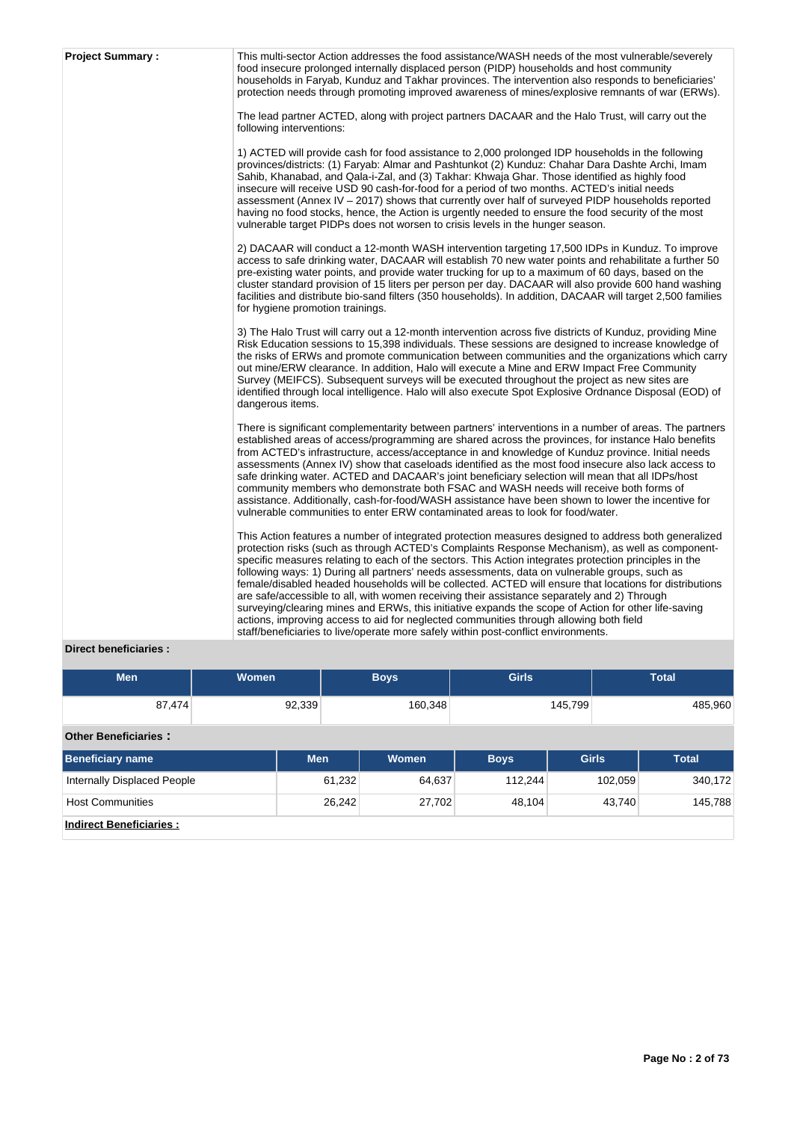| <b>Project Summary:</b> | This multi-sector Action addresses the food assistance/WASH needs of the most vulnerable/severely<br>food insecure prolonged internally displaced person (PIDP) households and host community<br>households in Faryab, Kunduz and Takhar provinces. The intervention also responds to beneficiaries'<br>protection needs through promoting improved awareness of mines/explosive remnants of war (ERWs).<br>The lead partner ACTED, along with project partners DACAAR and the Halo Trust, will carry out the<br>following interventions:                                                                                                                                                                                                                                                                                                                                                                            |
|-------------------------|----------------------------------------------------------------------------------------------------------------------------------------------------------------------------------------------------------------------------------------------------------------------------------------------------------------------------------------------------------------------------------------------------------------------------------------------------------------------------------------------------------------------------------------------------------------------------------------------------------------------------------------------------------------------------------------------------------------------------------------------------------------------------------------------------------------------------------------------------------------------------------------------------------------------|
|                         | 1) ACTED will provide cash for food assistance to 2,000 prolonged IDP households in the following<br>provinces/districts: (1) Faryab: Almar and Pashtunkot (2) Kunduz: Chahar Dara Dashte Archi, Imam<br>Sahib, Khanabad, and Qala-i-Zal, and (3) Takhar: Khwaja Ghar. Those identified as highly food<br>insecure will receive USD 90 cash-for-food for a period of two months. ACTED's initial needs<br>assessment (Annex IV – 2017) shows that currently over half of surveyed PIDP households reported<br>having no food stocks, hence, the Action is urgently needed to ensure the food security of the most<br>vulnerable target PIDPs does not worsen to crisis levels in the hunger season.                                                                                                                                                                                                                  |
|                         | 2) DACAAR will conduct a 12-month WASH intervention targeting 17,500 IDPs in Kunduz. To improve<br>access to safe drinking water, DACAAR will establish 70 new water points and rehabilitate a further 50<br>pre-existing water points, and provide water trucking for up to a maximum of 60 days, based on the<br>cluster standard provision of 15 liters per person per day. DACAAR will also provide 600 hand washing<br>facilities and distribute bio-sand filters (350 households). In addition, DACAAR will target 2,500 families<br>for hygiene promotion trainings.                                                                                                                                                                                                                                                                                                                                          |
|                         | 3) The Halo Trust will carry out a 12-month intervention across five districts of Kunduz, providing Mine<br>Risk Education sessions to 15,398 individuals. These sessions are designed to increase knowledge of<br>the risks of ERWs and promote communication between communities and the organizations which carry<br>out mine/ERW clearance. In addition, Halo will execute a Mine and ERW Impact Free Community<br>Survey (MEIFCS). Subsequent surveys will be executed throughout the project as new sites are<br>identified through local intelligence. Halo will also execute Spot Explosive Ordnance Disposal (EOD) of<br>dangerous items.                                                                                                                                                                                                                                                                   |
|                         | There is significant complementarity between partners' interventions in a number of areas. The partners<br>established areas of access/programming are shared across the provinces, for instance Halo benefits<br>from ACTED's infrastructure, access/acceptance in and knowledge of Kunduz province. Initial needs<br>assessments (Annex IV) show that caseloads identified as the most food insecure also lack access to<br>safe drinking water. ACTED and DACAAR's joint beneficiary selection will mean that all IDPs/host<br>community members who demonstrate both FSAC and WASH needs will receive both forms of<br>assistance. Additionally, cash-for-food/WASH assistance have been shown to lower the incentive for<br>vulnerable communities to enter ERW contaminated areas to look for food/water.                                                                                                      |
|                         | This Action features a number of integrated protection measures designed to address both generalized<br>protection risks (such as through ACTED's Complaints Response Mechanism), as well as component-<br>specific measures relating to each of the sectors. This Action integrates protection principles in the<br>following ways: 1) During all partners' needs assessments, data on vulnerable groups, such as<br>female/disabled headed households will be collected. ACTED will ensure that locations for distributions<br>are safe/accessible to all, with women receiving their assistance separately and 2) Through<br>surveying/clearing mines and ERWs, this initiative expands the scope of Action for other life-saving<br>actions, improving access to aid for neglected communities through allowing both field<br>staff/beneficiaries to live/operate more safely within post-conflict environments. |

# **Direct beneficiaries :**

| Men    | Women  | <b>Boys</b> | <b>Girls</b> | Total   |
|--------|--------|-------------|--------------|---------|
| 87,474 | 92,339 | 160,348     | 145,799      | 485,960 |

# **Other Beneficiaries :**

| <b>Beneficiary name</b>        | <b>Men</b> | <b>Women</b> | <b>Boys</b> | <b>Girls</b> | Total   |
|--------------------------------|------------|--------------|-------------|--------------|---------|
| Internally Displaced People    | 61,232     | 64,637       | 112.244     | 102,059      | 340,172 |
| <b>Host Communities</b>        | 26.242     | 27,702       | 48.104      | 43,740       | 145,788 |
| <b>Indirect Beneficiaries:</b> |            |              |             |              |         |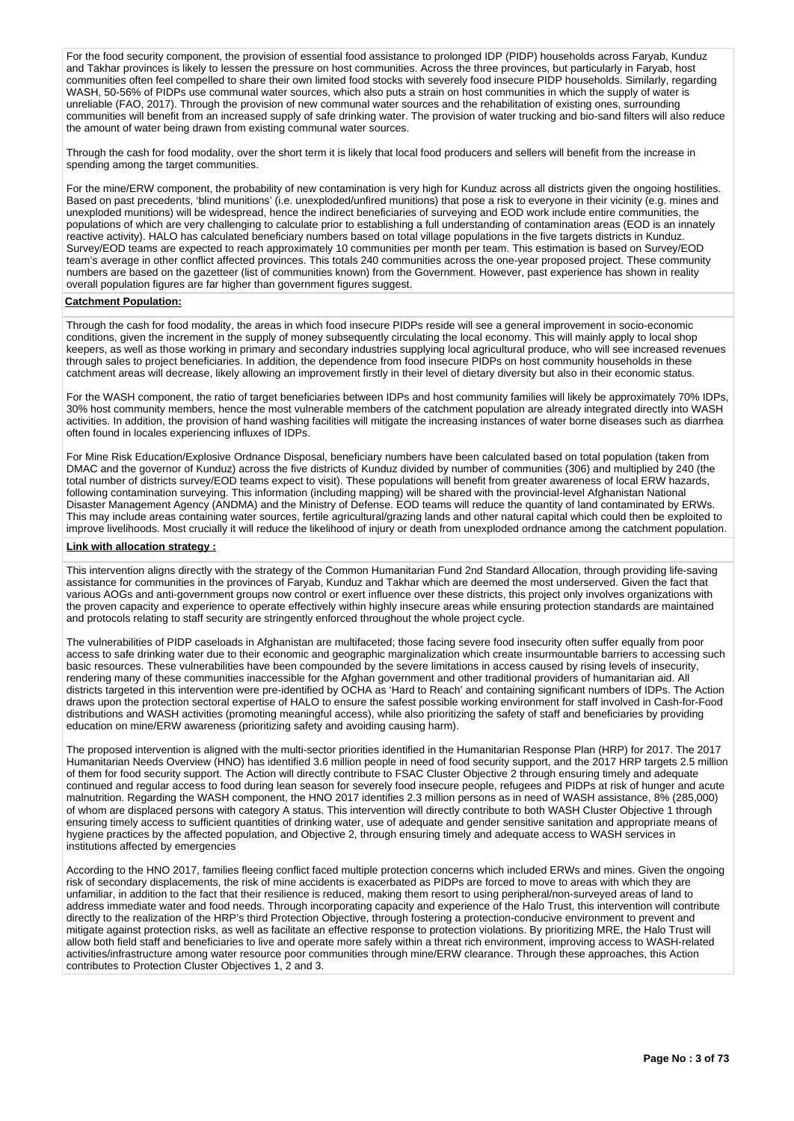For the food security component, the provision of essential food assistance to prolonged IDP (PIDP) households across Faryab, Kunduz and Takhar provinces is likely to lessen the pressure on host communities. Across the three provinces, but particularly in Faryab, host communities often feel compelled to share their own limited food stocks with severely food insecure PIDP households. Similarly, regarding WASH, 50-56% of PIDPs use communal water sources, which also puts a strain on host communities in which the supply of water is unreliable (FAO, 2017). Through the provision of new communal water sources and the rehabilitation of existing ones, surrounding communities will benefit from an increased supply of safe drinking water. The provision of water trucking and bio-sand filters will also reduce the amount of water being drawn from existing communal water sources.

Through the cash for food modality, over the short term it is likely that local food producers and sellers will benefit from the increase in spending among the target communities.

For the mine/ERW component, the probability of new contamination is very high for Kunduz across all districts given the ongoing hostilities. Based on past precedents, 'blind munitions' (i.e. unexploded/unfired munitions) that pose a risk to everyone in their vicinity (e.g. mines and unexploded munitions) will be widespread, hence the indirect beneficiaries of surveying and EOD work include entire communities, the populations of which are very challenging to calculate prior to establishing a full understanding of contamination areas (EOD is an innately reactive activity). HALO has calculated beneficiary numbers based on total village populations in the five targets districts in Kunduz. Survey/EOD teams are expected to reach approximately 10 communities per month per team. This estimation is based on Survey/EOD team's average in other conflict affected provinces. This totals 240 communities across the one-year proposed project. These community numbers are based on the gazetteer (list of communities known) from the Government. However, past experience has shown in reality overall population figures are far higher than government figures suggest.

## **Catchment Population:**

Through the cash for food modality, the areas in which food insecure PIDPs reside will see a general improvement in socio-economic conditions, given the increment in the supply of money subsequently circulating the local economy. This will mainly apply to local shop keepers, as well as those working in primary and secondary industries supplying local agricultural produce, who will see increased revenues through sales to project beneficiaries. In addition, the dependence from food insecure PIDPs on host community households in these catchment areas will decrease, likely allowing an improvement firstly in their level of dietary diversity but also in their economic status.

For the WASH component, the ratio of target beneficiaries between IDPs and host community families will likely be approximately 70% IDPs, 30% host community members, hence the most vulnerable members of the catchment population are already integrated directly into WASH activities. In addition, the provision of hand washing facilities will mitigate the increasing instances of water borne diseases such as diarrhea often found in locales experiencing influxes of IDPs.

For Mine Risk Education/Explosive Ordnance Disposal, beneficiary numbers have been calculated based on total population (taken from DMAC and the governor of Kunduz) across the five districts of Kunduz divided by number of communities (306) and multiplied by 240 (the total number of districts survey/EOD teams expect to visit). These populations will benefit from greater awareness of local ERW hazards, following contamination surveying. This information (including mapping) will be shared with the provincial-level Afghanistan National Disaster Management Agency (ANDMA) and the Ministry of Defense. EOD teams will reduce the quantity of land contaminated by ERWs. This may include areas containing water sources, fertile agricultural/grazing lands and other natural capital which could then be exploited to improve livelihoods. Most crucially it will reduce the likelihood of injury or death from unexploded ordnance among the catchment population.

# **Link with allocation strategy :**

This intervention aligns directly with the strategy of the Common Humanitarian Fund 2nd Standard Allocation, through providing life-saving assistance for communities in the provinces of Faryab, Kunduz and Takhar which are deemed the most underserved. Given the fact that various AOGs and anti-government groups now control or exert influence over these districts, this project only involves organizations with the proven capacity and experience to operate effectively within highly insecure areas while ensuring protection standards are maintained and protocols relating to staff security are stringently enforced throughout the whole project cycle.

The vulnerabilities of PIDP caseloads in Afghanistan are multifaceted; those facing severe food insecurity often suffer equally from poor access to safe drinking water due to their economic and geographic marginalization which create insurmountable barriers to accessing such basic resources. These vulnerabilities have been compounded by the severe limitations in access caused by rising levels of insecurity, rendering many of these communities inaccessible for the Afghan government and other traditional providers of humanitarian aid. All districts targeted in this intervention were pre-identified by OCHA as 'Hard to Reach' and containing significant numbers of IDPs. The Action draws upon the protection sectoral expertise of HALO to ensure the safest possible working environment for staff involved in Cash-for-Food distributions and WASH activities (promoting meaningful access), while also prioritizing the safety of staff and beneficiaries by providing education on mine/ERW awareness (prioritizing safety and avoiding causing harm).

The proposed intervention is aligned with the multi-sector priorities identified in the Humanitarian Response Plan (HRP) for 2017. The 2017 Humanitarian Needs Overview (HNO) has identified 3.6 million people in need of food security support, and the 2017 HRP targets 2.5 million of them for food security support. The Action will directly contribute to FSAC Cluster Objective 2 through ensuring timely and adequate continued and regular access to food during lean season for severely food insecure people, refugees and PIDPs at risk of hunger and acute malnutrition. Regarding the WASH component, the HNO 2017 identifies 2.3 million persons as in need of WASH assistance, 8% (285,000) of whom are displaced persons with category A status. This intervention will directly contribute to both WASH Cluster Objective 1 through ensuring timely access to sufficient quantities of drinking water, use of adequate and gender sensitive sanitation and appropriate means of hygiene practices by the affected population, and Objective 2, through ensuring timely and adequate access to WASH services in institutions affected by emergencies

According to the HNO 2017, families fleeing conflict faced multiple protection concerns which included ERWs and mines. Given the ongoing risk of secondary displacements, the risk of mine accidents is exacerbated as PIDPs are forced to move to areas with which they are unfamiliar, in addition to the fact that their resilience is reduced, making them resort to using peripheral/non-surveyed areas of land to address immediate water and food needs. Through incorporating capacity and experience of the Halo Trust, this intervention will contribute directly to the realization of the HRP's third Protection Objective, through fostering a protection-conducive environment to prevent and mitigate against protection risks, as well as facilitate an effective response to protection violations. By prioritizing MRE, the Halo Trust will allow both field staff and beneficiaries to live and operate more safely within a threat rich environment, improving access to WASH-related activities/infrastructure among water resource poor communities through mine/ERW clearance. Through these approaches, this Action contributes to Protection Cluster Objectives 1, 2 and 3.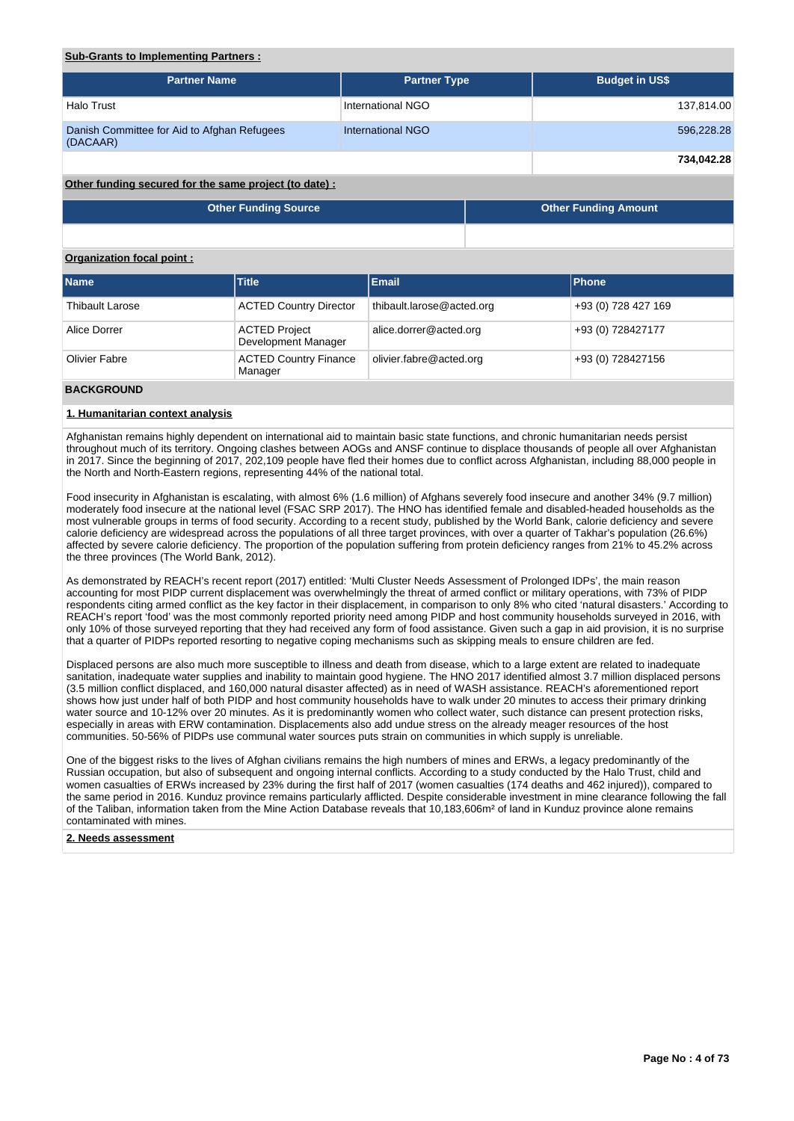# **Sub-Grants to Implementing Partners :**

| <b>Partner Name</b>                                     | <b>Partner Type</b>      | <b>Budget in US\$</b> |
|---------------------------------------------------------|--------------------------|-----------------------|
| Halo Trust                                              | International NGO        | 137,814.00            |
| Danish Committee for Aid to Afghan Refugees<br>(DACAAR) | <b>International NGO</b> | 596,228.28            |
|                                                         |                          | 734,042.28            |

# **Other funding secured for the same project (to date) :**

| Other Funding Source | <b>Other Funding Amount</b> |
|----------------------|-----------------------------|
|                      |                             |

# **Organization focal point :**

| <b>Name</b>            | Title                                       | Email                     | <b>IPhone</b>       |
|------------------------|---------------------------------------------|---------------------------|---------------------|
| <b>Thibault Larose</b> | <b>ACTED Country Director</b>               | thibault.larose@acted.org | +93 (0) 728 427 169 |
| Alice Dorrer           | <b>ACTED Project</b><br>Development Manager | alice.dorrer@acted.org    | +93 (0) 728427177   |
| Olivier Fabre          | <b>ACTED Country Finance</b><br>Manager     | olivier.fabre@acted.org   | +93 (0) 728427156   |
| 5.122521115            |                                             |                           |                     |

#### **BACKGROUND**

## **1. Humanitarian context analysis**

Afghanistan remains highly dependent on international aid to maintain basic state functions, and chronic humanitarian needs persist throughout much of its territory. Ongoing clashes between AOGs and ANSF continue to displace thousands of people all over Afghanistan in 2017. Since the beginning of 2017, 202,109 people have fled their homes due to conflict across Afghanistan, including 88,000 people in the North and North-Eastern regions, representing 44% of the national total.

Food insecurity in Afghanistan is escalating, with almost 6% (1.6 million) of Afghans severely food insecure and another 34% (9.7 million) moderately food insecure at the national level (FSAC SRP 2017). The HNO has identified female and disabled-headed households as the most vulnerable groups in terms of food security. According to a recent study, published by the World Bank, calorie deficiency and severe calorie deficiency are widespread across the populations of all three target provinces, with over a quarter of Takhar's population (26.6%) affected by severe calorie deficiency. The proportion of the population suffering from protein deficiency ranges from 21% to 45.2% across the three provinces (The World Bank, 2012).

As demonstrated by REACH's recent report (2017) entitled: 'Multi Cluster Needs Assessment of Prolonged IDPs', the main reason accounting for most PIDP current displacement was overwhelmingly the threat of armed conflict or military operations, with 73% of PIDP respondents citing armed conflict as the key factor in their displacement, in comparison to only 8% who cited 'natural disasters.' According to REACH's report 'food' was the most commonly reported priority need among PIDP and host community households surveyed in 2016, with only 10% of those surveyed reporting that they had received any form of food assistance. Given such a gap in aid provision, it is no surprise that a quarter of PIDPs reported resorting to negative coping mechanisms such as skipping meals to ensure children are fed.

Displaced persons are also much more susceptible to illness and death from disease, which to a large extent are related to inadequate sanitation, inadequate water supplies and inability to maintain good hygiene. The HNO 2017 identified almost 3.7 million displaced persons (3.5 million conflict displaced, and 160,000 natural disaster affected) as in need of WASH assistance. REACH's aforementioned report shows how just under half of both PIDP and host community households have to walk under 20 minutes to access their primary drinking water source and 10-12% over 20 minutes. As it is predominantly women who collect water, such distance can present protection risks, especially in areas with ERW contamination. Displacements also add undue stress on the already meager resources of the host communities. 50-56% of PIDPs use communal water sources puts strain on communities in which supply is unreliable.

One of the biggest risks to the lives of Afghan civilians remains the high numbers of mines and ERWs, a legacy predominantly of the Russian occupation, but also of subsequent and ongoing internal conflicts. According to a study conducted by the Halo Trust, child and women casualties of ERWs increased by 23% during the first half of 2017 (women casualties (174 deaths and 462 injured)), compared to the same period in 2016. Kunduz province remains particularly afflicted. Despite considerable investment in mine clearance following the fall of the Taliban, information taken from the Mine Action Database reveals that 10,183,606m² of land in Kunduz province alone remains contaminated with mines.

# **2. Needs assessment**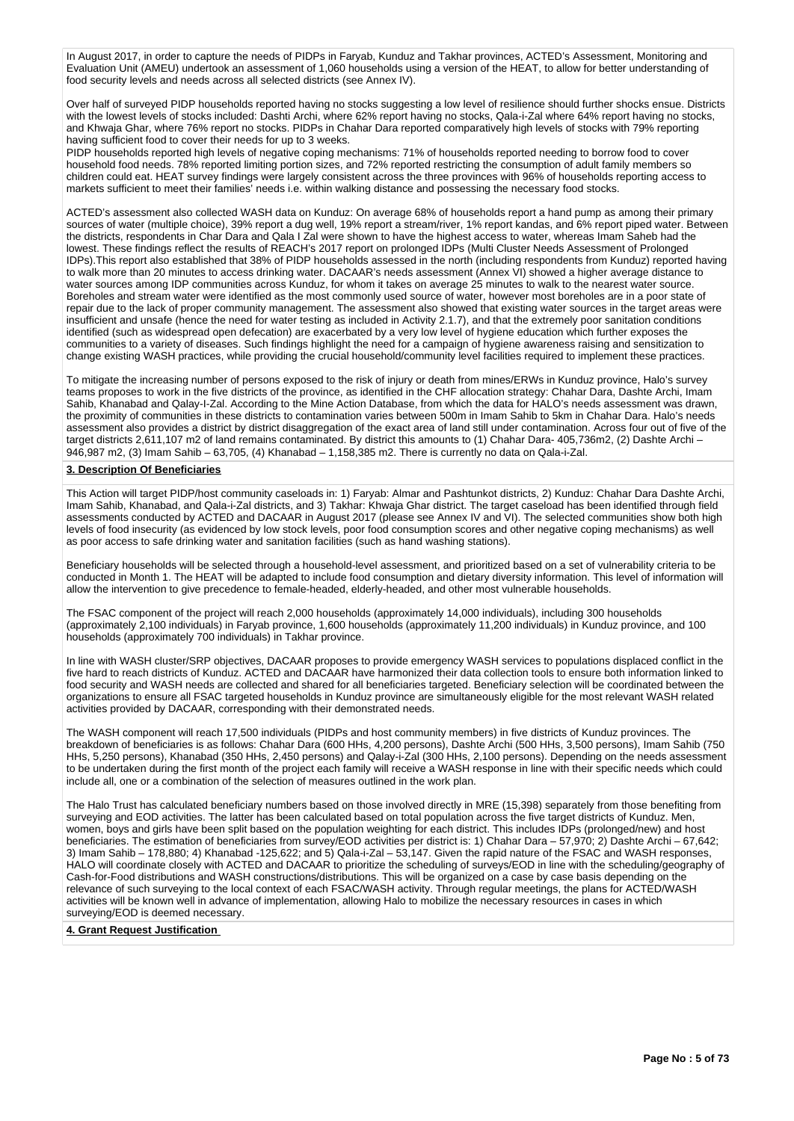In August 2017, in order to capture the needs of PIDPs in Faryab, Kunduz and Takhar provinces, ACTED's Assessment, Monitoring and Evaluation Unit (AMEU) undertook an assessment of 1,060 households using a version of the HEAT, to allow for better understanding of food security levels and needs across all selected districts (see Annex IV).

Over half of surveyed PIDP households reported having no stocks suggesting a low level of resilience should further shocks ensue. Districts with the lowest levels of stocks included: Dashti Archi, where 62% report having no stocks, Qala-i-Zal where 64% report having no stocks, and Khwaja Ghar, where 76% report no stocks. PIDPs in Chahar Dara reported comparatively high levels of stocks with 79% reporting having sufficient food to cover their needs for up to 3 weeks.

PIDP households reported high levels of negative coping mechanisms: 71% of households reported needing to borrow food to cover household food needs. 78% reported limiting portion sizes, and 72% reported restricting the consumption of adult family members so children could eat. HEAT survey findings were largely consistent across the three provinces with 96% of households reporting access to markets sufficient to meet their families' needs i.e. within walking distance and possessing the necessary food stocks.

ACTED's assessment also collected WASH data on Kunduz: On average 68% of households report a hand pump as among their primary sources of water (multiple choice), 39% report a dug well, 19% report a stream/river, 1% report kandas, and 6% report piped water. Between the districts, respondents in Char Dara and Qala I Zal were shown to have the highest access to water, whereas Imam Saheb had the lowest. These findings reflect the results of REACH's 2017 report on prolonged IDPs (Multi Cluster Needs Assessment of Prolonged IDPs).This report also established that 38% of PIDP households assessed in the north (including respondents from Kunduz) reported having to walk more than 20 minutes to access drinking water. DACAAR's needs assessment (Annex VI) showed a higher average distance to water sources among IDP communities across Kunduz, for whom it takes on average 25 minutes to walk to the nearest water source. Boreholes and stream water were identified as the most commonly used source of water, however most boreholes are in a poor state of repair due to the lack of proper community management. The assessment also showed that existing water sources in the target areas were insufficient and unsafe (hence the need for water testing as included in Activity 2.1.7), and that the extremely poor sanitation conditions identified (such as widespread open defecation) are exacerbated by a very low level of hygiene education which further exposes the communities to a variety of diseases. Such findings highlight the need for a campaign of hygiene awareness raising and sensitization to change existing WASH practices, while providing the crucial household/community level facilities required to implement these practices.

To mitigate the increasing number of persons exposed to the risk of injury or death from mines/ERWs in Kunduz province, Halo's survey teams proposes to work in the five districts of the province, as identified in the CHF allocation strategy: Chahar Dara, Dashte Archi, Imam Sahib, Khanabad and Qalay-I-Zal. According to the Mine Action Database, from which the data for HALO's needs assessment was drawn, the proximity of communities in these districts to contamination varies between 500m in Imam Sahib to 5km in Chahar Dara. Halo's needs assessment also provides a district by district disaggregation of the exact area of land still under contamination. Across four out of five of the target districts 2,611,107 m2 of land remains contaminated. By district this amounts to (1) Chahar Dara- 405,736m2, (2) Dashte Archi – 946,987 m2, (3) Imam Sahib – 63,705, (4) Khanabad – 1,158,385 m2. There is currently no data on Qala-i-Zal.

#### **3. Description Of Beneficiaries**

This Action will target PIDP/host community caseloads in: 1) Faryab: Almar and Pashtunkot districts, 2) Kunduz: Chahar Dara Dashte Archi, Imam Sahib, Khanabad, and Qala-i-Zal districts, and 3) Takhar: Khwaja Ghar district. The target caseload has been identified through field assessments conducted by ACTED and DACAAR in August 2017 (please see Annex IV and VI). The selected communities show both high levels of food insecurity (as evidenced by low stock levels, poor food consumption scores and other negative coping mechanisms) as well as poor access to safe drinking water and sanitation facilities (such as hand washing stations).

Beneficiary households will be selected through a household-level assessment, and prioritized based on a set of vulnerability criteria to be conducted in Month 1. The HEAT will be adapted to include food consumption and dietary diversity information. This level of information will allow the intervention to give precedence to female-headed, elderly-headed, and other most vulnerable households.

The FSAC component of the project will reach 2,000 households (approximately 14,000 individuals), including 300 households (approximately 2,100 individuals) in Faryab province, 1,600 households (approximately 11,200 individuals) in Kunduz province, and 100 households (approximately 700 individuals) in Takhar province.

In line with WASH cluster/SRP objectives, DACAAR proposes to provide emergency WASH services to populations displaced conflict in the five hard to reach districts of Kunduz. ACTED and DACAAR have harmonized their data collection tools to ensure both information linked to food security and WASH needs are collected and shared for all beneficiaries targeted. Beneficiary selection will be coordinated between the organizations to ensure all FSAC targeted households in Kunduz province are simultaneously eligible for the most relevant WASH related activities provided by DACAAR, corresponding with their demonstrated needs.

The WASH component will reach 17,500 individuals (PIDPs and host community members) in five districts of Kunduz provinces. The breakdown of beneficiaries is as follows: Chahar Dara (600 HHs, 4,200 persons), Dashte Archi (500 HHs, 3,500 persons), Imam Sahib (750 HHs, 5,250 persons), Khanabad (350 HHs, 2,450 persons) and Qalay-i-Zal (300 HHs, 2,100 persons). Depending on the needs assessment to be undertaken during the first month of the project each family will receive a WASH response in line with their specific needs which could include all, one or a combination of the selection of measures outlined in the work plan.

The Halo Trust has calculated beneficiary numbers based on those involved directly in MRE (15,398) separately from those benefiting from surveying and EOD activities. The latter has been calculated based on total population across the five target districts of Kunduz. Men, women, boys and girls have been split based on the population weighting for each district. This includes IDPs (prolonged/new) and host beneficiaries. The estimation of beneficiaries from survey/EOD activities per district is: 1) Chahar Dara – 57,970; 2) Dashte Archi – 67,642; 3) Imam Sahib – 178,880; 4) Khanabad -125,622; and 5) Qala-i-Zal – 53,147. Given the rapid nature of the FSAC and WASH responses, HALO will coordinate closely with ACTED and DACAAR to prioritize the scheduling of surveys/EOD in line with the scheduling/geography of Cash-for-Food distributions and WASH constructions/distributions. This will be organized on a case by case basis depending on the relevance of such surveying to the local context of each FSAC/WASH activity. Through regular meetings, the plans for ACTED/WASH activities will be known well in advance of implementation, allowing Halo to mobilize the necessary resources in cases in which surveying/EOD is deemed necessary.

# **4. Grant Request Justification**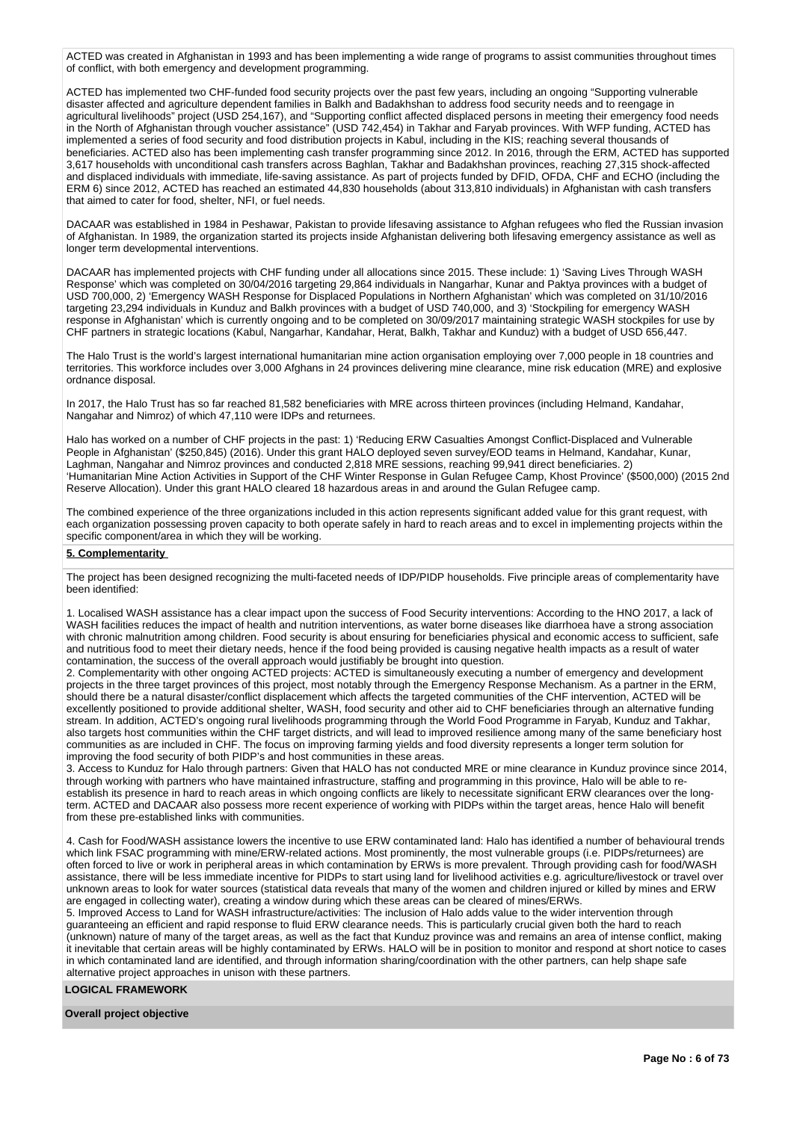ACTED was created in Afghanistan in 1993 and has been implementing a wide range of programs to assist communities throughout times of conflict, with both emergency and development programming.

ACTED has implemented two CHF-funded food security projects over the past few years, including an ongoing "Supporting vulnerable disaster affected and agriculture dependent families in Balkh and Badakhshan to address food security needs and to reengage in agricultural livelihoods" project (USD 254,167), and "Supporting conflict affected displaced persons in meeting their emergency food needs in the North of Afghanistan through voucher assistance" (USD 742,454) in Takhar and Faryab provinces. With WFP funding, ACTED has implemented a series of food security and food distribution projects in Kabul, including in the KIS; reaching several thousands of beneficiaries. ACTED also has been implementing cash transfer programming since 2012. In 2016, through the ERM, ACTED has supported 3,617 households with unconditional cash transfers across Baghlan, Takhar and Badakhshan provinces, reaching 27,315 shock-affected and displaced individuals with immediate, life-saving assistance. As part of projects funded by DFID, OFDA, CHF and ECHO (including the ERM 6) since 2012, ACTED has reached an estimated 44,830 households (about 313,810 individuals) in Afghanistan with cash transfers that aimed to cater for food, shelter, NFI, or fuel needs.

DACAAR was established in 1984 in Peshawar, Pakistan to provide lifesaving assistance to Afghan refugees who fled the Russian invasion of Afghanistan. In 1989, the organization started its projects inside Afghanistan delivering both lifesaving emergency assistance as well as longer term developmental interventions.

DACAAR has implemented projects with CHF funding under all allocations since 2015. These include: 1) 'Saving Lives Through WASH Response' which was completed on 30/04/2016 targeting 29,864 individuals in Nangarhar, Kunar and Paktya provinces with a budget of USD 700,000, 2) 'Emergency WASH Response for Displaced Populations in Northern Afghanistan' which was completed on 31/10/2016 targeting 23,294 individuals in Kunduz and Balkh provinces with a budget of USD 740,000, and 3) 'Stockpiling for emergency WASH response in Afghanistan' which is currently ongoing and to be completed on 30/09/2017 maintaining strategic WASH stockpiles for use by CHF partners in strategic locations (Kabul, Nangarhar, Kandahar, Herat, Balkh, Takhar and Kunduz) with a budget of USD 656,447.

The Halo Trust is the world's largest international humanitarian mine action organisation employing over 7,000 people in 18 countries and territories. This workforce includes over 3,000 Afghans in 24 provinces delivering mine clearance, mine risk education (MRE) and explosive ordnance disposal.

In 2017, the Halo Trust has so far reached 81,582 beneficiaries with MRE across thirteen provinces (including Helmand, Kandahar, Nangahar and Nimroz) of which 47,110 were IDPs and returnees.

Halo has worked on a number of CHF projects in the past: 1) 'Reducing ERW Casualties Amongst Conflict-Displaced and Vulnerable People in Afghanistan' (\$250,845) (2016). Under this grant HALO deployed seven survey/EOD teams in Helmand, Kandahar, Kunar, Laghman, Nangahar and Nimroz provinces and conducted 2,818 MRE sessions, reaching 99,941 direct beneficiaries. 2) 'Humanitarian Mine Action Activities in Support of the CHF Winter Response in Gulan Refugee Camp, Khost Province' (\$500,000) (2015 2nd Reserve Allocation). Under this grant HALO cleared 18 hazardous areas in and around the Gulan Refugee camp.

The combined experience of the three organizations included in this action represents significant added value for this grant request, with each organization possessing proven capacity to both operate safely in hard to reach areas and to excel in implementing projects within the specific component/area in which they will be working.

# **5. Complementarity**

The project has been designed recognizing the multi-faceted needs of IDP/PIDP households. Five principle areas of complementarity have been identified:

1. Localised WASH assistance has a clear impact upon the success of Food Security interventions: According to the HNO 2017, a lack of WASH facilities reduces the impact of health and nutrition interventions, as water borne diseases like diarrhoea have a strong association with chronic malnutrition among children. Food security is about ensuring for beneficiaries physical and economic access to sufficient, safe and nutritious food to meet their dietary needs, hence if the food being provided is causing negative health impacts as a result of water contamination, the success of the overall approach would justifiably be brought into question.

2. Complementarity with other ongoing ACTED projects: ACTED is simultaneously executing a number of emergency and development projects in the three target provinces of this project, most notably through the Emergency Response Mechanism. As a partner in the ERM, should there be a natural disaster/conflict displacement which affects the targeted communities of the CHF intervention, ACTED will be excellently positioned to provide additional shelter, WASH, food security and other aid to CHF beneficiaries through an alternative funding stream. In addition, ACTED's ongoing rural livelihoods programming through the World Food Programme in Faryab, Kunduz and Takhar, also targets host communities within the CHF target districts, and will lead to improved resilience among many of the same beneficiary host communities as are included in CHF. The focus on improving farming yields and food diversity represents a longer term solution for improving the food security of both PIDP's and host communities in these areas.

3. Access to Kunduz for Halo through partners: Given that HALO has not conducted MRE or mine clearance in Kunduz province since 2014, through working with partners who have maintained infrastructure, staffing and programming in this province, Halo will be able to reestablish its presence in hard to reach areas in which ongoing conflicts are likely to necessitate significant ERW clearances over the longterm. ACTED and DACAAR also possess more recent experience of working with PIDPs within the target areas, hence Halo will benefit from these pre-established links with communities.

4. Cash for Food/WASH assistance lowers the incentive to use ERW contaminated land: Halo has identified a number of behavioural trends which link FSAC programming with mine/ERW-related actions. Most prominently, the most vulnerable groups (i.e. PIDPs/returnees) are often forced to live or work in peripheral areas in which contamination by ERWs is more prevalent. Through providing cash for food/WASH assistance, there will be less immediate incentive for PIDPs to start using land for livelihood activities e.g. agriculture/livestock or travel over unknown areas to look for water sources (statistical data reveals that many of the women and children injured or killed by mines and ERW are engaged in collecting water), creating a window during which these areas can be cleared of mines/ERWs.

5. Improved Access to Land for WASH infrastructure/activities: The inclusion of Halo adds value to the wider intervention through guaranteeing an efficient and rapid response to fluid ERW clearance needs. This is particularly crucial given both the hard to reach (unknown) nature of many of the target areas, as well as the fact that Kunduz province was and remains an area of intense conflict, making it inevitable that certain areas will be highly contaminated by ERWs. HALO will be in position to monitor and respond at short notice to cases in which contaminated land are identified, and through information sharing/coordination with the other partners, can help shape safe alternative project approaches in unison with these partners.

# **LOGICAL FRAMEWORK**

#### **Overall project objective**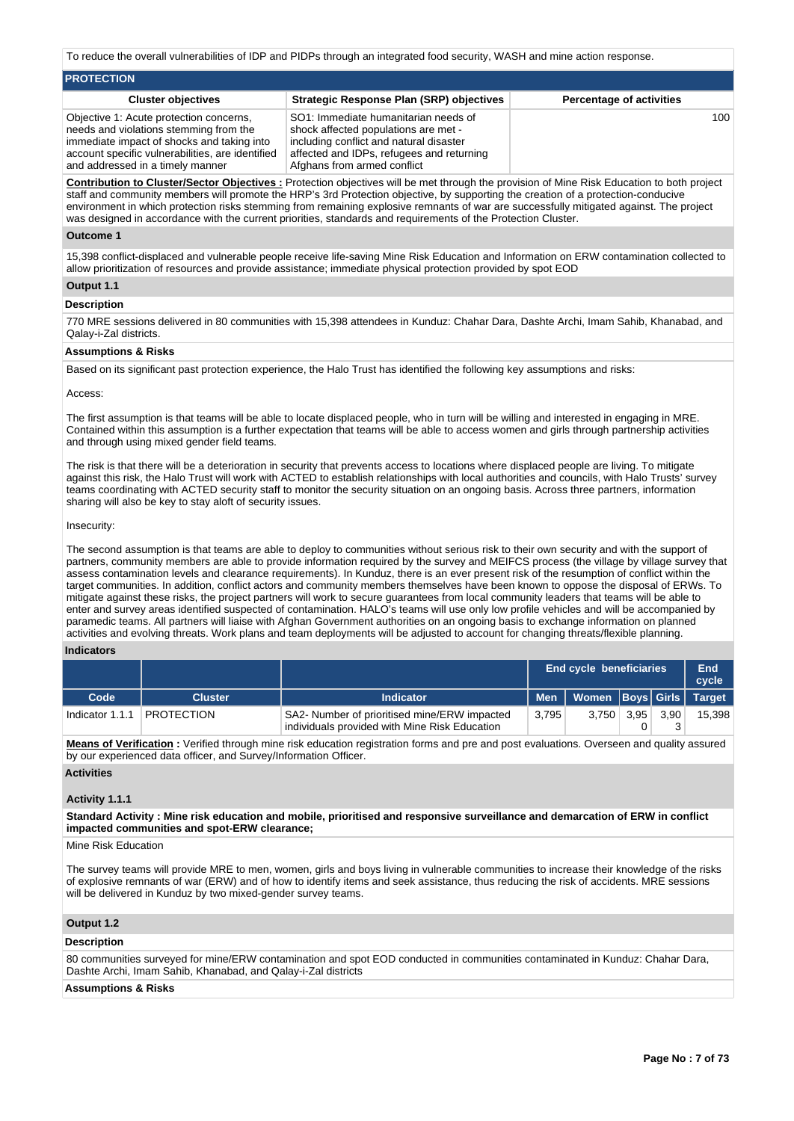To reduce the overall vulnerabilities of IDP and PIDPs through an integrated food security, WASH and mine action response.

| <b>PROTECTION</b>                                                                                                                                                                                                       |                                                                                                                                                                                                     |                                 |
|-------------------------------------------------------------------------------------------------------------------------------------------------------------------------------------------------------------------------|-----------------------------------------------------------------------------------------------------------------------------------------------------------------------------------------------------|---------------------------------|
| <b>Cluster objectives</b>                                                                                                                                                                                               | <b>Strategic Response Plan (SRP) objectives</b>                                                                                                                                                     | <b>Percentage of activities</b> |
| Objective 1: Acute protection concerns,<br>needs and violations stemming from the<br>immediate impact of shocks and taking into<br>account specific vulnerabilities, are identified<br>and addressed in a timely manner | SO1: Immediate humanitarian needs of<br>shock affected populations are met -<br>including conflict and natural disaster<br>affected and IDPs, refugees and returning<br>Afghans from armed conflict | 100                             |

**Contribution to Cluster/Sector Objectives :** Protection objectives will be met through the provision of Mine Risk Education to both project staff and community members will promote the HRP's 3rd Protection objective, by supporting the creation of a protection-conducive environment in which protection risks stemming from remaining explosive remnants of war are successfully mitigated against. The project was designed in accordance with the current priorities, standards and requirements of the Protection Cluster.

# **Outcome 1**

15,398 conflict-displaced and vulnerable people receive life-saving Mine Risk Education and Information on ERW contamination collected to allow prioritization of resources and provide assistance; immediate physical protection provided by spot EOD

# **Output 1.1**

#### **Description**

770 MRE sessions delivered in 80 communities with 15,398 attendees in Kunduz: Chahar Dara, Dashte Archi, Imam Sahib, Khanabad, and Qalay-i-Zal districts.

## **Assumptions & Risks**

Based on its significant past protection experience, the Halo Trust has identified the following key assumptions and risks:

#### Access:

The first assumption is that teams will be able to locate displaced people, who in turn will be willing and interested in engaging in MRE. Contained within this assumption is a further expectation that teams will be able to access women and girls through partnership activities and through using mixed gender field teams.

The risk is that there will be a deterioration in security that prevents access to locations where displaced people are living. To mitigate against this risk, the Halo Trust will work with ACTED to establish relationships with local authorities and councils, with Halo Trusts' survey teams coordinating with ACTED security staff to monitor the security situation on an ongoing basis. Across three partners, information sharing will also be key to stay aloft of security issues.

#### Insecurity:

The second assumption is that teams are able to deploy to communities without serious risk to their own security and with the support of partners, community members are able to provide information required by the survey and MEIFCS process (the village by village survey that assess contamination levels and clearance requirements). In Kunduz, there is an ever present risk of the resumption of conflict within the target communities. In addition, conflict actors and community members themselves have been known to oppose the disposal of ERWs. To mitigate against these risks, the project partners will work to secure guarantees from local community leaders that teams will be able to enter and survey areas identified suspected of contamination. HALO's teams will use only low profile vehicles and will be accompanied by paramedic teams. All partners will liaise with Afghan Government authorities on an ongoing basis to exchange information on planned activities and evolving threats. Work plans and team deployments will be adjusted to account for changing threats/flexible planning.

# **Indicators**

|                 |                   |                                                                                               |       | <b>End cycle beneficiaries</b>  |                |                   | End<br>cycle |
|-----------------|-------------------|-----------------------------------------------------------------------------------------------|-------|---------------------------------|----------------|-------------------|--------------|
| Code            | Cluster           | Indicator                                                                                     |       | Men   Women Boys Girls   Target |                |                   |              |
| Indicator 1.1.1 | <b>PROTECTION</b> | SA2- Number of prioritised mine/ERW impacted<br>individuals provided with Mine Risk Education | 3.795 | 3.750                           | $3.95^{\circ}$ | 3.90 <sub>1</sub> | 15,398       |

**Means of Verification :** Verified through mine risk education registration forms and pre and post evaluations. Overseen and quality assured by our experienced data officer, and Survey/Information Officer.

## **Activities**

# **Activity 1.1.1**

**Standard Activity : Mine risk education and mobile, prioritised and responsive surveillance and demarcation of ERW in conflict impacted communities and spot-ERW clearance;**

Mine Risk Education

The survey teams will provide MRE to men, women, girls and boys living in vulnerable communities to increase their knowledge of the risks of explosive remnants of war (ERW) and of how to identify items and seek assistance, thus reducing the risk of accidents. MRE sessions will be delivered in Kunduz by two mixed-gender survey teams.

# **Output 1.2**

# **Description**

80 communities surveyed for mine/ERW contamination and spot EOD conducted in communities contaminated in Kunduz: Chahar Dara, Dashte Archi, Imam Sahib, Khanabad, and Qalay-i-Zal districts

# **Assumptions & Risks**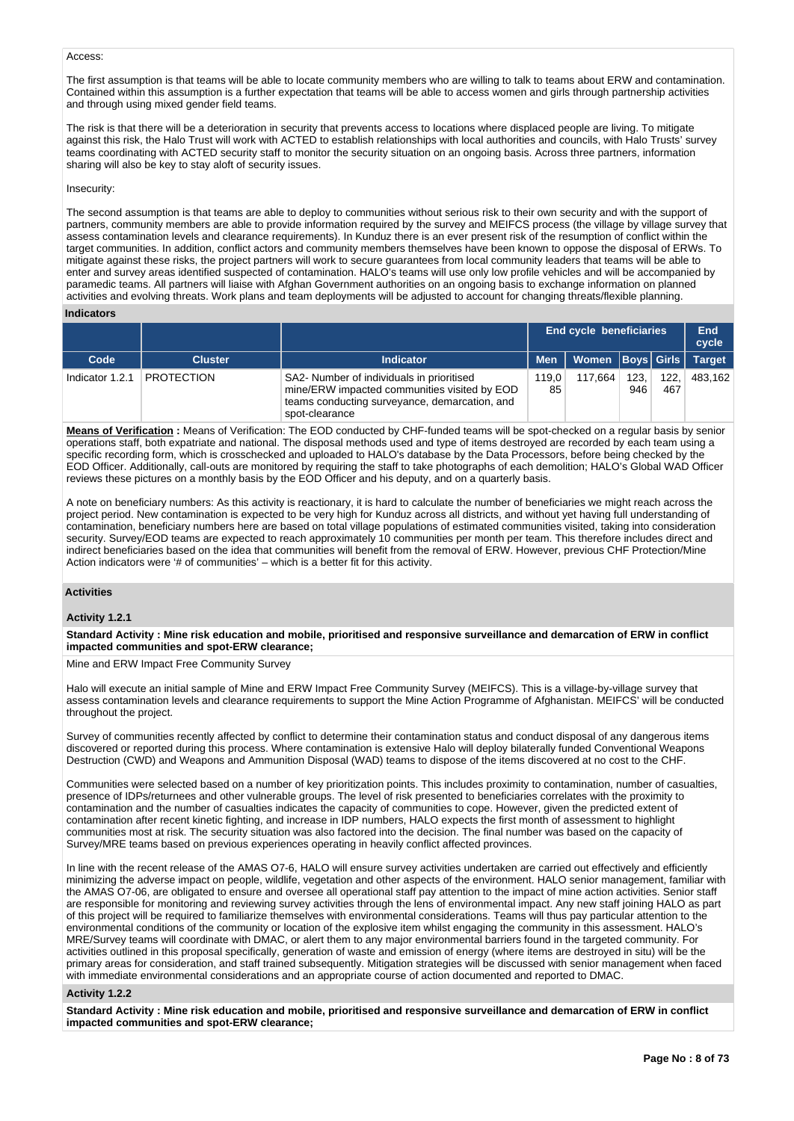# Access:

The first assumption is that teams will be able to locate community members who are willing to talk to teams about ERW and contamination. Contained within this assumption is a further expectation that teams will be able to access women and girls through partnership activities and through using mixed gender field teams.

The risk is that there will be a deterioration in security that prevents access to locations where displaced people are living. To mitigate against this risk, the Halo Trust will work with ACTED to establish relationships with local authorities and councils, with Halo Trusts' survey teams coordinating with ACTED security staff to monitor the security situation on an ongoing basis. Across three partners, information sharing will also be key to stay aloft of security issues.

#### Insecurity:

The second assumption is that teams are able to deploy to communities without serious risk to their own security and with the support of partners, community members are able to provide information required by the survey and MEIFCS process (the village by village survey that assess contamination levels and clearance requirements). In Kunduz there is an ever present risk of the resumption of conflict within the target communities. In addition, conflict actors and community members themselves have been known to oppose the disposal of ERWs. To mitigate against these risks, the project partners will work to secure guarantees from local community leaders that teams will be able to enter and survey areas identified suspected of contamination. HALO's teams will use only low profile vehicles and will be accompanied by paramedic teams. All partners will liaise with Afghan Government authorities on an ongoing basis to exchange information on planned activities and evolving threats. Work plans and team deployments will be adjusted to account for changing threats/flexible planning.

## **Indicators**

|                 |                   |                                                                                                                                                              |             | <b>End cycle beneficiaries</b> |             |             |               |
|-----------------|-------------------|--------------------------------------------------------------------------------------------------------------------------------------------------------------|-------------|--------------------------------|-------------|-------------|---------------|
| Code            | <b>Cluster</b>    | <b>Indicator</b>                                                                                                                                             | <b>Men</b>  | Women Boys Girls               |             |             | <b>Target</b> |
| Indicator 1.2.1 | <b>PROTECTION</b> | SA2- Number of individuals in prioritised<br>mine/ERW impacted communities visited by EOD<br>teams conducting surveyance, demarcation, and<br>spot-clearance | 119.0<br>85 | 117.664                        | 123,<br>946 | 122,<br>467 | 483.162       |

**Means of Verification :** Means of Verification: The EOD conducted by CHF-funded teams will be spot-checked on a regular basis by senior operations staff, both expatriate and national. The disposal methods used and type of items destroyed are recorded by each team using a specific recording form, which is crosschecked and uploaded to HALO's database by the Data Processors, before being checked by the EOD Officer. Additionally, call-outs are monitored by requiring the staff to take photographs of each demolition; HALO's Global WAD Officer reviews these pictures on a monthly basis by the EOD Officer and his deputy, and on a quarterly basis.

A note on beneficiary numbers: As this activity is reactionary, it is hard to calculate the number of beneficiaries we might reach across the project period. New contamination is expected to be very high for Kunduz across all districts, and without yet having full understanding of contamination, beneficiary numbers here are based on total village populations of estimated communities visited, taking into consideration security. Survey/EOD teams are expected to reach approximately 10 communities per month per team. This therefore includes direct and indirect beneficiaries based on the idea that communities will benefit from the removal of ERW. However, previous CHF Protection/Mine Action indicators were '# of communities' – which is a better fit for this activity.

# **Activities**

#### **Activity 1.2.1**

**Standard Activity : Mine risk education and mobile, prioritised and responsive surveillance and demarcation of ERW in conflict impacted communities and spot-ERW clearance;**

Mine and ERW Impact Free Community Survey

Halo will execute an initial sample of Mine and ERW Impact Free Community Survey (MEIFCS). This is a village-by-village survey that assess contamination levels and clearance requirements to support the Mine Action Programme of Afghanistan. MEIFCS' will be conducted throughout the project.

Survey of communities recently affected by conflict to determine their contamination status and conduct disposal of any dangerous items discovered or reported during this process. Where contamination is extensive Halo will deploy bilaterally funded Conventional Weapons Destruction (CWD) and Weapons and Ammunition Disposal (WAD) teams to dispose of the items discovered at no cost to the CHF.

Communities were selected based on a number of key prioritization points. This includes proximity to contamination, number of casualties, presence of IDPs/returnees and other vulnerable groups. The level of risk presented to beneficiaries correlates with the proximity to contamination and the number of casualties indicates the capacity of communities to cope. However, given the predicted extent of contamination after recent kinetic fighting, and increase in IDP numbers, HALO expects the first month of assessment to highlight communities most at risk. The security situation was also factored into the decision. The final number was based on the capacity of Survey/MRE teams based on previous experiences operating in heavily conflict affected provinces.

In line with the recent release of the AMAS O7-6, HALO will ensure survey activities undertaken are carried out effectively and efficiently minimizing the adverse impact on people, wildlife, vegetation and other aspects of the environment. HALO senior management, familiar with the AMAS O7-06, are obligated to ensure and oversee all operational staff pay attention to the impact of mine action activities. Senior staff are responsible for monitoring and reviewing survey activities through the lens of environmental impact. Any new staff joining HALO as part of this project will be required to familiarize themselves with environmental considerations. Teams will thus pay particular attention to the environmental conditions of the community or location of the explosive item whilst engaging the community in this assessment. HALO's MRE/Survey teams will coordinate with DMAC, or alert them to any major environmental barriers found in the targeted community. For activities outlined in this proposal specifically, generation of waste and emission of energy (where items are destroyed in situ) will be the primary areas for consideration, and staff trained subsequently. Mitigation strategies will be discussed with senior management when faced with immediate environmental considerations and an appropriate course of action documented and reported to DMAC.

#### **Activity 1.2.2**

**Standard Activity : Mine risk education and mobile, prioritised and responsive surveillance and demarcation of ERW in conflict impacted communities and spot-ERW clearance;**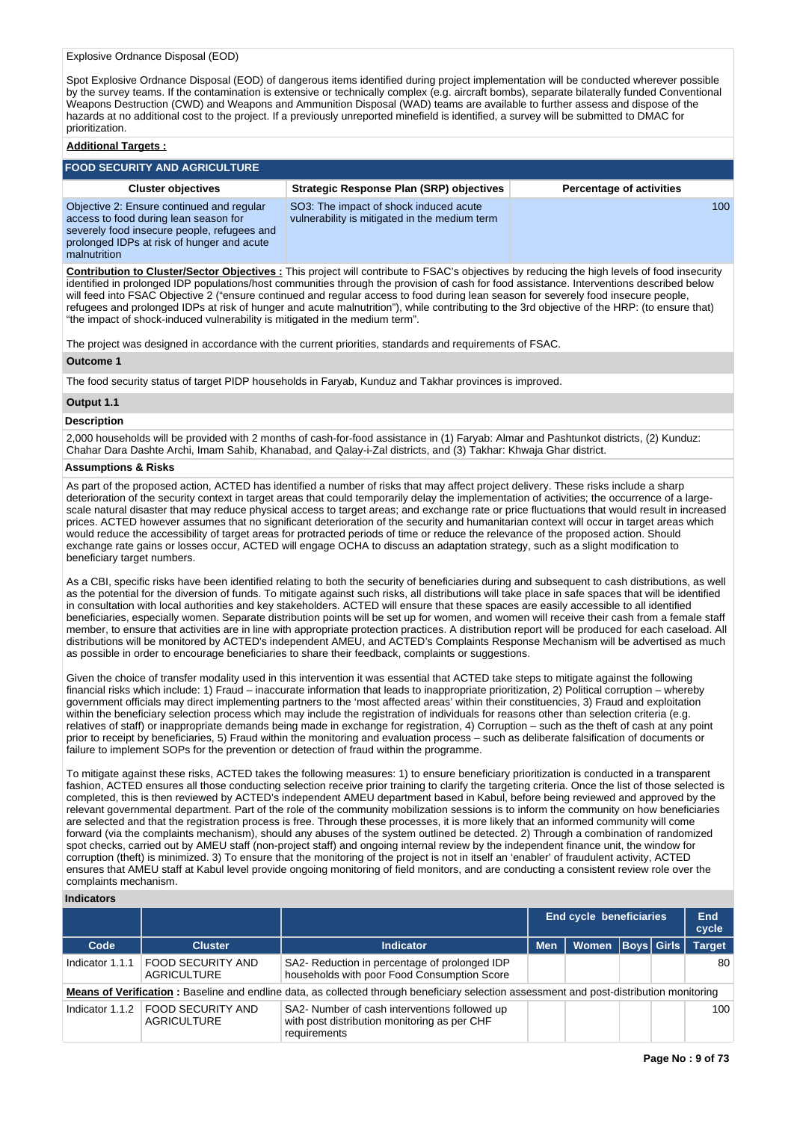Spot Explosive Ordnance Disposal (EOD) of dangerous items identified during project implementation will be conducted wherever possible by the survey teams. If the contamination is extensive or technically complex (e.g. aircraft bombs), separate bilaterally funded Conventional Weapons Destruction (CWD) and Weapons and Ammunition Disposal (WAD) teams are available to further assess and dispose of the hazards at no additional cost to the project. If a previously unreported minefield is identified, a survey will be submitted to DMAC for prioritization.

# **Additional Targets :**

| <b>FOOD SECURITY AND AGRICULTURE</b>                                                                                                                                                            |                                                                                         |                                 |  |  |  |  |  |
|-------------------------------------------------------------------------------------------------------------------------------------------------------------------------------------------------|-----------------------------------------------------------------------------------------|---------------------------------|--|--|--|--|--|
| <b>Cluster objectives</b>                                                                                                                                                                       | <b>Strategic Response Plan (SRP) objectives</b>                                         | <b>Percentage of activities</b> |  |  |  |  |  |
| Objective 2: Ensure continued and regular<br>access to food during lean season for<br>severely food insecure people, refugees and<br>prolonged IDPs at risk of hunger and acute<br>malnutrition | SO3: The impact of shock induced acute<br>vulnerability is mitigated in the medium term | 100                             |  |  |  |  |  |

**Contribution to Cluster/Sector Objectives :** This project will contribute to FSAC's objectives by reducing the high levels of food insecurity identified in prolonged IDP populations/host communities through the provision of cash for food assistance. Interventions described below will feed into FSAC Objective 2 ("ensure continued and regular access to food during lean season for severely food insecure people, refugees and prolonged IDPs at risk of hunger and acute malnutrition"), while contributing to the 3rd objective of the HRP: (to ensure that) "the impact of shock-induced vulnerability is mitigated in the medium term".

The project was designed in accordance with the current priorities, standards and requirements of FSAC.

#### **Outcome 1**

The food security status of target PIDP households in Faryab, Kunduz and Takhar provinces is improved.

# **Output 1.1**

#### **Description**

2,000 households will be provided with 2 months of cash-for-food assistance in (1) Faryab: Almar and Pashtunkot districts, (2) Kunduz: Chahar Dara Dashte Archi, Imam Sahib, Khanabad, and Qalay-i-Zal districts, and (3) Takhar: Khwaja Ghar district.

# **Assumptions & Risks**

As part of the proposed action, ACTED has identified a number of risks that may affect project delivery. These risks include a sharp deterioration of the security context in target areas that could temporarily delay the implementation of activities; the occurrence of a largescale natural disaster that may reduce physical access to target areas; and exchange rate or price fluctuations that would result in increased prices. ACTED however assumes that no significant deterioration of the security and humanitarian context will occur in target areas which would reduce the accessibility of target areas for protracted periods of time or reduce the relevance of the proposed action. Should exchange rate gains or losses occur, ACTED will engage OCHA to discuss an adaptation strategy, such as a slight modification to beneficiary target numbers.

As a CBI, specific risks have been identified relating to both the security of beneficiaries during and subsequent to cash distributions, as well as the potential for the diversion of funds. To mitigate against such risks, all distributions will take place in safe spaces that will be identified in consultation with local authorities and key stakeholders. ACTED will ensure that these spaces are easily accessible to all identified beneficiaries, especially women. Separate distribution points will be set up for women, and women will receive their cash from a female staff member, to ensure that activities are in line with appropriate protection practices. A distribution report will be produced for each caseload. All distributions will be monitored by ACTED's independent AMEU, and ACTED's Complaints Response Mechanism will be advertised as much as possible in order to encourage beneficiaries to share their feedback, complaints or suggestions.

Given the choice of transfer modality used in this intervention it was essential that ACTED take steps to mitigate against the following financial risks which include: 1) Fraud – inaccurate information that leads to inappropriate prioritization, 2) Political corruption – whereby government officials may direct implementing partners to the 'most affected areas' within their constituencies, 3) Fraud and exploitation within the beneficiary selection process which may include the registration of individuals for reasons other than selection criteria (e.g. relatives of staff) or inappropriate demands being made in exchange for registration, 4) Corruption – such as the theft of cash at any point prior to receipt by beneficiaries, 5) Fraud within the monitoring and evaluation process – such as deliberate falsification of documents or failure to implement SOPs for the prevention or detection of fraud within the programme.

To mitigate against these risks, ACTED takes the following measures: 1) to ensure beneficiary prioritization is conducted in a transparent fashion, ACTED ensures all those conducting selection receive prior training to clarify the targeting criteria. Once the list of those selected is completed, this is then reviewed by ACTED's independent AMEU department based in Kabul, before being reviewed and approved by the relevant governmental department. Part of the role of the community mobilization sessions is to inform the community on how beneficiaries are selected and that the registration process is free. Through these processes, it is more likely that an informed community will come forward (via the complaints mechanism), should any abuses of the system outlined be detected. 2) Through a combination of randomized spot checks, carried out by AMEU staff (non-project staff) and ongoing internal review by the independent finance unit, the window for corruption (theft) is minimized. 3) To ensure that the monitoring of the project is not in itself an 'enabler' of fraudulent activity, ACTED ensures that AMEU staff at Kabul level provide ongoing monitoring of field monitors, and are conducting a consistent review role over the complaints mechanism.

# **Indicators**

|                 |                                                                                                                                          |                                                                                                               | <b>End cycle beneficiaries</b> |                      |  | End<br>cycle |               |
|-----------------|------------------------------------------------------------------------------------------------------------------------------------------|---------------------------------------------------------------------------------------------------------------|--------------------------------|----------------------|--|--------------|---------------|
| Code            | <b>Cluster</b>                                                                                                                           | <b>Indicator</b>                                                                                              | <b>Men</b>                     | Women   Boys   Girls |  |              | <b>Target</b> |
| Indicator 1.1.1 | <b>FOOD SECURITY AND</b><br>AGRICULTURE                                                                                                  | SA2- Reduction in percentage of prolonged IDP<br>households with poor Food Consumption Score                  |                                |                      |  |              | 80            |
|                 | Means of Verification: Baseline and endline data, as collected through beneficiary selection assessment and post-distribution monitoring |                                                                                                               |                                |                      |  |              |               |
| Indicator 1.1.2 | <b>FOOD SECURITY AND</b><br>AGRICULTURE                                                                                                  | SA2- Number of cash interventions followed up<br>with post distribution monitoring as per CHF<br>requirements |                                |                      |  |              | 100           |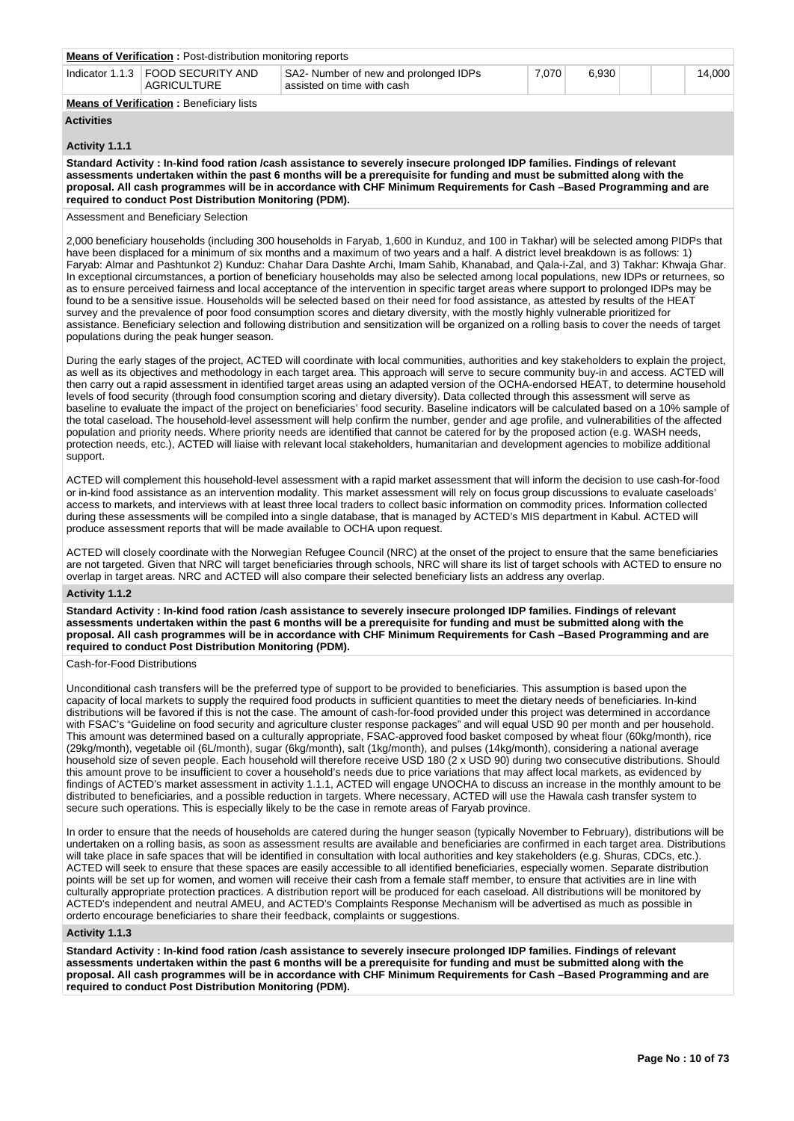| <b>Means of Verification: Post-distribution monitoring reports</b> |                                                                     |           |       |  |        |
|--------------------------------------------------------------------|---------------------------------------------------------------------|-----------|-------|--|--------|
| Indicator 1.1.3   FOOD SECURITY AND<br>AGRICULTURE                 | SA2- Number of new and prolonged IDPs<br>assisted on time with cash | $7.070 +$ | 6.930 |  | 14.000 |
| <b>Means of Verification: Beneficiary lists</b>                    |                                                                     |           |       |  |        |
|                                                                    |                                                                     |           |       |  |        |

# **Activities**

# **Activity 1.1.1**

**Standard Activity : In-kind food ration /cash assistance to severely insecure prolonged IDP families. Findings of relevant assessments undertaken within the past 6 months will be a prerequisite for funding and must be submitted along with the proposal. All cash programmes will be in accordance with CHF Minimum Requirements for Cash –Based Programming and are required to conduct Post Distribution Monitoring (PDM).**

Assessment and Beneficiary Selection

2,000 beneficiary households (including 300 households in Faryab, 1,600 in Kunduz, and 100 in Takhar) will be selected among PIDPs that have been displaced for a minimum of six months and a maximum of two years and a half. A district level breakdown is as follows: 1) Faryab: Almar and Pashtunkot 2) Kunduz: Chahar Dara Dashte Archi, Imam Sahib, Khanabad, and Qala-i-Zal, and 3) Takhar: Khwaja Ghar. In exceptional circumstances, a portion of beneficiary households may also be selected among local populations, new IDPs or returnees, so as to ensure perceived fairness and local acceptance of the intervention in specific target areas where support to prolonged IDPs may be found to be a sensitive issue. Households will be selected based on their need for food assistance, as attested by results of the HEAT survey and the prevalence of poor food consumption scores and dietary diversity, with the mostly highly vulnerable prioritized for assistance. Beneficiary selection and following distribution and sensitization will be organized on a rolling basis to cover the needs of target populations during the peak hunger season.

During the early stages of the project, ACTED will coordinate with local communities, authorities and key stakeholders to explain the project, as well as its objectives and methodology in each target area. This approach will serve to secure community buy-in and access. ACTED will then carry out a rapid assessment in identified target areas using an adapted version of the OCHA-endorsed HEAT, to determine household levels of food security (through food consumption scoring and dietary diversity). Data collected through this assessment will serve as baseline to evaluate the impact of the project on beneficiaries' food security. Baseline indicators will be calculated based on a 10% sample of the total caseload. The household-level assessment will help confirm the number, gender and age profile, and vulnerabilities of the affected population and priority needs. Where priority needs are identified that cannot be catered for by the proposed action (e.g. WASH needs protection needs, etc.), ACTED will liaise with relevant local stakeholders, humanitarian and development agencies to mobilize additional support.

ACTED will complement this household-level assessment with a rapid market assessment that will inform the decision to use cash-for-food or in-kind food assistance as an intervention modality. This market assessment will rely on focus group discussions to evaluate caseloads' access to markets, and interviews with at least three local traders to collect basic information on commodity prices. Information collected during these assessments will be compiled into a single database, that is managed by ACTED's MIS department in Kabul. ACTED will produce assessment reports that will be made available to OCHA upon request.

ACTED will closely coordinate with the Norwegian Refugee Council (NRC) at the onset of the project to ensure that the same beneficiaries are not targeted. Given that NRC will target beneficiaries through schools, NRC will share its list of target schools with ACTED to ensure no overlap in target areas. NRC and ACTED will also compare their selected beneficiary lists an address any overlap.

# **Activity 1.1.2**

**Standard Activity : In-kind food ration /cash assistance to severely insecure prolonged IDP families. Findings of relevant assessments undertaken within the past 6 months will be a prerequisite for funding and must be submitted along with the proposal. All cash programmes will be in accordance with CHF Minimum Requirements for Cash –Based Programming and are required to conduct Post Distribution Monitoring (PDM).**

#### Cash-for-Food Distributions

Unconditional cash transfers will be the preferred type of support to be provided to beneficiaries. This assumption is based upon the capacity of local markets to supply the required food products in sufficient quantities to meet the dietary needs of beneficiaries. In-kind distributions will be favored if this is not the case. The amount of cash-for-food provided under this project was determined in accordance with FSAC's "Guideline on food security and agriculture cluster response packages" and will equal USD 90 per month and per household. This amount was determined based on a culturally appropriate, FSAC-approved food basket composed by wheat flour (60kg/month), rice (29kg/month), vegetable oil (6L/month), sugar (6kg/month), salt (1kg/month), and pulses (14kg/month), considering a national average household size of seven people. Each household will therefore receive USD 180 (2 x USD 90) during two consecutive distributions. Should this amount prove to be insufficient to cover a household's needs due to price variations that may affect local markets, as evidenced by findings of ACTED's market assessment in activity 1.1.1, ACTED will engage UNOCHA to discuss an increase in the monthly amount to be distributed to beneficiaries, and a possible reduction in targets. Where necessary, ACTED will use the Hawala cash transfer system to secure such operations. This is especially likely to be the case in remote areas of Faryab province.

In order to ensure that the needs of households are catered during the hunger season (typically November to February), distributions will be undertaken on a rolling basis, as soon as assessment results are available and beneficiaries are confirmed in each target area. Distributions will take place in safe spaces that will be identified in consultation with local authorities and key stakeholders (e.g. Shuras, CDCs, etc.). ACTED will seek to ensure that these spaces are easily accessible to all identified beneficiaries, especially women. Separate distribution points will be set up for women, and women will receive their cash from a female staff member, to ensure that activities are in line with culturally appropriate protection practices. A distribution report will be produced for each caseload. All distributions will be monitored by ACTED's independent and neutral AMEU, and ACTED's Complaints Response Mechanism will be advertised as much as possible in orderto encourage beneficiaries to share their feedback, complaints or suggestions.

#### **Activity 1.1.3**

**Standard Activity : In-kind food ration /cash assistance to severely insecure prolonged IDP families. Findings of relevant assessments undertaken within the past 6 months will be a prerequisite for funding and must be submitted along with the proposal. All cash programmes will be in accordance with CHF Minimum Requirements for Cash –Based Programming and are required to conduct Post Distribution Monitoring (PDM).**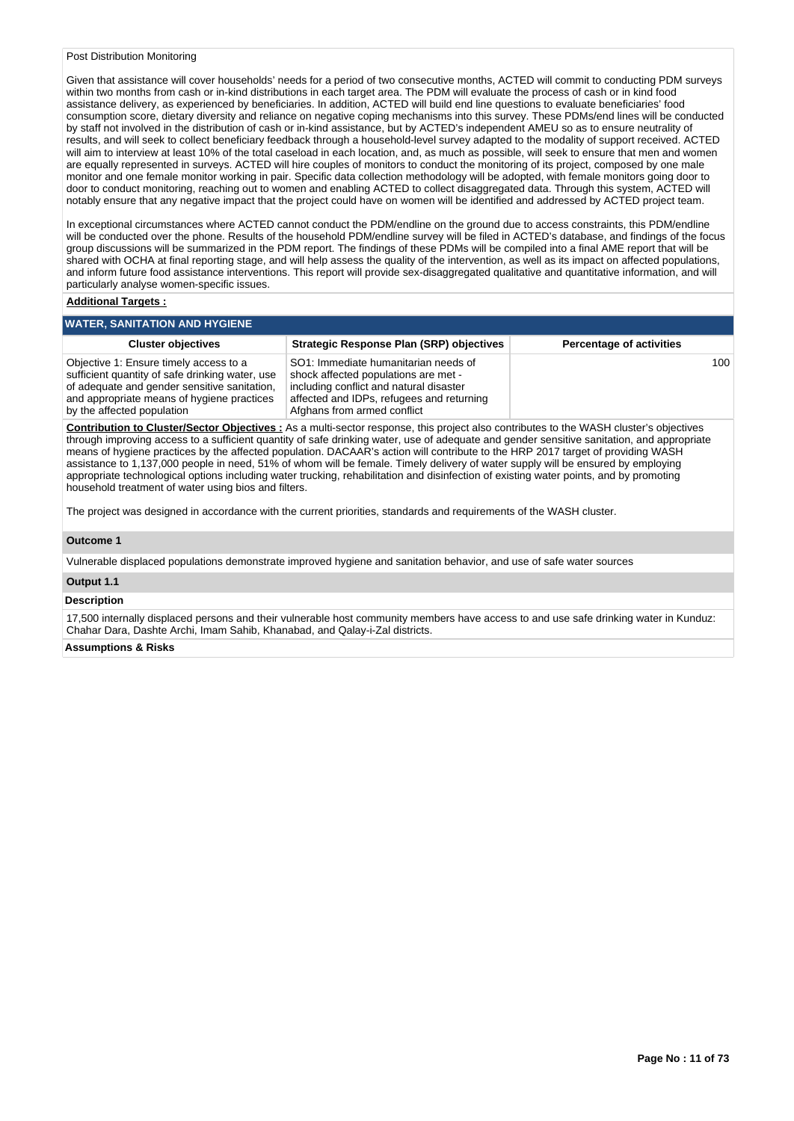#### Post Distribution Monitoring

Given that assistance will cover households' needs for a period of two consecutive months, ACTED will commit to conducting PDM surveys within two months from cash or in-kind distributions in each target area. The PDM will evaluate the process of cash or in kind food assistance delivery, as experienced by beneficiaries. In addition, ACTED will build end line questions to evaluate beneficiaries' food consumption score, dietary diversity and reliance on negative coping mechanisms into this survey. These PDMs/end lines will be conducted by staff not involved in the distribution of cash or in-kind assistance, but by ACTED's independent AMEU so as to ensure neutrality of results, and will seek to collect beneficiary feedback through a household-level survey adapted to the modality of support received. ACTED will aim to interview at least 10% of the total caseload in each location, and, as much as possible, will seek to ensure that men and women are equally represented in surveys. ACTED will hire couples of monitors to conduct the monitoring of its project, composed by one male monitor and one female monitor working in pair. Specific data collection methodology will be adopted, with female monitors going door to door to conduct monitoring, reaching out to women and enabling ACTED to collect disaggregated data. Through this system, ACTED will notably ensure that any negative impact that the project could have on women will be identified and addressed by ACTED project team.

In exceptional circumstances where ACTED cannot conduct the PDM/endline on the ground due to access constraints, this PDM/endline will be conducted over the phone. Results of the household PDM/endline survey will be filed in ACTED's database, and findings of the focus group discussions will be summarized in the PDM report. The findings of these PDMs will be compiled into a final AME report that will be shared with OCHA at final reporting stage, and will help assess the quality of the intervention, as well as its impact on affected populations, and inform future food assistance interventions. This report will provide sex-disaggregated qualitative and quantitative information, and will particularly analyse women-specific issues.

#### **Additional Targets :**

## **WATER, SANITATION AND HYGIENE**

| <b>Cluster objectives</b>                                                                                                                                                                                             | <b>Strategic Response Plan (SRP) objectives</b>                                                                                                                                                     | <b>Percentage of activities</b> |
|-----------------------------------------------------------------------------------------------------------------------------------------------------------------------------------------------------------------------|-----------------------------------------------------------------------------------------------------------------------------------------------------------------------------------------------------|---------------------------------|
| Objective 1: Ensure timely access to a<br>sufficient quantity of safe drinking water, use<br>of adequate and gender sensitive sanitation,<br>and appropriate means of hygiene practices<br>by the affected population | SO1: Immediate humanitarian needs of<br>shock affected populations are met -<br>including conflict and natural disaster<br>affected and IDPs, refugees and returning<br>Afghans from armed conflict | 100 <sup>1</sup>                |

**Contribution to Cluster/Sector Objectives :** As a multi-sector response, this project also contributes to the WASH cluster's objectives through improving access to a sufficient quantity of safe drinking water, use of adequate and gender sensitive sanitation, and appropriate means of hygiene practices by the affected population. DACAAR's action will contribute to the HRP 2017 target of providing WASH assistance to 1,137,000 people in need, 51% of whom will be female. Timely delivery of water supply will be ensured by employing appropriate technological options including water trucking, rehabilitation and disinfection of existing water points, and by promoting household treatment of water using bios and filters.

The project was designed in accordance with the current priorities, standards and requirements of the WASH cluster.

#### **Outcome 1**

Vulnerable displaced populations demonstrate improved hygiene and sanitation behavior, and use of safe water sources

# **Output 1.1**

#### **Description**

17,500 internally displaced persons and their vulnerable host community members have access to and use safe drinking water in Kunduz: Chahar Dara, Dashte Archi, Imam Sahib, Khanabad, and Qalay-i-Zal districts.

# **Assumptions & Risks**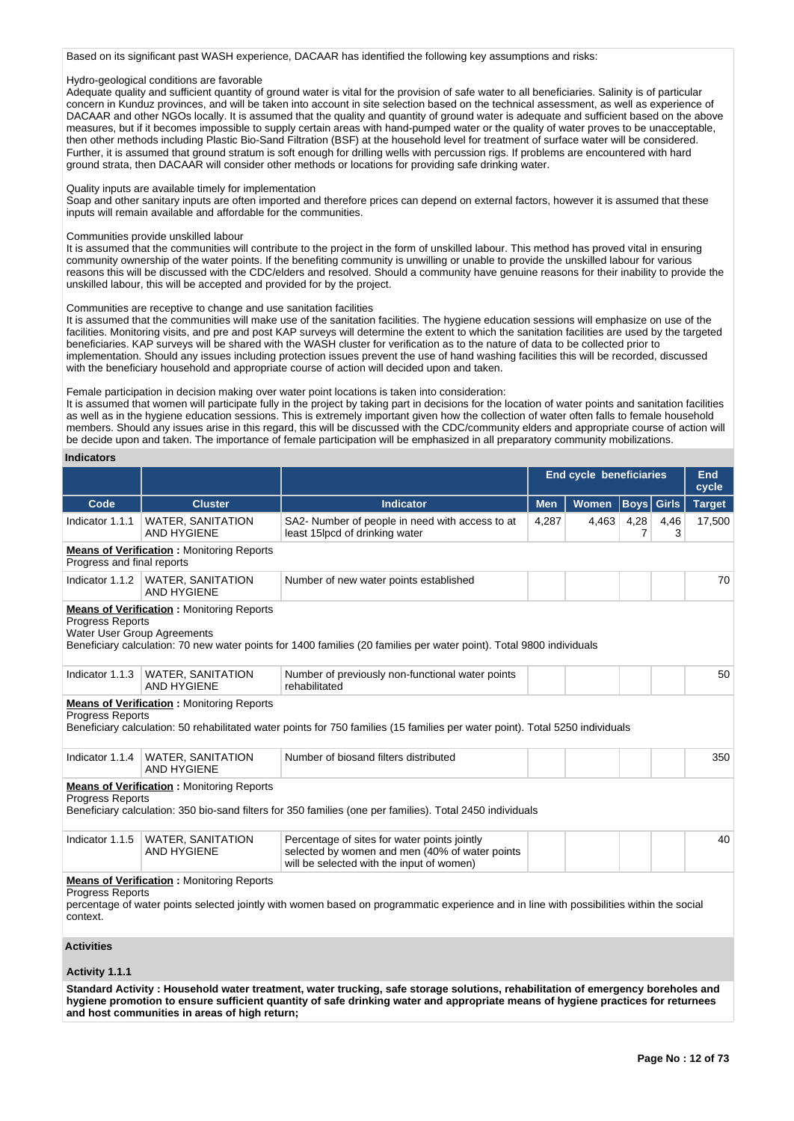Based on its significant past WASH experience, DACAAR has identified the following key assumptions and risks:

# Hydro-geological conditions are favorable

Adequate quality and sufficient quantity of ground water is vital for the provision of safe water to all beneficiaries. Salinity is of particular concern in Kunduz provinces, and will be taken into account in site selection based on the technical assessment, as well as experience of DACAAR and other NGOs locally. It is assumed that the quality and quantity of ground water is adequate and sufficient based on the above measures, but if it becomes impossible to supply certain areas with hand-pumped water or the quality of water proves to be unacceptable, then other methods including Plastic Bio-Sand Filtration (BSF) at the household level for treatment of surface water will be considered. Further, it is assumed that ground stratum is soft enough for drilling wells with percussion rigs. If problems are encountered with hard ground strata, then DACAAR will consider other methods or locations for providing safe drinking water.

#### Quality inputs are available timely for implementation

Soap and other sanitary inputs are often imported and therefore prices can depend on external factors, however it is assumed that these inputs will remain available and affordable for the communities.

#### Communities provide unskilled labour

It is assumed that the communities will contribute to the project in the form of unskilled labour. This method has proved vital in ensuring community ownership of the water points. If the benefiting community is unwilling or unable to provide the unskilled labour for various reasons this will be discussed with the CDC/elders and resolved. Should a community have genuine reasons for their inability to provide the unskilled labour, this will be accepted and provided for by the project.

#### Communities are receptive to change and use sanitation facilities

It is assumed that the communities will make use of the sanitation facilities. The hygiene education sessions will emphasize on use of the facilities. Monitoring visits, and pre and post KAP surveys will determine the extent to which the sanitation facilities are used by the targeted beneficiaries. KAP surveys will be shared with the WASH cluster for verification as to the nature of data to be collected prior to implementation. Should any issues including protection issues prevent the use of hand washing facilities this will be recorded, discussed with the beneficiary household and appropriate course of action will decided upon and taken.

#### Female participation in decision making over water point locations is taken into consideration:

It is assumed that women will participate fully in the project by taking part in decisions for the location of water points and sanitation facilities as well as in the hygiene education sessions. This is extremely important given how the collection of water often falls to female household members. Should any issues arise in this regard, this will be discussed with the CDC/community elders and appropriate course of action will be decide upon and taken. The importance of female participation will be emphasized in all preparatory community mobilizations.

## **Indicators**

|                                                 |                                                    |                                                                                                                                             | End cycle beneficiaries<br><b>End</b><br>cycle |              |                   |           |               |  |
|-------------------------------------------------|----------------------------------------------------|---------------------------------------------------------------------------------------------------------------------------------------------|------------------------------------------------|--------------|-------------------|-----------|---------------|--|
| Code                                            | <b>Cluster</b>                                     | <b>Indicator</b>                                                                                                                            | <b>Men</b>                                     | <b>Women</b> | <b>Boys</b> Girls |           | <b>Target</b> |  |
| Indicator 1.1.1                                 | <b>WATER, SANITATION</b><br><b>AND HYGIENE</b>     | SA2- Number of people in need with access to at<br>least 15lpcd of drinking water                                                           | 4,287                                          | 4,463        | 4,28<br>7         | 4,46<br>3 | 17,500        |  |
| Progress and final reports                      | <b>Means of Verification: Monitoring Reports</b>   |                                                                                                                                             |                                                |              |                   |           |               |  |
|                                                 | Indicator 1.1.2   WATER, SANITATION<br>AND HYGIENE | Number of new water points established                                                                                                      |                                                |              |                   |           | 70            |  |
| Progress Reports<br>Water User Group Agreements | <b>Means of Verification:</b> Monitoring Reports   | Beneficiary calculation: 70 new water points for 1400 families (20 families per water point). Total 9800 individuals                        |                                                |              |                   |           |               |  |
| Indicator 1.1.3                                 | <b>WATER, SANITATION</b><br><b>AND HYGIENE</b>     | Number of previously non-functional water points<br>rehabilitated                                                                           |                                                |              |                   |           | 50            |  |
| <b>Progress Reports</b>                         | <b>Means of Verification:</b> Monitoring Reports   | Beneficiary calculation: 50 rehabilitated water points for 750 families (15 families per water point). Total 5250 individuals               |                                                |              |                   |           |               |  |
| Indicator 1.1.4                                 | <b>WATER, SANITATION</b><br><b>AND HYGIENE</b>     | Number of biosand filters distributed                                                                                                       |                                                |              |                   |           | 350           |  |
| <b>Progress Reports</b>                         | <b>Means of Verification:</b> Monitoring Reports   | Beneficiary calculation: 350 bio-sand filters for 350 families (one per families). Total 2450 individuals                                   |                                                |              |                   |           |               |  |
| Indicator 1.1.5                                 | <b>WATER, SANITATION</b><br><b>AND HYGIENE</b>     | Percentage of sites for water points jointly<br>selected by women and men (40% of water points<br>will be selected with the input of women) |                                                |              |                   |           | 40            |  |
| <b>Progress Reports</b><br>context.             | <b>Means of Verification:</b> Monitoring Reports   | percentage of water points selected jointly with women based on programmatic experience and in line with possibilities within the social    |                                                |              |                   |           |               |  |
| <b>Activities</b>                               |                                                    |                                                                                                                                             |                                                |              |                   |           |               |  |
| Activity 1.1.1                                  |                                                    |                                                                                                                                             |                                                |              |                   |           |               |  |
|                                                 |                                                    | Standard Activity: Household water treatment, water trucking, safe storage solutions, rehabilitation of emergency boreholes and             |                                                |              |                   |           |               |  |

**hygiene promotion to ensure sufficient quantity of safe drinking water and appropriate means of hygiene practices for returnees and host communities in areas of high return;**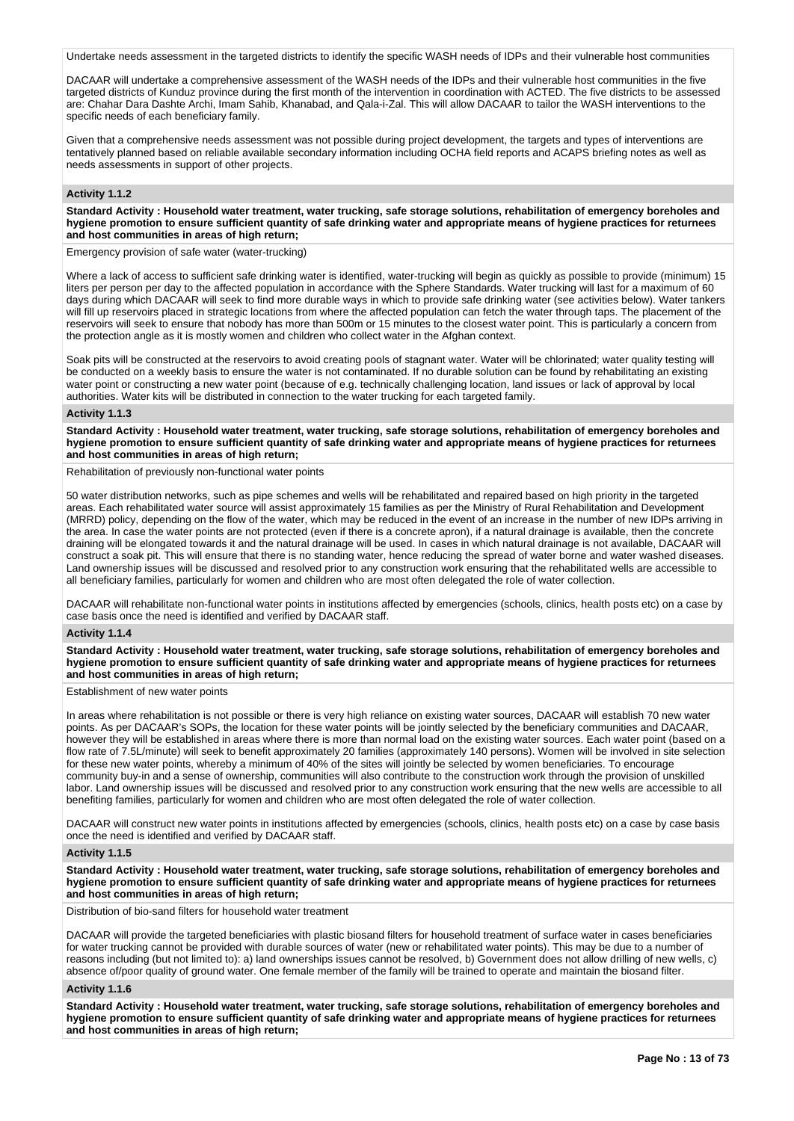Undertake needs assessment in the targeted districts to identify the specific WASH needs of IDPs and their vulnerable host communities

DACAAR will undertake a comprehensive assessment of the WASH needs of the IDPs and their vulnerable host communities in the five targeted districts of Kunduz province during the first month of the intervention in coordination with ACTED. The five districts to be assessed are: Chahar Dara Dashte Archi, Imam Sahib, Khanabad, and Qala-i-Zal. This will allow DACAAR to tailor the WASH interventions to the specific needs of each beneficiary family.

Given that a comprehensive needs assessment was not possible during project development, the targets and types of interventions are tentatively planned based on reliable available secondary information including OCHA field reports and ACAPS briefing notes as well as needs assessments in support of other projects.

#### **Activity 1.1.2**

**Standard Activity : Household water treatment, water trucking, safe storage solutions, rehabilitation of emergency boreholes and hygiene promotion to ensure sufficient quantity of safe drinking water and appropriate means of hygiene practices for returnees and host communities in areas of high return;**

Emergency provision of safe water (water-trucking)

Where a lack of access to sufficient safe drinking water is identified, water-trucking will begin as quickly as possible to provide (minimum) 15 liters per person per day to the affected population in accordance with the Sphere Standards. Water trucking will last for a maximum of 60 days during which DACAAR will seek to find more durable ways in which to provide safe drinking water (see activities below). Water tankers will fill up reservoirs placed in strategic locations from where the affected population can fetch the water through taps. The placement of the reservoirs will seek to ensure that nobody has more than 500m or 15 minutes to the closest water point. This is particularly a concern from the protection angle as it is mostly women and children who collect water in the Afghan context.

Soak pits will be constructed at the reservoirs to avoid creating pools of stagnant water. Water will be chlorinated; water quality testing will be conducted on a weekly basis to ensure the water is not contaminated. If no durable solution can be found by rehabilitating an existing water point or constructing a new water point (because of e.g. technically challenging location, land issues or lack of approval by local authorities. Water kits will be distributed in connection to the water trucking for each targeted family.

#### **Activity 1.1.3**

**Standard Activity : Household water treatment, water trucking, safe storage solutions, rehabilitation of emergency boreholes and hygiene promotion to ensure sufficient quantity of safe drinking water and appropriate means of hygiene practices for returnees and host communities in areas of high return;**

Rehabilitation of previously non-functional water points

50 water distribution networks, such as pipe schemes and wells will be rehabilitated and repaired based on high priority in the targeted areas. Each rehabilitated water source will assist approximately 15 families as per the Ministry of Rural Rehabilitation and Development (MRRD) policy, depending on the flow of the water, which may be reduced in the event of an increase in the number of new IDPs arriving in the area. In case the water points are not protected (even if there is a concrete apron), if a natural drainage is available, then the concrete draining will be elongated towards it and the natural drainage will be used. In cases in which natural drainage is not available, DACAAR will construct a soak pit. This will ensure that there is no standing water, hence reducing the spread of water borne and water washed diseases. Land ownership issues will be discussed and resolved prior to any construction work ensuring that the rehabilitated wells are accessible to all beneficiary families, particularly for women and children who are most often delegated the role of water collection.

DACAAR will rehabilitate non-functional water points in institutions affected by emergencies (schools, clinics, health posts etc) on a case by case basis once the need is identified and verified by DACAAR staff.

#### **Activity 1.1.4**

**Standard Activity : Household water treatment, water trucking, safe storage solutions, rehabilitation of emergency boreholes and hygiene promotion to ensure sufficient quantity of safe drinking water and appropriate means of hygiene practices for returnees and host communities in areas of high return;**

Establishment of new water points

In areas where rehabilitation is not possible or there is very high reliance on existing water sources, DACAAR will establish 70 new water points. As per DACAAR's SOPs, the location for these water points will be jointly selected by the beneficiary communities and DACAAR, however they will be established in areas where there is more than normal load on the existing water sources. Each water point (based on a flow rate of 7.5L/minute) will seek to benefit approximately 20 families (approximately 140 persons). Women will be involved in site selection for these new water points, whereby a minimum of 40% of the sites will jointly be selected by women beneficiaries. To encourage community buy-in and a sense of ownership, communities will also contribute to the construction work through the provision of unskilled labor. Land ownership issues will be discussed and resolved prior to any construction work ensuring that the new wells are accessible to all benefiting families, particularly for women and children who are most often delegated the role of water collection.

DACAAR will construct new water points in institutions affected by emergencies (schools, clinics, health posts etc) on a case by case basis once the need is identified and verified by DACAAR staff.

#### **Activity 1.1.5**

**Standard Activity : Household water treatment, water trucking, safe storage solutions, rehabilitation of emergency boreholes and hygiene promotion to ensure sufficient quantity of safe drinking water and appropriate means of hygiene practices for returnees and host communities in areas of high return;**

Distribution of bio-sand filters for household water treatment

DACAAR will provide the targeted beneficiaries with plastic biosand filters for household treatment of surface water in cases beneficiaries for water trucking cannot be provided with durable sources of water (new or rehabilitated water points). This may be due to a number of reasons including (but not limited to): a) land ownerships issues cannot be resolved, b) Government does not allow drilling of new wells, c) absence of/poor quality of ground water. One female member of the family will be trained to operate and maintain the biosand filter.

## **Activity 1.1.6**

**Standard Activity : Household water treatment, water trucking, safe storage solutions, rehabilitation of emergency boreholes and hygiene promotion to ensure sufficient quantity of safe drinking water and appropriate means of hygiene practices for returnees and host communities in areas of high return;**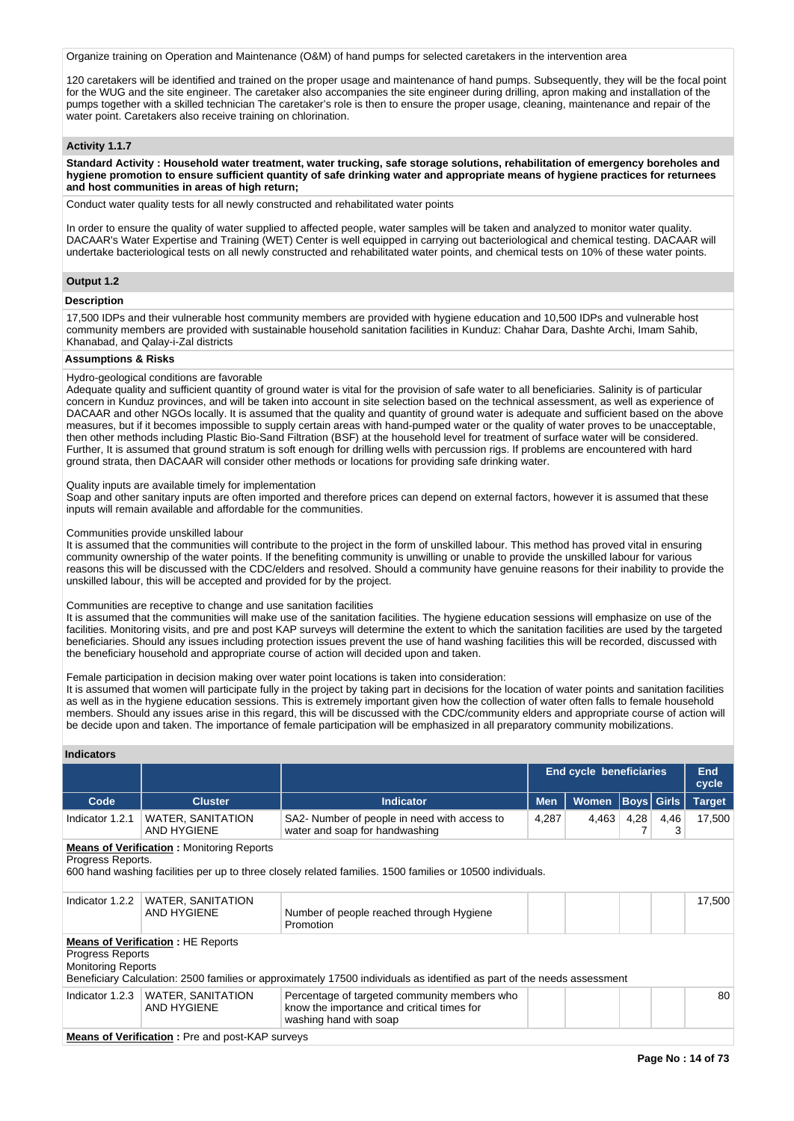Organize training on Operation and Maintenance (O&M) of hand pumps for selected caretakers in the intervention area

120 caretakers will be identified and trained on the proper usage and maintenance of hand pumps. Subsequently, they will be the focal point for the WUG and the site engineer. The caretaker also accompanies the site engineer during drilling, apron making and installation of the pumps together with a skilled technician The caretaker's role is then to ensure the proper usage, cleaning, maintenance and repair of the water point. Caretakers also receive training on chlorination.

# **Activity 1.1.7**

**Standard Activity : Household water treatment, water trucking, safe storage solutions, rehabilitation of emergency boreholes and hygiene promotion to ensure sufficient quantity of safe drinking water and appropriate means of hygiene practices for returnees and host communities in areas of high return;**

Conduct water quality tests for all newly constructed and rehabilitated water points

In order to ensure the quality of water supplied to affected people, water samples will be taken and analyzed to monitor water quality. DACAAR's Water Expertise and Training (WET) Center is well equipped in carrying out bacteriological and chemical testing. DACAAR will undertake bacteriological tests on all newly constructed and rehabilitated water points, and chemical tests on 10% of these water points.

# **Output 1.2**

# **Description**

17,500 IDPs and their vulnerable host community members are provided with hygiene education and 10,500 IDPs and vulnerable host community members are provided with sustainable household sanitation facilities in Kunduz: Chahar Dara, Dashte Archi, Imam Sahib, Khanabad, and Qalay-i-Zal districts

# **Assumptions & Risks**

#### Hydro-geological conditions are favorable

Adequate quality and sufficient quantity of ground water is vital for the provision of safe water to all beneficiaries. Salinity is of particular concern in Kunduz provinces, and will be taken into account in site selection based on the technical assessment, as well as experience of DACAAR and other NGOs locally. It is assumed that the quality and quantity of ground water is adequate and sufficient based on the above measures, but if it becomes impossible to supply certain areas with hand-pumped water or the quality of water proves to be unacceptable, then other methods including Plastic Bio-Sand Filtration (BSF) at the household level for treatment of surface water will be considered. Further, It is assumed that ground stratum is soft enough for drilling wells with percussion rigs. If problems are encountered with hard ground strata, then DACAAR will consider other methods or locations for providing safe drinking water.

#### Quality inputs are available timely for implementation

Soap and other sanitary inputs are often imported and therefore prices can depend on external factors, however it is assumed that these inputs will remain available and affordable for the communities.

#### Communities provide unskilled labour

It is assumed that the communities will contribute to the project in the form of unskilled labour. This method has proved vital in ensuring community ownership of the water points. If the benefiting community is unwilling or unable to provide the unskilled labour for various reasons this will be discussed with the CDC/elders and resolved. Should a community have genuine reasons for their inability to provide the unskilled labour, this will be accepted and provided for by the project.

## Communities are receptive to change and use sanitation facilities

It is assumed that the communities will make use of the sanitation facilities. The hygiene education sessions will emphasize on use of the facilities. Monitoring visits, and pre and post KAP surveys will determine the extent to which the sanitation facilities are used by the targeted beneficiaries. Should any issues including protection issues prevent the use of hand washing facilities this will be recorded, discussed with the beneficiary household and appropriate course of action will decided upon and taken.

# Female participation in decision making over water point locations is taken into consideration:

It is assumed that women will participate fully in the project by taking part in decisions for the location of water points and sanitation facilities as well as in the hygiene education sessions. This is extremely important given how the collection of water often falls to female household members. Should any issues arise in this regard, this will be discussed with the CDC/community elders and appropriate course of action will be decide upon and taken. The importance of female participation will be emphasized in all preparatory community mobilizations.

# **Indicators**

|                                                      |                                                        |                                                                                                                         | End cycle beneficiaries | End<br>cycle |      |                   |               |
|------------------------------------------------------|--------------------------------------------------------|-------------------------------------------------------------------------------------------------------------------------|-------------------------|--------------|------|-------------------|---------------|
| Code                                                 | <b>Cluster</b>                                         | <b>Indicator</b>                                                                                                        | <b>Men</b>              | Women        |      | <b>Boys</b> Girls | <b>Target</b> |
| Indicator 1.2.1                                      | <b>WATER, SANITATION</b><br><b>AND HYGIENE</b>         | SA2- Number of people in need with access to<br>water and soap for handwashing                                          | 4,287                   | 4,463        | 4,28 | 4,46<br>3         | 17,500        |
| Progress Reports.                                    | <b>Means of Verification:</b> Monitoring Reports       | 600 hand washing facilities per up to three closely related families. 1500 families or 10500 individuals.               |                         |              |      |                   |               |
| Indicator 1.2.2                                      | <b>WATER, SANITATION</b><br><b>AND HYGIENE</b>         | Number of people reached through Hygiene<br>Promotion                                                                   |                         |              |      |                   | 17,500        |
| <b>Progress Reports</b><br><b>Monitoring Reports</b> | <b>Means of Verification: HE Reports</b>               | Beneficiary Calculation: 2500 families or approximately 17500 individuals as identified as part of the needs assessment |                         |              |      |                   |               |
| Indicator $1.2.3$                                    | WATER, SANITATION<br><b>AND HYGIENE</b>                | Percentage of targeted community members who<br>know the importance and critical times for<br>washing hand with soap    |                         |              |      |                   | 80            |
|                                                      | <b>Means of Verification:</b> Pre and post-KAP surveys |                                                                                                                         |                         |              |      |                   |               |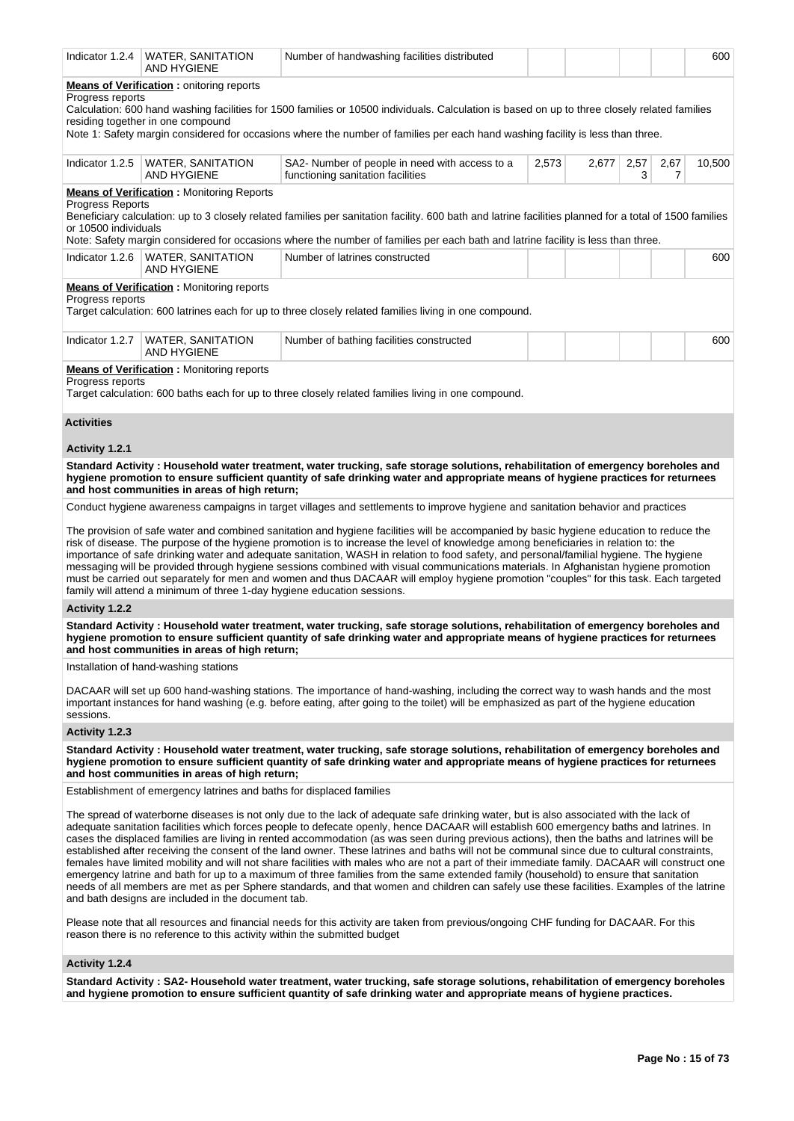| Indicator 1.2.4                          | WATER, SANITATION<br><b>AND HYGIENE</b>                                              | Number of handwashing facilities distributed                                                                                                                                                                                                                                                                                                                                                                                                                                                                                                                                                                                                                                                                                                                                                                                                                                                                                                                                                                           |       |       |           |           | 600    |
|------------------------------------------|--------------------------------------------------------------------------------------|------------------------------------------------------------------------------------------------------------------------------------------------------------------------------------------------------------------------------------------------------------------------------------------------------------------------------------------------------------------------------------------------------------------------------------------------------------------------------------------------------------------------------------------------------------------------------------------------------------------------------------------------------------------------------------------------------------------------------------------------------------------------------------------------------------------------------------------------------------------------------------------------------------------------------------------------------------------------------------------------------------------------|-------|-------|-----------|-----------|--------|
| Progress reports                         | <b>Means of Verification:</b> onitoring reports<br>residing together in one compound | Calculation: 600 hand washing facilities for 1500 families or 10500 individuals. Calculation is based on up to three closely related families<br>Note 1: Safety margin considered for occasions where the number of families per each hand washing facility is less than three.                                                                                                                                                                                                                                                                                                                                                                                                                                                                                                                                                                                                                                                                                                                                        |       |       |           |           |        |
| Indicator 1.2.5                          | WATER, SANITATION<br>AND HYGIENE                                                     | SA2- Number of people in need with access to a<br>functioning sanitation facilities                                                                                                                                                                                                                                                                                                                                                                                                                                                                                                                                                                                                                                                                                                                                                                                                                                                                                                                                    | 2,573 | 2,677 | 2,57<br>3 | 2,67<br>7 | 10,500 |
| Progress Reports<br>or 10500 individuals | <b>Means of Verification:</b> Monitoring Reports                                     | Beneficiary calculation: up to 3 closely related families per sanitation facility. 600 bath and latrine facilities planned for a total of 1500 families<br>Note: Safety margin considered for occasions where the number of families per each bath and latrine facility is less than three.                                                                                                                                                                                                                                                                                                                                                                                                                                                                                                                                                                                                                                                                                                                            |       |       |           |           |        |
| Indicator 1.2.6                          | <b>WATER, SANITATION</b><br><b>AND HYGIENE</b>                                       | Number of latrines constructed                                                                                                                                                                                                                                                                                                                                                                                                                                                                                                                                                                                                                                                                                                                                                                                                                                                                                                                                                                                         |       |       |           |           | 600    |
| Progress reports                         | <b>Means of Verification:</b> Monitoring reports                                     | Target calculation: 600 latrines each for up to three closely related families living in one compound.                                                                                                                                                                                                                                                                                                                                                                                                                                                                                                                                                                                                                                                                                                                                                                                                                                                                                                                 |       |       |           |           |        |
| Indicator 1.2.7                          | <b>WATER, SANITATION</b><br>AND HYGIENE                                              | Number of bathing facilities constructed                                                                                                                                                                                                                                                                                                                                                                                                                                                                                                                                                                                                                                                                                                                                                                                                                                                                                                                                                                               |       |       |           |           | 600    |
| Progress reports                         | <b>Means of Verification:</b> Monitoring reports                                     | Target calculation: 600 baths each for up to three closely related families living in one compound.                                                                                                                                                                                                                                                                                                                                                                                                                                                                                                                                                                                                                                                                                                                                                                                                                                                                                                                    |       |       |           |           |        |
| <b>Activities</b>                        |                                                                                      |                                                                                                                                                                                                                                                                                                                                                                                                                                                                                                                                                                                                                                                                                                                                                                                                                                                                                                                                                                                                                        |       |       |           |           |        |
| Activity 1.2.1                           |                                                                                      |                                                                                                                                                                                                                                                                                                                                                                                                                                                                                                                                                                                                                                                                                                                                                                                                                                                                                                                                                                                                                        |       |       |           |           |        |
|                                          | and host communities in areas of high return;                                        | Standard Activity: Household water treatment, water trucking, safe storage solutions, rehabilitation of emergency boreholes and<br>hygiene promotion to ensure sufficient quantity of safe drinking water and appropriate means of hygiene practices for returnees                                                                                                                                                                                                                                                                                                                                                                                                                                                                                                                                                                                                                                                                                                                                                     |       |       |           |           |        |
|                                          |                                                                                      | Conduct hygiene awareness campaigns in target villages and settlements to improve hygiene and sanitation behavior and practices                                                                                                                                                                                                                                                                                                                                                                                                                                                                                                                                                                                                                                                                                                                                                                                                                                                                                        |       |       |           |           |        |
|                                          | family will attend a minimum of three 1-day hygiene education sessions.              | The provision of safe water and combined sanitation and hygiene facilities will be accompanied by basic hygiene education to reduce the<br>risk of disease. The purpose of the hygiene promotion is to increase the level of knowledge among beneficiaries in relation to: the<br>importance of safe drinking water and adequate sanitation, WASH in relation to food safety, and personal/familial hygiene. The hygiene<br>messaging will be provided through hygiene sessions combined with visual communications materials. In Afghanistan hygiene promotion<br>must be carried out separately for men and women and thus DACAAR will employ hygiene promotion "couples" for this task. Each targeted                                                                                                                                                                                                                                                                                                               |       |       |           |           |        |
| Activity 1.2.2                           |                                                                                      |                                                                                                                                                                                                                                                                                                                                                                                                                                                                                                                                                                                                                                                                                                                                                                                                                                                                                                                                                                                                                        |       |       |           |           |        |
|                                          | and host communities in areas of high return;                                        | Standard Activity: Household water treatment, water trucking, safe storage solutions, rehabilitation of emergency boreholes and<br>hygiene promotion to ensure sufficient quantity of safe drinking water and appropriate means of hygiene practices for returnees                                                                                                                                                                                                                                                                                                                                                                                                                                                                                                                                                                                                                                                                                                                                                     |       |       |           |           |        |
|                                          | Installation of hand-washing stations                                                |                                                                                                                                                                                                                                                                                                                                                                                                                                                                                                                                                                                                                                                                                                                                                                                                                                                                                                                                                                                                                        |       |       |           |           |        |
| sessions.                                |                                                                                      | DACAAR will set up 600 hand-washing stations. The importance of hand-washing, including the correct way to wash hands and the most<br>important instances for hand washing (e.g. before eating, after going to the toilet) will be emphasized as part of the hygiene education                                                                                                                                                                                                                                                                                                                                                                                                                                                                                                                                                                                                                                                                                                                                         |       |       |           |           |        |
| Activity 1.2.3                           |                                                                                      |                                                                                                                                                                                                                                                                                                                                                                                                                                                                                                                                                                                                                                                                                                                                                                                                                                                                                                                                                                                                                        |       |       |           |           |        |
|                                          | and host communities in areas of high return;                                        | Standard Activity: Household water treatment, water trucking, safe storage solutions, rehabilitation of emergency boreholes and<br>hygiene promotion to ensure sufficient quantity of safe drinking water and appropriate means of hygiene practices for returnees                                                                                                                                                                                                                                                                                                                                                                                                                                                                                                                                                                                                                                                                                                                                                     |       |       |           |           |        |
|                                          | Establishment of emergency latrines and baths for displaced families                 |                                                                                                                                                                                                                                                                                                                                                                                                                                                                                                                                                                                                                                                                                                                                                                                                                                                                                                                                                                                                                        |       |       |           |           |        |
|                                          | and bath designs are included in the document tab.                                   | The spread of waterborne diseases is not only due to the lack of adequate safe drinking water, but is also associated with the lack of<br>adequate sanitation facilities which forces people to defecate openly, hence DACAAR will establish 600 emergency baths and latrines. In<br>cases the displaced families are living in rented accommodation (as was seen during previous actions), then the baths and latrines will be<br>established after receiving the consent of the land owner. These latrines and baths will not be communal since due to cultural constraints,<br>females have limited mobility and will not share facilities with males who are not a part of their immediate family. DACAAR will construct one<br>emergency latrine and bath for up to a maximum of three families from the same extended family (household) to ensure that sanitation<br>needs of all members are met as per Sphere standards, and that women and children can safely use these facilities. Examples of the latrine |       |       |           |           |        |
|                                          | reason there is no reference to this activity within the submitted budget            | Please note that all resources and financial needs for this activity are taken from previous/ongoing CHF funding for DACAAR. For this                                                                                                                                                                                                                                                                                                                                                                                                                                                                                                                                                                                                                                                                                                                                                                                                                                                                                  |       |       |           |           |        |
| Activity 1.2.4                           |                                                                                      |                                                                                                                                                                                                                                                                                                                                                                                                                                                                                                                                                                                                                                                                                                                                                                                                                                                                                                                                                                                                                        |       |       |           |           |        |
|                                          |                                                                                      | Standard Activity: SA2- Household water treatment, water trucking, safe storage solutions, rehabilitation of emergency boreholes<br>and hygiene promotion to ensure sufficient quantity of safe drinking water and appropriate means of hygiene practices.                                                                                                                                                                                                                                                                                                                                                                                                                                                                                                                                                                                                                                                                                                                                                             |       |       |           |           |        |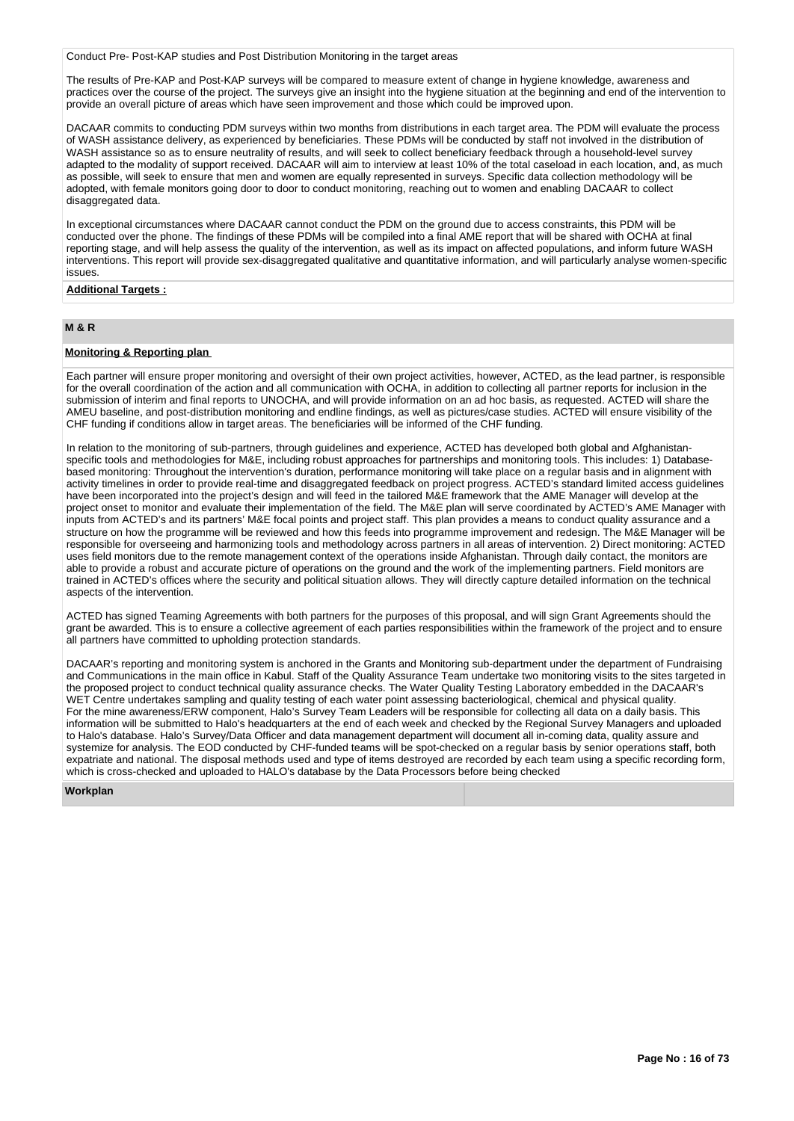Conduct Pre- Post-KAP studies and Post Distribution Monitoring in the target areas

The results of Pre-KAP and Post-KAP surveys will be compared to measure extent of change in hygiene knowledge, awareness and practices over the course of the project. The surveys give an insight into the hygiene situation at the beginning and end of the intervention to provide an overall picture of areas which have seen improvement and those which could be improved upon.

DACAAR commits to conducting PDM surveys within two months from distributions in each target area. The PDM will evaluate the process of WASH assistance delivery, as experienced by beneficiaries. These PDMs will be conducted by staff not involved in the distribution of WASH assistance so as to ensure neutrality of results, and will seek to collect beneficiary feedback through a household-level survey adapted to the modality of support received. DACAAR will aim to interview at least 10% of the total caseload in each location, and, as much as possible, will seek to ensure that men and women are equally represented in surveys. Specific data collection methodology will be adopted, with female monitors going door to door to conduct monitoring, reaching out to women and enabling DACAAR to collect disaggregated data.

In exceptional circumstances where DACAAR cannot conduct the PDM on the ground due to access constraints, this PDM will be conducted over the phone. The findings of these PDMs will be compiled into a final AME report that will be shared with OCHA at final reporting stage, and will help assess the quality of the intervention, as well as its impact on affected populations, and inform future WASH interventions. This report will provide sex-disaggregated qualitative and quantitative information, and will particularly analyse women-specific issues.

# **Additional Targets :**

# **M & R**

# **Monitoring & Reporting plan**

Each partner will ensure proper monitoring and oversight of their own project activities, however, ACTED, as the lead partner, is responsible for the overall coordination of the action and all communication with OCHA, in addition to collecting all partner reports for inclusion in the submission of interim and final reports to UNOCHA, and will provide information on an ad hoc basis, as requested. ACTED will share the AMEU baseline, and post-distribution monitoring and endline findings, as well as pictures/case studies. ACTED will ensure visibility of the CHF funding if conditions allow in target areas. The beneficiaries will be informed of the CHF funding.

In relation to the monitoring of sub-partners, through guidelines and experience, ACTED has developed both global and Afghanistanspecific tools and methodologies for M&E, including robust approaches for partnerships and monitoring tools. This includes: 1) Databasebased monitoring: Throughout the intervention's duration, performance monitoring will take place on a regular basis and in alignment with activity timelines in order to provide real-time and disaggregated feedback on project progress. ACTED's standard limited access guidelines have been incorporated into the project's design and will feed in the tailored M&E framework that the AME Manager will develop at the project onset to monitor and evaluate their implementation of the field. The M&E plan will serve coordinated by ACTED's AME Manager with inputs from ACTED's and its partners' M&E focal points and project staff. This plan provides a means to conduct quality assurance and a structure on how the programme will be reviewed and how this feeds into programme improvement and redesign. The M&E Manager will be responsible for overseeing and harmonizing tools and methodology across partners in all areas of intervention. 2) Direct monitoring: ACTED uses field monitors due to the remote management context of the operations inside Afghanistan. Through daily contact, the monitors are able to provide a robust and accurate picture of operations on the ground and the work of the implementing partners. Field monitors are trained in ACTED's offices where the security and political situation allows. They will directly capture detailed information on the technical aspects of the intervention.

ACTED has signed Teaming Agreements with both partners for the purposes of this proposal, and will sign Grant Agreements should the grant be awarded. This is to ensure a collective agreement of each parties responsibilities within the framework of the project and to ensure all partners have committed to upholding protection standards.

DACAAR's reporting and monitoring system is anchored in the Grants and Monitoring sub-department under the department of Fundraising and Communications in the main office in Kabul. Staff of the Quality Assurance Team undertake two monitoring visits to the sites targeted in the proposed project to conduct technical quality assurance checks. The Water Quality Testing Laboratory embedded in the DACAAR's WET Centre undertakes sampling and quality testing of each water point assessing bacteriological, chemical and physical quality. For the mine awareness/ERW component, Halo's Survey Team Leaders will be responsible for collecting all data on a daily basis. This information will be submitted to Halo's headquarters at the end of each week and checked by the Regional Survey Managers and uploaded to Halo's database. Halo's Survey/Data Officer and data management department will document all in-coming data, quality assure and systemize for analysis. The EOD conducted by CHF-funded teams will be spot-checked on a regular basis by senior operations staff, both expatriate and national. The disposal methods used and type of items destroyed are recorded by each team using a specific recording form, which is cross-checked and uploaded to HALO's database by the Data Processors before being checked

**Workplan**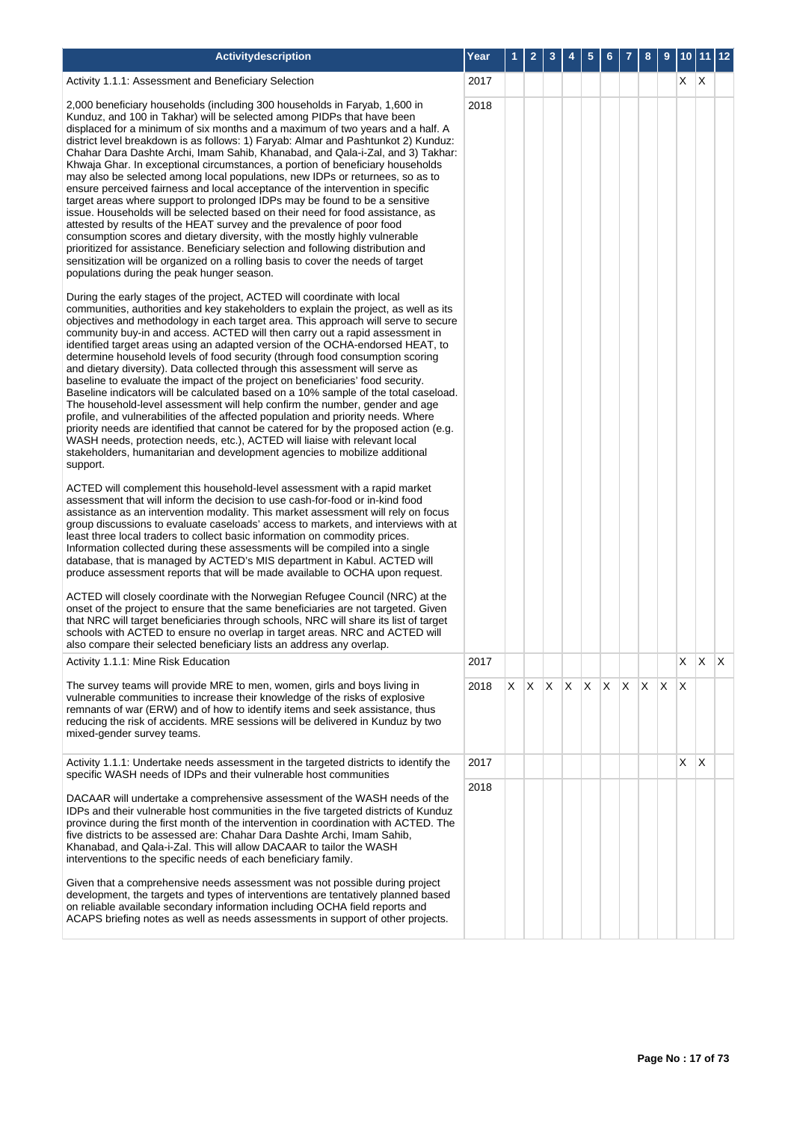| Activitydescription                                                                                                                                                                                                                                                                                                                                                                                                                                                                                                                                                                                                                                                                                                                                                                                                                                                                                                                                                                                                                                                                                                                                                                                                | Year |    |   |   |              | 5 | 6       |              | 8 | 9            | 10 | 11 | 12           |
|--------------------------------------------------------------------------------------------------------------------------------------------------------------------------------------------------------------------------------------------------------------------------------------------------------------------------------------------------------------------------------------------------------------------------------------------------------------------------------------------------------------------------------------------------------------------------------------------------------------------------------------------------------------------------------------------------------------------------------------------------------------------------------------------------------------------------------------------------------------------------------------------------------------------------------------------------------------------------------------------------------------------------------------------------------------------------------------------------------------------------------------------------------------------------------------------------------------------|------|----|---|---|--------------|---|---------|--------------|---|--------------|----|----|--------------|
| Activity 1.1.1: Assessment and Beneficiary Selection                                                                                                                                                                                                                                                                                                                                                                                                                                                                                                                                                                                                                                                                                                                                                                                                                                                                                                                                                                                                                                                                                                                                                               | 2017 |    |   |   |              |   |         |              |   |              | X  | ΙX |              |
| 2,000 beneficiary households (including 300 households in Faryab, 1,600 in<br>Kunduz, and 100 in Takhar) will be selected among PIDPs that have been<br>displaced for a minimum of six months and a maximum of two years and a half. A<br>district level breakdown is as follows: 1) Faryab: Almar and Pashtunkot 2) Kunduz:<br>Chahar Dara Dashte Archi, Imam Sahib, Khanabad, and Qala-i-Zal, and 3) Takhar:<br>Khwaja Ghar. In exceptional circumstances, a portion of beneficiary households<br>may also be selected among local populations, new IDPs or returnees, so as to<br>ensure perceived fairness and local acceptance of the intervention in specific<br>target areas where support to prolonged IDPs may be found to be a sensitive<br>issue. Households will be selected based on their need for food assistance, as<br>attested by results of the HEAT survey and the prevalence of poor food<br>consumption scores and dietary diversity, with the mostly highly vulnerable<br>prioritized for assistance. Beneficiary selection and following distribution and<br>sensitization will be organized on a rolling basis to cover the needs of target<br>populations during the peak hunger season. | 2018 |    |   |   |              |   |         |              |   |              |    |    |              |
| During the early stages of the project, ACTED will coordinate with local<br>communities, authorities and key stakeholders to explain the project, as well as its<br>objectives and methodology in each target area. This approach will serve to secure<br>community buy-in and access. ACTED will then carry out a rapid assessment in<br>identified target areas using an adapted version of the OCHA-endorsed HEAT, to<br>determine household levels of food security (through food consumption scoring<br>and dietary diversity). Data collected through this assessment will serve as<br>baseline to evaluate the impact of the project on beneficiaries' food security.<br>Baseline indicators will be calculated based on a 10% sample of the total caseload.<br>The household-level assessment will help confirm the number, gender and age<br>profile, and vulnerabilities of the affected population and priority needs. Where<br>priority needs are identified that cannot be catered for by the proposed action (e.g.<br>WASH needs, protection needs, etc.), ACTED will liaise with relevant local<br>stakeholders, humanitarian and development agencies to mobilize additional<br>support.           |      |    |   |   |              |   |         |              |   |              |    |    |              |
| ACTED will complement this household-level assessment with a rapid market<br>assessment that will inform the decision to use cash-for-food or in-kind food<br>assistance as an intervention modality. This market assessment will rely on focus<br>group discussions to evaluate caseloads' access to markets, and interviews with at<br>least three local traders to collect basic information on commodity prices.<br>Information collected during these assessments will be compiled into a single<br>database, that is managed by ACTED's MIS department in Kabul. ACTED will<br>produce assessment reports that will be made available to OCHA upon request.<br>ACTED will closely coordinate with the Norwegian Refugee Council (NRC) at the<br>onset of the project to ensure that the same beneficiaries are not targeted. Given<br>that NRC will target beneficiaries through schools, NRC will share its list of target<br>schools with ACTED to ensure no overlap in target areas. NRC and ACTED will                                                                                                                                                                                                   |      |    |   |   |              |   |         |              |   |              |    |    |              |
| also compare their selected beneficiary lists an address any overlap.                                                                                                                                                                                                                                                                                                                                                                                                                                                                                                                                                                                                                                                                                                                                                                                                                                                                                                                                                                                                                                                                                                                                              | 2017 |    |   |   |              |   |         |              |   |              | X  | X  | $\mathsf{X}$ |
| Activity 1.1.1: Mine Risk Education<br>The survey teams will provide MRE to men, women, girls and boys living in                                                                                                                                                                                                                                                                                                                                                                                                                                                                                                                                                                                                                                                                                                                                                                                                                                                                                                                                                                                                                                                                                                   | 2018 | X. | X | X | $\mathsf{X}$ |   | $X$ $X$ | $\mathsf{X}$ | X | $\mathsf{X}$ | X  |    |              |
| vulnerable communities to increase their knowledge of the risks of explosive<br>remnants of war (ERW) and of how to identify items and seek assistance, thus<br>reducing the risk of accidents. MRE sessions will be delivered in Kunduz by two<br>mixed-gender survey teams.                                                                                                                                                                                                                                                                                                                                                                                                                                                                                                                                                                                                                                                                                                                                                                                                                                                                                                                                      |      |    |   |   |              |   |         |              |   |              |    |    |              |
| Activity 1.1.1: Undertake needs assessment in the targeted districts to identify the<br>specific WASH needs of IDPs and their vulnerable host communities                                                                                                                                                                                                                                                                                                                                                                                                                                                                                                                                                                                                                                                                                                                                                                                                                                                                                                                                                                                                                                                          | 2017 |    |   |   |              |   |         |              |   |              | X  | ΙX |              |
| DACAAR will undertake a comprehensive assessment of the WASH needs of the                                                                                                                                                                                                                                                                                                                                                                                                                                                                                                                                                                                                                                                                                                                                                                                                                                                                                                                                                                                                                                                                                                                                          | 2018 |    |   |   |              |   |         |              |   |              |    |    |              |
| IDPs and their vulnerable host communities in the five targeted districts of Kunduz<br>province during the first month of the intervention in coordination with ACTED. The<br>five districts to be assessed are: Chahar Dara Dashte Archi, Imam Sahib,<br>Khanabad, and Qala-i-Zal. This will allow DACAAR to tailor the WASH<br>interventions to the specific needs of each beneficiary family.                                                                                                                                                                                                                                                                                                                                                                                                                                                                                                                                                                                                                                                                                                                                                                                                                   |      |    |   |   |              |   |         |              |   |              |    |    |              |
| Given that a comprehensive needs assessment was not possible during project<br>development, the targets and types of interventions are tentatively planned based<br>on reliable available secondary information including OCHA field reports and<br>ACAPS briefing notes as well as needs assessments in support of other projects.                                                                                                                                                                                                                                                                                                                                                                                                                                                                                                                                                                                                                                                                                                                                                                                                                                                                                |      |    |   |   |              |   |         |              |   |              |    |    |              |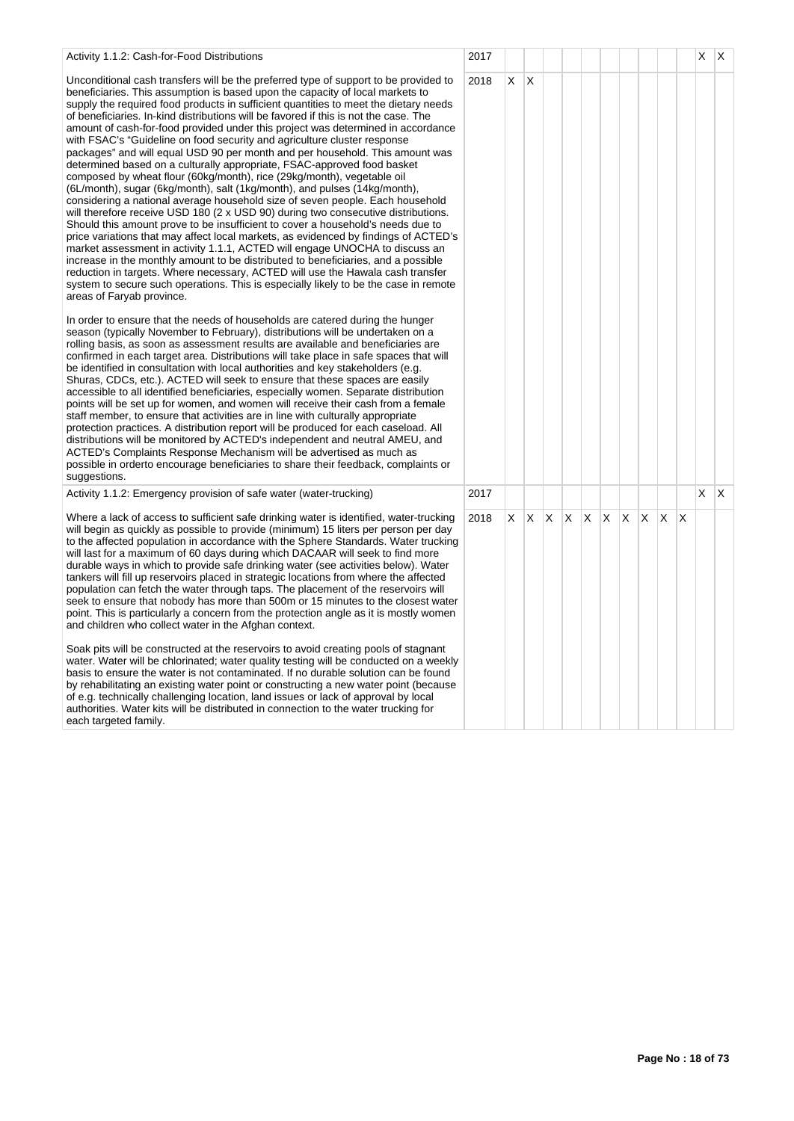| Activity 1.1.2: Cash-for-Food Distributions                                                                                                                                                                                                                                                                                                                                                                                                                                                                                                                                                                                                                                                                                                                                                                                                                                                                                                                                                                                                                                                                                                                                                                                                                                                                                                                                                                                                                                                                                                                               | 2017 |    |              |    |    |    |   |    |   |    |   | X. | X. |
|---------------------------------------------------------------------------------------------------------------------------------------------------------------------------------------------------------------------------------------------------------------------------------------------------------------------------------------------------------------------------------------------------------------------------------------------------------------------------------------------------------------------------------------------------------------------------------------------------------------------------------------------------------------------------------------------------------------------------------------------------------------------------------------------------------------------------------------------------------------------------------------------------------------------------------------------------------------------------------------------------------------------------------------------------------------------------------------------------------------------------------------------------------------------------------------------------------------------------------------------------------------------------------------------------------------------------------------------------------------------------------------------------------------------------------------------------------------------------------------------------------------------------------------------------------------------------|------|----|--------------|----|----|----|---|----|---|----|---|----|----|
| Unconditional cash transfers will be the preferred type of support to be provided to<br>beneficiaries. This assumption is based upon the capacity of local markets to<br>supply the required food products in sufficient quantities to meet the dietary needs<br>of beneficiaries. In-kind distributions will be favored if this is not the case. The<br>amount of cash-for-food provided under this project was determined in accordance<br>with FSAC's "Guideline on food security and agriculture cluster response<br>packages" and will equal USD 90 per month and per household. This amount was<br>determined based on a culturally appropriate, FSAC-approved food basket<br>composed by wheat flour (60kg/month), rice (29kg/month), vegetable oil<br>(6L/month), sugar (6kg/month), salt (1kg/month), and pulses (14kg/month),<br>considering a national average household size of seven people. Each household<br>will therefore receive USD 180 $(2 \times$ USD 90) during two consecutive distributions.<br>Should this amount prove to be insufficient to cover a household's needs due to<br>price variations that may affect local markets, as evidenced by findings of ACTED's<br>market assessment in activity 1.1.1, ACTED will engage UNOCHA to discuss an<br>increase in the monthly amount to be distributed to beneficiaries, and a possible<br>reduction in targets. Where necessary, ACTED will use the Hawala cash transfer<br>system to secure such operations. This is especially likely to be the case in remote<br>areas of Faryab province. | 2018 | X  | X            |    |    |    |   |    |   |    |   |    |    |
| In order to ensure that the needs of households are catered during the hunger<br>season (typically November to February), distributions will be undertaken on a<br>rolling basis, as soon as assessment results are available and beneficiaries are<br>confirmed in each target area. Distributions will take place in safe spaces that will<br>be identified in consultation with local authorities and key stakeholders (e.g.<br>Shuras, CDCs, etc.). ACTED will seek to ensure that these spaces are easily<br>accessible to all identified beneficiaries, especially women. Separate distribution<br>points will be set up for women, and women will receive their cash from a female<br>staff member, to ensure that activities are in line with culturally appropriate<br>protection practices. A distribution report will be produced for each caseload. All<br>distributions will be monitored by ACTED's independent and neutral AMEU, and<br>ACTED's Complaints Response Mechanism will be advertised as much as<br>possible in orderto encourage beneficiaries to share their feedback, complaints or<br>suggestions.                                                                                                                                                                                                                                                                                                                                                                                                                                          |      |    |              |    |    |    |   |    |   |    |   |    |    |
| Activity 1.1.2: Emergency provision of safe water (water-trucking)                                                                                                                                                                                                                                                                                                                                                                                                                                                                                                                                                                                                                                                                                                                                                                                                                                                                                                                                                                                                                                                                                                                                                                                                                                                                                                                                                                                                                                                                                                        | 2017 |    |              |    |    |    |   |    |   |    |   | X  | X  |
| Where a lack of access to sufficient safe drinking water is identified, water-trucking<br>will begin as quickly as possible to provide (minimum) 15 liters per person per day<br>to the affected population in accordance with the Sphere Standards. Water trucking<br>will last for a maximum of 60 days during which DACAAR will seek to find more<br>durable ways in which to provide safe drinking water (see activities below). Water<br>tankers will fill up reservoirs placed in strategic locations from where the affected<br>population can fetch the water through taps. The placement of the reservoirs will<br>seek to ensure that nobody has more than 500m or 15 minutes to the closest water<br>point. This is particularly a concern from the protection angle as it is mostly women<br>and children who collect water in the Afghan context.                                                                                                                                                                                                                                                                                                                                                                                                                                                                                                                                                                                                                                                                                                            | 2018 | X. | $\mathsf{X}$ | X. | X. | X. | X | X. | X | X. | X |    |    |
| Soak pits will be constructed at the reservoirs to avoid creating pools of stagnant<br>water. Water will be chlorinated; water quality testing will be conducted on a weekly<br>basis to ensure the water is not contaminated. If no durable solution can be found<br>by rehabilitating an existing water point or constructing a new water point (because<br>of e.g. technically challenging location, land issues or lack of approval by local<br>authorities. Water kits will be distributed in connection to the water trucking for<br>aach tarnatad family                                                                                                                                                                                                                                                                                                                                                                                                                                                                                                                                                                                                                                                                                                                                                                                                                                                                                                                                                                                                           |      |    |              |    |    |    |   |    |   |    |   |    |    |

each targeted family.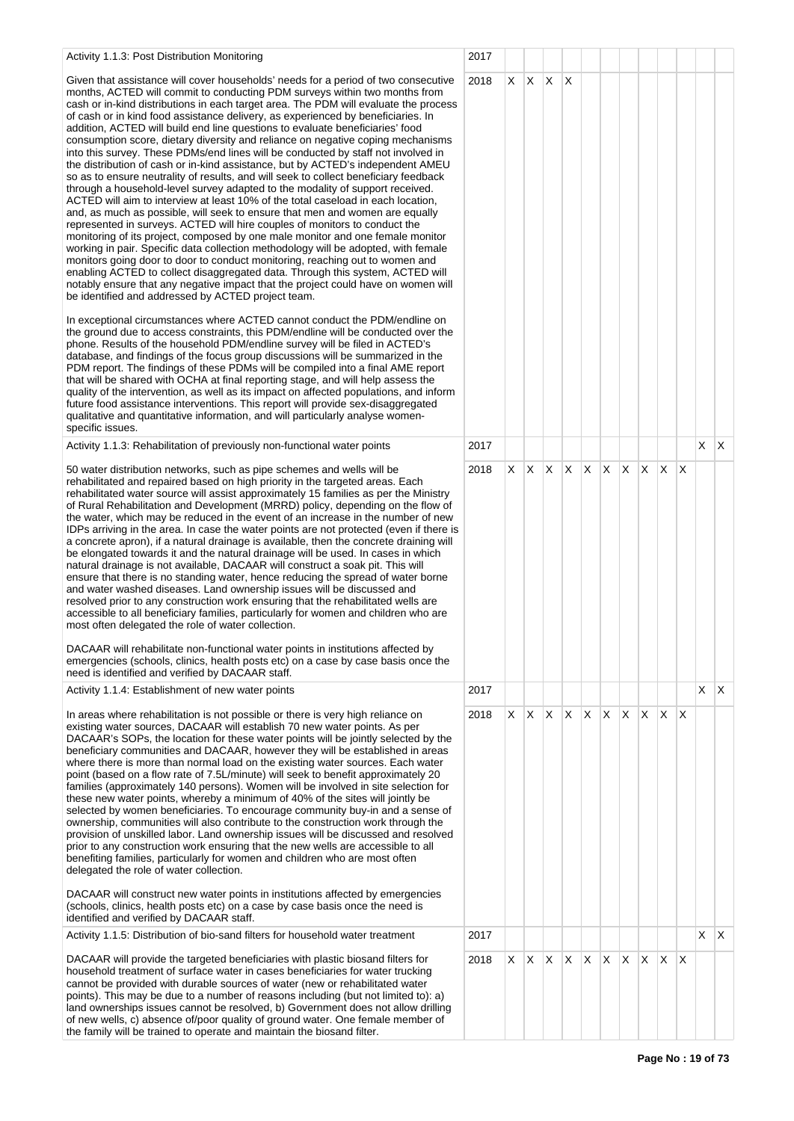| Activity 1.1.3: Post Distribution Monitoring                                                                                                                                                                                                                                                                                                                                                                                                                                                                                                                                                                                                                                                                                                                                                                                                                                                                                                                                                                                                                                                                                                                                                                                                                                                                                                                                                                                                                                                                                                                                                                                                                                                                                                                               | 2017 |   |         |         |              |              |              |    |          |     |              |         |              |
|----------------------------------------------------------------------------------------------------------------------------------------------------------------------------------------------------------------------------------------------------------------------------------------------------------------------------------------------------------------------------------------------------------------------------------------------------------------------------------------------------------------------------------------------------------------------------------------------------------------------------------------------------------------------------------------------------------------------------------------------------------------------------------------------------------------------------------------------------------------------------------------------------------------------------------------------------------------------------------------------------------------------------------------------------------------------------------------------------------------------------------------------------------------------------------------------------------------------------------------------------------------------------------------------------------------------------------------------------------------------------------------------------------------------------------------------------------------------------------------------------------------------------------------------------------------------------------------------------------------------------------------------------------------------------------------------------------------------------------------------------------------------------|------|---|---------|---------|--------------|--------------|--------------|----|----------|-----|--------------|---------|--------------|
| Given that assistance will cover households' needs for a period of two consecutive<br>months, ACTED will commit to conducting PDM surveys within two months from<br>cash or in-kind distributions in each target area. The PDM will evaluate the process<br>of cash or in kind food assistance delivery, as experienced by beneficiaries. In<br>addition, ACTED will build end line questions to evaluate beneficiaries' food<br>consumption score, dietary diversity and reliance on negative coping mechanisms<br>into this survey. These PDMs/end lines will be conducted by staff not involved in<br>the distribution of cash or in-kind assistance, but by ACTED's independent AMEU<br>so as to ensure neutrality of results, and will seek to collect beneficiary feedback<br>through a household-level survey adapted to the modality of support received.<br>ACTED will aim to interview at least 10% of the total caseload in each location,<br>and, as much as possible, will seek to ensure that men and women are equally<br>represented in surveys. ACTED will hire couples of monitors to conduct the<br>monitoring of its project, composed by one male monitor and one female monitor<br>working in pair. Specific data collection methodology will be adopted, with female<br>monitors going door to door to conduct monitoring, reaching out to women and<br>enabling ACTED to collect disaggregated data. Through this system, ACTED will<br>notably ensure that any negative impact that the project could have on women will<br>be identified and addressed by ACTED project team.<br>In exceptional circumstances where ACTED cannot conduct the PDM/endline on<br>the ground due to access constraints, this PDM/endline will be conducted over the | 2018 |   | $X$ $X$ | $X$ $X$ |              |              |              |    |          |     |              |         |              |
| phone. Results of the household PDM/endline survey will be filed in ACTED's<br>database, and findings of the focus group discussions will be summarized in the<br>PDM report. The findings of these PDMs will be compiled into a final AME report<br>that will be shared with OCHA at final reporting stage, and will help assess the<br>quality of the intervention, as well as its impact on affected populations, and inform<br>future food assistance interventions. This report will provide sex-disaggregated<br>qualitative and quantitative information, and will particularly analyse women-<br>specific issues.                                                                                                                                                                                                                                                                                                                                                                                                                                                                                                                                                                                                                                                                                                                                                                                                                                                                                                                                                                                                                                                                                                                                                  |      |   |         |         |              |              |              |    |          |     |              |         |              |
| Activity 1.1.3: Rehabilitation of previously non-functional water points                                                                                                                                                                                                                                                                                                                                                                                                                                                                                                                                                                                                                                                                                                                                                                                                                                                                                                                                                                                                                                                                                                                                                                                                                                                                                                                                                                                                                                                                                                                                                                                                                                                                                                   | 2017 |   |         |         |              |              |              |    |          |     |              | $X$ $X$ |              |
| 50 water distribution networks, such as pipe schemes and wells will be<br>rehabilitated and repaired based on high priority in the targeted areas. Each<br>rehabilitated water source will assist approximately 15 families as per the Ministry<br>of Rural Rehabilitation and Development (MRRD) policy, depending on the flow of<br>the water, which may be reduced in the event of an increase in the number of new<br>IDPs arriving in the area. In case the water points are not protected (even if there is<br>a concrete apron), if a natural drainage is available, then the concrete draining will<br>be elongated towards it and the natural drainage will be used. In cases in which<br>natural drainage is not available, DACAAR will construct a soak pit. This will<br>ensure that there is no standing water, hence reducing the spread of water borne<br>and water washed diseases. Land ownership issues will be discussed and<br>resolved prior to any construction work ensuring that the rehabilitated wells are<br>accessible to all beneficiary families, particularly for women and children who are<br>most often delegated the role of water collection.<br>DACAAR will rehabilitate non-functional water points in institutions affected by<br>emergencies (schools, clinics, health posts etc) on a case by case basis once the<br>need is identified and verified by DACAAR staff.                                                                                                                                                                                                                                                                                                                                                             | 2018 |   | $X$ $X$ | X       | $\mathsf{X}$ | $\mathsf{X}$ | $\mathsf{X}$ | X  | ΙX.      | ΙX. | $\mathsf{X}$ |         |              |
| Activity 1.1.4: Establishment of new water points                                                                                                                                                                                                                                                                                                                                                                                                                                                                                                                                                                                                                                                                                                                                                                                                                                                                                                                                                                                                                                                                                                                                                                                                                                                                                                                                                                                                                                                                                                                                                                                                                                                                                                                          | 2017 |   |         |         |              |              |              |    |          |     |              | X.      | $\mathsf{X}$ |
| In areas where rehabilitation is not possible or there is very high reliance on<br>existing water sources, DACAAR will establish 70 new water points. As per<br>DACAAR's SOPs, the location for these water points will be jointly selected by the<br>beneficiary communities and DACAAR, however they will be established in areas<br>where there is more than normal load on the existing water sources. Each water<br>point (based on a flow rate of 7.5L/minute) will seek to benefit approximately 20<br>families (approximately 140 persons). Women will be involved in site selection for<br>these new water points, whereby a minimum of 40% of the sites will jointly be<br>selected by women beneficiaries. To encourage community buy-in and a sense of<br>ownership, communities will also contribute to the construction work through the<br>provision of unskilled labor. Land ownership issues will be discussed and resolved<br>prior to any construction work ensuring that the new wells are accessible to all<br>benefiting families, particularly for women and children who are most often<br>delegated the role of water collection.                                                                                                                                                                                                                                                                                                                                                                                                                                                                                                                                                                                                                 | 2018 | X | IX.     | X.      | X            | X            | X.           | X. | <b>X</b> | X.  | ΙX.          |         |              |
| DACAAR will construct new water points in institutions affected by emergencies<br>(schools, clinics, health posts etc) on a case by case basis once the need is<br>identified and verified by DACAAR staff.                                                                                                                                                                                                                                                                                                                                                                                                                                                                                                                                                                                                                                                                                                                                                                                                                                                                                                                                                                                                                                                                                                                                                                                                                                                                                                                                                                                                                                                                                                                                                                |      |   |         |         |              |              |              |    |          |     |              |         |              |
| Activity 1.1.5: Distribution of bio-sand filters for household water treatment                                                                                                                                                                                                                                                                                                                                                                                                                                                                                                                                                                                                                                                                                                                                                                                                                                                                                                                                                                                                                                                                                                                                                                                                                                                                                                                                                                                                                                                                                                                                                                                                                                                                                             | 2017 |   |         |         |              |              |              |    |          |     |              | X.      | X            |
| DACAAR will provide the targeted beneficiaries with plastic biosand filters for<br>household treatment of surface water in cases beneficiaries for water trucking<br>cannot be provided with durable sources of water (new or rehabilitated water<br>points). This may be due to a number of reasons including (but not limited to): a)<br>land ownerships issues cannot be resolved, b) Government does not allow drilling<br>of new wells, c) absence of/poor quality of ground water. One female member of<br>the family will be trained to operate and maintain the biosand filter.                                                                                                                                                                                                                                                                                                                                                                                                                                                                                                                                                                                                                                                                                                                                                                                                                                                                                                                                                                                                                                                                                                                                                                                    | 2018 |   |         | X X X X |              | $\mathsf{X}$ | $X$ $X$      |    | IX.      | ΙX. | $\mathsf{X}$ |         |              |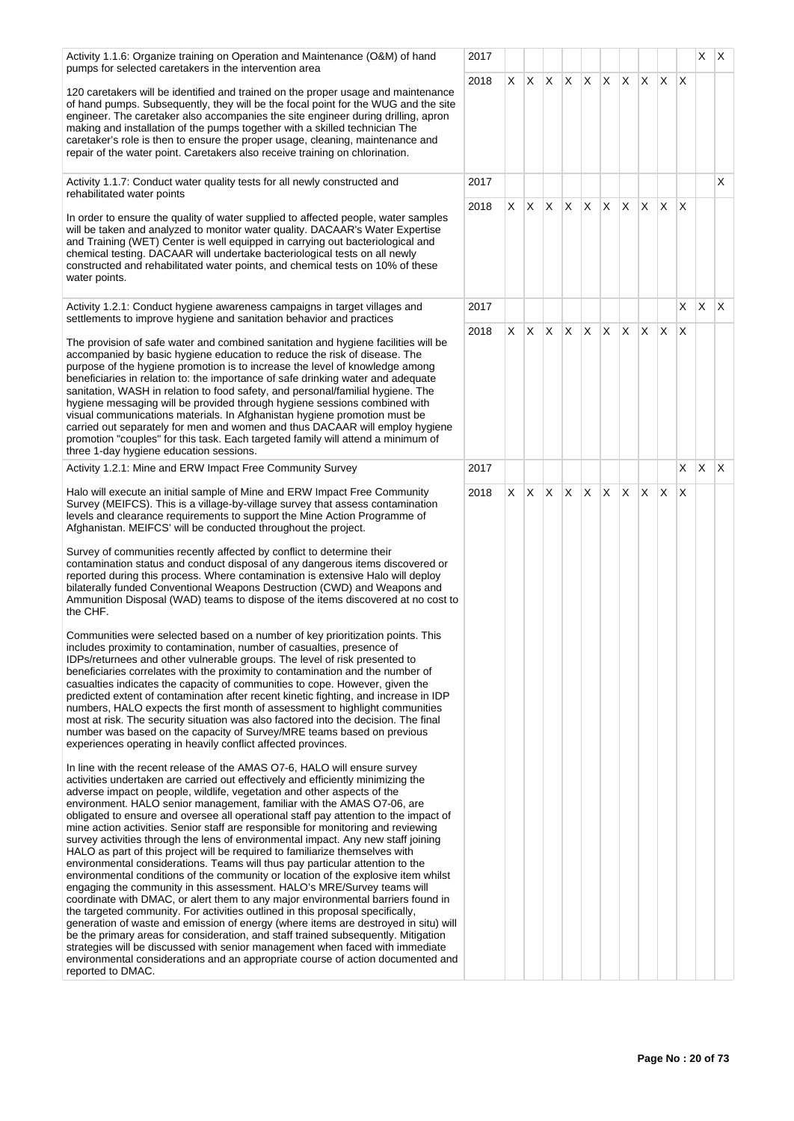| Activity 1.1.6: Organize training on Operation and Maintenance (O&M) of hand<br>pumps for selected caretakers in the intervention area                                                                                                                                                                                                                                                                                                                                                                                                                                                                                                                                                                                                                                                                                                                                                                                                                                                                                                                                                                                                                                                                                                                                                                                                                                                                                                                                                                                                                                                                                                                                                                                                                                                                                                                                                                                                                                                                                                                                                                                                                                                                                                                                                                                                                                                                                                                                                                                                                                                                                                                                                                                                                                                                                                                                                                                                                                                                                             | 2017 |    |     |                 |          |   |     |                 |          |              |              | X.           | X. |
|------------------------------------------------------------------------------------------------------------------------------------------------------------------------------------------------------------------------------------------------------------------------------------------------------------------------------------------------------------------------------------------------------------------------------------------------------------------------------------------------------------------------------------------------------------------------------------------------------------------------------------------------------------------------------------------------------------------------------------------------------------------------------------------------------------------------------------------------------------------------------------------------------------------------------------------------------------------------------------------------------------------------------------------------------------------------------------------------------------------------------------------------------------------------------------------------------------------------------------------------------------------------------------------------------------------------------------------------------------------------------------------------------------------------------------------------------------------------------------------------------------------------------------------------------------------------------------------------------------------------------------------------------------------------------------------------------------------------------------------------------------------------------------------------------------------------------------------------------------------------------------------------------------------------------------------------------------------------------------------------------------------------------------------------------------------------------------------------------------------------------------------------------------------------------------------------------------------------------------------------------------------------------------------------------------------------------------------------------------------------------------------------------------------------------------------------------------------------------------------------------------------------------------------------------------------------------------------------------------------------------------------------------------------------------------------------------------------------------------------------------------------------------------------------------------------------------------------------------------------------------------------------------------------------------------------------------------------------------------------------------------------------------------|------|----|-----|-----------------|----------|---|-----|-----------------|----------|--------------|--------------|--------------|----|
| 120 caretakers will be identified and trained on the proper usage and maintenance<br>of hand pumps. Subsequently, they will be the focal point for the WUG and the site<br>engineer. The caretaker also accompanies the site engineer during drilling, apron<br>making and installation of the pumps together with a skilled technician The<br>caretaker's role is then to ensure the proper usage, cleaning, maintenance and<br>repair of the water point. Caretakers also receive training on chlorination.                                                                                                                                                                                                                                                                                                                                                                                                                                                                                                                                                                                                                                                                                                                                                                                                                                                                                                                                                                                                                                                                                                                                                                                                                                                                                                                                                                                                                                                                                                                                                                                                                                                                                                                                                                                                                                                                                                                                                                                                                                                                                                                                                                                                                                                                                                                                                                                                                                                                                                                      | 2018 |    |     | $X$ $X$ $X$ $X$ |          |   |     | $X$ $X$ $X$     | <b>X</b> | $\mathsf{X}$ | $\mathsf{X}$ |              |    |
| Activity 1.1.7: Conduct water quality tests for all newly constructed and<br>rehabilitated water points                                                                                                                                                                                                                                                                                                                                                                                                                                                                                                                                                                                                                                                                                                                                                                                                                                                                                                                                                                                                                                                                                                                                                                                                                                                                                                                                                                                                                                                                                                                                                                                                                                                                                                                                                                                                                                                                                                                                                                                                                                                                                                                                                                                                                                                                                                                                                                                                                                                                                                                                                                                                                                                                                                                                                                                                                                                                                                                            | 2017 |    |     |                 |          |   |     |                 |          |              |              |              | X. |
| In order to ensure the quality of water supplied to affected people, water samples<br>will be taken and analyzed to monitor water quality. DACAAR's Water Expertise<br>and Training (WET) Center is well equipped in carrying out bacteriological and<br>chemical testing. DACAAR will undertake bacteriological tests on all newly<br>constructed and rehabilitated water points, and chemical tests on 10% of these<br>water points.                                                                                                                                                                                                                                                                                                                                                                                                                                                                                                                                                                                                                                                                                                                                                                                                                                                                                                                                                                                                                                                                                                                                                                                                                                                                                                                                                                                                                                                                                                                                                                                                                                                                                                                                                                                                                                                                                                                                                                                                                                                                                                                                                                                                                                                                                                                                                                                                                                                                                                                                                                                             | 2018 | X. | IX. | X               | X.       | X | IX. | $\mathsf{X}$    | ΙX.      | ΙX.          | $\mathsf{X}$ |              |    |
| Activity 1.2.1: Conduct hygiene awareness campaigns in target villages and<br>settlements to improve hygiene and sanitation behavior and practices                                                                                                                                                                                                                                                                                                                                                                                                                                                                                                                                                                                                                                                                                                                                                                                                                                                                                                                                                                                                                                                                                                                                                                                                                                                                                                                                                                                                                                                                                                                                                                                                                                                                                                                                                                                                                                                                                                                                                                                                                                                                                                                                                                                                                                                                                                                                                                                                                                                                                                                                                                                                                                                                                                                                                                                                                                                                                 | 2017 |    |     |                 |          |   |     |                 |          |              | X            | $\mathsf{X}$ | X. |
| The provision of safe water and combined sanitation and hygiene facilities will be<br>accompanied by basic hygiene education to reduce the risk of disease. The<br>purpose of the hygiene promotion is to increase the level of knowledge among<br>beneficiaries in relation to: the importance of safe drinking water and adequate<br>sanitation, WASH in relation to food safety, and personal/familial hygiene. The<br>hygiene messaging will be provided through hygiene sessions combined with<br>visual communications materials. In Afghanistan hygiene promotion must be<br>carried out separately for men and women and thus DACAAR will employ hygiene<br>promotion "couples" for this task. Each targeted family will attend a minimum of<br>three 1-day hygiene education sessions.                                                                                                                                                                                                                                                                                                                                                                                                                                                                                                                                                                                                                                                                                                                                                                                                                                                                                                                                                                                                                                                                                                                                                                                                                                                                                                                                                                                                                                                                                                                                                                                                                                                                                                                                                                                                                                                                                                                                                                                                                                                                                                                                                                                                                                    | 2018 | X  | ΙX. | $\times$        | <b>X</b> | X | IX. | $\mathsf{X}$    | <b>X</b> | $\mathsf{X}$ | $\times$     |              |    |
| Activity 1.2.1: Mine and ERW Impact Free Community Survey                                                                                                                                                                                                                                                                                                                                                                                                                                                                                                                                                                                                                                                                                                                                                                                                                                                                                                                                                                                                                                                                                                                                                                                                                                                                                                                                                                                                                                                                                                                                                                                                                                                                                                                                                                                                                                                                                                                                                                                                                                                                                                                                                                                                                                                                                                                                                                                                                                                                                                                                                                                                                                                                                                                                                                                                                                                                                                                                                                          | 2017 |    |     |                 |          |   |     |                 |          |              | X            | $\mathsf{X}$ | X. |
| Halo will execute an initial sample of Mine and ERW Impact Free Community<br>Survey (MEIFCS). This is a village-by-village survey that assess contamination<br>levels and clearance requirements to support the Mine Action Programme of<br>Afghanistan. MEIFCS' will be conducted throughout the project.<br>Survey of communities recently affected by conflict to determine their<br>contamination status and conduct disposal of any dangerous items discovered or<br>reported during this process. Where contamination is extensive Halo will deploy<br>bilaterally funded Conventional Weapons Destruction (CWD) and Weapons and<br>Ammunition Disposal (WAD) teams to dispose of the items discovered at no cost to<br>the CHF.<br>Communities were selected based on a number of key prioritization points. This<br>includes proximity to contamination, number of casualties, presence of<br>IDPs/returnees and other vulnerable groups. The level of risk presented to<br>beneficiaries correlates with the proximity to contamination and the number of<br>casualties indicates the capacity of communities to cope. However, given the<br>predicted extent of contamination after recent kinetic fighting, and increase in IDP<br>numbers, HALO expects the first month of assessment to highlight communities<br>most at risk. The security situation was also factored into the decision. The final<br>number was based on the capacity of Survey/MRE teams based on previous<br>experiences operating in heavily conflict affected provinces.<br>In line with the recent release of the AMAS O7-6, HALO will ensure survey<br>activities undertaken are carried out effectively and efficiently minimizing the<br>adverse impact on people, wildlife, vegetation and other aspects of the<br>environment. HALO senior management, familiar with the AMAS O7-06, are<br>obligated to ensure and oversee all operational staff pay attention to the impact of<br>mine action activities. Senior staff are responsible for monitoring and reviewing<br>survey activities through the lens of environmental impact. Any new staff joining<br>HALO as part of this project will be required to familiarize themselves with<br>environmental considerations. Teams will thus pay particular attention to the<br>environmental conditions of the community or location of the explosive item whilst<br>engaging the community in this assessment. HALO's MRE/Survey teams will<br>coordinate with DMAC, or alert them to any major environmental barriers found in<br>the targeted community. For activities outlined in this proposal specifically,<br>generation of waste and emission of energy (where items are destroyed in situ) will<br>be the primary areas for consideration, and staff trained subsequently. Mitigation<br>strategies will be discussed with senior management when faced with immediate<br>environmental considerations and an appropriate course of action documented and<br>reported to DMAC. | 2018 | X. | IX. | $\mathsf{X}$    | X.       |   |     | $X$ $X$ $X$ $X$ |          | ΙX.          | X            |              |    |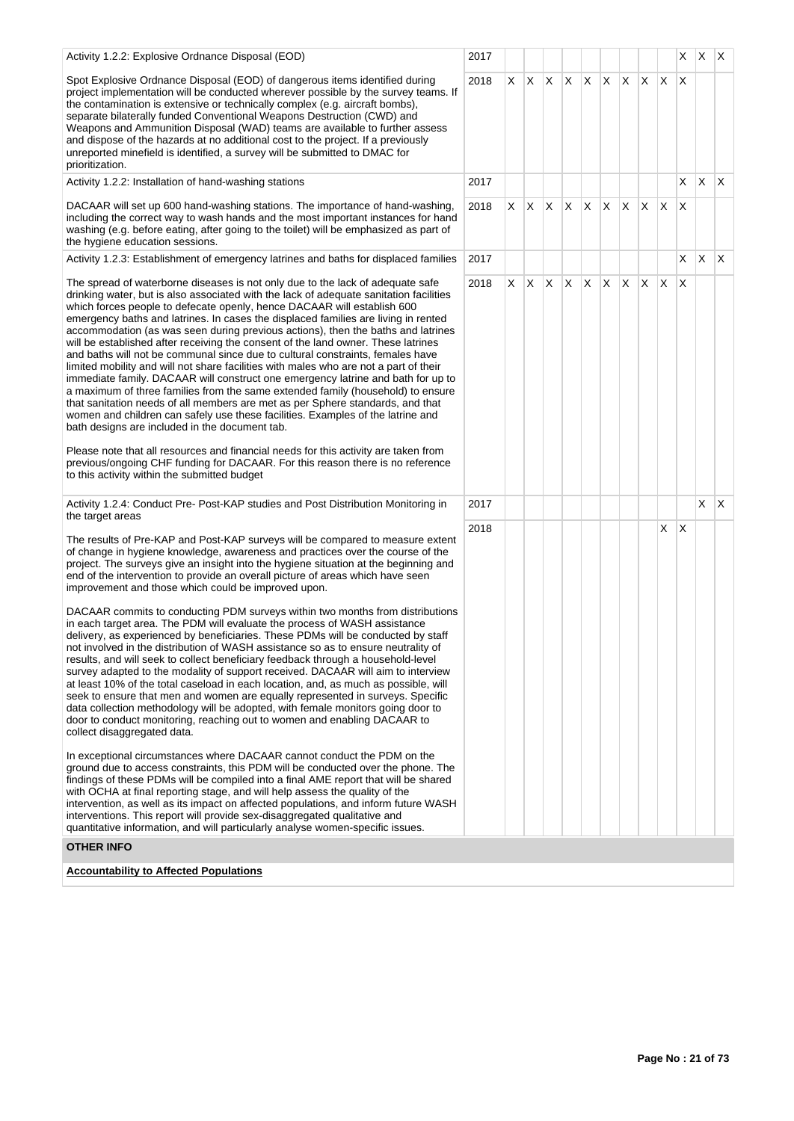| Activity 1.2.2: Explosive Ordnance Disposal (EOD)                                                                                                                                                                                                                                                                                                                                                                                                                                                                                                                                                                                                                                                                                                                                                                                                                                                                                                                                                                                                                                                                                                                                                                                                                                                                                                                                                                                                                                                                                                                                                                                                                                                                   | 2017 |    |            |    |              |              |    |                               |    |     | X | X. | $\mathsf{X}$            |
|---------------------------------------------------------------------------------------------------------------------------------------------------------------------------------------------------------------------------------------------------------------------------------------------------------------------------------------------------------------------------------------------------------------------------------------------------------------------------------------------------------------------------------------------------------------------------------------------------------------------------------------------------------------------------------------------------------------------------------------------------------------------------------------------------------------------------------------------------------------------------------------------------------------------------------------------------------------------------------------------------------------------------------------------------------------------------------------------------------------------------------------------------------------------------------------------------------------------------------------------------------------------------------------------------------------------------------------------------------------------------------------------------------------------------------------------------------------------------------------------------------------------------------------------------------------------------------------------------------------------------------------------------------------------------------------------------------------------|------|----|------------|----|--------------|--------------|----|-------------------------------|----|-----|---|----|-------------------------|
| Spot Explosive Ordnance Disposal (EOD) of dangerous items identified during<br>project implementation will be conducted wherever possible by the survey teams. If<br>the contamination is extensive or technically complex (e.g. aircraft bombs),<br>separate bilaterally funded Conventional Weapons Destruction (CWD) and<br>Weapons and Ammunition Disposal (WAD) teams are available to further assess<br>and dispose of the hazards at no additional cost to the project. If a previously<br>unreported minefield is identified, a survey will be submitted to DMAC for<br>prioritization.                                                                                                                                                                                                                                                                                                                                                                                                                                                                                                                                                                                                                                                                                                                                                                                                                                                                                                                                                                                                                                                                                                                     | 2018 | X. | X          | X. | $\mathsf{X}$ | $\mathsf{X}$ | X  | X                             | X  | ΙX. | X |    |                         |
| Activity 1.2.2: Installation of hand-washing stations                                                                                                                                                                                                                                                                                                                                                                                                                                                                                                                                                                                                                                                                                                                                                                                                                                                                                                                                                                                                                                                                                                                                                                                                                                                                                                                                                                                                                                                                                                                                                                                                                                                               | 2017 |    |            |    |              |              |    |                               |    |     | X | X. | $\mathsf{I} \mathsf{X}$ |
| DACAAR will set up 600 hand-washing stations. The importance of hand-washing,<br>including the correct way to wash hands and the most important instances for hand<br>washing (e.g. before eating, after going to the toilet) will be emphasized as part of<br>the hygiene education sessions.                                                                                                                                                                                                                                                                                                                                                                                                                                                                                                                                                                                                                                                                                                                                                                                                                                                                                                                                                                                                                                                                                                                                                                                                                                                                                                                                                                                                                      | 2018 | X. | X.         |    |              | $X$ $X$ $X$  | X. | ΙX.                           | XX |     | X |    |                         |
| Activity 1.2.3: Establishment of emergency latrines and baths for displaced families                                                                                                                                                                                                                                                                                                                                                                                                                                                                                                                                                                                                                                                                                                                                                                                                                                                                                                                                                                                                                                                                                                                                                                                                                                                                                                                                                                                                                                                                                                                                                                                                                                | 2017 |    |            |    |              |              |    |                               |    |     | X | X. | $\mathsf{X}$            |
| The spread of waterborne diseases is not only due to the lack of adequate safe<br>drinking water, but is also associated with the lack of adequate sanitation facilities<br>which forces people to defecate openly, hence DACAAR will establish 600<br>emergency baths and latrines. In cases the displaced families are living in rented<br>accommodation (as was seen during previous actions), then the baths and latrines<br>will be established after receiving the consent of the land owner. These latrines<br>and baths will not be communal since due to cultural constraints, females have<br>limited mobility and will not share facilities with males who are not a part of their<br>immediate family. DACAAR will construct one emergency latrine and bath for up to<br>a maximum of three families from the same extended family (household) to ensure<br>that sanitation needs of all members are met as per Sphere standards, and that<br>women and children can safely use these facilities. Examples of the latrine and<br>bath designs are included in the document tab.<br>Please note that all resources and financial needs for this activity are taken from<br>previous/ongoing CHF funding for DACAAR. For this reason there is no reference<br>to this activity within the submitted budget                                                                                                                                                                                                                                                                                                                                                                                                | 2018 |    | $X \mid X$ |    |              |              |    | $ X $ $ X $ $ X $ $ X $ $ X $ |    |     | X |    |                         |
| Activity 1.2.4: Conduct Pre- Post-KAP studies and Post Distribution Monitoring in<br>the target areas                                                                                                                                                                                                                                                                                                                                                                                                                                                                                                                                                                                                                                                                                                                                                                                                                                                                                                                                                                                                                                                                                                                                                                                                                                                                                                                                                                                                                                                                                                                                                                                                               | 2017 |    |            |    |              |              |    |                               |    |     |   | X. | $\mathsf{I} \mathsf{X}$ |
| The results of Pre-KAP and Post-KAP surveys will be compared to measure extent<br>of change in hygiene knowledge, awareness and practices over the course of the<br>project. The surveys give an insight into the hygiene situation at the beginning and<br>end of the intervention to provide an overall picture of areas which have seen<br>improvement and those which could be improved upon.<br>DACAAR commits to conducting PDM surveys within two months from distributions<br>in each target area. The PDM will evaluate the process of WASH assistance<br>delivery, as experienced by beneficiaries. These PDMs will be conducted by staff<br>not involved in the distribution of WASH assistance so as to ensure neutrality of<br>results, and will seek to collect beneficiary feedback through a household-level<br>survey adapted to the modality of support received. DACAAR will aim to interview<br>at least 10% of the total caseload in each location, and, as much as possible, will<br>seek to ensure that men and women are equally represented in surveys. Specific<br>data collection methodology will be adopted, with female monitors going door to<br>door to conduct monitoring, reaching out to women and enabling DACAAR to<br>collect disaggregated data.<br>In exceptional circumstances where DACAAR cannot conduct the PDM on the<br>ground due to access constraints, this PDM will be conducted over the phone. The<br>findings of these PDMs will be compiled into a final AME report that will be shared<br>with OCHA at final reporting stage, and will help assess the quality of the<br>intervention, as well as its impact on affected populations, and inform future WASH | 2018 |    |            |    |              |              |    |                               |    | X.  | Х |    |                         |
| interventions. This report will provide sex-disaggregated qualitative and<br>quantitative information, and will particularly analyse women-specific issues.                                                                                                                                                                                                                                                                                                                                                                                                                                                                                                                                                                                                                                                                                                                                                                                                                                                                                                                                                                                                                                                                                                                                                                                                                                                                                                                                                                                                                                                                                                                                                         |      |    |            |    |              |              |    |                               |    |     |   |    |                         |
| <b>OTHER INFO</b>                                                                                                                                                                                                                                                                                                                                                                                                                                                                                                                                                                                                                                                                                                                                                                                                                                                                                                                                                                                                                                                                                                                                                                                                                                                                                                                                                                                                                                                                                                                                                                                                                                                                                                   |      |    |            |    |              |              |    |                               |    |     |   |    |                         |
| <b>Accountability to Affected Populations</b>                                                                                                                                                                                                                                                                                                                                                                                                                                                                                                                                                                                                                                                                                                                                                                                                                                                                                                                                                                                                                                                                                                                                                                                                                                                                                                                                                                                                                                                                                                                                                                                                                                                                       |      |    |            |    |              |              |    |                               |    |     |   |    |                         |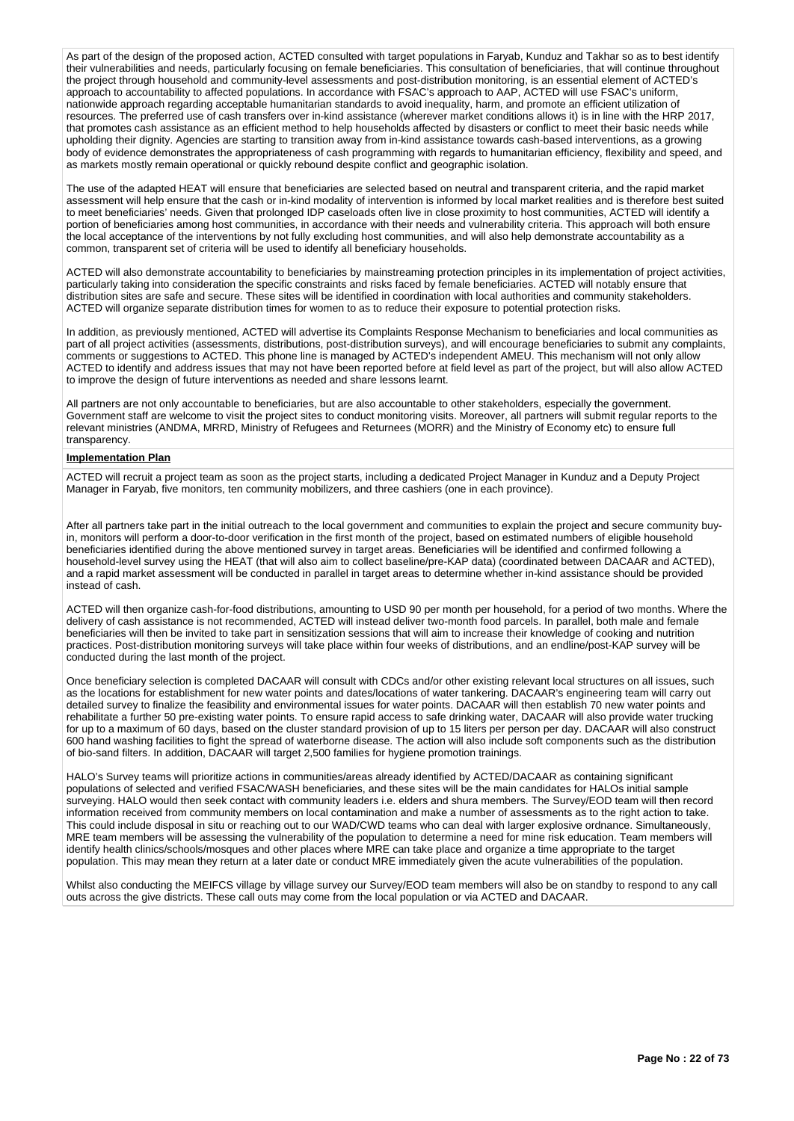As part of the design of the proposed action, ACTED consulted with target populations in Faryab, Kunduz and Takhar so as to best identify their vulnerabilities and needs, particularly focusing on female beneficiaries. This consultation of beneficiaries, that will continue throughout the project through household and community-level assessments and post-distribution monitoring, is an essential element of ACTED's approach to accountability to affected populations. In accordance with FSAC's approach to AAP, ACTED will use FSAC's uniform, nationwide approach regarding acceptable humanitarian standards to avoid inequality, harm, and promote an efficient utilization of resources. The preferred use of cash transfers over in-kind assistance (wherever market conditions allows it) is in line with the HRP 2017, that promotes cash assistance as an efficient method to help households affected by disasters or conflict to meet their basic needs while upholding their dignity. Agencies are starting to transition away from in-kind assistance towards cash-based interventions, as a growing body of evidence demonstrates the appropriateness of cash programming with regards to humanitarian efficiency, flexibility and speed, and as markets mostly remain operational or quickly rebound despite conflict and geographic isolation.

The use of the adapted HEAT will ensure that beneficiaries are selected based on neutral and transparent criteria, and the rapid market assessment will help ensure that the cash or in-kind modality of intervention is informed by local market realities and is therefore best suited to meet beneficiaries' needs. Given that prolonged IDP caseloads often live in close proximity to host communities, ACTED will identify a portion of beneficiaries among host communities, in accordance with their needs and vulnerability criteria. This approach will both ensure the local acceptance of the interventions by not fully excluding host communities, and will also help demonstrate accountability as a common, transparent set of criteria will be used to identify all beneficiary households.

ACTED will also demonstrate accountability to beneficiaries by mainstreaming protection principles in its implementation of project activities, particularly taking into consideration the specific constraints and risks faced by female beneficiaries. ACTED will notably ensure that distribution sites are safe and secure. These sites will be identified in coordination with local authorities and community stakeholders. ACTED will organize separate distribution times for women to as to reduce their exposure to potential protection risks.

In addition, as previously mentioned, ACTED will advertise its Complaints Response Mechanism to beneficiaries and local communities as part of all project activities (assessments, distributions, post-distribution surveys), and will encourage beneficiaries to submit any complaints, comments or suggestions to ACTED. This phone line is managed by ACTED's independent AMEU. This mechanism will not only allow ACTED to identify and address issues that may not have been reported before at field level as part of the project, but will also allow ACTED to improve the design of future interventions as needed and share lessons learnt.

All partners are not only accountable to beneficiaries, but are also accountable to other stakeholders, especially the government. Government staff are welcome to visit the project sites to conduct monitoring visits. Moreover, all partners will submit regular reports to the relevant ministries (ANDMA, MRRD, Ministry of Refugees and Returnees (MORR) and the Ministry of Economy etc) to ensure full transparency.

# **Implementation Plan**

ACTED will recruit a project team as soon as the project starts, including a dedicated Project Manager in Kunduz and a Deputy Project Manager in Faryab, five monitors, ten community mobilizers, and three cashiers (one in each province).

After all partners take part in the initial outreach to the local government and communities to explain the project and secure community buyin, monitors will perform a door-to-door verification in the first month of the project, based on estimated numbers of eligible household beneficiaries identified during the above mentioned survey in target areas. Beneficiaries will be identified and confirmed following a household-level survey using the HEAT (that will also aim to collect baseline/pre-KAP data) (coordinated between DACAAR and ACTED), and a rapid market assessment will be conducted in parallel in target areas to determine whether in-kind assistance should be provided instead of cash.

ACTED will then organize cash-for-food distributions, amounting to USD 90 per month per household, for a period of two months. Where the delivery of cash assistance is not recommended, ACTED will instead deliver two-month food parcels. In parallel, both male and female beneficiaries will then be invited to take part in sensitization sessions that will aim to increase their knowledge of cooking and nutrition practices. Post-distribution monitoring surveys will take place within four weeks of distributions, and an endline/post-KAP survey will be conducted during the last month of the project.

Once beneficiary selection is completed DACAAR will consult with CDCs and/or other existing relevant local structures on all issues, such as the locations for establishment for new water points and dates/locations of water tankering. DACAAR's engineering team will carry out detailed survey to finalize the feasibility and environmental issues for water points. DACAAR will then establish 70 new water points and rehabilitate a further 50 pre-existing water points. To ensure rapid access to safe drinking water, DACAAR will also provide water trucking for up to a maximum of 60 days, based on the cluster standard provision of up to 15 liters per person per day. DACAAR will also construct 600 hand washing facilities to fight the spread of waterborne disease. The action will also include soft components such as the distribution of bio-sand filters. In addition, DACAAR will target 2,500 families for hygiene promotion trainings.

HALO's Survey teams will prioritize actions in communities/areas already identified by ACTED/DACAAR as containing significant populations of selected and verified FSAC/WASH beneficiaries, and these sites will be the main candidates for HALOs initial sample surveying. HALO would then seek contact with community leaders i.e. elders and shura members. The Survey/EOD team will then record information received from community members on local contamination and make a number of assessments as to the right action to take. This could include disposal in situ or reaching out to our WAD/CWD teams who can deal with larger explosive ordnance. Simultaneously, MRE team members will be assessing the vulnerability of the population to determine a need for mine risk education. Team members will identify health clinics/schools/mosques and other places where MRE can take place and organize a time appropriate to the target population. This may mean they return at a later date or conduct MRE immediately given the acute vulnerabilities of the population.

Whilst also conducting the MEIFCS village by village survey our Survey/EOD team members will also be on standby to respond to any call outs across the give districts. These call outs may come from the local population or via ACTED and DACAAR.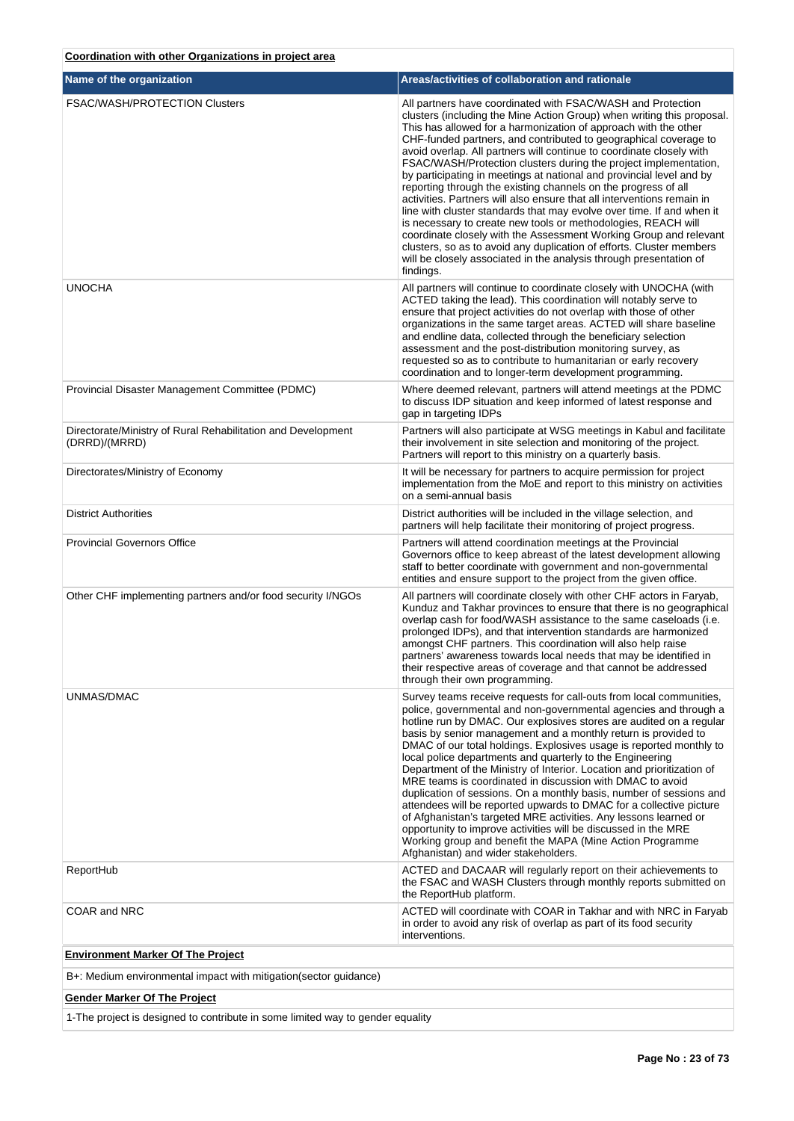# **Coordination with other Organizations in project area**

| Name of the organization                                                      | Areas/activities of collaboration and rationale                                                                                                                                                                                                                                                                                                                                                                                                                                                                                                                                                                                                                                                                                                                                                                                                                                                                                                                                                                        |
|-------------------------------------------------------------------------------|------------------------------------------------------------------------------------------------------------------------------------------------------------------------------------------------------------------------------------------------------------------------------------------------------------------------------------------------------------------------------------------------------------------------------------------------------------------------------------------------------------------------------------------------------------------------------------------------------------------------------------------------------------------------------------------------------------------------------------------------------------------------------------------------------------------------------------------------------------------------------------------------------------------------------------------------------------------------------------------------------------------------|
| <b>FSAC/WASH/PROTECTION Clusters</b>                                          | All partners have coordinated with FSAC/WASH and Protection<br>clusters (including the Mine Action Group) when writing this proposal.<br>This has allowed for a harmonization of approach with the other<br>CHF-funded partners, and contributed to geographical coverage to<br>avoid overlap. All partners will continue to coordinate closely with<br>FSAC/WASH/Protection clusters during the project implementation,<br>by participating in meetings at national and provincial level and by<br>reporting through the existing channels on the progress of all<br>activities. Partners will also ensure that all interventions remain in<br>line with cluster standards that may evolve over time. If and when it<br>is necessary to create new tools or methodologies, REACH will<br>coordinate closely with the Assessment Working Group and relevant<br>clusters, so as to avoid any duplication of efforts. Cluster members<br>will be closely associated in the analysis through presentation of<br>findings. |
| <b>UNOCHA</b>                                                                 | All partners will continue to coordinate closely with UNOCHA (with<br>ACTED taking the lead). This coordination will notably serve to<br>ensure that project activities do not overlap with those of other<br>organizations in the same target areas. ACTED will share baseline<br>and endline data, collected through the beneficiary selection<br>assessment and the post-distribution monitoring survey, as<br>requested so as to contribute to humanitarian or early recovery<br>coordination and to longer-term development programming.                                                                                                                                                                                                                                                                                                                                                                                                                                                                          |
| Provincial Disaster Management Committee (PDMC)                               | Where deemed relevant, partners will attend meetings at the PDMC<br>to discuss IDP situation and keep informed of latest response and<br>gap in targeting IDPs                                                                                                                                                                                                                                                                                                                                                                                                                                                                                                                                                                                                                                                                                                                                                                                                                                                         |
| Directorate/Ministry of Rural Rehabilitation and Development<br>(DRRD)/(MRRD) | Partners will also participate at WSG meetings in Kabul and facilitate<br>their involvement in site selection and monitoring of the project.<br>Partners will report to this ministry on a quarterly basis.                                                                                                                                                                                                                                                                                                                                                                                                                                                                                                                                                                                                                                                                                                                                                                                                            |
| Directorates/Ministry of Economy                                              | It will be necessary for partners to acquire permission for project<br>implementation from the MoE and report to this ministry on activities<br>on a semi-annual basis                                                                                                                                                                                                                                                                                                                                                                                                                                                                                                                                                                                                                                                                                                                                                                                                                                                 |
| <b>District Authorities</b>                                                   | District authorities will be included in the village selection, and<br>partners will help facilitate their monitoring of project progress.                                                                                                                                                                                                                                                                                                                                                                                                                                                                                                                                                                                                                                                                                                                                                                                                                                                                             |
| <b>Provincial Governors Office</b>                                            | Partners will attend coordination meetings at the Provincial<br>Governors office to keep abreast of the latest development allowing<br>staff to better coordinate with government and non-governmental<br>entities and ensure support to the project from the given office.                                                                                                                                                                                                                                                                                                                                                                                                                                                                                                                                                                                                                                                                                                                                            |
| Other CHF implementing partners and/or food security I/NGOs                   | All partners will coordinate closely with other CHF actors in Faryab,<br>Kunduz and Takhar provinces to ensure that there is no geographical<br>overlap cash for food/WASH assistance to the same caseloads (i.e.<br>prolonged IDPs), and that intervention standards are harmonized<br>amongst CHF partners. This coordination will also help raise<br>partners' awareness towards local needs that may be identified in<br>their respective areas of coverage and that cannot be addressed<br>through their own programming.                                                                                                                                                                                                                                                                                                                                                                                                                                                                                         |
| UNMAS/DMAC                                                                    | Survey teams receive requests for call-outs from local communities,<br>police, governmental and non-governmental agencies and through a<br>hotline run by DMAC. Our explosives stores are audited on a regular<br>basis by senior management and a monthly return is provided to<br>DMAC of our total holdings. Explosives usage is reported monthly to<br>local police departments and quarterly to the Engineering<br>Department of the Ministry of Interior. Location and prioritization of<br>MRE teams is coordinated in discussion with DMAC to avoid<br>duplication of sessions. On a monthly basis, number of sessions and<br>attendees will be reported upwards to DMAC for a collective picture<br>of Afghanistan's targeted MRE activities. Any lessons learned or<br>opportunity to improve activities will be discussed in the MRE<br>Working group and benefit the MAPA (Mine Action Programme<br>Afghanistan) and wider stakeholders.                                                                   |
| ReportHub                                                                     | ACTED and DACAAR will regularly report on their achievements to<br>the FSAC and WASH Clusters through monthly reports submitted on<br>the ReportHub platform.                                                                                                                                                                                                                                                                                                                                                                                                                                                                                                                                                                                                                                                                                                                                                                                                                                                          |
| COAR and NRC                                                                  | ACTED will coordinate with COAR in Takhar and with NRC in Faryab<br>in order to avoid any risk of overlap as part of its food security<br>interventions.                                                                                                                                                                                                                                                                                                                                                                                                                                                                                                                                                                                                                                                                                                                                                                                                                                                               |
| <b>Environment Marker Of The Project</b>                                      |                                                                                                                                                                                                                                                                                                                                                                                                                                                                                                                                                                                                                                                                                                                                                                                                                                                                                                                                                                                                                        |
| B+: Medium environmental impact with mitigation(sector guidance)              |                                                                                                                                                                                                                                                                                                                                                                                                                                                                                                                                                                                                                                                                                                                                                                                                                                                                                                                                                                                                                        |

# **Gender Marker Of The Project**

1-The project is designed to contribute in some limited way to gender equality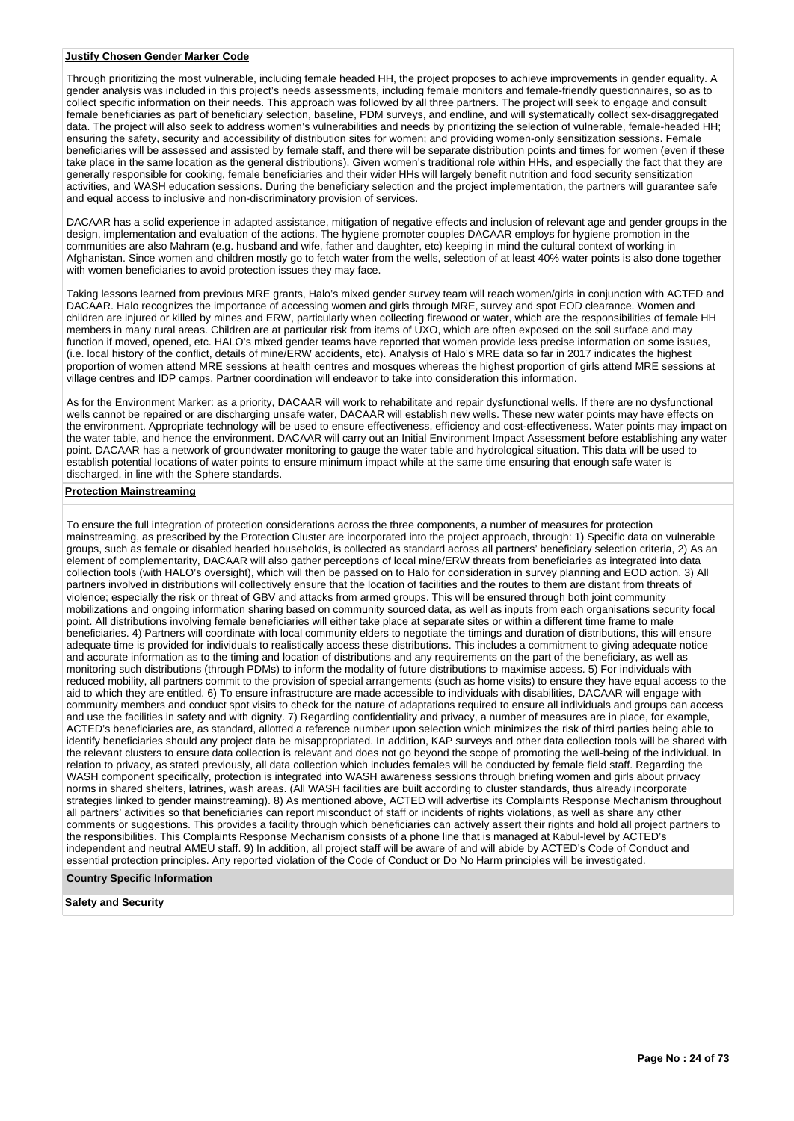#### **Justify Chosen Gender Marker Code**

Through prioritizing the most vulnerable, including female headed HH, the project proposes to achieve improvements in gender equality. A gender analysis was included in this project's needs assessments, including female monitors and female-friendly questionnaires, so as to collect specific information on their needs. This approach was followed by all three partners. The project will seek to engage and consult female beneficiaries as part of beneficiary selection, baseline, PDM surveys, and endline, and will systematically collect sex-disaggregated data. The project will also seek to address women's vulnerabilities and needs by prioritizing the selection of vulnerable, female-headed HH; ensuring the safety, security and accessibility of distribution sites for women; and providing women-only sensitization sessions. Female beneficiaries will be assessed and assisted by female staff, and there will be separate distribution points and times for women (even if these take place in the same location as the general distributions). Given women's traditional role within HHs, and especially the fact that they are generally responsible for cooking, female beneficiaries and their wider HHs will largely benefit nutrition and food security sensitization activities, and WASH education sessions. During the beneficiary selection and the project implementation, the partners will guarantee safe and equal access to inclusive and non-discriminatory provision of services.

DACAAR has a solid experience in adapted assistance, mitigation of negative effects and inclusion of relevant age and gender groups in the design, implementation and evaluation of the actions. The hygiene promoter couples DACAAR employs for hygiene promotion in the communities are also Mahram (e.g. husband and wife, father and daughter, etc) keeping in mind the cultural context of working in Afghanistan. Since women and children mostly go to fetch water from the wells, selection of at least 40% water points is also done together with women beneficiaries to avoid protection issues they may face.

Taking lessons learned from previous MRE grants, Halo's mixed gender survey team will reach women/girls in conjunction with ACTED and DACAAR. Halo recognizes the importance of accessing women and girls through MRE, survey and spot EOD clearance. Women and children are injured or killed by mines and ERW, particularly when collecting firewood or water, which are the responsibilities of female HH members in many rural areas. Children are at particular risk from items of UXO, which are often exposed on the soil surface and may function if moved, opened, etc. HALO's mixed gender teams have reported that women provide less precise information on some issues, (i.e. local history of the conflict, details of mine/ERW accidents, etc). Analysis of Halo's MRE data so far in 2017 indicates the highest proportion of women attend MRE sessions at health centres and mosques whereas the highest proportion of girls attend MRE sessions at village centres and IDP camps. Partner coordination will endeavor to take into consideration this information.

As for the Environment Marker: as a priority, DACAAR will work to rehabilitate and repair dysfunctional wells. If there are no dysfunctional wells cannot be repaired or are discharging unsafe water, DACAAR will establish new wells. These new water points may have effects on the environment. Appropriate technology will be used to ensure effectiveness, efficiency and cost-effectiveness. Water points may impact on the water table, and hence the environment. DACAAR will carry out an Initial Environment Impact Assessment before establishing any water point. DACAAR has a network of groundwater monitoring to gauge the water table and hydrological situation. This data will be used to establish potential locations of water points to ensure minimum impact while at the same time ensuring that enough safe water is discharged, in line with the Sphere standards.

#### **Protection Mainstreaming**

To ensure the full integration of protection considerations across the three components, a number of measures for protection mainstreaming, as prescribed by the Protection Cluster are incorporated into the project approach, through: 1) Specific data on vulnerable groups, such as female or disabled headed households, is collected as standard across all partners' beneficiary selection criteria, 2) As an element of complementarity, DACAAR will also gather perceptions of local mine/ERW threats from beneficiaries as integrated into data collection tools (with HALO's oversight), which will then be passed on to Halo for consideration in survey planning and EOD action. 3) All partners involved in distributions will collectively ensure that the location of facilities and the routes to them are distant from threats of violence; especially the risk or threat of GBV and attacks from armed groups. This will be ensured through both joint community mobilizations and ongoing information sharing based on community sourced data, as well as inputs from each organisations security focal point. All distributions involving female beneficiaries will either take place at separate sites or within a different time frame to male beneficiaries. 4) Partners will coordinate with local community elders to negotiate the timings and duration of distributions, this will ensure adequate time is provided for individuals to realistically access these distributions. This includes a commitment to giving adequate notice and accurate information as to the timing and location of distributions and any requirements on the part of the beneficiary, as well as monitoring such distributions (through PDMs) to inform the modality of future distributions to maximise access. 5) For individuals with reduced mobility, all partners commit to the provision of special arrangements (such as home visits) to ensure they have equal access to the aid to which they are entitled. 6) To ensure infrastructure are made accessible to individuals with disabilities, DACAAR will engage with community members and conduct spot visits to check for the nature of adaptations required to ensure all individuals and groups can access and use the facilities in safety and with dignity. 7) Regarding confidentiality and privacy, a number of measures are in place, for example, ACTED's beneficiaries are, as standard, allotted a reference number upon selection which minimizes the risk of third parties being able to identify beneficiaries should any project data be misappropriated. In addition, KAP surveys and other data collection tools will be shared with the relevant clusters to ensure data collection is relevant and does not go beyond the scope of promoting the well-being of the individual. In relation to privacy, as stated previously, all data collection which includes females will be conducted by female field staff. Regarding the WASH component specifically, protection is integrated into WASH awareness sessions through briefing women and girls about privacy norms in shared shelters, latrines, wash areas. (All WASH facilities are built according to cluster standards, thus already incorporate strategies linked to gender mainstreaming). 8) As mentioned above, ACTED will advertise its Complaints Response Mechanism throughout all partners' activities so that beneficiaries can report misconduct of staff or incidents of rights violations, as well as share any other comments or suggestions. This provides a facility through which beneficiaries can actively assert their rights and hold all project partners to the responsibilities. This Complaints Response Mechanism consists of a phone line that is managed at Kabul-level by ACTED's independent and neutral AMEU staff. 9) In addition, all project staff will be aware of and will abide by ACTED's Code of Conduct and essential protection principles. Any reported violation of the Code of Conduct or Do No Harm principles will be investigated.

#### **Country Specific Information**

**Safety and Security**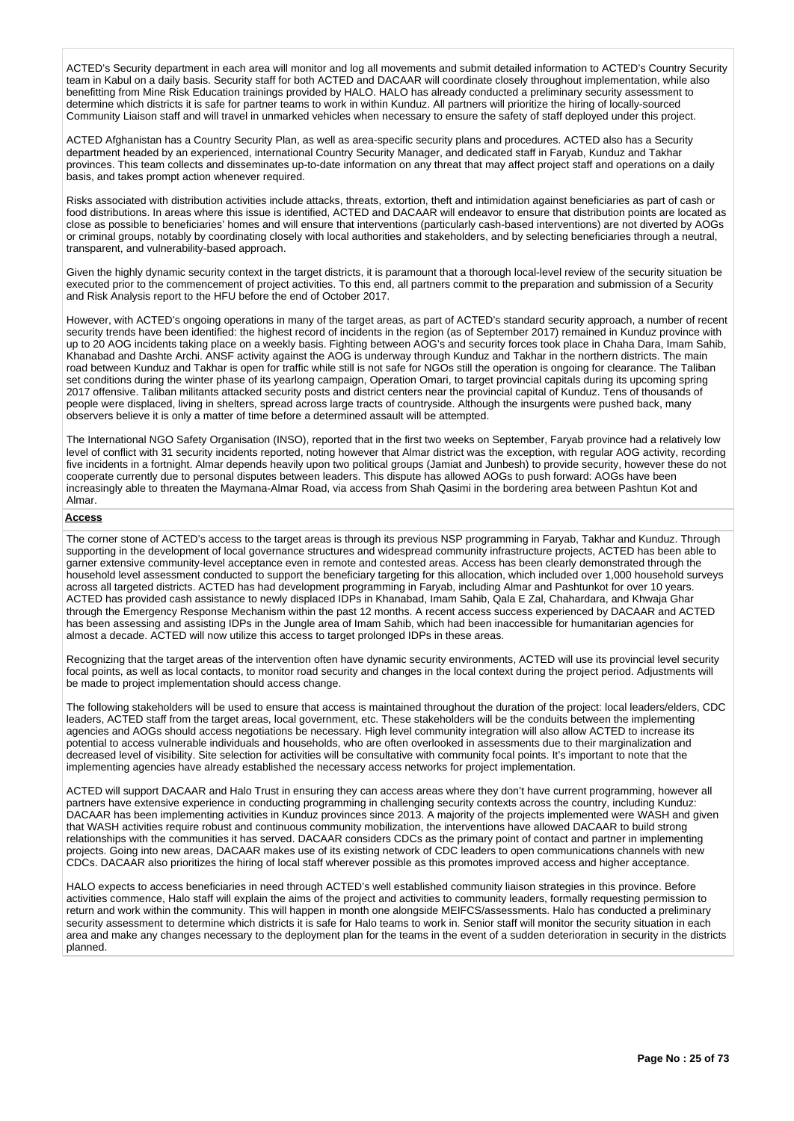ACTED's Security department in each area will monitor and log all movements and submit detailed information to ACTED's Country Security team in Kabul on a daily basis. Security staff for both ACTED and DACAAR will coordinate closely throughout implementation, while also benefitting from Mine Risk Education trainings provided by HALO. HALO has already conducted a preliminary security assessment to determine which districts it is safe for partner teams to work in within Kunduz. All partners will prioritize the hiring of locally-sourced Community Liaison staff and will travel in unmarked vehicles when necessary to ensure the safety of staff deployed under this project.

ACTED Afghanistan has a Country Security Plan, as well as area-specific security plans and procedures. ACTED also has a Security department headed by an experienced, international Country Security Manager, and dedicated staff in Faryab, Kunduz and Takhar provinces. This team collects and disseminates up-to-date information on any threat that may affect project staff and operations on a daily basis, and takes prompt action whenever required.

Risks associated with distribution activities include attacks, threats, extortion, theft and intimidation against beneficiaries as part of cash or food distributions. In areas where this issue is identified, ACTED and DACAAR will endeavor to ensure that distribution points are located as close as possible to beneficiaries' homes and will ensure that interventions (particularly cash-based interventions) are not diverted by AOGs or criminal groups, notably by coordinating closely with local authorities and stakeholders, and by selecting beneficiaries through a neutral, transparent, and vulnerability-based approach.

Given the highly dynamic security context in the target districts, it is paramount that a thorough local-level review of the security situation be executed prior to the commencement of project activities. To this end, all partners commit to the preparation and submission of a Security and Risk Analysis report to the HFU before the end of October 2017.

However, with ACTED's ongoing operations in many of the target areas, as part of ACTED's standard security approach, a number of recent security trends have been identified: the highest record of incidents in the region (as of September 2017) remained in Kunduz province with up to 20 AOG incidents taking place on a weekly basis. Fighting between AOG's and security forces took place in Chaha Dara, Imam Sahib, Khanabad and Dashte Archi. ANSF activity against the AOG is underway through Kunduz and Takhar in the northern districts. The main road between Kunduz and Takhar is open for traffic while still is not safe for NGOs still the operation is ongoing for clearance. The Taliban set conditions during the winter phase of its yearlong campaign, Operation Omari, to target provincial capitals during its upcoming spring 2017 offensive. Taliban militants attacked security posts and district centers near the provincial capital of Kunduz. Tens of thousands of people were displaced, living in shelters, spread across large tracts of countryside. Although the insurgents were pushed back, many observers believe it is only a matter of time before a determined assault will be attempted.

The International NGO Safety Organisation (INSO), reported that in the first two weeks on September, Faryab province had a relatively low level of conflict with 31 security incidents reported, noting however that Almar district was the exception, with regular AOG activity, recording five incidents in a fortnight. Almar depends heavily upon two political groups (Jamiat and Junbesh) to provide security, however these do not cooperate currently due to personal disputes between leaders. This dispute has allowed AOGs to push forward: AOGs have been increasingly able to threaten the Maymana-Almar Road, via access from Shah Qasimi in the bordering area between Pashtun Kot and Almar.

# **Access**

The corner stone of ACTED's access to the target areas is through its previous NSP programming in Faryab, Takhar and Kunduz. Through supporting in the development of local governance structures and widespread community infrastructure projects, ACTED has been able to garner extensive community-level acceptance even in remote and contested areas. Access has been clearly demonstrated through the household level assessment conducted to support the beneficiary targeting for this allocation, which included over 1,000 household surveys across all targeted districts. ACTED has had development programming in Faryab, including Almar and Pashtunkot for over 10 years. ACTED has provided cash assistance to newly displaced IDPs in Khanabad, Imam Sahib, Qala E Zal, Chahardara, and Khwaja Ghar through the Emergency Response Mechanism within the past 12 months. A recent access success experienced by DACAAR and ACTED has been assessing and assisting IDPs in the Jungle area of Imam Sahib, which had been inaccessible for humanitarian agencies for almost a decade. ACTED will now utilize this access to target prolonged IDPs in these areas.

Recognizing that the target areas of the intervention often have dynamic security environments, ACTED will use its provincial level security focal points, as well as local contacts, to monitor road security and changes in the local context during the project period. Adjustments will be made to project implementation should access change.

The following stakeholders will be used to ensure that access is maintained throughout the duration of the project: local leaders/elders, CDC leaders, ACTED staff from the target areas, local government, etc. These stakeholders will be the conduits between the implementing agencies and AOGs should access negotiations be necessary. High level community integration will also allow ACTED to increase its potential to access vulnerable individuals and households, who are often overlooked in assessments due to their marginalization and decreased level of visibility. Site selection for activities will be consultative with community focal points. It's important to note that the implementing agencies have already established the necessary access networks for project implementation.

ACTED will support DACAAR and Halo Trust in ensuring they can access areas where they don't have current programming, however all partners have extensive experience in conducting programming in challenging security contexts across the country, including Kunduz: DACAAR has been implementing activities in Kunduz provinces since 2013. A majority of the projects implemented were WASH and given that WASH activities require robust and continuous community mobilization, the interventions have allowed DACAAR to build strong relationships with the communities it has served. DACAAR considers CDCs as the primary point of contact and partner in implementing projects. Going into new areas, DACAAR makes use of its existing network of CDC leaders to open communications channels with new CDCs. DACAAR also prioritizes the hiring of local staff wherever possible as this promotes improved access and higher acceptance.

HALO expects to access beneficiaries in need through ACTED's well established community liaison strategies in this province. Before activities commence, Halo staff will explain the aims of the project and activities to community leaders, formally requesting permission to return and work within the community. This will happen in month one alongside MEIFCS/assessments. Halo has conducted a preliminary security assessment to determine which districts it is safe for Halo teams to work in. Senior staff will monitor the security situation in each area and make any changes necessary to the deployment plan for the teams in the event of a sudden deterioration in security in the districts planned.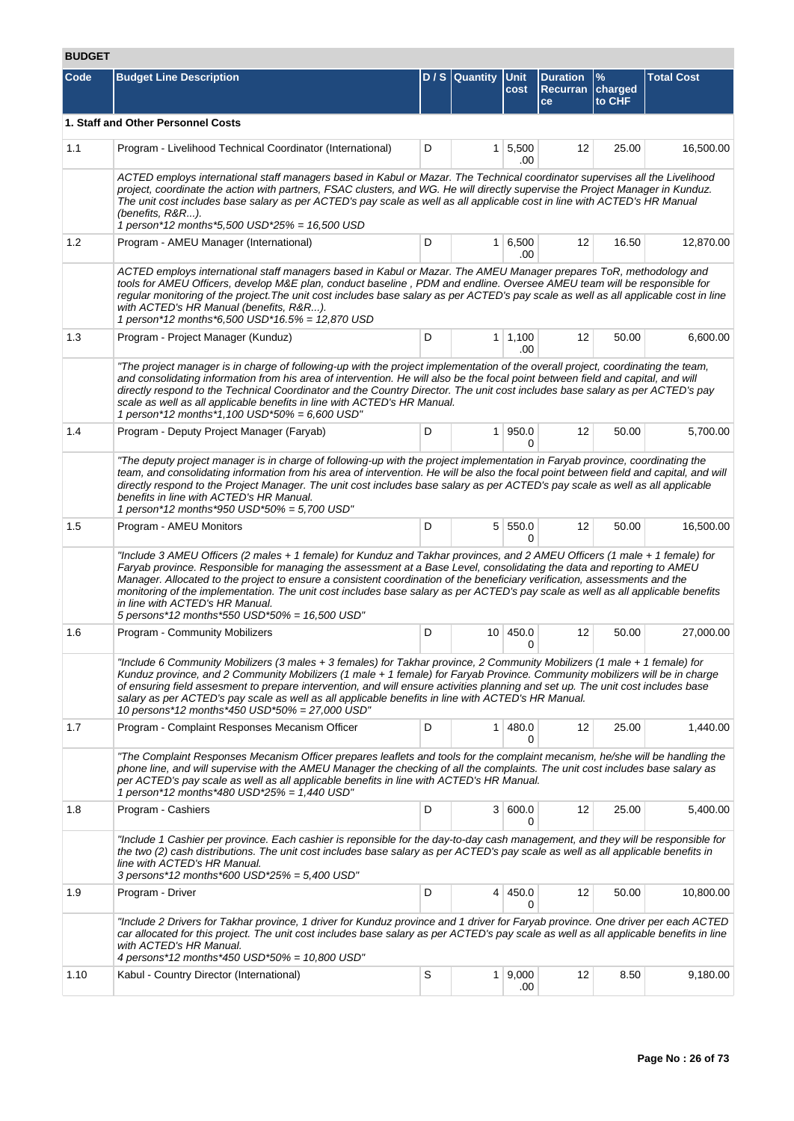# **BUDGET**

| Code | <b>Budget Line Description</b>                                                                                                                                                                                                                                                                                                                                                                                                                                                                                                                                                                             |   | $D / S$ Quantity | <b>Unit</b><br>cost         | <b>Duration</b><br>Recurran charged<br>ce | $\%$<br>to CHF | <b>Total Cost</b> |
|------|------------------------------------------------------------------------------------------------------------------------------------------------------------------------------------------------------------------------------------------------------------------------------------------------------------------------------------------------------------------------------------------------------------------------------------------------------------------------------------------------------------------------------------------------------------------------------------------------------------|---|------------------|-----------------------------|-------------------------------------------|----------------|-------------------|
|      | 1. Staff and Other Personnel Costs                                                                                                                                                                                                                                                                                                                                                                                                                                                                                                                                                                         |   |                  |                             |                                           |                |                   |
| 1.1  | Program - Livelihood Technical Coordinator (International)                                                                                                                                                                                                                                                                                                                                                                                                                                                                                                                                                 | D |                  | $1 \overline{5,500}$<br>.00 | 12                                        | 25.00          | 16,500.00         |
|      | ACTED employs international staff managers based in Kabul or Mazar. The Technical coordinator supervises all the Livelihood<br>project, coordinate the action with partners, FSAC clusters, and WG. He will directly supervise the Project Manager in Kunduz.<br>The unit cost includes base salary as per ACTED's pay scale as well as all applicable cost in line with ACTED's HR Manual<br>(benefits, R&R).<br>1 person*12 months*5,500 USD*25% = 16,500 USD                                                                                                                                            |   |                  |                             |                                           |                |                   |
| 1.2  | Program - AMEU Manager (International)                                                                                                                                                                                                                                                                                                                                                                                                                                                                                                                                                                     | D |                  | $1 \, 6,500$<br>.00         | 12                                        | 16.50          | 12,870.00         |
|      | ACTED employs international staff managers based in Kabul or Mazar. The AMEU Manager prepares ToR, methodology and<br>tools for AMEU Officers, develop M&E plan, conduct baseline, PDM and endline. Oversee AMEU team will be responsible for<br>regular monitoring of the project. The unit cost includes base salary as per ACTED's pay scale as well as all applicable cost in line<br>with ACTED's HR Manual (benefits, R&R).<br>1 person*12 months*6,500 USD*16.5% = 12,870 USD                                                                                                                       |   |                  |                             |                                           |                |                   |
| 1.3  | Program - Project Manager (Kunduz)                                                                                                                                                                                                                                                                                                                                                                                                                                                                                                                                                                         | D |                  | $1 \mid 1,100$<br>.00       | 12                                        | 50.00          | 6.600.00          |
|      | "The project manager is in charge of following-up with the project implementation of the overall project, coordinating the team,<br>and consolidating information from his area of intervention. He will also be the focal point between field and capital, and will<br>directly respond to the Technical Coordinator and the Country Director. The unit cost includes base salary as per ACTED's pay<br>scale as well as all applicable benefits in line with ACTED's HR Manual.<br>1 person*12 months*1,100 USD*50% = 6,600 USD"                                                                         |   |                  |                             |                                           |                |                   |
| 1.4  | Program - Deputy Project Manager (Faryab)                                                                                                                                                                                                                                                                                                                                                                                                                                                                                                                                                                  | D | 1 <sup>1</sup>   | 950.0<br>0                  | 12                                        | 50.00          | 5,700.00          |
|      | "The deputy project manager is in charge of following-up with the project implementation in Faryab province, coordinating the<br>team, and consolidating information from his area of intervention. He will be also the focal point between field and capital, and will<br>directly respond to the Project Manager. The unit cost includes base salary as per ACTED's pay scale as well as all applicable<br>benefits in line with ACTED's HR Manual.<br>1 person*12 months*950 USD*50% = 5,700 USD"                                                                                                       |   |                  |                             |                                           |                |                   |
| 1.5  | Program - AMEU Monitors                                                                                                                                                                                                                                                                                                                                                                                                                                                                                                                                                                                    | D | 5 <sup>1</sup>   | 550.0<br>0                  | 12                                        | 50.00          | 16,500.00         |
|      | "Include 3 AMEU Officers (2 males + 1 female) for Kunduz and Takhar provinces, and 2 AMEU Officers (1 male + 1 female) for<br>Faryab province. Responsible for managing the assessment at a Base Level, consolidating the data and reporting to AMEU<br>Manager. Allocated to the project to ensure a consistent coordination of the beneficiary verification, assessments and the<br>monitoring of the implementation. The unit cost includes base salary as per ACTED's pay scale as well as all applicable benefits<br>in line with ACTED's HR Manual.<br>5 persons*12 months*550 USD*50% = 16,500 USD" |   |                  |                             |                                           |                |                   |
| 1.6  | Program - Community Mobilizers                                                                                                                                                                                                                                                                                                                                                                                                                                                                                                                                                                             | D | 10 <sup>1</sup>  | 450.0<br>0                  | 12                                        | 50.00          | 27,000.00         |
|      | "Include 6 Community Mobilizers (3 males + 3 females) for Takhar province, 2 Community Mobilizers (1 male + 1 female) for<br>Kunduz province, and 2 Community Mobilizers (1 male + 1 female) for Faryab Province. Community mobilizers will be in charge<br>of ensuring field assesment to prepare intervention, and will ensure activities planning and set up. The unit cost includes base<br>salary as per ACTED's pay scale as well as all applicable benefits in line with ACTED's HR Manual.<br>10 persons*12 months*450 USD*50% = 27,000 USD"                                                       |   |                  |                             |                                           |                |                   |
| 1.7  | Program - Complaint Responses Mecanism Officer                                                                                                                                                                                                                                                                                                                                                                                                                                                                                                                                                             | D | 1 <sup>1</sup>   | 480.0<br>0                  | 12                                        | 25.00          | 1,440.00          |
|      | "The Complaint Responses Mecanism Officer prepares leaflets and tools for the complaint mecanism, he/she will be handling the<br>phone line, and will supervise with the AMEU Manager the checking of all the complaints. The unit cost includes base salary as<br>per ACTED's pay scale as well as all applicable benefits in line with ACTED's HR Manual.<br>1 person*12 months*480 USD*25% = 1,440 USD"                                                                                                                                                                                                 |   |                  |                             |                                           |                |                   |
| 1.8  | Program - Cashiers                                                                                                                                                                                                                                                                                                                                                                                                                                                                                                                                                                                         | D |                  | 3   600.0<br>0              | 12                                        | 25.00          | 5,400.00          |
|      | "Include 1 Cashier per province. Each cashier is reponsible for the day-to-day cash management, and they will be responsible for<br>the two (2) cash distributions. The unit cost includes base salary as per ACTED's pay scale as well as all applicable benefits in<br>line with ACTED's HR Manual.<br>3 persons*12 months*600 USD*25% = 5,400 USD"                                                                                                                                                                                                                                                      |   |                  |                             |                                           |                |                   |
| 1.9  | Program - Driver                                                                                                                                                                                                                                                                                                                                                                                                                                                                                                                                                                                           | D |                  | 4   450.0<br>0              | 12                                        | 50.00          | 10,800.00         |
|      | "Include 2 Drivers for Takhar province, 1 driver for Kunduz province and 1 driver for Faryab province. One driver per each ACTED<br>car allocated for this project. The unit cost includes base salary as per ACTED's pay scale as well as all applicable benefits in line<br>with ACTED's HR Manual.<br>4 persons*12 months*450 USD*50% = 10,800 USD"                                                                                                                                                                                                                                                     |   |                  |                             |                                           |                |                   |
| 1.10 | Kabul - Country Director (International)                                                                                                                                                                                                                                                                                                                                                                                                                                                                                                                                                                   | S |                  | $1 \, 9,000$<br>.00         | 12                                        | 8.50           | 9,180.00          |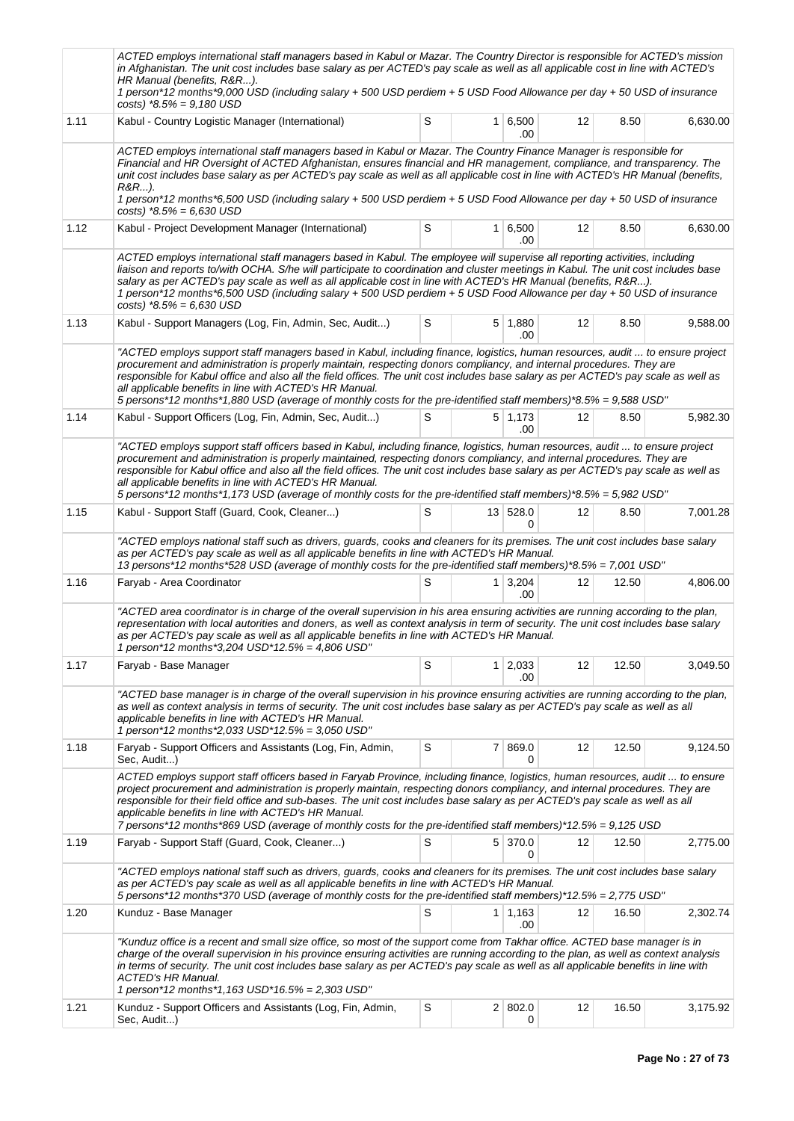|      | ACTED employs international staff managers based in Kabul or Mazar. The Country Director is responsible for ACTED's mission<br>in Afghanistan. The unit cost includes base salary as per ACTED's pay scale as well as all applicable cost in line with ACTED's<br>HR Manual (benefits, R&R).<br>1 person*12 months*9,000 USD (including salary + 500 USD perdiem + 5 USD Food Allowance per day + 50 USD of insurance<br>$costs$ ) *8.5% = 9,180 USD                                                                                                                         |   |                |                              |    |       |          |  |  |
|------|------------------------------------------------------------------------------------------------------------------------------------------------------------------------------------------------------------------------------------------------------------------------------------------------------------------------------------------------------------------------------------------------------------------------------------------------------------------------------------------------------------------------------------------------------------------------------|---|----------------|------------------------------|----|-------|----------|--|--|
| 1.11 | Kabul - Country Logistic Manager (International)                                                                                                                                                                                                                                                                                                                                                                                                                                                                                                                             | S |                | 1 6,500<br>.00               | 12 | 8.50  | 6,630.00 |  |  |
|      | ACTED employs international staff managers based in Kabul or Mazar. The Country Finance Manager is responsible for<br>Financial and HR Oversight of ACTED Afghanistan, ensures financial and HR management, compliance, and transparency. The<br>unit cost includes base salary as per ACTED's pay scale as well as all applicable cost in line with ACTED's HR Manual (benefits,<br>R&R…).<br>1 person*12 months*6,500 USD (including salary + 500 USD perdiem + 5 USD Food Allowance per day + 50 USD of insurance<br>costs) $*8.5\% = 6.630$ USD                          |   |                |                              |    |       |          |  |  |
| 1.12 | Kabul - Project Development Manager (International)                                                                                                                                                                                                                                                                                                                                                                                                                                                                                                                          | S |                | 1 6,500<br>.00               | 12 | 8.50  | 6,630.00 |  |  |
|      | ACTED employs international staff managers based in Kabul. The employee will supervise all reporting activities, including<br>liaison and reports to/with OCHA. S/he will participate to coordination and cluster meetings in Kabul. The unit cost includes base<br>salary as per ACTED's pay scale as well as all applicable cost in line with ACTED's HR Manual (benefits, R&R).<br>1 person*12 months*6,500 USD (including salary + 500 USD perdiem + 5 USD Food Allowance per day + 50 USD of insurance<br>costs) $*8.5\% = 6,630$ USD                                   |   |                |                              |    |       |          |  |  |
| 1.13 | Kabul - Support Managers (Log, Fin, Admin, Sec, Audit)                                                                                                                                                                                                                                                                                                                                                                                                                                                                                                                       | S |                | $5 \mid 1,880$<br>.00        | 12 | 8.50  | 9,588.00 |  |  |
|      | "ACTED employs support staff managers based in Kabul, including finance, logistics, human resources, audit  to ensure project<br>procurement and administration is properly maintain, respecting donors compliancy, and internal procedures. They are<br>responsible for Kabul office and also all the field offices. The unit cost includes base salary as per ACTED's pay scale as well as<br>all applicable benefits in line with ACTED's HR Manual.<br>5 persons*12 months*1,880 USD (average of monthly costs for the pre-identified staff members)*8.5% = 9,588 USD"   |   |                |                              |    |       |          |  |  |
| 1.14 | Kabul - Support Officers (Log, Fin, Admin, Sec, Audit)                                                                                                                                                                                                                                                                                                                                                                                                                                                                                                                       | S |                | $5 \mid 1,173$<br>.00.       | 12 | 8.50  | 5,982.30 |  |  |
|      | "ACTED employs support staff officers based in Kabul, including finance, logistics, human resources, audit  to ensure project<br>procurement and administration is properly maintained, respecting donors compliancy, and internal procedures. They are<br>responsible for Kabul office and also all the field offices. The unit cost includes base salary as per ACTED's pay scale as well as<br>all applicable benefits in line with ACTED's HR Manual.<br>5 persons*12 months*1,173 USD (average of monthly costs for the pre-identified staff members)*8.5% = 5,982 USD" |   |                |                              |    |       |          |  |  |
| 1.15 | Kabul - Support Staff (Guard, Cook, Cleaner)                                                                                                                                                                                                                                                                                                                                                                                                                                                                                                                                 | S |                | 13 528.0<br><sup>0</sup>     | 12 | 8.50  | 7,001.28 |  |  |
|      | "ACTED employs national staff such as drivers, guards, cooks and cleaners for its premises. The unit cost includes base salary<br>as per ACTED's pay scale as well as all applicable benefits in line with ACTED's HR Manual.<br>13 persons*12 months*528 USD (average of monthly costs for the pre-identified staff members)*8.5% = 7,001 USD"                                                                                                                                                                                                                              |   |                |                              |    |       |          |  |  |
| 1.16 | Faryab - Area Coordinator                                                                                                                                                                                                                                                                                                                                                                                                                                                                                                                                                    | S |                | $1 \overline{)3.204}$<br>.00 | 12 | 12.50 | 4,806.00 |  |  |
|      | "ACTED area coordinator is in charge of the overall supervision in his area ensuring activities are running according to the plan,<br>representation with local autorities and doners, as well as context analysis in term of security. The unit cost includes base salary<br>as per ACTED's pay scale as well as all applicable benefits in line with ACTED's HR Manual.<br>1 person*12 months*3,204 USD*12.5% = 4,806 USD"                                                                                                                                                 |   |                |                              |    |       |          |  |  |
| 1.17 | Faryab - Base Manager                                                                                                                                                                                                                                                                                                                                                                                                                                                                                                                                                        | S |                | $1 \mid 2,033$<br>.00        | 12 | 12.50 | 3,049.50 |  |  |
|      | "ACTED base manager is in charge of the overall supervision in his province ensuring activities are running according to the plan,<br>as well as context analysis in terms of security. The unit cost includes base salary as per ACTED's pay scale as well as all<br>applicable benefits in line with ACTED's HR Manual.<br>1 person*12 months*2,033 USD*12.5% = 3,050 USD"                                                                                                                                                                                                 |   |                |                              |    |       |          |  |  |
| 1.18 | Faryab - Support Officers and Assistants (Log, Fin, Admin,<br>Sec, Audit)                                                                                                                                                                                                                                                                                                                                                                                                                                                                                                    | S | 7 <sup>1</sup> | 869.0<br>0                   | 12 | 12.50 | 9,124.50 |  |  |
|      | ACTED employs support staff officers based in Faryab Province, including finance, logistics, human resources, audit  to ensure<br>project procurement and administration is properly maintain, respecting donors compliancy, and internal procedures. They are<br>responsible for their field office and sub-bases. The unit cost includes base salary as per ACTED's pay scale as well as all<br>applicable benefits in line with ACTED's HR Manual.<br>7 persons*12 months*869 USD (average of monthly costs for the pre-identified staff members)*12.5% = 9,125 USD       |   |                |                              |    |       |          |  |  |
| 1.19 | Faryab - Support Staff (Guard, Cook, Cleaner)                                                                                                                                                                                                                                                                                                                                                                                                                                                                                                                                | S |                | 5 370.0<br>0                 | 12 | 12.50 | 2,775.00 |  |  |
|      | "ACTED employs national staff such as drivers, guards, cooks and cleaners for its premises. The unit cost includes base salary<br>as per ACTED's pay scale as well as all applicable benefits in line with ACTED's HR Manual.<br>5 persons*12 months*370 USD (average of monthly costs for the pre-identified staff members)*12.5% = 2,775 USD"                                                                                                                                                                                                                              |   |                |                              |    |       |          |  |  |
| 1.20 | Kunduz - Base Manager                                                                                                                                                                                                                                                                                                                                                                                                                                                                                                                                                        | S |                | $1 \mid 1,163$<br>.00        | 12 | 16.50 | 2,302.74 |  |  |
|      | "Kunduz office is a recent and small size office, so most of the support come from Takhar office. ACTED base manager is in<br>charge of the overall supervision in his province ensuring activities are running according to the plan, as well as context analysis<br>in terms of security. The unit cost includes base salary as per ACTED's pay scale as well as all applicable benefits in line with<br><b>ACTED's HR Manual.</b><br>1 person*12 months*1,163 USD*16.5% = 2,303 USD"                                                                                      |   |                |                              |    |       |          |  |  |
| 1.21 | Kunduz - Support Officers and Assistants (Log, Fin, Admin,<br>Sec, Audit)                                                                                                                                                                                                                                                                                                                                                                                                                                                                                                    | S |                | 2 802.0<br>0                 | 12 | 16.50 | 3,175.92 |  |  |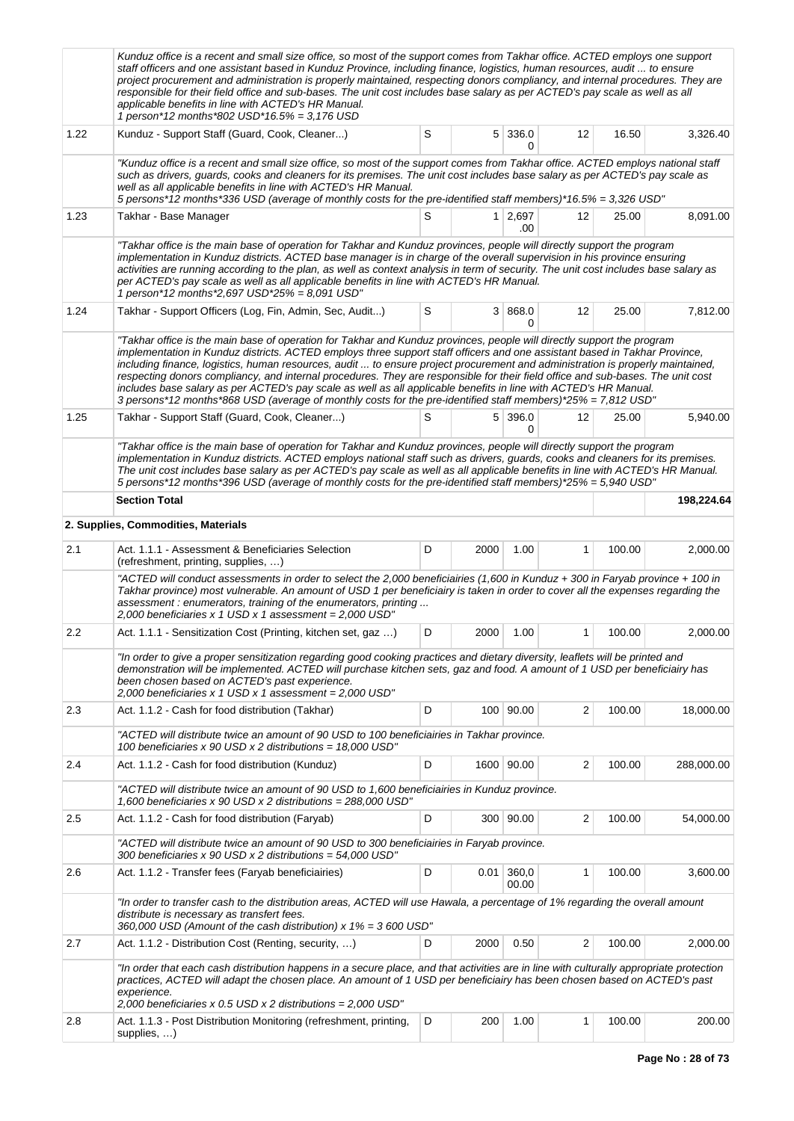|      | Kunduz office is a recent and small size office, so most of the support comes from Takhar office. ACTED employs one support<br>staff officers and one assistant based in Kunduz Province, including finance, logistics, human resources, audit  to ensure<br>project procurement and administration is properly maintained, respecting donors compliancy, and internal procedures. They are<br>responsible for their field office and sub-bases. The unit cost includes base salary as per ACTED's pay scale as well as all<br>applicable benefits in line with ACTED's HR Manual.<br>1 person*12 months*802 USD*16.5% = 3,176 USD                                                                                                                            |       |          |                |                         |        |            |  |  |  |  |
|------|---------------------------------------------------------------------------------------------------------------------------------------------------------------------------------------------------------------------------------------------------------------------------------------------------------------------------------------------------------------------------------------------------------------------------------------------------------------------------------------------------------------------------------------------------------------------------------------------------------------------------------------------------------------------------------------------------------------------------------------------------------------|-------|----------|----------------|-------------------------|--------|------------|--|--|--|--|
| 1.22 | Kunduz - Support Staff (Guard, Cook, Cleaner)                                                                                                                                                                                                                                                                                                                                                                                                                                                                                                                                                                                                                                                                                                                 | S     |          | 5 336.0<br>0   | 12                      | 16.50  | 3,326.40   |  |  |  |  |
|      | "Kunduz office is a recent and small size office, so most of the support comes from Takhar office. ACTED employs national staff<br>such as drivers, guards, cooks and cleaners for its premises. The unit cost includes base salary as per ACTED's pay scale as<br>well as all applicable benefits in line with ACTED's HR Manual.<br>5 persons*12 months*336 USD (average of monthly costs for the pre-identified staff members)*16.5% = 3,326 USD"                                                                                                                                                                                                                                                                                                          |       |          |                |                         |        |            |  |  |  |  |
| 1.23 | Takhar - Base Manager                                                                                                                                                                                                                                                                                                                                                                                                                                                                                                                                                                                                                                                                                                                                         | 25.00 | 8,091.00 |                |                         |        |            |  |  |  |  |
|      | "Takhar office is the main base of operation for Takhar and Kunduz provinces, people will directly support the program<br>implementation in Kunduz districts. ACTED base manager is in charge of the overall supervision in his province ensuring<br>activities are running according to the plan, as well as context analysis in term of security. The unit cost includes base salary as<br>per ACTED's pay scale as well as all applicable benefits in line with ACTED's HR Manual.<br>1 person*12 months*2,697 USD*25% = 8,091 USD"                                                                                                                                                                                                                        |       |          |                |                         |        |            |  |  |  |  |
| 1.24 | Takhar - Support Officers (Log, Fin, Admin, Sec, Audit)                                                                                                                                                                                                                                                                                                                                                                                                                                                                                                                                                                                                                                                                                                       | S     |          | 3   868.0<br>0 | 12                      | 25.00  | 7,812.00   |  |  |  |  |
|      | "Takhar office is the main base of operation for Takhar and Kunduz provinces, people will directly support the program<br>implementation in Kunduz districts. ACTED employs three support staff officers and one assistant based in Takhar Province,<br>including finance, logistics, human resources, audit  to ensure project procurement and administration is properly maintained,<br>respecting donors compliancy, and internal procedures. They are responsible for their field office and sub-bases. The unit cost<br>includes base salary as per ACTED's pay scale as well as all applicable benefits in line with ACTED's HR Manual.<br>3 persons*12 months*868 USD (average of monthly costs for the pre-identified staff members)*25% = 7,812 USD" |       |          |                |                         |        |            |  |  |  |  |
| 1.25 | Takhar - Support Staff (Guard, Cook, Cleaner)                                                                                                                                                                                                                                                                                                                                                                                                                                                                                                                                                                                                                                                                                                                 | S     |          | 5 396.0<br>0   | 12                      | 25.00  | 5,940.00   |  |  |  |  |
|      | "Takhar office is the main base of operation for Takhar and Kunduz provinces, people will directly support the program<br>implementation in Kunduz districts. ACTED employs national staff such as drivers, guards, cooks and cleaners for its premises.<br>The unit cost includes base salary as per ACTED's pay scale as well as all applicable benefits in line with ACTED's HR Manual.<br>5 persons*12 months*396 USD (average of monthly costs for the pre-identified staff members)*25% = 5,940 USD"                                                                                                                                                                                                                                                    |       |          |                |                         |        |            |  |  |  |  |
|      | <b>Section Total</b>                                                                                                                                                                                                                                                                                                                                                                                                                                                                                                                                                                                                                                                                                                                                          |       |          |                |                         |        | 198,224.64 |  |  |  |  |
|      | 2. Supplies, Commodities, Materials                                                                                                                                                                                                                                                                                                                                                                                                                                                                                                                                                                                                                                                                                                                           |       |          |                |                         |        |            |  |  |  |  |
| 2.1  | Act. 1.1.1 - Assessment & Beneficiaries Selection<br>(refreshment, printing, supplies, )                                                                                                                                                                                                                                                                                                                                                                                                                                                                                                                                                                                                                                                                      | D     | 2000     | 1.00           | $\mathbf{1}$            | 100.00 | 2,000.00   |  |  |  |  |
|      | "ACTED will conduct assessments in order to select the 2,000 beneficiairies (1,600 in Kunduz + 300 in Faryab province + 100 in<br>Takhar province) most vulnerable. An amount of USD 1 per beneficiairy is taken in order to cover all the expenses regarding the<br>assessment : enumerators, training of the enumerators, printing<br>2,000 beneficiaries x 1 USD x 1 assessment = 2,000 USD"                                                                                                                                                                                                                                                                                                                                                               |       |          |                |                         |        |            |  |  |  |  |
| 2.2  | Act. 1.1.1 - Sensitization Cost (Printing, kitchen set, gaz )                                                                                                                                                                                                                                                                                                                                                                                                                                                                                                                                                                                                                                                                                                 | D     | 2000     | 1.00           | 1                       | 100.00 | 2,000.00   |  |  |  |  |
|      | "In order to give a proper sensitization regarding good cooking practices and dietary diversity, leaflets will be printed and<br>demonstration will be implemented. ACTED will purchase kitchen sets, gaz and food. A amount of 1 USD per beneficiairy has<br>been chosen based on ACTED's past experience.<br>2,000 beneficiaries x 1 USD x 1 assessment = 2,000 USD"                                                                                                                                                                                                                                                                                                                                                                                        |       |          |                |                         |        |            |  |  |  |  |
| 2.3  | Act. 1.1.2 - Cash for food distribution (Takhar)                                                                                                                                                                                                                                                                                                                                                                                                                                                                                                                                                                                                                                                                                                              | D     |          | 100 90.00      | 2                       | 100.00 | 18,000.00  |  |  |  |  |
|      | "ACTED will distribute twice an amount of 90 USD to 100 beneficiairies in Takhar province.<br>100 beneficiaries x 90 USD x 2 distributions = 18,000 USD"                                                                                                                                                                                                                                                                                                                                                                                                                                                                                                                                                                                                      |       |          |                |                         |        |            |  |  |  |  |
| 2.4  | Act. 1.1.2 - Cash for food distribution (Kunduz)                                                                                                                                                                                                                                                                                                                                                                                                                                                                                                                                                                                                                                                                                                              | D     |          | 1600 90.00     | 2                       | 100.00 | 288,000.00 |  |  |  |  |
|      | "ACTED will distribute twice an amount of 90 USD to 1,600 beneficiairies in Kunduz province.<br>1,600 beneficiaries x 90 USD x 2 distributions = 288,000 USD"                                                                                                                                                                                                                                                                                                                                                                                                                                                                                                                                                                                                 |       |          |                |                         |        |            |  |  |  |  |
| 2.5  | Act. 1.1.2 - Cash for food distribution (Faryab)                                                                                                                                                                                                                                                                                                                                                                                                                                                                                                                                                                                                                                                                                                              | D     |          | 300 90.00      | $\overline{\mathbf{c}}$ | 100.00 | 54,000.00  |  |  |  |  |
|      | "ACTED will distribute twice an amount of 90 USD to 300 beneficiairies in Faryab province.<br>300 beneficiaries x 90 USD x 2 distributions = 54,000 USD"                                                                                                                                                                                                                                                                                                                                                                                                                                                                                                                                                                                                      |       |          |                |                         |        |            |  |  |  |  |
| 2.6  | Act. 1.1.2 - Transfer fees (Faryab beneficiairies)                                                                                                                                                                                                                                                                                                                                                                                                                                                                                                                                                                                                                                                                                                            | D     | 0.01     | 360,0<br>00.00 | 1                       | 100.00 | 3,600.00   |  |  |  |  |
|      | "In order to transfer cash to the distribution areas, ACTED will use Hawala, a percentage of 1% regarding the overall amount<br>distribute is necessary as transfert fees.<br>360,000 USD (Amount of the cash distribution) $x 1\% = 3600$ USD"                                                                                                                                                                                                                                                                                                                                                                                                                                                                                                               |       |          |                |                         |        |            |  |  |  |  |
| 2.7  | Act. 1.1.2 - Distribution Cost (Renting, security, )                                                                                                                                                                                                                                                                                                                                                                                                                                                                                                                                                                                                                                                                                                          | D     | 2000     | 0.50           | 2                       | 100.00 | 2,000.00   |  |  |  |  |
|      | "In order that each cash distribution happens in a secure place, and that activities are in line with culturally appropriate protection<br>practices, ACTED will adapt the chosen place. An amount of 1 USD per beneficiairy has been chosen based on ACTED's past<br>experience.<br>2,000 beneficiaries x 0.5 USD x 2 distributions = $2,000$ USD"                                                                                                                                                                                                                                                                                                                                                                                                           |       |          |                |                         |        |            |  |  |  |  |
| 2.8  | Act. 1.1.3 - Post Distribution Monitoring (refreshment, printing,<br>supplies, )                                                                                                                                                                                                                                                                                                                                                                                                                                                                                                                                                                                                                                                                              | D     | 200      | 1.00           | 1                       | 100.00 | 200.00     |  |  |  |  |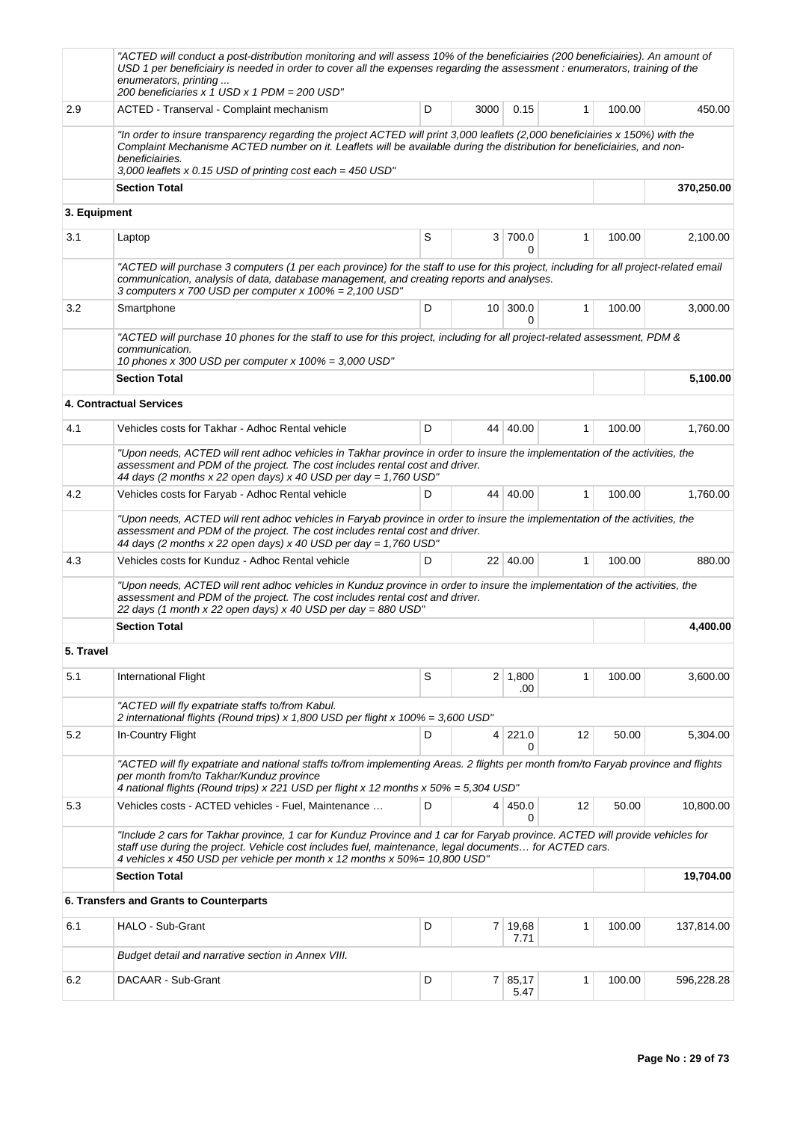|              | "ACTED will conduct a post-distribution monitoring and will assess 10% of the beneficiairies (200 beneficiairies). An amount of<br>USD 1 per beneficiairy is needed in order to cover all the expenses regarding the assessment : enumerators, training of the<br>enumerators, printing<br>200 beneficiaries x 1 USD x 1 PDM = 200 USD"      |   |                |               |              |        |            |
|--------------|----------------------------------------------------------------------------------------------------------------------------------------------------------------------------------------------------------------------------------------------------------------------------------------------------------------------------------------------|---|----------------|---------------|--------------|--------|------------|
| 2.9          | ACTED - Transerval - Complaint mechanism                                                                                                                                                                                                                                                                                                     | D | 3000           | 0.15          | 1            | 100.00 | 450.00     |
|              | "In order to insure transparency regarding the project ACTED will print 3,000 leaflets (2,000 beneficiairies x 150%) with the<br>Complaint Mechanisme ACTED number on it. Leaflets will be available during the distribution for beneficiairies, and non-<br>beneficiairies.<br>3,000 leaflets x 0.15 USD of printing cost each = $450$ USD" |   |                |               |              |        |            |
|              | <b>Section Total</b>                                                                                                                                                                                                                                                                                                                         |   |                |               |              |        | 370,250.00 |
| 3. Equipment |                                                                                                                                                                                                                                                                                                                                              |   |                |               |              |        |            |
| 3.1          | Laptop                                                                                                                                                                                                                                                                                                                                       | S | 3              | 700.0<br>0    | 1            | 100.00 | 2,100.00   |
|              | "ACTED will purchase 3 computers (1 per each province) for the staff to use for this project, including for all project-related email<br>communication, analysis of data, database management, and creating reports and analyses.<br>3 computers x 700 USD per computer x $100\% = 2,100 \text{ USD}$ "                                      |   |                |               |              |        |            |
| 3.2          | Smartphone                                                                                                                                                                                                                                                                                                                                   | D |                | 10 300.0<br>0 | 1            | 100.00 | 3,000.00   |
|              | "ACTED will purchase 10 phones for the staff to use for this project, including for all project-related assessment, PDM &<br>communication.<br>10 phones x 300 USD per computer x $100\% = 3,000$ USD"                                                                                                                                       |   |                |               |              |        |            |
|              | <b>Section Total</b>                                                                                                                                                                                                                                                                                                                         |   |                |               |              |        | 5,100.00   |
|              | <b>4. Contractual Services</b>                                                                                                                                                                                                                                                                                                               |   |                |               |              |        |            |
| 4.1          | Vehicles costs for Takhar - Adhoc Rental vehicle                                                                                                                                                                                                                                                                                             | D |                | 44 40.00      | 1            | 100.00 | 1,760.00   |
|              | "Upon needs, ACTED will rent adhoc vehicles in Takhar province in order to insure the implementation of the activities, the<br>assessment and PDM of the project. The cost includes rental cost and driver.<br>44 days (2 months x 22 open days) x 40 USD per day = 1,760 USD"                                                               |   |                |               |              |        |            |
| 4.2          | Vehicles costs for Faryab - Adhoc Rental vehicle                                                                                                                                                                                                                                                                                             | D |                | 44 40.00      | $\mathbf{1}$ | 100.00 | 1,760.00   |
|              | "Upon needs, ACTED will rent adhoc vehicles in Faryab province in order to insure the implementation of the activities, the<br>assessment and PDM of the project. The cost includes rental cost and driver.<br>44 days (2 months x 22 open days) x 40 USD per day = 1,760 USD"                                                               |   |                |               |              |        |            |
| 4.3          | Vehicles costs for Kunduz - Adhoc Rental vehicle                                                                                                                                                                                                                                                                                             | D |                | 22 40.00      | $\mathbf{1}$ | 100.00 | 880.00     |
|              | "Upon needs, ACTED will rent adhoc vehicles in Kunduz province in order to insure the implementation of the activities, the<br>assessment and PDM of the project. The cost includes rental cost and driver.<br>22 days (1 month x 22 open days) x 40 USD per day = 880 USD"                                                                  |   |                |               |              |        |            |
|              | <b>Section Total</b>                                                                                                                                                                                                                                                                                                                         |   | 4,400.00       |               |              |        |            |
| 5. Travel    |                                                                                                                                                                                                                                                                                                                                              |   |                |               |              |        |            |
| 5.1          | International Flight                                                                                                                                                                                                                                                                                                                         | S | 2              | 1,800         | 1            | 100.00 | 3,600.00   |
|              | "ACTED will fly expatriate staffs to/from Kabul.<br>2 international flights (Round trips) x 1,800 USD per flight x 100% = 3,600 USD"                                                                                                                                                                                                         |   |                | .00           |              |        |            |
| 5.2          | In-Country Flight                                                                                                                                                                                                                                                                                                                            | D | 4              | 221.0<br>0    | 12           | 50.00  | 5,304.00   |
|              | "ACTED will fly expatriate and national staffs to/from implementing Areas. 2 flights per month from/to Faryab province and flights<br>per month from/to Takhar/Kunduz province<br>4 national flights (Round trips) x 221 USD per flight x 12 months x 50% = 5,304 USD"                                                                       |   |                |               |              |        |            |
| 5.3          | Vehicles costs - ACTED vehicles - Fuel, Maintenance                                                                                                                                                                                                                                                                                          | D |                | 4 450.0<br>0  | 12           | 50.00  | 10,800.00  |
|              | "Include 2 cars for Takhar province, 1 car for Kunduz Province and 1 car for Faryab province. ACTED will provide vehicles for<br>staff use during the project. Vehicle cost includes fuel, maintenance, legal documents for ACTED cars.<br>4 vehicles x 450 USD per vehicle per month x 12 months x 50%= 10,800 USD"                         |   |                |               |              |        |            |
|              | <b>Section Total</b>                                                                                                                                                                                                                                                                                                                         |   |                |               |              |        | 19,704.00  |
|              | 6. Transfers and Grants to Counterparts                                                                                                                                                                                                                                                                                                      |   |                |               |              |        |            |
| 6.1          | HALO - Sub-Grant                                                                                                                                                                                                                                                                                                                             | D | $\overline{7}$ | 19,68<br>7.71 | $\mathbf{1}$ | 100.00 | 137,814.00 |
|              | Budget detail and narrative section in Annex VIII.                                                                                                                                                                                                                                                                                           |   |                |               |              |        |            |
| 6.2          | DACAAR - Sub-Grant                                                                                                                                                                                                                                                                                                                           | D | 7 <sup>1</sup> | 85,17<br>5.47 | 1            | 100.00 | 596,228.28 |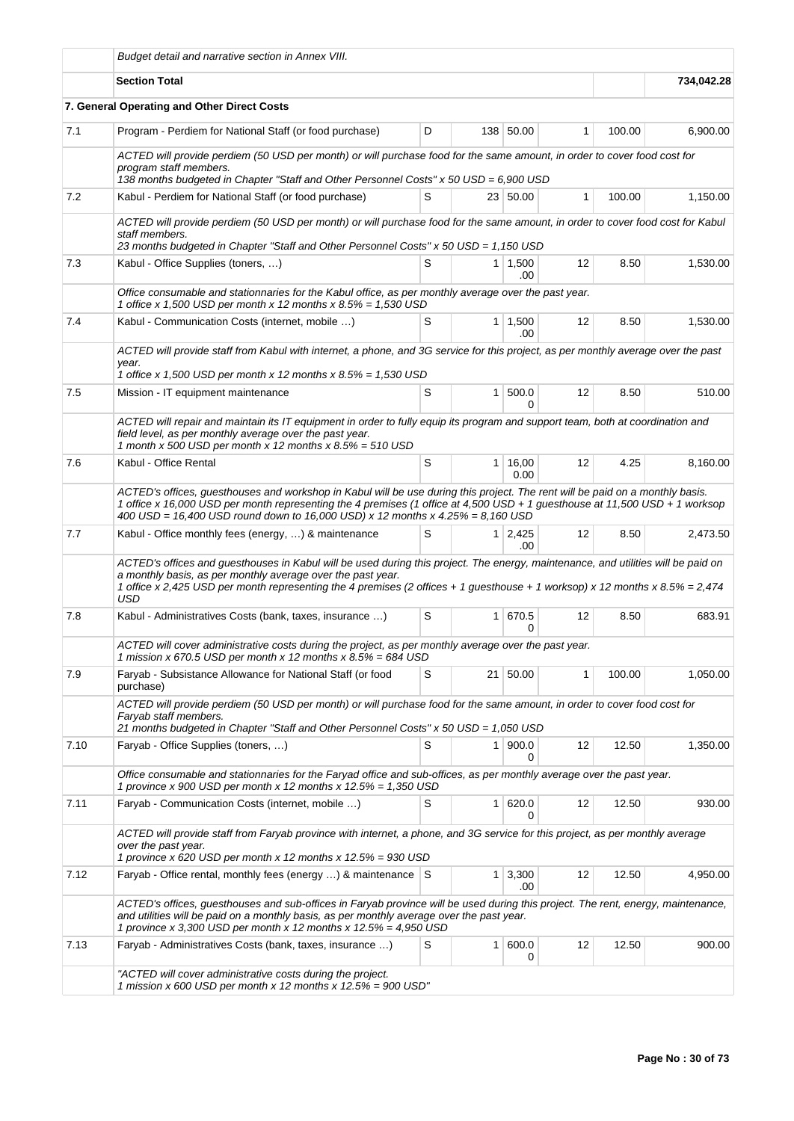|      | Budget detail and narrative section in Annex VIII.                                                                                                                                                                                                                                                                                                |                       |                 |                       |              |        |            |  |  |
|------|---------------------------------------------------------------------------------------------------------------------------------------------------------------------------------------------------------------------------------------------------------------------------------------------------------------------------------------------------|-----------------------|-----------------|-----------------------|--------------|--------|------------|--|--|
|      | <b>Section Total</b>                                                                                                                                                                                                                                                                                                                              |                       |                 |                       |              |        | 734,042.28 |  |  |
|      | 7. General Operating and Other Direct Costs                                                                                                                                                                                                                                                                                                       |                       |                 |                       |              |        |            |  |  |
| 7.1  | Program - Perdiem for National Staff (or food purchase)                                                                                                                                                                                                                                                                                           | D                     |                 | 138 50.00             | $\mathbf{1}$ | 100.00 | 6,900.00   |  |  |
|      | ACTED will provide perdiem (50 USD per month) or will purchase food for the same amount, in order to cover food cost for<br>program staff members.<br>138 months budgeted in Chapter "Staff and Other Personnel Costs" x 50 USD = 6,900 USD                                                                                                       |                       |                 |                       |              |        |            |  |  |
| 7.2  | Kabul - Perdiem for National Staff (or food purchase)                                                                                                                                                                                                                                                                                             | S                     |                 | 23 50.00              | $\mathbf{1}$ | 100.00 | 1,150.00   |  |  |
|      | ACTED will provide perdiem (50 USD per month) or will purchase food for the same amount, in order to cover food cost for Kabul<br>staff members.<br>23 months budgeted in Chapter "Staff and Other Personnel Costs" x 50 USD = 1,150 USD                                                                                                          |                       |                 |                       |              |        |            |  |  |
| 7.3  | Kabul - Office Supplies (toners, )                                                                                                                                                                                                                                                                                                                | $1 \mid 1,500$<br>.00 | 12              | 8.50                  | 1,530.00     |        |            |  |  |
|      | Office consumable and stationnaries for the Kabul office, as per monthly average over the past year.<br>1 office x 1,500 USD per month x 12 months x $8.5\% = 1,530$ USD                                                                                                                                                                          |                       |                 |                       |              |        |            |  |  |
| 7.4  | Kabul - Communication Costs (internet, mobile )                                                                                                                                                                                                                                                                                                   | S                     |                 | $1 \mid 1,500$<br>.00 | 12           | 8.50   | 1,530.00   |  |  |
|      | ACTED will provide staff from Kabul with internet, a phone, and 3G service for this project, as per monthly average over the past<br>year.<br>1 office x 1,500 USD per month x 12 months x $8.5\% = 1,530$ USD                                                                                                                                    |                       |                 |                       |              |        |            |  |  |
| 7.5  | Mission - IT equipment maintenance                                                                                                                                                                                                                                                                                                                | S                     | 1 <sup>1</sup>  | 500.0<br>0            | 12           | 8.50   | 510.00     |  |  |
|      | ACTED will repair and maintain its IT equipment in order to fully equip its program and support team, both at coordination and<br>field level, as per monthly average over the past year.<br>1 month x 500 USD per month x 12 months x $8.5% = 510$ USD                                                                                           |                       |                 |                       |              |        |            |  |  |
| 7.6  | Kabul - Office Rental                                                                                                                                                                                                                                                                                                                             | S                     | 1               | 16,00<br>0.00         | 12           | 4.25   | 8,160.00   |  |  |
|      | ACTED's offices, guesthouses and workshop in Kabul will be use during this project. The rent will be paid on a monthly basis.<br>1 office x 16,000 USD per month representing the 4 premises (1 office at 4,500 USD + 1 guesthouse at 11,500 USD + 1 worksop<br>400 USD = 16,400 USD round down to 16,000 USD) x 12 months x $4.25\% = 8,160$ USD |                       |                 |                       |              |        |            |  |  |
| 7.7  | Kabul - Office monthly fees (energy, ) & maintenance                                                                                                                                                                                                                                                                                              | S                     |                 | $1 \mid 2,425$<br>.00 | 12           | 8.50   | 2,473.50   |  |  |
|      | ACTED's offices and guesthouses in Kabul will be used during this project. The energy, maintenance, and utilities will be paid on<br>a monthly basis, as per monthly average over the past year.<br>1 office x 2,425 USD per month representing the 4 premises (2 offices + 1 guesthouse + 1 worksop) x 12 months x $8.5\% = 2,474$<br>USD        |                       |                 |                       |              |        |            |  |  |
| 7.8  | Kabul - Administratives Costs (bank, taxes, insurance )                                                                                                                                                                                                                                                                                           | S                     |                 | 1 670.5<br>0          | 12           | 8.50   | 683.91     |  |  |
|      | ACTED will cover administrative costs during the project, as per monthly average over the past year.<br>1 mission x 670.5 USD per month x 12 months x $8.5\% = 684$ USD                                                                                                                                                                           |                       |                 |                       |              |        |            |  |  |
| 7.9  | Faryab - Subsistance Allowance for National Staff (or food<br>purchase)                                                                                                                                                                                                                                                                           | S                     | 21 <sup>1</sup> | 50.00                 | 1            | 100.00 | 1,050.00   |  |  |
|      | ACTED will provide perdiem (50 USD per month) or will purchase food for the same amount, in order to cover food cost for<br>Faryab staff members.<br>21 months budgeted in Chapter "Staff and Other Personnel Costs" x 50 USD = 1,050 USD                                                                                                         |                       |                 |                       |              |        |            |  |  |
| 7.10 | Faryab - Office Supplies (toners, )                                                                                                                                                                                                                                                                                                               | S                     | 1 <sup>1</sup>  | 900.0<br>0            | 12           | 12.50  | 1,350.00   |  |  |
|      | Office consumable and stationnaries for the Faryad office and sub-offices, as per monthly average over the past year.<br>1 province x 900 USD per month x 12 months x 12.5% = 1,350 USD                                                                                                                                                           |                       |                 |                       |              |        |            |  |  |
| 7.11 | Faryab - Communication Costs (internet, mobile )                                                                                                                                                                                                                                                                                                  | S                     | $\mathbf{1}$    | 620.0                 | 12           | 12.50  | 930.00     |  |  |
|      | ACTED will provide staff from Faryab province with internet, a phone, and 3G service for this project, as per monthly average<br>over the past year.<br>1 province x 620 USD per month x 12 months x 12.5% = 930 USD                                                                                                                              |                       |                 |                       |              |        |            |  |  |
| 7.12 | Faryab - Office rental, monthly fees (energy ) & maintenance S                                                                                                                                                                                                                                                                                    |                       | 1               | 3,300<br>.00          | 12           | 12.50  | 4,950.00   |  |  |
|      | ACTED's offices, guesthouses and sub-offices in Faryab province will be used during this project. The rent, energy, maintenance,<br>and utilities will be paid on a monthly basis, as per monthly average over the past year.<br>1 province x 3,300 USD per month x 12 months x 12.5% = 4,950 USD                                                 |                       |                 |                       |              |        |            |  |  |
| 7.13 | Faryab - Administratives Costs (bank, taxes, insurance )                                                                                                                                                                                                                                                                                          | S                     | $\mathbf{1}$    | 600.0<br>0            | 12           | 12.50  | 900.00     |  |  |
|      | "ACTED will cover administrative costs during the project.<br>1 mission x 600 USD per month x 12 months x 12.5% = 900 USD"                                                                                                                                                                                                                        |                       |                 |                       |              |        |            |  |  |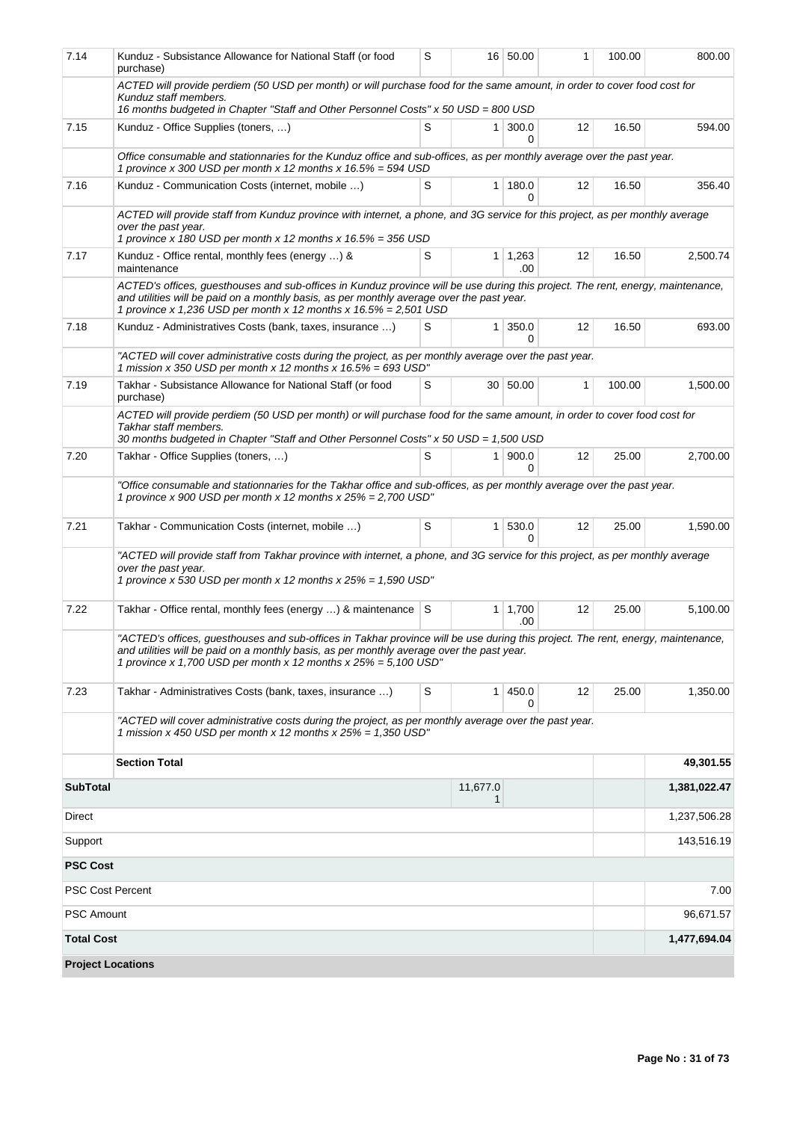| 7.14                             | Kunduz - Subsistance Allowance for National Staff (or food<br>purchase)                                                                                                                                                                                                                             |      |                | 16 50.00               | 1                 | 100.00 | 800.00       |  |  |  |  |
|----------------------------------|-----------------------------------------------------------------------------------------------------------------------------------------------------------------------------------------------------------------------------------------------------------------------------------------------------|------|----------------|------------------------|-------------------|--------|--------------|--|--|--|--|
|                                  | ACTED will provide perdiem (50 USD per month) or will purchase food for the same amount, in order to cover food cost for<br>Kunduz staff members.<br>16 months budgeted in Chapter "Staff and Other Personnel Costs" x 50 USD = 800 USD                                                             |      |                |                        |                   |        |              |  |  |  |  |
| 7.15                             | S<br>Kunduz - Office Supplies (toners, )<br>300.0<br>16.50<br>1 <sup>1</sup><br>12<br>594.00                                                                                                                                                                                                        |      |                |                        |                   |        |              |  |  |  |  |
|                                  |                                                                                                                                                                                                                                                                                                     |      |                | 0                      |                   |        |              |  |  |  |  |
|                                  | Office consumable and stationnaries for the Kunduz office and sub-offices, as per monthly average over the past year.<br>1 province x 300 USD per month x 12 months x 16.5% = 594 USD                                                                                                               |      |                |                        |                   |        |              |  |  |  |  |
| 7.16                             | Kunduz - Communication Costs (internet, mobile )                                                                                                                                                                                                                                                    | S    | 1              | 180.0<br>0             | 12                | 16.50  | 356.40       |  |  |  |  |
|                                  | ACTED will provide staff from Kunduz province with internet, a phone, and 3G service for this project, as per monthly average<br>over the past year.<br>1 province x 180 USD per month x 12 months x 16.5% = 356 USD                                                                                |      |                |                        |                   |        |              |  |  |  |  |
| 7.17                             | Kunduz - Office rental, monthly fees (energy ) &<br>maintenance                                                                                                                                                                                                                                     | S    |                | $1 \mid 1,263$<br>.00. | 12                | 16.50  | 2,500.74     |  |  |  |  |
|                                  | ACTED's offices, guesthouses and sub-offices in Kunduz province will be use during this project. The rent, energy, maintenance,<br>and utilities will be paid on a monthly basis, as per monthly average over the past year.<br>1 province x 1,236 USD per month x 12 months x $16.5\% = 2,501$ USD |      |                |                        |                   |        |              |  |  |  |  |
| 7.18                             | Kunduz - Administratives Costs (bank, taxes, insurance )                                                                                                                                                                                                                                            | S    | $\mathbf{1}$   | 350.0<br>0             | 12                | 16.50  | 693.00       |  |  |  |  |
|                                  | "ACTED will cover administrative costs during the project, as per monthly average over the past year.<br>1 mission x 350 USD per month x 12 months x $16.5% = 693$ USD"                                                                                                                             |      |                |                        |                   |        |              |  |  |  |  |
| 7.19                             | Takhar - Subsistance Allowance for National Staff (or food<br>purchase)                                                                                                                                                                                                                             | S    |                | 30 50.00               | $\mathbf{1}$      | 100.00 | 1,500.00     |  |  |  |  |
|                                  | ACTED will provide perdiem (50 USD per month) or will purchase food for the same amount, in order to cover food cost for<br>Takhar staff members.<br>30 months budgeted in Chapter "Staff and Other Personnel Costs" x 50 USD = 1,500 USD                                                           |      |                |                        |                   |        |              |  |  |  |  |
| 7.20                             | Takhar - Office Supplies (toners, )                                                                                                                                                                                                                                                                 | S    | 1 <sup>1</sup> | 900.0<br>0             | 12                | 25.00  | 2,700.00     |  |  |  |  |
|                                  | "Office consumable and stationnaries for the Takhar office and sub-offices, as per monthly average over the past year.<br>1 province x 900 USD per month x 12 months x $25% = 2,700$ USD"                                                                                                           |      |                |                        |                   |        |              |  |  |  |  |
| 7.21                             | Takhar - Communication Costs (internet, mobile )                                                                                                                                                                                                                                                    | S    | 1              | 530.0<br><sup>0</sup>  | 12                | 25.00  | 1,590.00     |  |  |  |  |
|                                  | "ACTED will provide staff from Takhar province with internet, a phone, and 3G service for this project, as per monthly average<br>over the past year.<br>1 province x 530 USD per month x 12 months x 25% = 1,590 USD"                                                                              |      |                |                        |                   |        |              |  |  |  |  |
| 7.22                             | Takhar - Office rental, monthly fees (energy ) & maintenance S                                                                                                                                                                                                                                      |      | 1              | 1,700<br>.00           | $12 \overline{ }$ | 25.00  | 5,100.00     |  |  |  |  |
|                                  | "ACTED's offices, guesthouses and sub-offices in Takhar province will be use during this project. The rent, energy, maintenance,<br>and utilities will be paid on a monthly basis, as per monthly average over the past year.<br>1 province x 1,700 USD per month x 12 months x $25% = 5,100$ USD"  |      |                |                        |                   |        |              |  |  |  |  |
| 7.23                             | Takhar - Administratives Costs (bank, taxes, insurance )                                                                                                                                                                                                                                            | S    | 1 <sup>1</sup> | 450.0<br>0             | 12                | 25.00  | 1,350.00     |  |  |  |  |
|                                  | "ACTED will cover administrative costs during the project, as per monthly average over the past year.<br>1 mission x 450 USD per month x 12 months x $25% = 1,350$ USD"                                                                                                                             |      |                |                        |                   |        |              |  |  |  |  |
|                                  | <b>Section Total</b>                                                                                                                                                                                                                                                                                |      |                |                        |                   |        | 49,301.55    |  |  |  |  |
| <b>SubTotal</b><br>11,677.0<br>1 |                                                                                                                                                                                                                                                                                                     |      |                |                        |                   |        | 1,381,022.47 |  |  |  |  |
| Direct                           |                                                                                                                                                                                                                                                                                                     |      |                | 1,237,506.28           |                   |        |              |  |  |  |  |
| Support                          |                                                                                                                                                                                                                                                                                                     |      |                | 143,516.19             |                   |        |              |  |  |  |  |
| <b>PSC Cost</b>                  |                                                                                                                                                                                                                                                                                                     |      |                |                        |                   |        |              |  |  |  |  |
| <b>PSC Cost Percent</b>          |                                                                                                                                                                                                                                                                                                     | 7.00 |                |                        |                   |        |              |  |  |  |  |
| <b>PSC Amount</b>                |                                                                                                                                                                                                                                                                                                     |      |                | 96,671.57              |                   |        |              |  |  |  |  |
| <b>Total Cost</b>                |                                                                                                                                                                                                                                                                                                     |      |                |                        |                   |        | 1,477,694.04 |  |  |  |  |
| <b>Project Locations</b>         |                                                                                                                                                                                                                                                                                                     |      |                |                        |                   |        |              |  |  |  |  |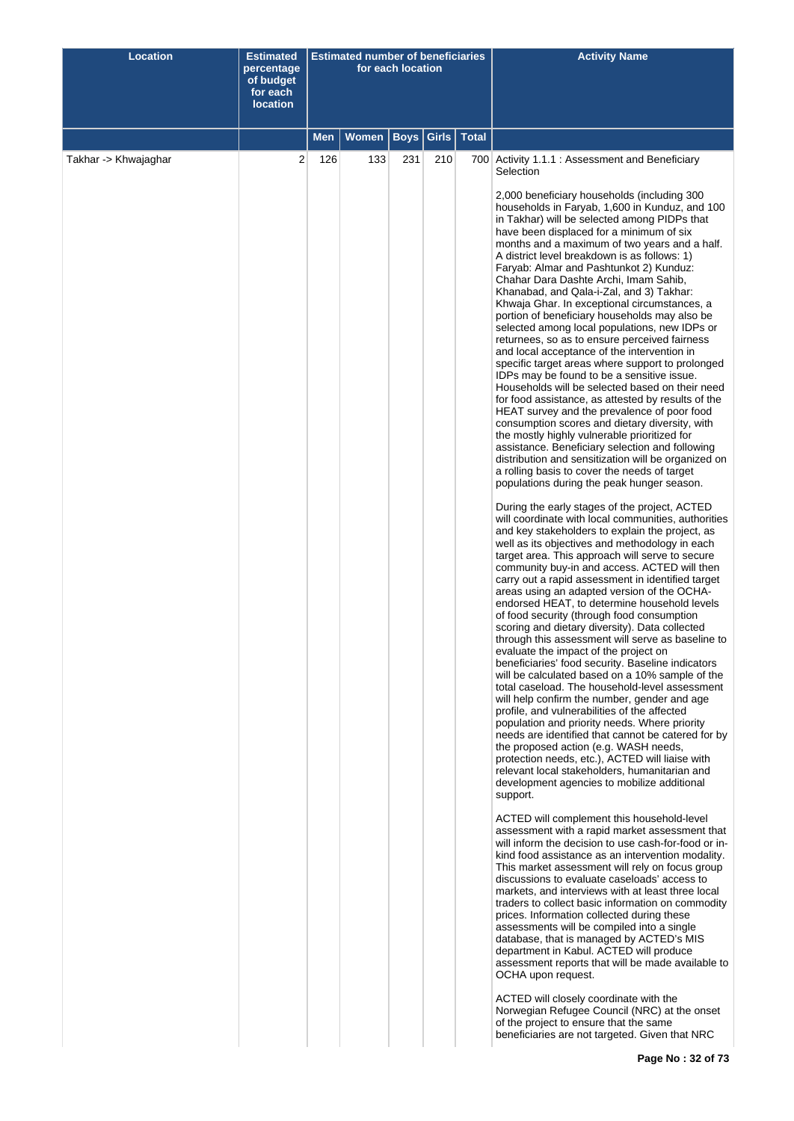| <b>Location</b>      | <b>Estimated</b><br>percentage<br>of budget<br>for each<br><b>location</b> |            | <b>Estimated number of beneficiaries</b> | for each location |       |              | <b>Activity Name</b>                                                                                                                                                                                                                                                                                                                                                                                                                                                                                                                                                                                                                                                                                                                                                                                                                                                                                                                                                                                                                                                                                                                                                                                                                                                                                                                                                                                                                                                                                                                                                                                                                                                                                                                                                                                                                                                                                                                                                                                                                                                                                                                                                                                                                                                                                                                                                                                                                                                                                                                                                                                                                                                                                                                                                                                                        |
|----------------------|----------------------------------------------------------------------------|------------|------------------------------------------|-------------------|-------|--------------|-----------------------------------------------------------------------------------------------------------------------------------------------------------------------------------------------------------------------------------------------------------------------------------------------------------------------------------------------------------------------------------------------------------------------------------------------------------------------------------------------------------------------------------------------------------------------------------------------------------------------------------------------------------------------------------------------------------------------------------------------------------------------------------------------------------------------------------------------------------------------------------------------------------------------------------------------------------------------------------------------------------------------------------------------------------------------------------------------------------------------------------------------------------------------------------------------------------------------------------------------------------------------------------------------------------------------------------------------------------------------------------------------------------------------------------------------------------------------------------------------------------------------------------------------------------------------------------------------------------------------------------------------------------------------------------------------------------------------------------------------------------------------------------------------------------------------------------------------------------------------------------------------------------------------------------------------------------------------------------------------------------------------------------------------------------------------------------------------------------------------------------------------------------------------------------------------------------------------------------------------------------------------------------------------------------------------------------------------------------------------------------------------------------------------------------------------------------------------------------------------------------------------------------------------------------------------------------------------------------------------------------------------------------------------------------------------------------------------------------------------------------------------------------------------------------------------------|
|                      |                                                                            | <b>Men</b> | Women                                    | Boys              | Girls | <b>Total</b> |                                                                                                                                                                                                                                                                                                                                                                                                                                                                                                                                                                                                                                                                                                                                                                                                                                                                                                                                                                                                                                                                                                                                                                                                                                                                                                                                                                                                                                                                                                                                                                                                                                                                                                                                                                                                                                                                                                                                                                                                                                                                                                                                                                                                                                                                                                                                                                                                                                                                                                                                                                                                                                                                                                                                                                                                                             |
| Takhar -> Khwajaghar | 2                                                                          | 126        | 133                                      | 231               | 210   |              | 700 Activity 1.1.1 : Assessment and Beneficiary<br>Selection<br>2,000 beneficiary households (including 300<br>households in Faryab, 1,600 in Kunduz, and 100<br>in Takhar) will be selected among PIDPs that<br>have been displaced for a minimum of six<br>months and a maximum of two years and a half.<br>A district level breakdown is as follows: 1)<br>Faryab: Almar and Pashtunkot 2) Kunduz:<br>Chahar Dara Dashte Archi, Imam Sahib,<br>Khanabad, and Qala-i-Zal, and 3) Takhar:<br>Khwaja Ghar. In exceptional circumstances, a<br>portion of beneficiary households may also be<br>selected among local populations, new IDPs or<br>returnees, so as to ensure perceived fairness<br>and local acceptance of the intervention in<br>specific target areas where support to prolonged<br>IDPs may be found to be a sensitive issue.<br>Households will be selected based on their need<br>for food assistance, as attested by results of the<br>HEAT survey and the prevalence of poor food<br>consumption scores and dietary diversity, with<br>the mostly highly vulnerable prioritized for<br>assistance. Beneficiary selection and following<br>distribution and sensitization will be organized on<br>a rolling basis to cover the needs of target<br>populations during the peak hunger season.<br>During the early stages of the project, ACTED<br>will coordinate with local communities, authorities<br>and key stakeholders to explain the project, as<br>well as its objectives and methodology in each<br>target area. This approach will serve to secure<br>community buy-in and access. ACTED will then<br>carry out a rapid assessment in identified target<br>areas using an adapted version of the OCHA-<br>endorsed HEAT, to determine household levels<br>of food security (through food consumption<br>scoring and dietary diversity). Data collected<br>through this assessment will serve as baseline to<br>evaluate the impact of the project on<br>beneficiaries' food security. Baseline indicators<br>will be calculated based on a 10% sample of the<br>total caseload. The household-level assessment<br>will help confirm the number, gender and age<br>profile, and vulnerabilities of the affected<br>population and priority needs. Where priority<br>needs are identified that cannot be catered for by<br>the proposed action (e.g. WASH needs,<br>protection needs, etc.), ACTED will liaise with<br>relevant local stakeholders, humanitarian and<br>development agencies to mobilize additional<br>support.<br>ACTED will complement this household-level<br>assessment with a rapid market assessment that<br>will inform the decision to use cash-for-food or in-<br>kind food assistance as an intervention modality.<br>This market assessment will rely on focus group |
|                      |                                                                            |            |                                          |                   |       |              | discussions to evaluate caseloads' access to<br>markets, and interviews with at least three local<br>traders to collect basic information on commodity<br>prices. Information collected during these<br>assessments will be compiled into a single<br>database, that is managed by ACTED's MIS<br>department in Kabul. ACTED will produce<br>assessment reports that will be made available to<br>OCHA upon request.<br>ACTED will closely coordinate with the<br>Norwegian Refugee Council (NRC) at the onset<br>of the project to ensure that the same<br>beneficiaries are not targeted. Given that NRC                                                                                                                                                                                                                                                                                                                                                                                                                                                                                                                                                                                                                                                                                                                                                                                                                                                                                                                                                                                                                                                                                                                                                                                                                                                                                                                                                                                                                                                                                                                                                                                                                                                                                                                                                                                                                                                                                                                                                                                                                                                                                                                                                                                                                  |
|                      |                                                                            |            |                                          |                   |       |              |                                                                                                                                                                                                                                                                                                                                                                                                                                                                                                                                                                                                                                                                                                                                                                                                                                                                                                                                                                                                                                                                                                                                                                                                                                                                                                                                                                                                                                                                                                                                                                                                                                                                                                                                                                                                                                                                                                                                                                                                                                                                                                                                                                                                                                                                                                                                                                                                                                                                                                                                                                                                                                                                                                                                                                                                                             |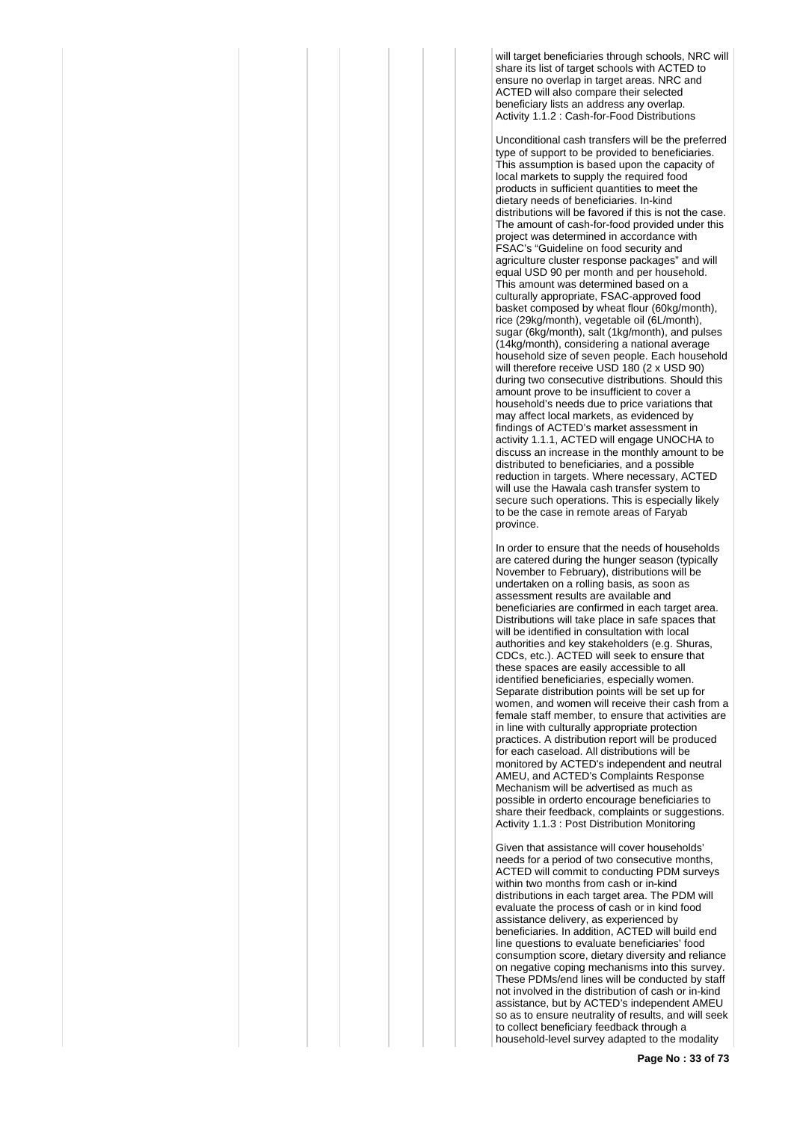will target beneficiaries through schools, NRC will share its list of target schools with ACTED to ensure no overlap in target areas. NRC and ACTED will also compare their selected beneficiary lists an address any overlap. Activity 1.1.2 : Cash-for-Food Distributions

Unconditional cash transfers will be the preferred type of support to be provided to beneficiaries. This assumption is based upon the capacity of local markets to supply the required food products in sufficient quantities to meet the dietary needs of beneficiaries. In-kind distributions will be favored if this is not the case. The amount of cash-for-food provided under this project was determined in accordance with FSAC's "Guideline on food security and agriculture cluster response packages" and will equal USD 90 per month and per household. This amount was determined based on a culturally appropriate, FSAC-approved food basket composed by wheat flour (60kg/month), rice (29kg/month), vegetable oil (6L/month), sugar (6kg/month), salt (1kg/month), and pulses (14kg/month), considering a national average household size of seven people. Each household will therefore receive USD 180 (2 x USD 90) during two consecutive distributions. Should this amount prove to be insufficient to cover a household's needs due to price variations that may affect local markets, as evidenced by findings of ACTED's market assessment in activity 1.1.1, ACTED will engage UNOCHA to discuss an increase in the monthly amount to be distributed to beneficiaries, and a possible reduction in targets. Where necessary, ACTED will use the Hawala cash transfer system to secure such operations. This is especially likely to be the case in remote areas of Faryab province.

In order to ensure that the needs of households are catered during the hunger season (typically November to February), distributions will be undertaken on a rolling basis, as soon as assessment results are available and beneficiaries are confirmed in each target area. Distributions will take place in safe spaces that will be identified in consultation with local authorities and key stakeholders (e.g. Shuras, CDCs, etc.). ACTED will seek to ensure that these spaces are easily accessible to all identified beneficiaries, especially women. Separate distribution points will be set up for women, and women will receive their cash from a female staff member, to ensure that activities are in line with culturally appropriate protection practices. A distribution report will be produced for each caseload. All distributions will be monitored by ACTED's independent and neutral AMEU, and ACTED's Complaints Response Mechanism will be advertised as much as possible in orderto encourage beneficiaries to share their feedback, complaints or suggestions. Activity 1.1.3 : Post Distribution Monitoring

Given that assistance will cover households' needs for a period of two consecutive months, ACTED will commit to conducting PDM surveys within two months from cash or in-kind distributions in each target area. The PDM will evaluate the process of cash or in kind food assistance delivery, as experienced by beneficiaries. In addition, ACTED will build end line questions to evaluate beneficiaries' food consumption score, dietary diversity and reliance on negative coping mechanisms into this survey. These PDMs/end lines will be conducted by staff not involved in the distribution of cash or in-kind assistance, but by ACTED's independent AMEU so as to ensure neutrality of results, and will seek to collect beneficiary feedback through a household-level survey adapted to the modality

**Page No : 33 of 73**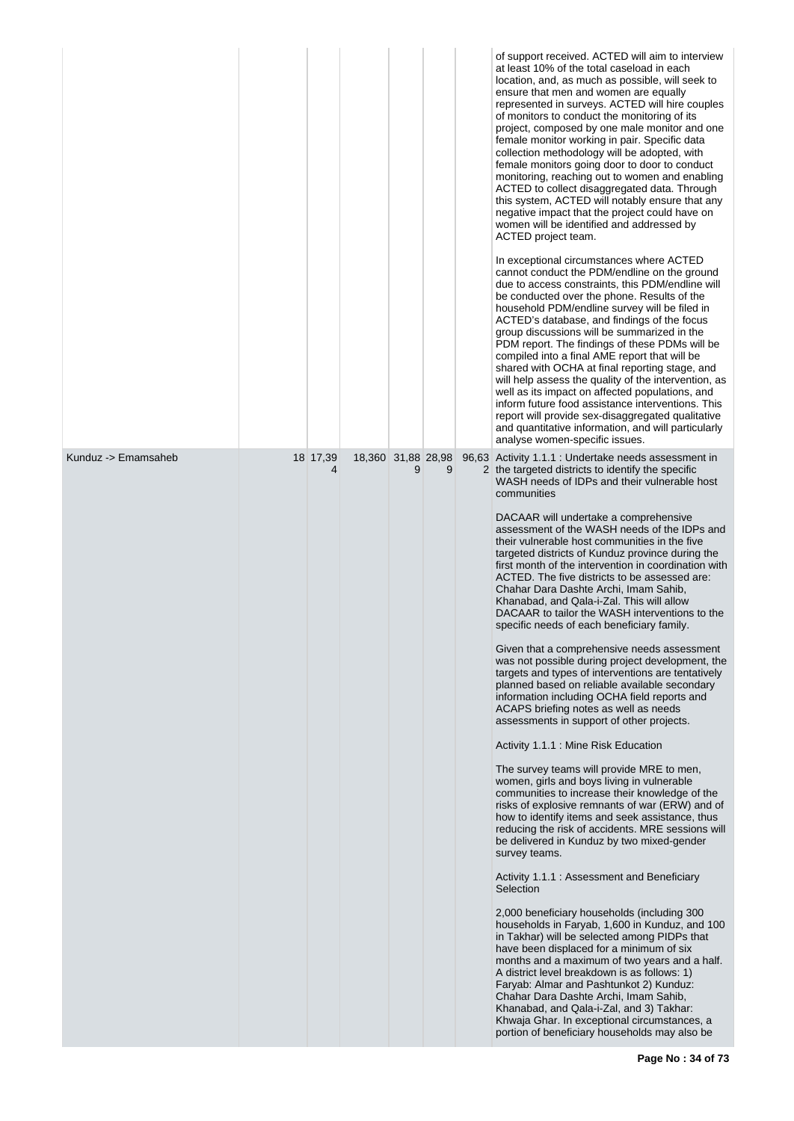|                     |               |                    |   |   | of support received. ACTED will aim to interview<br>at least 10% of the total caseload in each<br>location, and, as much as possible, will seek to<br>ensure that men and women are equally<br>represented in surveys. ACTED will hire couples<br>of monitors to conduct the monitoring of its<br>project, composed by one male monitor and one<br>female monitor working in pair. Specific data<br>collection methodology will be adopted, with<br>female monitors going door to door to conduct<br>monitoring, reaching out to women and enabling<br>ACTED to collect disaggregated data. Through<br>this system, ACTED will notably ensure that any<br>negative impact that the project could have on<br>women will be identified and addressed by<br>ACTED project team.<br>In exceptional circumstances where ACTED<br>cannot conduct the PDM/endline on the ground<br>due to access constraints, this PDM/endline will<br>be conducted over the phone. Results of the<br>household PDM/endline survey will be filed in<br>ACTED's database, and findings of the focus<br>group discussions will be summarized in the<br>PDM report. The findings of these PDMs will be<br>compiled into a final AME report that will be<br>shared with OCHA at final reporting stage, and<br>will help assess the quality of the intervention, as<br>well as its impact on affected populations, and<br>inform future food assistance interventions. This<br>report will provide sex-disaggregated qualitative<br>and quantitative information, and will particularly<br>analyse women-specific issues. |
|---------------------|---------------|--------------------|---|---|-----------------------------------------------------------------------------------------------------------------------------------------------------------------------------------------------------------------------------------------------------------------------------------------------------------------------------------------------------------------------------------------------------------------------------------------------------------------------------------------------------------------------------------------------------------------------------------------------------------------------------------------------------------------------------------------------------------------------------------------------------------------------------------------------------------------------------------------------------------------------------------------------------------------------------------------------------------------------------------------------------------------------------------------------------------------------------------------------------------------------------------------------------------------------------------------------------------------------------------------------------------------------------------------------------------------------------------------------------------------------------------------------------------------------------------------------------------------------------------------------------------------------------------------------------------------------------------------------|
| Kunduz -> Emamsaheb | 18 17,39<br>4 | 18,360 31,88 28,98 | 9 | 9 | 96,63 Activity 1.1.1 : Undertake needs assessment in<br>2 the targeted districts to identify the specific<br>WASH needs of IDPs and their vulnerable host<br>communities                                                                                                                                                                                                                                                                                                                                                                                                                                                                                                                                                                                                                                                                                                                                                                                                                                                                                                                                                                                                                                                                                                                                                                                                                                                                                                                                                                                                                      |
|                     |               |                    |   |   | DACAAR will undertake a comprehensive<br>assessment of the WASH needs of the IDPs and<br>their vulnerable host communities in the five<br>targeted districts of Kunduz province during the<br>first month of the intervention in coordination with<br>ACTED. The five districts to be assessed are:<br>Chahar Dara Dashte Archi, Imam Sahib,<br>Khanabad, and Qala-i-Zal. This will allow<br>DACAAR to tailor the WASH interventions to the<br>specific needs of each beneficiary family.                                                                                                                                                                                                                                                                                                                                                                                                                                                                                                                                                                                                                                                                                                                                                                                                                                                                                                                                                                                                                                                                                                     |
|                     |               |                    |   |   | Given that a comprehensive needs assessment<br>was not possible during project development, the<br>targets and types of interventions are tentatively<br>planned based on reliable available secondary<br>information including OCHA field reports and<br>ACAPS briefing notes as well as needs<br>assessments in support of other projects.                                                                                                                                                                                                                                                                                                                                                                                                                                                                                                                                                                                                                                                                                                                                                                                                                                                                                                                                                                                                                                                                                                                                                                                                                                                  |
|                     |               |                    |   |   | Activity 1.1.1 : Mine Risk Education                                                                                                                                                                                                                                                                                                                                                                                                                                                                                                                                                                                                                                                                                                                                                                                                                                                                                                                                                                                                                                                                                                                                                                                                                                                                                                                                                                                                                                                                                                                                                          |
|                     |               |                    |   |   | The survey teams will provide MRE to men,<br>women, girls and boys living in vulnerable<br>communities to increase their knowledge of the<br>risks of explosive remnants of war (ERW) and of<br>how to identify items and seek assistance, thus<br>reducing the risk of accidents. MRE sessions will<br>be delivered in Kunduz by two mixed-gender<br>survey teams.                                                                                                                                                                                                                                                                                                                                                                                                                                                                                                                                                                                                                                                                                                                                                                                                                                                                                                                                                                                                                                                                                                                                                                                                                           |
|                     |               |                    |   |   | Activity 1.1.1 : Assessment and Beneficiary<br>Selection                                                                                                                                                                                                                                                                                                                                                                                                                                                                                                                                                                                                                                                                                                                                                                                                                                                                                                                                                                                                                                                                                                                                                                                                                                                                                                                                                                                                                                                                                                                                      |
|                     |               |                    |   |   | 2,000 beneficiary households (including 300<br>households in Faryab, 1,600 in Kunduz, and 100<br>in Takhar) will be selected among PIDPs that<br>have been displaced for a minimum of six<br>months and a maximum of two years and a half.<br>A district level breakdown is as follows: 1)<br>Faryab: Almar and Pashtunkot 2) Kunduz:<br>Chahar Dara Dashte Archi, Imam Sahib,<br>Khanabad, and Qala-i-Zal, and 3) Takhar:<br>Khwaja Ghar. In exceptional circumstances, a<br>portion of beneficiary households may also be                                                                                                                                                                                                                                                                                                                                                                                                                                                                                                                                                                                                                                                                                                                                                                                                                                                                                                                                                                                                                                                                   |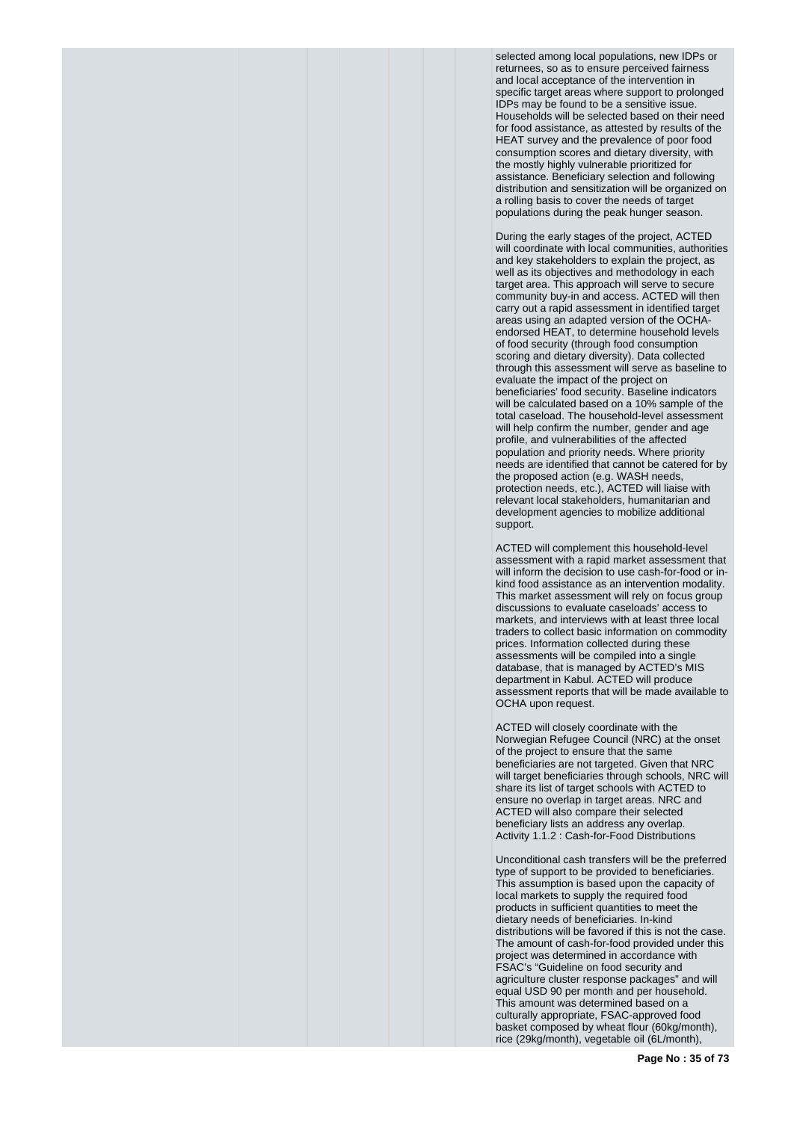selected among local populations, new IDPs or returnees, so as to ensure perceived fairness and local acceptance of the intervention in specific target areas where support to prolonged IDPs may be found to be a sensitive issue. Households will be selected based on their need for food assistance, as attested by results of the HEAT survey and the prevalence of poor food consumption scores and dietary diversity, with the mostly highly vulnerable prioritized for assistance. Beneficiary selection and following distribution and sensitization will be organized on a rolling basis to cover the needs of target populations during the peak hunger season.

During the early stages of the project, ACTED will coordinate with local communities, authorities and key stakeholders to explain the project, as well as its objectives and methodology in each target area. This approach will serve to secure community buy-in and access. ACTED will then carry out a rapid assessment in identified target areas using an adapted version of the OCHAendorsed HEAT, to determine household levels of food security (through food consumption scoring and dietary diversity). Data collected through this assessment will serve as baseline to evaluate the impact of the project on beneficiaries' food security. Baseline indicators will be calculated based on a 10% sample of the total caseload. The household-level assessment will help confirm the number, gender and age profile, and vulnerabilities of the affected population and priority needs. Where priority needs are identified that cannot be catered for by the proposed action (e.g. WASH needs, protection needs, etc.), ACTED will liaise with relevant local stakeholders, humanitarian and development agencies to mobilize additional support.

ACTED will complement this household-level assessment with a rapid market assessment that will inform the decision to use cash-for-food or inkind food assistance as an intervention modality. This market assessment will rely on focus group discussions to evaluate caseloads' access to markets, and interviews with at least three local traders to collect basic information on commodity prices. Information collected during these assessments will be compiled into a single database, that is managed by ACTED's MIS department in Kabul. ACTED will produce assessment reports that will be made available to OCHA upon request.

ACTED will closely coordinate with the Norwegian Refugee Council (NRC) at the onset of the project to ensure that the same beneficiaries are not targeted. Given that NRC will target beneficiaries through schools, NRC will share its list of target schools with ACTED to ensure no overlap in target areas. NRC and ACTED will also compare their selected beneficiary lists an address any overlap. Activity 1.1.2 : Cash-for-Food Distributions

Unconditional cash transfers will be the preferred type of support to be provided to beneficiaries. This assumption is based upon the capacity of local markets to supply the required food products in sufficient quantities to meet the dietary needs of beneficiaries. In-kind distributions will be favored if this is not the case. The amount of cash-for-food provided under this project was determined in accordance with FSAC's "Guideline on food security and agriculture cluster response packages" and will equal USD 90 per month and per household. This amount was determined based on a culturally appropriate, FSAC-approved food basket composed by wheat flour (60kg/month), rice (29kg/month), vegetable oil (6L/month),

**Page No : 35 of 73**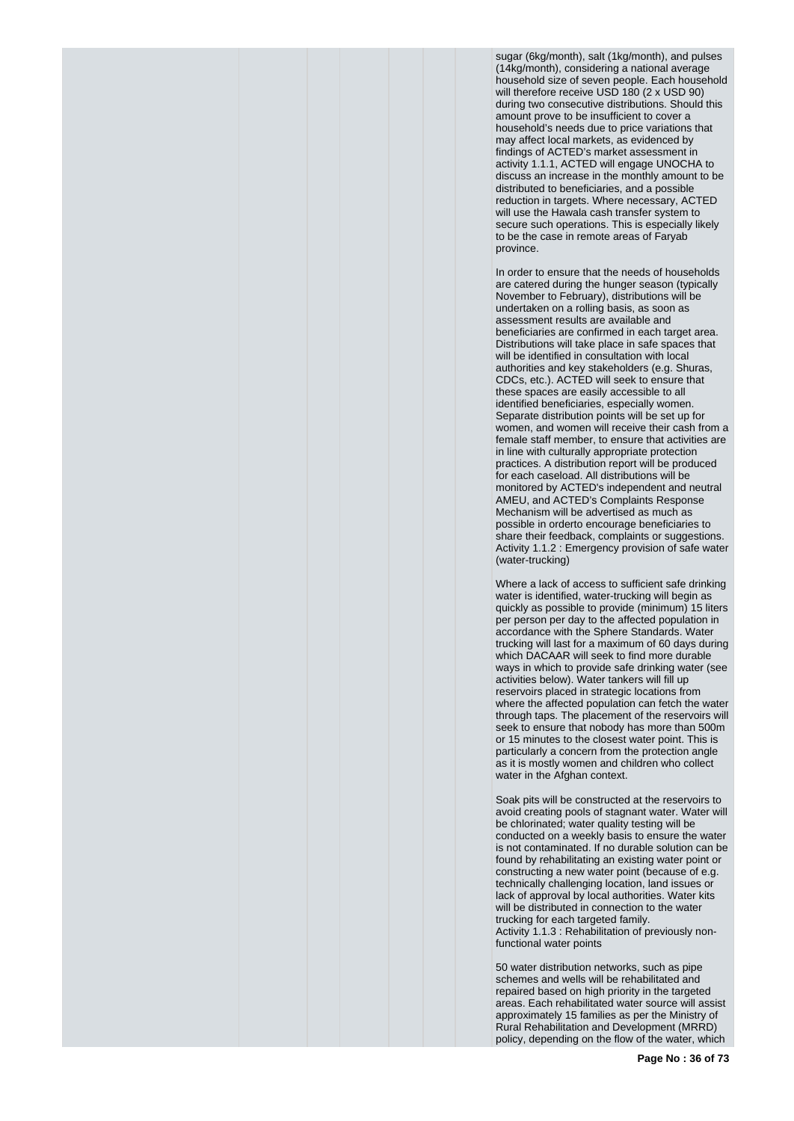sugar (6kg/month), salt (1kg/month), and pulses (14kg/month), considering a national average household size of seven people. Each household will therefore receive USD 180 (2 x USD 90) during two consecutive distributions. Should this amount prove to be insufficient to cover a household's needs due to price variations that may affect local markets, as evidenced by findings of ACTED's market assessment in activity 1.1.1, ACTED will engage UNOCHA to discuss an increase in the monthly amount to be distributed to beneficiaries, and a possible reduction in targets. Where necessary, ACTED will use the Hawala cash transfer system to secure such operations. This is especially likely to be the case in remote areas of Faryab province.

In order to ensure that the needs of households are catered during the hunger season (typically November to February), distributions will be undertaken on a rolling basis, as soon as assessment results are available and beneficiaries are confirmed in each target area. Distributions will take place in safe spaces that will be identified in consultation with local authorities and key stakeholders (e.g. Shuras, CDCs, etc.). ACTED will seek to ensure that these spaces are easily accessible to all identified beneficiaries, especially women. Separate distribution points will be set up for women, and women will receive their cash from a female staff member, to ensure that activities are in line with culturally appropriate protection practices. A distribution report will be produced for each caseload. All distributions will be monitored by ACTED's independent and neutral AMEU, and ACTED's Complaints Response Mechanism will be advertised as much as possible in orderto encourage beneficiaries to share their feedback, complaints or suggestions. Activity 1.1.2 : Emergency provision of safe water (water-trucking)

Where a lack of access to sufficient safe drinking water is identified, water-trucking will begin as quickly as possible to provide (minimum) 15 liters per person per day to the affected population in accordance with the Sphere Standards. Water trucking will last for a maximum of 60 days during which DACAAR will seek to find more durable ways in which to provide safe drinking water (see activities below). Water tankers will fill up reservoirs placed in strategic locations from where the affected population can fetch the water through taps. The placement of the reservoirs will seek to ensure that nobody has more than 500m or 15 minutes to the closest water point. This is particularly a concern from the protection angle as it is mostly women and children who collect water in the Afghan context.

Soak pits will be constructed at the reservoirs to avoid creating pools of stagnant water. Water will be chlorinated; water quality testing will be conducted on a weekly basis to ensure the water is not contaminated. If no durable solution can be found by rehabilitating an existing water point or constructing a new water point (because of e.g. technically challenging location, land issues or lack of approval by local authorities. Water kits will be distributed in connection to the water trucking for each targeted family. Activity 1.1.3 : Rehabilitation of previously nonfunctional water points

50 water distribution networks, such as pipe schemes and wells will be rehabilitated and repaired based on high priority in the targeted areas. Each rehabilitated water source will assist approximately 15 families as per the Ministry of Rural Rehabilitation and Development (MRRD) policy, depending on the flow of the water, which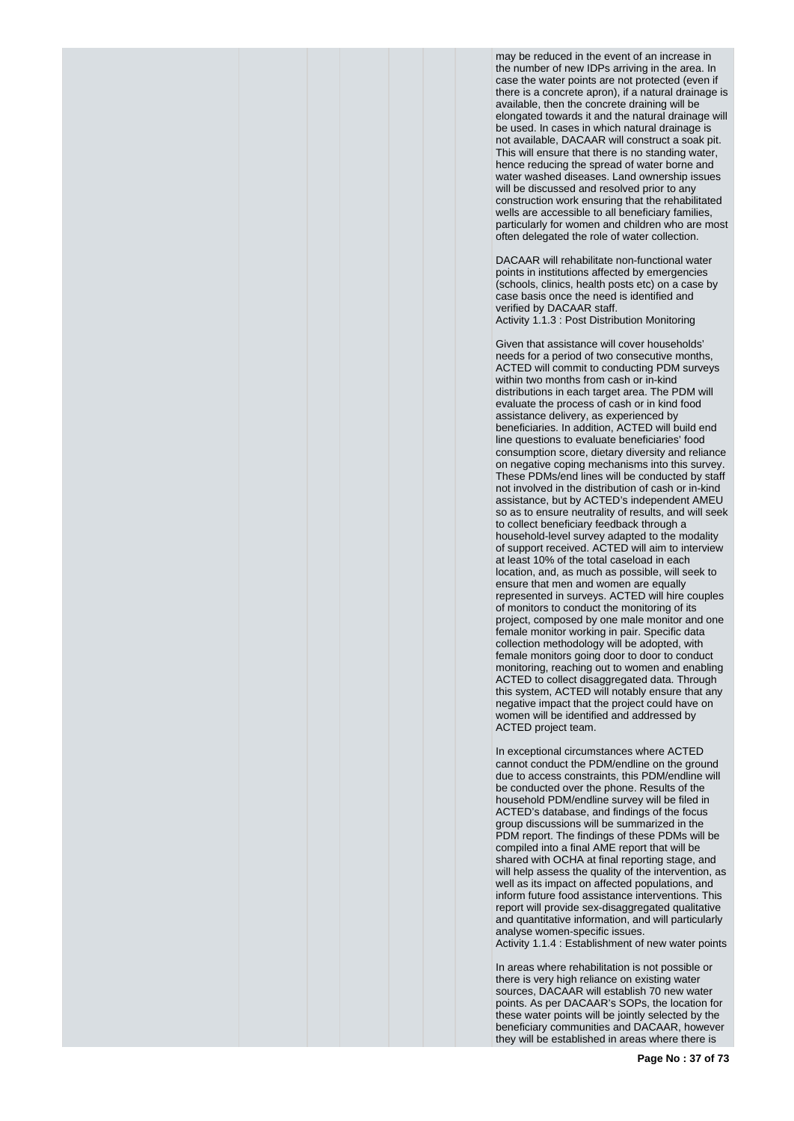may be reduced in the event of an increase in the number of new IDPs arriving in the area. In case the water points are not protected (even if there is a concrete apron), if a natural drainage is available, then the concrete draining will be elongated towards it and the natural drainage will be used. In cases in which natural drainage is not available, DACAAR will construct a soak pit. This will ensure that there is no standing water, hence reducing the spread of water borne and water washed diseases. Land ownership issues will be discussed and resolved prior to any construction work ensuring that the rehabilitated wells are accessible to all beneficiary families, particularly for women and children who are most often delegated the role of water collection.

DACAAR will rehabilitate non-functional water points in institutions affected by emergencies (schools, clinics, health posts etc) on a case by case basis once the need is identified and verified by DACAAR staff. Activity 1.1.3 : Post Distribution Monitoring

Given that assistance will cover households' needs for a period of two consecutive months, ACTED will commit to conducting PDM surveys within two months from cash or in-kind distributions in each target area. The PDM will evaluate the process of cash or in kind food assistance delivery, as experienced by beneficiaries. In addition, ACTED will build end line questions to evaluate beneficiaries' food consumption score, dietary diversity and reliance on negative coping mechanisms into this survey. These PDMs/end lines will be conducted by staff not involved in the distribution of cash or in-kind assistance, but by ACTED's independent AMEU so as to ensure neutrality of results, and will seek to collect beneficiary feedback through a household-level survey adapted to the modality of support received. ACTED will aim to interview at least 10% of the total caseload in each location, and, as much as possible, will seek to ensure that men and women are equally represented in surveys. ACTED will hire couples of monitors to conduct the monitoring of its project, composed by one male monitor and one female monitor working in pair. Specific data collection methodology will be adopted, with female monitors going door to door to conduct monitoring, reaching out to women and enabling ACTED to collect disaggregated data. Through this system, ACTED will notably ensure that any negative impact that the project could have on women will be identified and addressed by ACTED project team.

In exceptional circumstances where ACTED cannot conduct the PDM/endline on the ground due to access constraints, this PDM/endline will be conducted over the phone. Results of the household PDM/endline survey will be filed in ACTED's database, and findings of the focus group discussions will be summarized in the PDM report. The findings of these PDMs will be compiled into a final AME report that will be shared with OCHA at final reporting stage, and will help assess the quality of the intervention, as well as its impact on affected populations, and inform future food assistance interventions. This report will provide sex-disaggregated qualitative and quantitative information, and will particularly analyse women-specific issues. Activity 1.1.4 : Establishment of new water points

In areas where rehabilitation is not possible or there is very high reliance on existing water sources, DACAAR will establish 70 new water points. As per DACAAR's SOPs, the location for these water points will be jointly selected by the beneficiary communities and DACAAR, however they will be established in areas where there is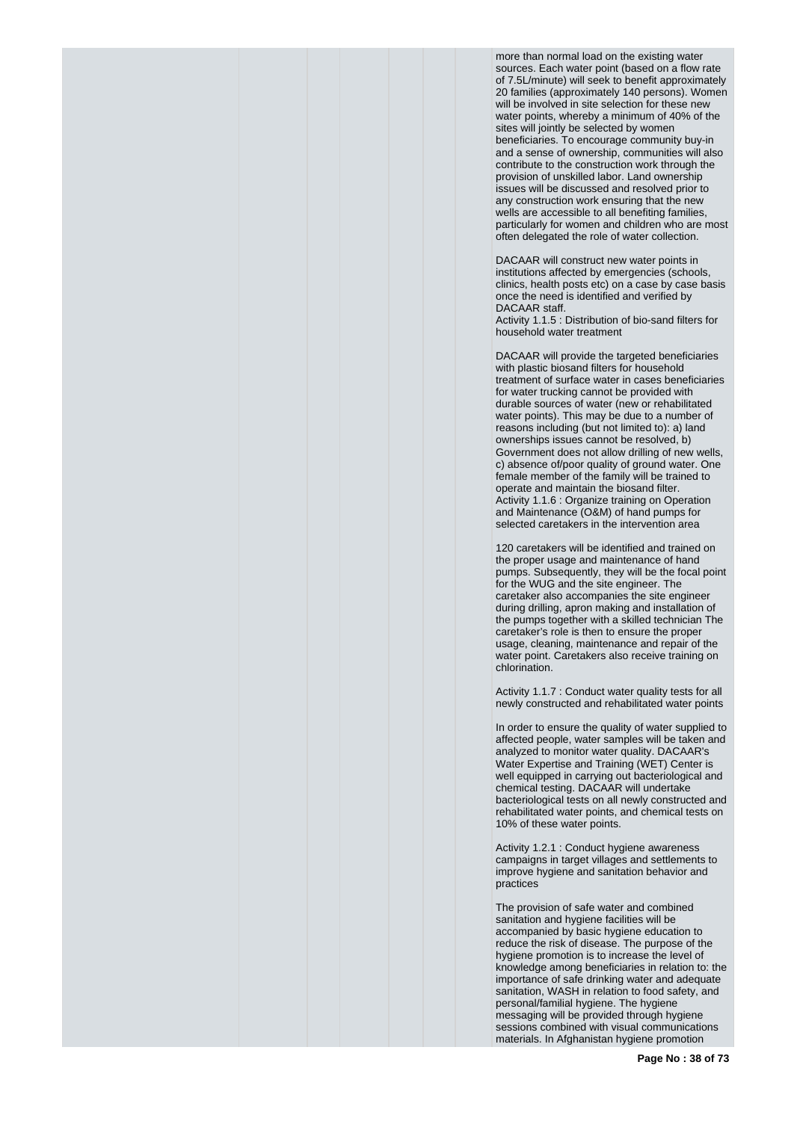more than normal load on the existing water sources. Each water point (based on a flow rate of 7.5L/minute) will seek to benefit approximately 20 families (approximately 140 persons). Women will be involved in site selection for these new water points, whereby a minimum of 40% of the sites will jointly be selected by women beneficiaries. To encourage community buy-in and a sense of ownership, communities will also contribute to the construction work through the provision of unskilled labor. Land ownership issues will be discussed and resolved prior to any construction work ensuring that the new wells are accessible to all benefiting families, particularly for women and children who are most often delegated the role of water collection.

DACAAR will construct new water points in institutions affected by emergencies (schools, clinics, health posts etc) on a case by case basis once the need is identified and verified by DACAAR staff.

Activity 1.1.5 : Distribution of bio-sand filters for household water treatment

DACAAR will provide the targeted beneficiaries with plastic biosand filters for household treatment of surface water in cases beneficiaries for water trucking cannot be provided with durable sources of water (new or rehabilitated water points). This may be due to a number of reasons including (but not limited to): a) land ownerships issues cannot be resolved, b) Government does not allow drilling of new wells, c) absence of/poor quality of ground water. One female member of the family will be trained to operate and maintain the biosand filter. Activity 1.1.6 : Organize training on Operation and Maintenance (O&M) of hand pumps for selected caretakers in the intervention area

120 caretakers will be identified and trained on the proper usage and maintenance of hand pumps. Subsequently, they will be the focal point for the WUG and the site engineer. The caretaker also accompanies the site engineer during drilling, apron making and installation of the pumps together with a skilled technician The caretaker's role is then to ensure the proper usage, cleaning, maintenance and repair of the water point. Caretakers also receive training on chlorination.

Activity 1.1.7 : Conduct water quality tests for all newly constructed and rehabilitated water points

In order to ensure the quality of water supplied to affected people, water samples will be taken and analyzed to monitor water quality. DACAAR's Water Expertise and Training (WET) Center is well equipped in carrying out bacteriological and chemical testing. DACAAR will undertake bacteriological tests on all newly constructed and rehabilitated water points, and chemical tests on 10% of these water points.

Activity 1.2.1 : Conduct hygiene awareness campaigns in target villages and settlements to improve hygiene and sanitation behavior and practices

The provision of safe water and combined sanitation and hygiene facilities will be accompanied by basic hygiene education to reduce the risk of disease. The purpose of the hygiene promotion is to increase the level of knowledge among beneficiaries in relation to: the importance of safe drinking water and adequate sanitation, WASH in relation to food safety, and personal/familial hygiene. The hygiene messaging will be provided through hygiene sessions combined with visual communications materials. In Afghanistan hygiene promotion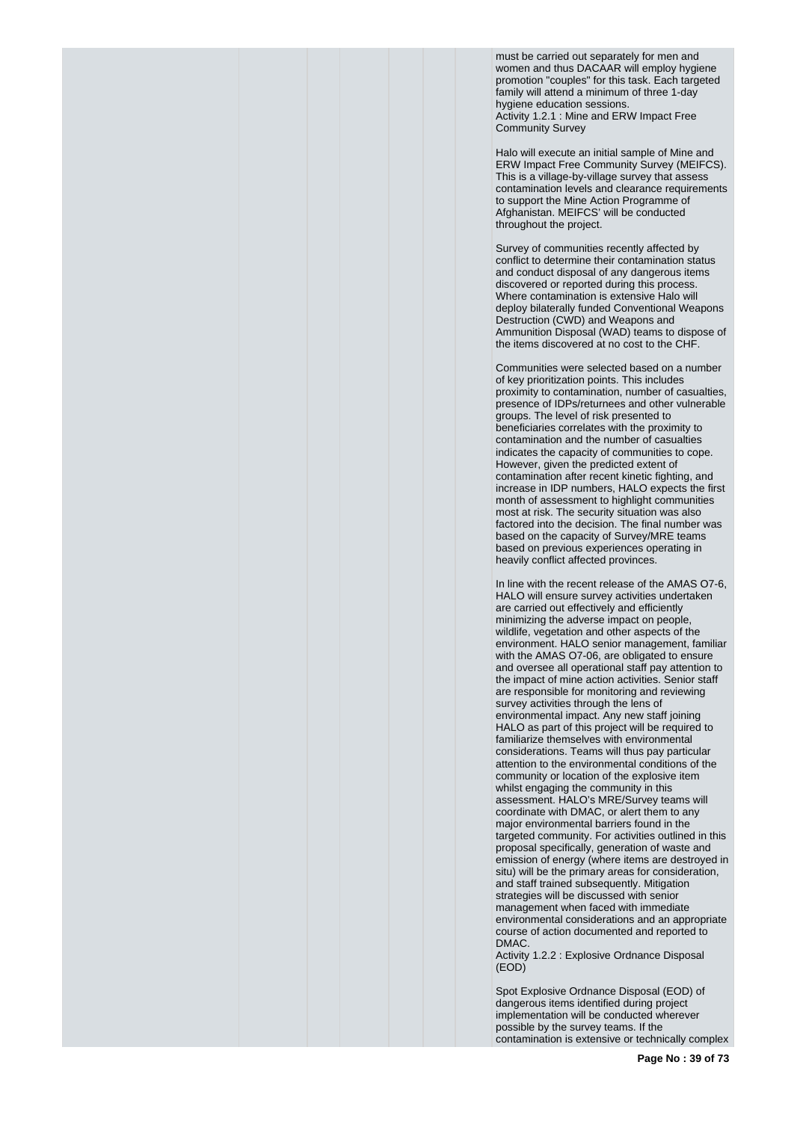must be carried out separately for men and women and thus DACAAR will employ hygiene promotion "couples" for this task. Each targeted family will attend a minimum of three 1-day hygiene education sessions. Activity 1.2.1 : Mine and ERW Impact Free Community Survey

Halo will execute an initial sample of Mine and ERW Impact Free Community Survey (MEIFCS). This is a village-by-village survey that assess contamination levels and clearance requirements to support the Mine Action Programme of Afghanistan. MEIFCS' will be conducted throughout the project.

Survey of communities recently affected by conflict to determine their contamination status and conduct disposal of any dangerous items discovered or reported during this process. Where contamination is extensive Halo will deploy bilaterally funded Conventional Weapons Destruction (CWD) and Weapons and Ammunition Disposal (WAD) teams to dispose of the items discovered at no cost to the CHF.

Communities were selected based on a number of key prioritization points. This includes proximity to contamination, number of casualties, presence of IDPs/returnees and other vulnerable groups. The level of risk presented to beneficiaries correlates with the proximity to contamination and the number of casualties indicates the capacity of communities to cope. However, given the predicted extent of contamination after recent kinetic fighting, and increase in IDP numbers, HALO expects the first month of assessment to highlight communities most at risk. The security situation was also factored into the decision. The final number was based on the capacity of Survey/MRE teams based on previous experiences operating in heavily conflict affected provinces.

In line with the recent release of the AMAS O7-6, HALO will ensure survey activities undertaken are carried out effectively and efficiently minimizing the adverse impact on people, wildlife, vegetation and other aspects of the environment. HALO senior management, familiar with the AMAS O7-06, are obligated to ensure and oversee all operational staff pay attention to the impact of mine action activities. Senior staff are responsible for monitoring and reviewing survey activities through the lens of environmental impact. Any new staff joining HALO as part of this project will be required to familiarize themselves with environmental considerations. Teams will thus pay particular attention to the environmental conditions of the community or location of the explosive item whilst engaging the community in this assessment. HALO's MRE/Survey teams will coordinate with DMAC, or alert them to any major environmental barriers found in the targeted community. For activities outlined in this proposal specifically, generation of waste and emission of energy (where items are destroyed in situ) will be the primary areas for consideration, and staff trained subsequently. Mitigation strategies will be discussed with senior management when faced with immediate environmental considerations and an appropriate course of action documented and reported to DMAC.

Activity 1.2.2 : Explosive Ordnance Disposal (EOD)

Spot Explosive Ordnance Disposal (EOD) of dangerous items identified during project implementation will be conducted wherever possible by the survey teams. If the contamination is extensive or technically complex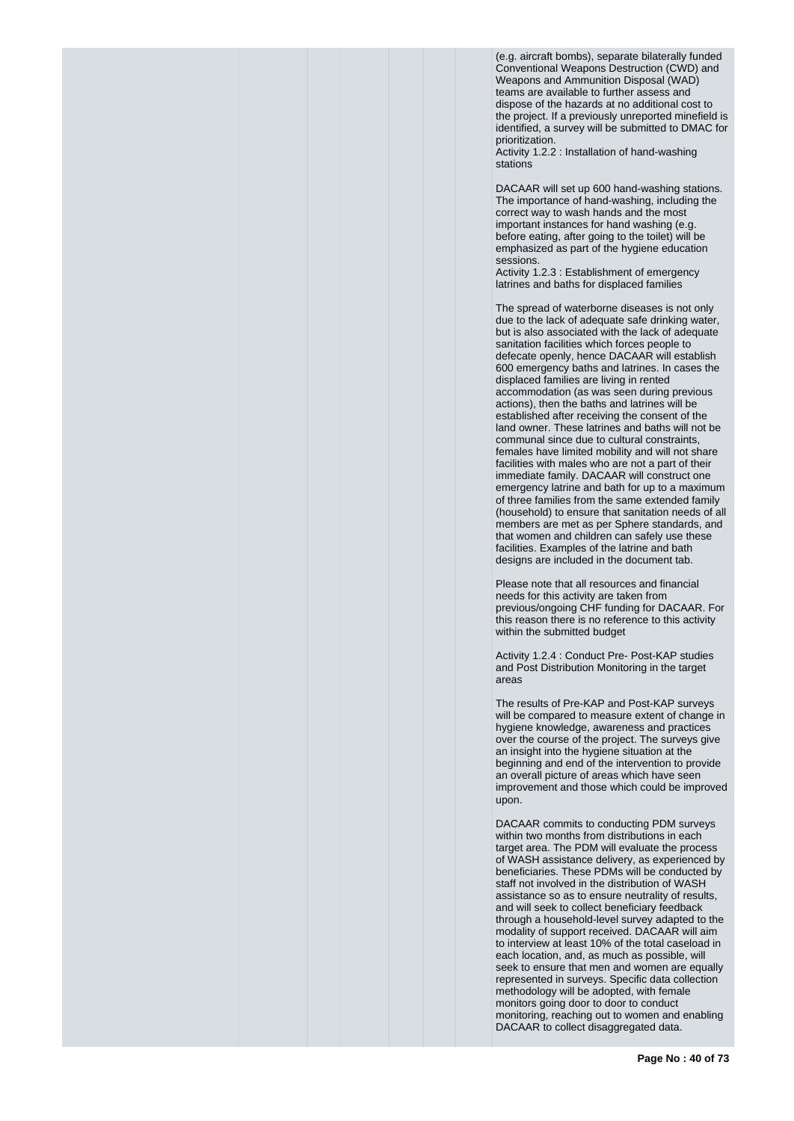(e.g. aircraft bombs), separate bilaterally funded Conventional Weapons Destruction (CWD) and Weapons and Ammunition Disposal (WAD) teams are available to further assess and dispose of the hazards at no additional cost to the project. If a previously unreported minefield is identified, a survey will be submitted to DMAC for prioritization.

Activity 1.2.2 : Installation of hand-washing stations

DACAAR will set up 600 hand-washing stations. The importance of hand-washing, including the correct way to wash hands and the most important instances for hand washing (e.g. before eating, after going to the toilet) will be emphasized as part of the hygiene education sessions.

Activity 1.2.3 : Establishment of emergency latrines and baths for displaced families

The spread of waterborne diseases is not only due to the lack of adequate safe drinking water, but is also associated with the lack of adequate sanitation facilities which forces people to defecate openly, hence DACAAR will establish 600 emergency baths and latrines. In cases the displaced families are living in rented accommodation (as was seen during previous actions), then the baths and latrines will be established after receiving the consent of the land owner. These latrines and baths will not be communal since due to cultural constraints, females have limited mobility and will not share facilities with males who are not a part of their immediate family. DACAAR will construct one emergency latrine and bath for up to a maximum of three families from the same extended family (household) to ensure that sanitation needs of all members are met as per Sphere standards, and that women and children can safely use these facilities. Examples of the latrine and bath designs are included in the document tab.

Please note that all resources and financial needs for this activity are taken from previous/ongoing CHF funding for DACAAR. For this reason there is no reference to this activity within the submitted budget

Activity 1.2.4 : Conduct Pre- Post-KAP studies and Post Distribution Monitoring in the target areas

The results of Pre-KAP and Post-KAP surveys will be compared to measure extent of change in hygiene knowledge, awareness and practices over the course of the project. The surveys give an insight into the hygiene situation at the beginning and end of the intervention to provide an overall picture of areas which have seen improvement and those which could be improved upon.

DACAAR commits to conducting PDM surveys within two months from distributions in each target area. The PDM will evaluate the process of WASH assistance delivery, as experienced by beneficiaries. These PDMs will be conducted by staff not involved in the distribution of WASH assistance so as to ensure neutrality of results, and will seek to collect beneficiary feedback through a household-level survey adapted to the modality of support received. DACAAR will aim to interview at least 10% of the total caseload in each location, and, as much as possible, will seek to ensure that men and women are equally represented in surveys. Specific data collection methodology will be adopted, with female monitors going door to door to conduct monitoring, reaching out to women and enabling DACAAR to collect disaggregated data.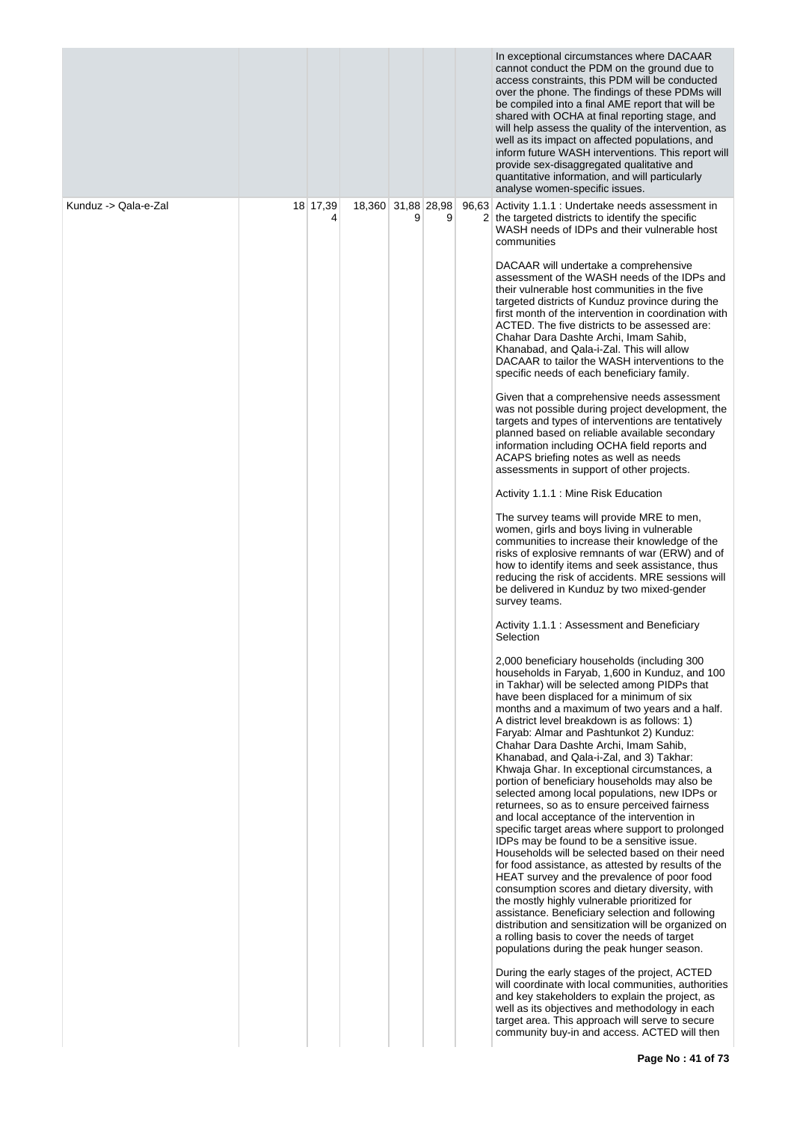|                      |               |                    |   |   | In exceptional circumstances where DACAAR<br>cannot conduct the PDM on the ground due to<br>access constraints, this PDM will be conducted<br>over the phone. The findings of these PDMs will<br>be compiled into a final AME report that will be<br>shared with OCHA at final reporting stage, and<br>will help assess the quality of the intervention, as<br>well as its impact on affected populations, and<br>inform future WASH interventions. This report will<br>provide sex-disaggregated qualitative and<br>quantitative information, and will particularly<br>analyse women-specific issues.                                                                                                                                                                                                                                                                                                                                                                                                                                                                                                                                                                                                                                                                                                                                                                                                                                                                                                                                                                                                                                                                                                                                                                                                                                                                                                                                                                                                                                                                                                                                                                                                                                                                                                                                                                                                                                                                                                                                                                                                                                                                                                                                                                                                                                                                                                                                                                                                                                                               |
|----------------------|---------------|--------------------|---|---|----------------------------------------------------------------------------------------------------------------------------------------------------------------------------------------------------------------------------------------------------------------------------------------------------------------------------------------------------------------------------------------------------------------------------------------------------------------------------------------------------------------------------------------------------------------------------------------------------------------------------------------------------------------------------------------------------------------------------------------------------------------------------------------------------------------------------------------------------------------------------------------------------------------------------------------------------------------------------------------------------------------------------------------------------------------------------------------------------------------------------------------------------------------------------------------------------------------------------------------------------------------------------------------------------------------------------------------------------------------------------------------------------------------------------------------------------------------------------------------------------------------------------------------------------------------------------------------------------------------------------------------------------------------------------------------------------------------------------------------------------------------------------------------------------------------------------------------------------------------------------------------------------------------------------------------------------------------------------------------------------------------------------------------------------------------------------------------------------------------------------------------------------------------------------------------------------------------------------------------------------------------------------------------------------------------------------------------------------------------------------------------------------------------------------------------------------------------------------------------------------------------------------------------------------------------------------------------------------------------------------------------------------------------------------------------------------------------------------------------------------------------------------------------------------------------------------------------------------------------------------------------------------------------------------------------------------------------------------------------------------------------------------------------------------------------------|
| Kunduz -> Qala-e-Zal | 18 17,39<br>4 | 18,360 31,88 28,98 | 9 | 9 | 96,63 Activity 1.1.1 : Undertake needs assessment in<br>2 the targeted districts to identify the specific<br>WASH needs of IDPs and their vulnerable host<br>communities<br>DACAAR will undertake a comprehensive<br>assessment of the WASH needs of the IDPs and<br>their vulnerable host communities in the five<br>targeted districts of Kunduz province during the<br>first month of the intervention in coordination with<br>ACTED. The five districts to be assessed are:<br>Chahar Dara Dashte Archi, Imam Sahib,<br>Khanabad, and Qala-i-Zal. This will allow<br>DACAAR to tailor the WASH interventions to the<br>specific needs of each beneficiary family.<br>Given that a comprehensive needs assessment<br>was not possible during project development, the<br>targets and types of interventions are tentatively<br>planned based on reliable available secondary<br>information including OCHA field reports and<br>ACAPS briefing notes as well as needs<br>assessments in support of other projects.<br>Activity 1.1.1 : Mine Risk Education<br>The survey teams will provide MRE to men,<br>women, girls and boys living in vulnerable<br>communities to increase their knowledge of the<br>risks of explosive remnants of war (ERW) and of<br>how to identify items and seek assistance, thus<br>reducing the risk of accidents. MRE sessions will<br>be delivered in Kunduz by two mixed-gender<br>survey teams.<br>Activity 1.1.1 : Assessment and Beneficiary<br>Selection<br>2,000 beneficiary households (including 300<br>households in Faryab, 1,600 in Kunduz, and 100<br>in Takhar) will be selected among PIDPs that<br>have been displaced for a minimum of six<br>months and a maximum of two years and a half.<br>A district level breakdown is as follows: 1)<br>Faryab: Almar and Pashtunkot 2) Kunduz:<br>Chahar Dara Dashte Archi, Imam Sahib,<br>Khanabad, and Qala-i-Zal, and 3) Takhar:<br>Khwaja Ghar. In exceptional circumstances, a<br>portion of beneficiary households may also be<br>selected among local populations, new IDPs or<br>returnees, so as to ensure perceived fairness<br>and local acceptance of the intervention in<br>specific target areas where support to prolonged<br>IDPs may be found to be a sensitive issue.<br>Households will be selected based on their need<br>for food assistance, as attested by results of the<br>HEAT survey and the prevalence of poor food<br>consumption scores and dietary diversity, with<br>the mostly highly vulnerable prioritized for<br>assistance. Beneficiary selection and following<br>distribution and sensitization will be organized on<br>a rolling basis to cover the needs of target<br>populations during the peak hunger season.<br>During the early stages of the project, ACTED<br>will coordinate with local communities, authorities<br>and key stakeholders to explain the project, as<br>well as its objectives and methodology in each<br>target area. This approach will serve to secure<br>community buy-in and access. ACTED will then |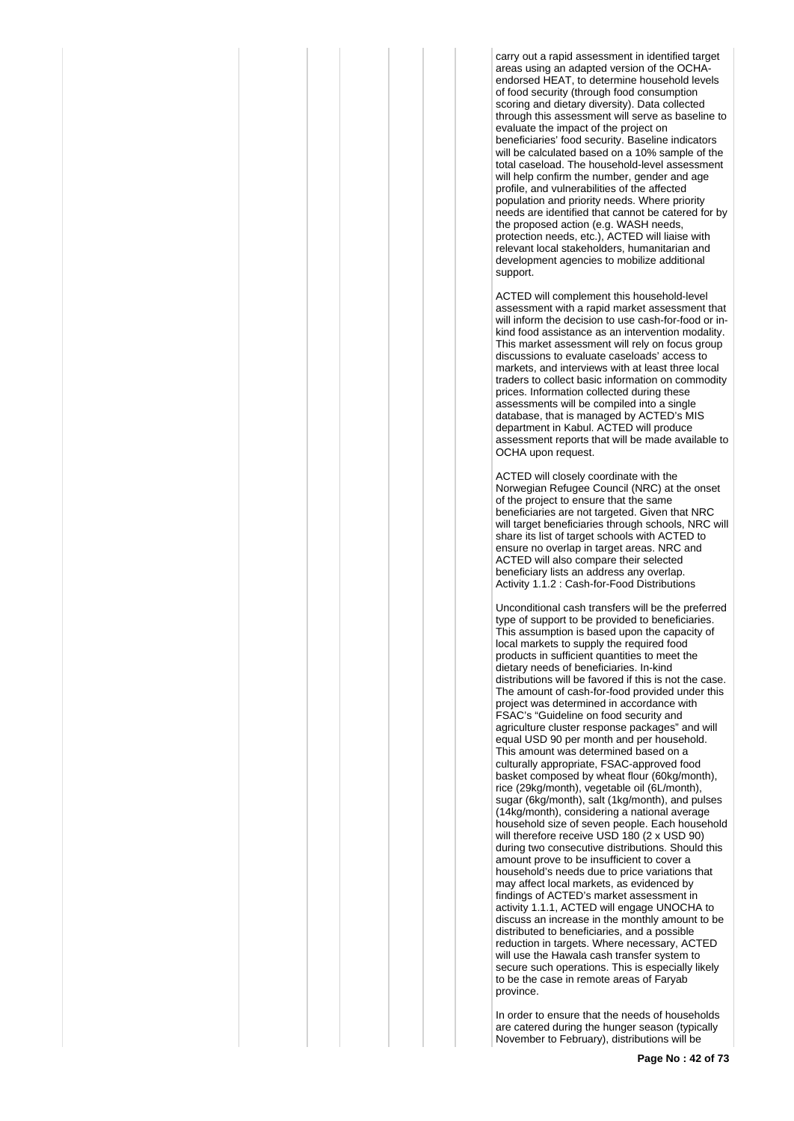carry out a rapid assessment in identified target areas using an adapted version of the OCHAendorsed HEAT, to determine household levels of food security (through food consumption scoring and dietary diversity). Data collected through this assessment will serve as baseline to evaluate the impact of the project on beneficiaries' food security. Baseline indicators will be calculated based on a 10% sample of the total caseload. The household-level assessment will help confirm the number, gender and age profile, and vulnerabilities of the affected population and priority needs. Where priority needs are identified that cannot be catered for by the proposed action (e.g. WASH needs, protection needs, etc.), ACTED will liaise with relevant local stakeholders, humanitarian and development agencies to mobilize additional support.

ACTED will complement this household-level assessment with a rapid market assessment that will inform the decision to use cash-for-food or inkind food assistance as an intervention modality. This market assessment will rely on focus group discussions to evaluate caseloads' access to markets, and interviews with at least three local traders to collect basic information on commodity prices. Information collected during these assessments will be compiled into a single database, that is managed by ACTED's MIS department in Kabul. ACTED will produce assessment reports that will be made available to OCHA upon request.

ACTED will closely coordinate with the Norwegian Refugee Council (NRC) at the onset of the project to ensure that the same beneficiaries are not targeted. Given that NRC will target beneficiaries through schools, NRC will share its list of target schools with ACTED to ensure no overlap in target areas. NRC and ACTED will also compare their selected beneficiary lists an address any overlap. Activity 1.1.2 : Cash-for-Food Distributions

Unconditional cash transfers will be the preferred type of support to be provided to beneficiaries. This assumption is based upon the capacity of local markets to supply the required food products in sufficient quantities to meet the dietary needs of beneficiaries. In-kind distributions will be favored if this is not the case. The amount of cash-for-food provided under this project was determined in accordance with FSAC's "Guideline on food security and agriculture cluster response packages" and will equal USD 90 per month and per household. This amount was determined based on a culturally appropriate, FSAC-approved food basket composed by wheat flour (60kg/month), rice (29kg/month), vegetable oil (6L/month), sugar (6kg/month), salt (1kg/month), and pulses (14kg/month), considering a national average household size of seven people. Each household will therefore receive USD 180 (2 x USD 90) during two consecutive distributions. Should this amount prove to be insufficient to cover a household's needs due to price variations that may affect local markets, as evidenced by findings of ACTED's market assessment in activity 1.1.1, ACTED will engage UNOCHA to discuss an increase in the monthly amount to be distributed to beneficiaries, and a possible reduction in targets. Where necessary, ACTED will use the Hawala cash transfer system to secure such operations. This is especially likely to be the case in remote areas of Faryab province.

In order to ensure that the needs of households are catered during the hunger season (typically November to February), distributions will be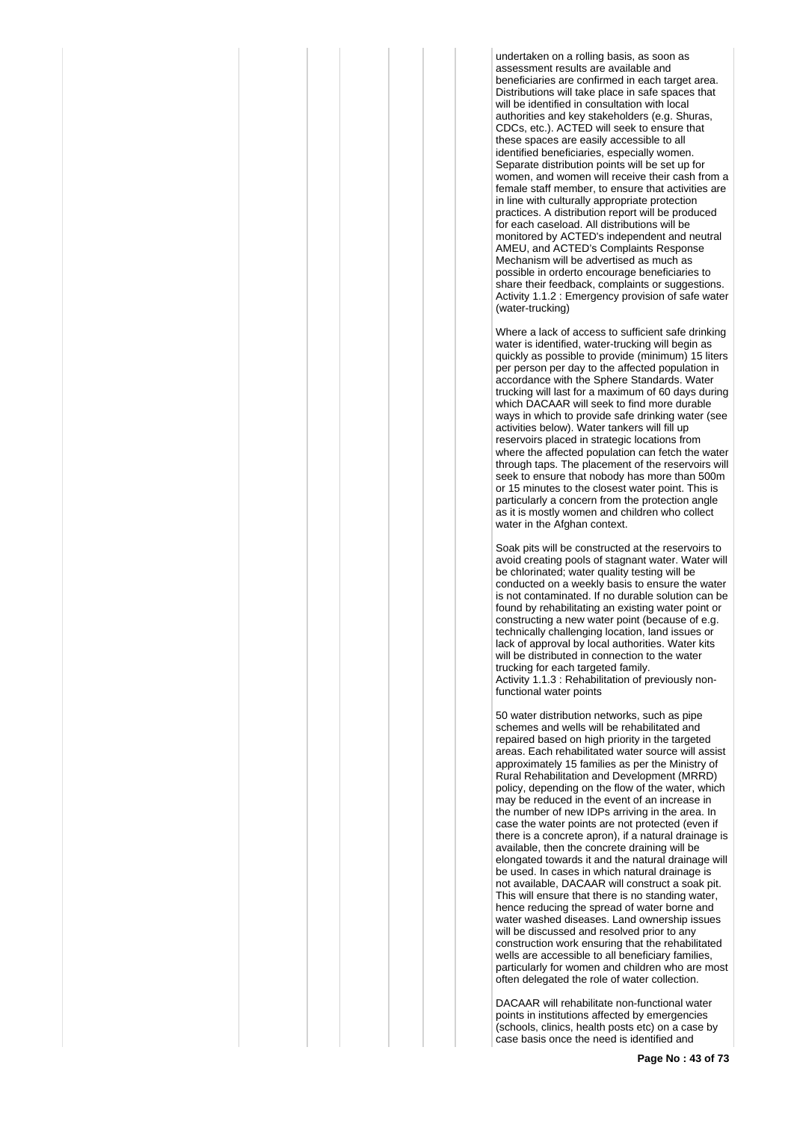undertaken on a rolling basis, as soon as assessment results are available and beneficiaries are confirmed in each target area. Distributions will take place in safe spaces that will be identified in consultation with local authorities and key stakeholders (e.g. Shuras, CDCs, etc.). ACTED will seek to ensure that these spaces are easily accessible to all identified beneficiaries, especially women. Separate distribution points will be set up for women, and women will receive their cash from a female staff member, to ensure that activities are in line with culturally appropriate protection practices. A distribution report will be produced for each caseload. All distributions will be monitored by ACTED's independent and neutral AMEU, and ACTED's Complaints Response Mechanism will be advertised as much as possible in orderto encourage beneficiaries to share their feedback, complaints or suggestions. Activity 1.1.2 : Emergency provision of safe water (water-trucking)

Where a lack of access to sufficient safe drinking water is identified, water-trucking will begin as quickly as possible to provide (minimum) 15 liters per person per day to the affected population in accordance with the Sphere Standards. Water trucking will last for a maximum of 60 days during which DACAAR will seek to find more durable ways in which to provide safe drinking water (see activities below). Water tankers will fill up reservoirs placed in strategic locations from where the affected population can fetch the water through taps. The placement of the reservoirs will seek to ensure that nobody has more than 500m or 15 minutes to the closest water point. This is particularly a concern from the protection angle as it is mostly women and children who collect water in the Afghan context.

Soak pits will be constructed at the reservoirs to avoid creating pools of stagnant water. Water will be chlorinated; water quality testing will be conducted on a weekly basis to ensure the water is not contaminated. If no durable solution can be found by rehabilitating an existing water point or constructing a new water point (because of e.g. technically challenging location, land issues or lack of approval by local authorities. Water kits will be distributed in connection to the water trucking for each targeted family. Activity 1.1.3 : Rehabilitation of previously nonfunctional water points

50 water distribution networks, such as pipe schemes and wells will be rehabilitated and repaired based on high priority in the targeted areas. Each rehabilitated water source will assist approximately 15 families as per the Ministry of Rural Rehabilitation and Development (MRRD) policy, depending on the flow of the water, which may be reduced in the event of an increase in the number of new IDPs arriving in the area. In case the water points are not protected (even if there is a concrete apron), if a natural drainage is available, then the concrete draining will be elongated towards it and the natural drainage will be used. In cases in which natural drainage is not available, DACAAR will construct a soak pit. This will ensure that there is no standing water, hence reducing the spread of water borne and water washed diseases. Land ownership issues will be discussed and resolved prior to any construction work ensuring that the rehabilitated wells are accessible to all beneficiary families, particularly for women and children who are most often delegated the role of water collection.

DACAAR will rehabilitate non-functional water points in institutions affected by emergencies (schools, clinics, health posts etc) on a case by case basis once the need is identified and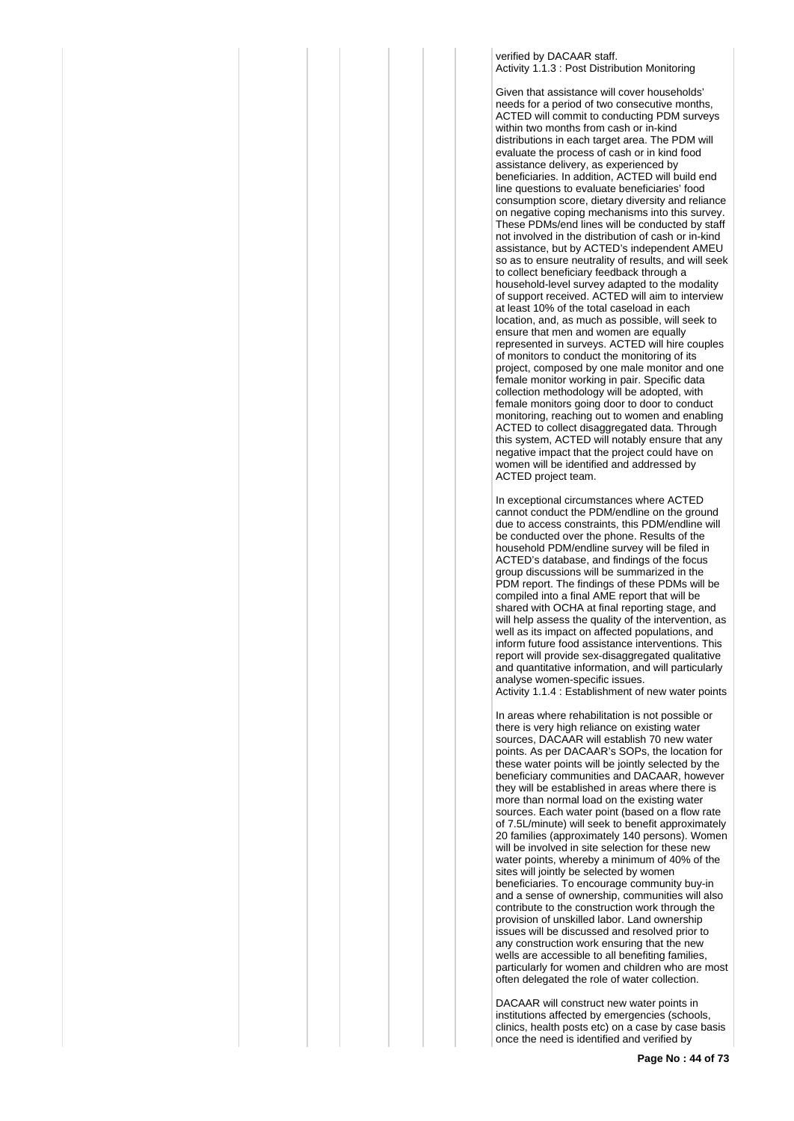verified by DACAAR staff. Activity 1.1.3 : Post Distribution Monitoring

Given that assistance will cover households' needs for a period of two consecutive months, ACTED will commit to conducting PDM surveys within two months from cash or in-kind distributions in each target area. The PDM will evaluate the process of cash or in kind food assistance delivery, as experienced by beneficiaries. In addition, ACTED will build end line questions to evaluate beneficiaries' food consumption score, dietary diversity and reliance on negative coping mechanisms into this survey. These PDMs/end lines will be conducted by staff not involved in the distribution of cash or in-kind assistance, but by ACTED's independent AMEU so as to ensure neutrality of results, and will seek to collect beneficiary feedback through a household-level survey adapted to the modality of support received. ACTED will aim to interview at least 10% of the total caseload in each location, and, as much as possible, will seek to ensure that men and women are equally represented in surveys. ACTED will hire couples of monitors to conduct the monitoring of its project, composed by one male monitor and one female monitor working in pair. Specific data collection methodology will be adopted, with female monitors going door to door to conduct monitoring, reaching out to women and enabling ACTED to collect disaggregated data. Through this system, ACTED will notably ensure that any negative impact that the project could have on women will be identified and addressed by ACTED project team.

In exceptional circumstances where ACTED cannot conduct the PDM/endline on the ground due to access constraints, this PDM/endline will be conducted over the phone. Results of the household PDM/endline survey will be filed in ACTED's database, and findings of the focus group discussions will be summarized in the PDM report. The findings of these PDMs will be compiled into a final AME report that will be shared with OCHA at final reporting stage, and will help assess the quality of the intervention, as well as its impact on affected populations, and inform future food assistance interventions. This report will provide sex-disaggregated qualitative and quantitative information, and will particularly analyse women-specific issues. Activity 1.1.4 : Establishment of new water points

In areas where rehabilitation is not possible or there is very high reliance on existing water sources, DACAAR will establish 70 new water points. As per DACAAR's SOPs, the location for these water points will be jointly selected by the beneficiary communities and DACAAR, however they will be established in areas where there is more than normal load on the existing water sources. Each water point (based on a flow rate of 7.5L/minute) will seek to benefit approximately 20 families (approximately 140 persons). Women will be involved in site selection for these new water points, whereby a minimum of 40% of the sites will jointly be selected by women beneficiaries. To encourage community buy-in and a sense of ownership, communities will also contribute to the construction work through the provision of unskilled labor. Land ownership issues will be discussed and resolved prior to any construction work ensuring that the new wells are accessible to all benefiting families, particularly for women and children who are most often delegated the role of water collection.

DACAAR will construct new water points in institutions affected by emergencies (schools, clinics, health posts etc) on a case by case basis once the need is identified and verified by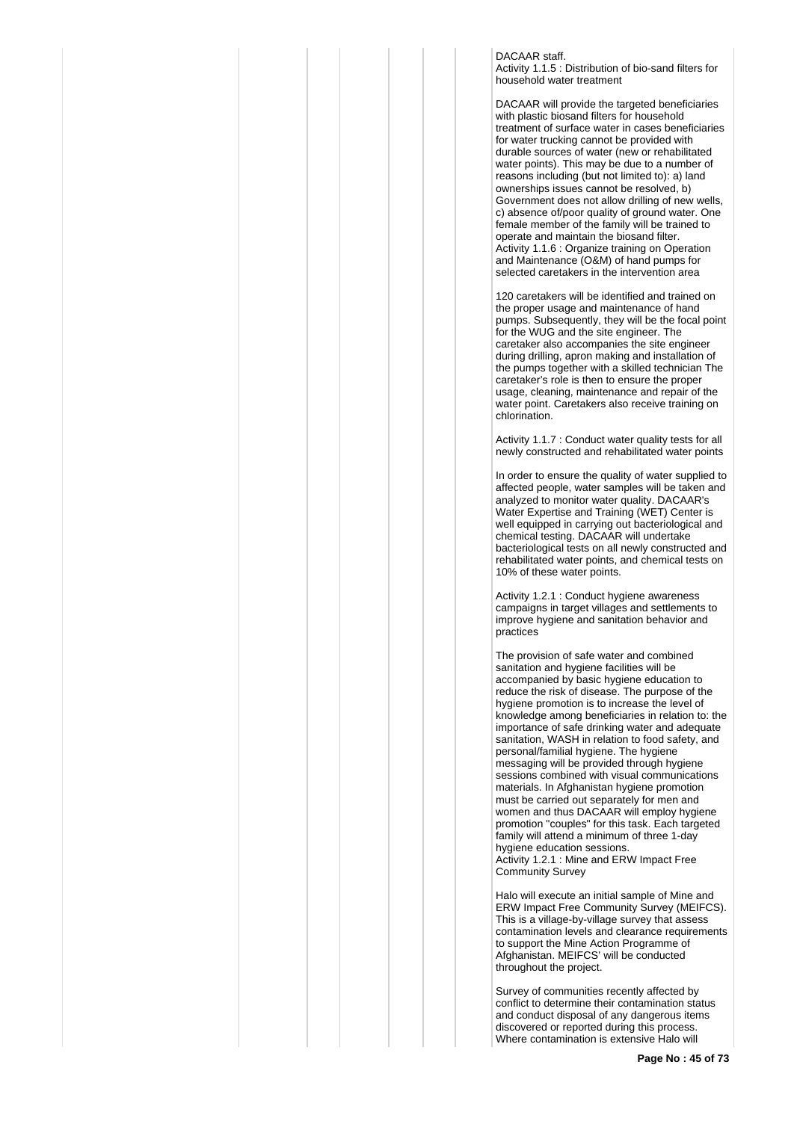## DACAAR staff.

Activity 1.1.5 : Distribution of bio-sand filters for household water treatment

DACAAR will provide the targeted beneficiaries with plastic biosand filters for household treatment of surface water in cases beneficiaries for water trucking cannot be provided with durable sources of water (new or rehabilitated water points). This may be due to a number of reasons including (but not limited to): a) land ownerships issues cannot be resolved, b) Government does not allow drilling of new wells, c) absence of/poor quality of ground water. One female member of the family will be trained to operate and maintain the biosand filter. Activity 1.1.6 : Organize training on Operation and Maintenance (O&M) of hand pumps for selected caretakers in the intervention area

120 caretakers will be identified and trained on the proper usage and maintenance of hand pumps. Subsequently, they will be the focal point for the WUG and the site engineer. The caretaker also accompanies the site engineer during drilling, apron making and installation of the pumps together with a skilled technician The caretaker's role is then to ensure the proper usage, cleaning, maintenance and repair of the water point. Caretakers also receive training on chlorination.

Activity 1.1.7 : Conduct water quality tests for all newly constructed and rehabilitated water points

In order to ensure the quality of water supplied to affected people, water samples will be taken and analyzed to monitor water quality. DACAAR's Water Expertise and Training (WET) Center is well equipped in carrying out bacteriological and chemical testing. DACAAR will undertake bacteriological tests on all newly constructed and rehabilitated water points, and chemical tests on 10% of these water points.

Activity 1.2.1 : Conduct hygiene awareness campaigns in target villages and settlements to improve hygiene and sanitation behavior and practices

The provision of safe water and combined sanitation and hygiene facilities will be accompanied by basic hygiene education to reduce the risk of disease. The purpose of the hygiene promotion is to increase the level of knowledge among beneficiaries in relation to: the importance of safe drinking water and adequate sanitation, WASH in relation to food safety, and personal/familial hygiene. The hygiene messaging will be provided through hygiene sessions combined with visual communications materials. In Afghanistan hygiene promotion must be carried out separately for men and women and thus DACAAR will employ hygiene promotion "couples" for this task. Each targeted family will attend a minimum of three 1-day hygiene education sessions. Activity 1.2.1 : Mine and ERW Impact Free Community Survey

Halo will execute an initial sample of Mine and ERW Impact Free Community Survey (MEIFCS). This is a village-by-village survey that assess contamination levels and clearance requirements to support the Mine Action Programme of Afghanistan. MEIFCS' will be conducted throughout the project.

Survey of communities recently affected by conflict to determine their contamination status and conduct disposal of any dangerous items discovered or reported during this process. Where contamination is extensive Halo will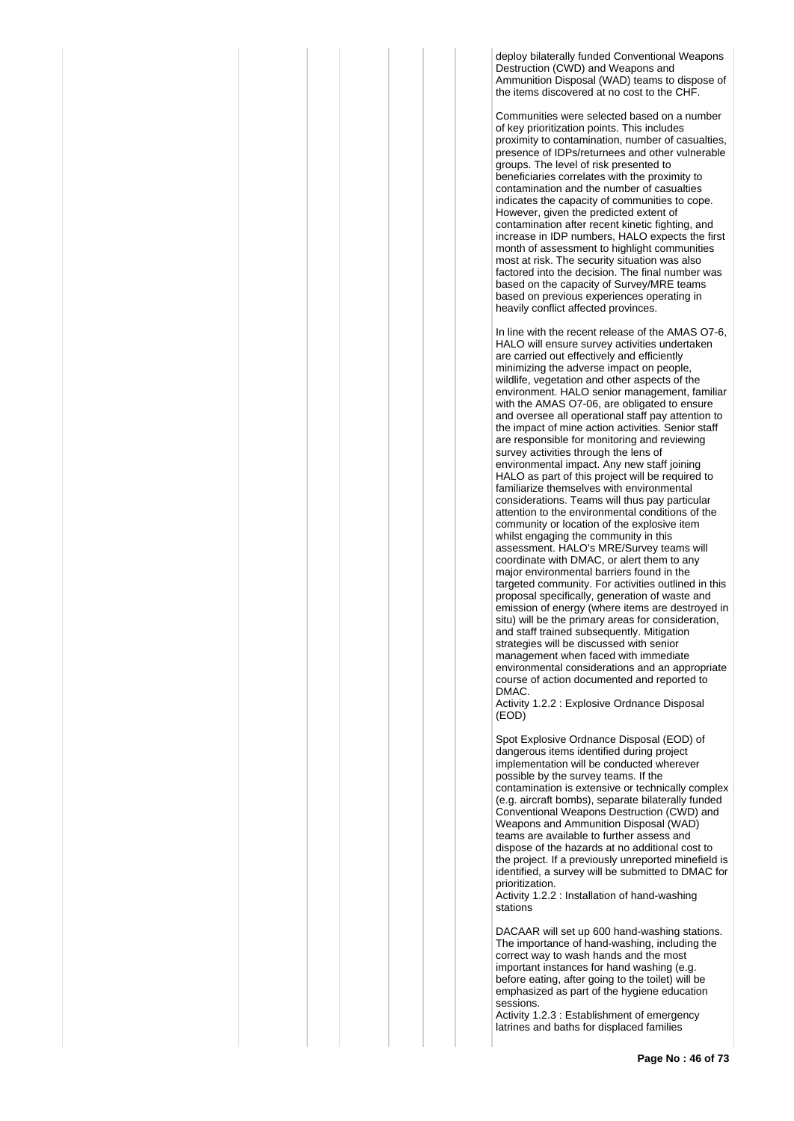deploy bilaterally funded Conventional Weapons Destruction (CWD) and Weapons and Ammunition Disposal (WAD) teams to dispose of the items discovered at no cost to the CHF.

Communities were selected based on a number of key prioritization points. This includes proximity to contamination, number of casualties, presence of IDPs/returnees and other vulnerable groups. The level of risk presented to beneficiaries correlates with the proximity to contamination and the number of casualties indicates the capacity of communities to cope. However, given the predicted extent of contamination after recent kinetic fighting, and increase in IDP numbers, HALO expects the first month of assessment to highlight communities most at risk. The security situation was also factored into the decision. The final number was based on the capacity of Survey/MRE teams based on previous experiences operating in heavily conflict affected provinces.

In line with the recent release of the AMAS O7-6, HALO will ensure survey activities undertaken are carried out effectively and efficiently minimizing the adverse impact on people, wildlife, vegetation and other aspects of the environment. HALO senior management, familiar with the AMAS O7-06, are obligated to ensure and oversee all operational staff pay attention to the impact of mine action activities. Senior staff are responsible for monitoring and reviewing survey activities through the lens of environmental impact. Any new staff joining HALO as part of this project will be required to familiarize themselves with environmental considerations. Teams will thus pay particular attention to the environmental conditions of the community or location of the explosive item whilst engaging the community in this assessment. HALO's MRE/Survey teams will coordinate with DMAC, or alert them to any major environmental barriers found in the targeted community. For activities outlined in this proposal specifically, generation of waste and emission of energy (where items are destroyed in situ) will be the primary areas for consideration, and staff trained subsequently. Mitigation strategies will be discussed with senior management when faced with immediate environmental considerations and an appropriate course of action documented and reported to DMAC.

Activity 1.2.2 : Explosive Ordnance Disposal (EOD)

Spot Explosive Ordnance Disposal (EOD) of dangerous items identified during project implementation will be conducted wherever possible by the survey teams. If the contamination is extensive or technically complex (e.g. aircraft bombs), separate bilaterally funded Conventional Weapons Destruction (CWD) and Weapons and Ammunition Disposal (WAD) teams are available to further assess and dispose of the hazards at no additional cost to the project. If a previously unreported minefield is identified, a survey will be submitted to DMAC for prioritization.

Activity 1.2.2 : Installation of hand-washing stations

DACAAR will set up 600 hand-washing stations. The importance of hand-washing, including the correct way to wash hands and the most important instances for hand washing (e.g. before eating, after going to the toilet) will be emphasized as part of the hygiene education sessions.

Activity 1.2.3 : Establishment of emergency latrines and baths for displaced families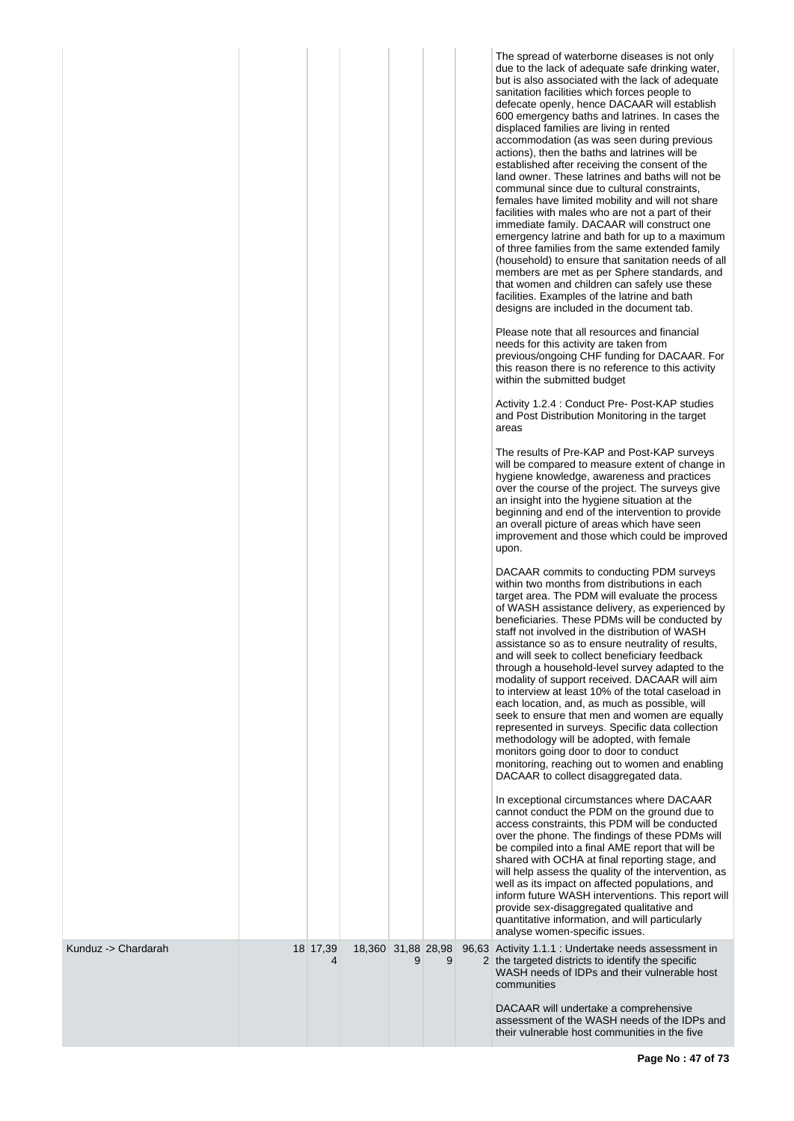|                     |               |                    |   |   | The spread of waterborne diseases is not only<br>due to the lack of adequate safe drinking water,<br>but is also associated with the lack of adequate<br>sanitation facilities which forces people to<br>defecate openly, hence DACAAR will establish<br>600 emergency baths and latrines. In cases the<br>displaced families are living in rented<br>accommodation (as was seen during previous<br>actions), then the baths and latrines will be<br>established after receiving the consent of the<br>land owner. These latrines and baths will not be<br>communal since due to cultural constraints.<br>females have limited mobility and will not share<br>facilities with males who are not a part of their<br>immediate family. DACAAR will construct one<br>emergency latrine and bath for up to a maximum<br>of three families from the same extended family<br>(household) to ensure that sanitation needs of all<br>members are met as per Sphere standards, and<br>that women and children can safely use these<br>facilities. Examples of the latrine and bath<br>designs are included in the document tab.<br>Please note that all resources and financial<br>needs for this activity are taken from<br>previous/ongoing CHF funding for DACAAR. For<br>this reason there is no reference to this activity<br>within the submitted budget<br>Activity 1.2.4 : Conduct Pre- Post-KAP studies<br>and Post Distribution Monitoring in the target<br>areas<br>The results of Pre-KAP and Post-KAP surveys<br>will be compared to measure extent of change in<br>hygiene knowledge, awareness and practices<br>over the course of the project. The surveys give<br>an insight into the hygiene situation at the<br>beginning and end of the intervention to provide<br>an overall picture of areas which have seen<br>improvement and those which could be improved<br>upon.<br>DACAAR commits to conducting PDM surveys<br>within two months from distributions in each<br>target area. The PDM will evaluate the process<br>of WASH assistance delivery, as experienced by<br>beneficiaries. These PDMs will be conducted by<br>staff not involved in the distribution of WASH<br>assistance so as to ensure neutrality of results,<br>and will seek to collect beneficiary feedback<br>through a household-level survey adapted to the<br>modality of support received. DACAAR will aim<br>to interview at least 10% of the total caseload in<br>each location, and, as much as possible, will<br>seek to ensure that men and women are equally<br>represented in surveys. Specific data collection<br>methodology will be adopted, with female<br>monitors going door to door to conduct<br>monitoring, reaching out to women and enabling<br>DACAAR to collect disaggregated data.<br>In exceptional circumstances where DACAAR<br>cannot conduct the PDM on the ground due to<br>access constraints, this PDM will be conducted<br>over the phone. The findings of these PDMs will<br>be compiled into a final AME report that will be<br>shared with OCHA at final reporting stage, and<br>will help assess the quality of the intervention, as<br>well as its impact on affected populations, and<br>inform future WASH interventions. This report will<br>provide sex-disaggregated qualitative and<br>quantitative information, and will particularly |
|---------------------|---------------|--------------------|---|---|------------------------------------------------------------------------------------------------------------------------------------------------------------------------------------------------------------------------------------------------------------------------------------------------------------------------------------------------------------------------------------------------------------------------------------------------------------------------------------------------------------------------------------------------------------------------------------------------------------------------------------------------------------------------------------------------------------------------------------------------------------------------------------------------------------------------------------------------------------------------------------------------------------------------------------------------------------------------------------------------------------------------------------------------------------------------------------------------------------------------------------------------------------------------------------------------------------------------------------------------------------------------------------------------------------------------------------------------------------------------------------------------------------------------------------------------------------------------------------------------------------------------------------------------------------------------------------------------------------------------------------------------------------------------------------------------------------------------------------------------------------------------------------------------------------------------------------------------------------------------------------------------------------------------------------------------------------------------------------------------------------------------------------------------------------------------------------------------------------------------------------------------------------------------------------------------------------------------------------------------------------------------------------------------------------------------------------------------------------------------------------------------------------------------------------------------------------------------------------------------------------------------------------------------------------------------------------------------------------------------------------------------------------------------------------------------------------------------------------------------------------------------------------------------------------------------------------------------------------------------------------------------------------------------------------------------------------------------------------------------------------------------------------------------------------------------------------------------------------------------------------------------------------------------------------------------------------------------------------------------------------------------------------------------------------------------------------------------------------------------|
| Kunduz -> Chardarah | 18 17,39<br>4 | 18,360 31,88 28,98 | 9 | 9 | analyse women-specific issues.<br>96,63 Activity 1.1.1 : Undertake needs assessment in<br>2 the targeted districts to identify the specific<br>WASH needs of IDPs and their vulnerable host                                                                                                                                                                                                                                                                                                                                                                                                                                                                                                                                                                                                                                                                                                                                                                                                                                                                                                                                                                                                                                                                                                                                                                                                                                                                                                                                                                                                                                                                                                                                                                                                                                                                                                                                                                                                                                                                                                                                                                                                                                                                                                                                                                                                                                                                                                                                                                                                                                                                                                                                                                                                                                                                                                                                                                                                                                                                                                                                                                                                                                                                                                                                                                            |
|                     |               |                    |   |   | communities<br>DACAAR will undertake a comprehensive<br>assessment of the WASH needs of the IDPs and<br>their vulnerable host communities in the five                                                                                                                                                                                                                                                                                                                                                                                                                                                                                                                                                                                                                                                                                                                                                                                                                                                                                                                                                                                                                                                                                                                                                                                                                                                                                                                                                                                                                                                                                                                                                                                                                                                                                                                                                                                                                                                                                                                                                                                                                                                                                                                                                                                                                                                                                                                                                                                                                                                                                                                                                                                                                                                                                                                                                                                                                                                                                                                                                                                                                                                                                                                                                                                                                  |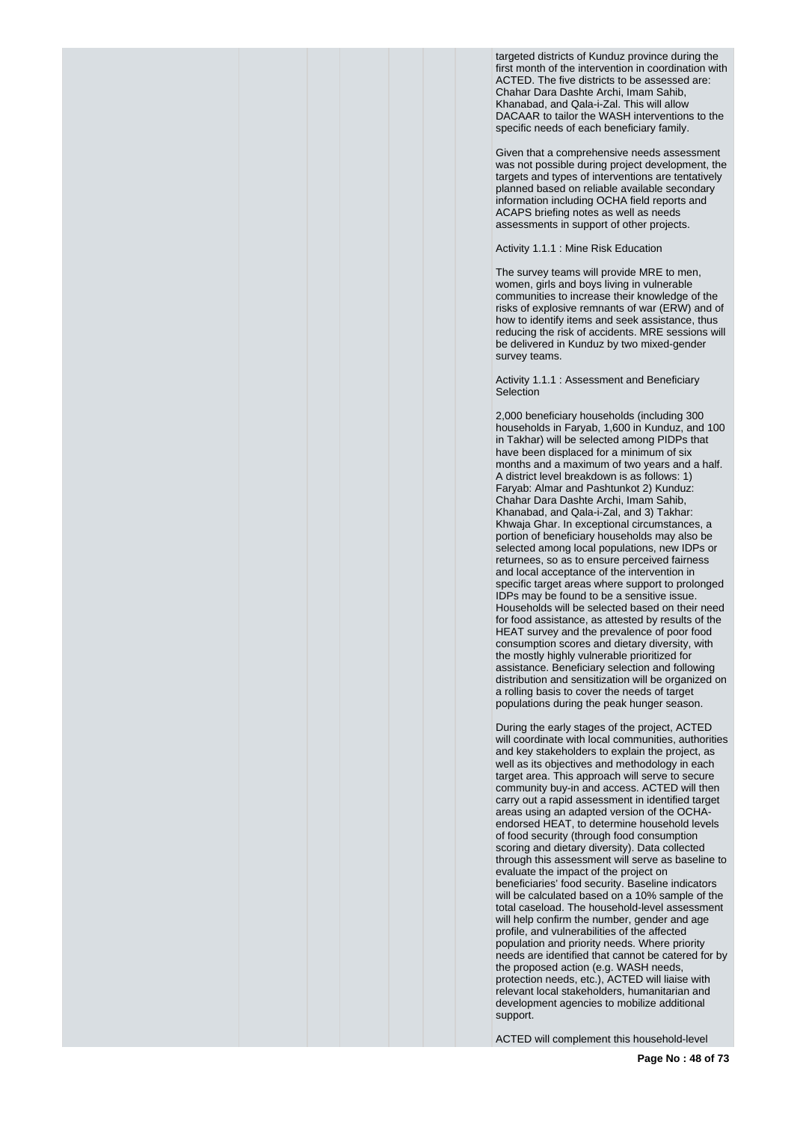targeted districts of Kunduz province during the first month of the intervention in coordination with ACTED. The five districts to be assessed are: Chahar Dara Dashte Archi, Imam Sahib, Khanabad, and Qala-i-Zal. This will allow DACAAR to tailor the WASH interventions to the specific needs of each beneficiary family.

Given that a comprehensive needs assessment was not possible during project development, the targets and types of interventions are tentatively planned based on reliable available secondary information including OCHA field reports and ACAPS briefing notes as well as needs assessments in support of other projects.

Activity 1.1.1 : Mine Risk Education

The survey teams will provide MRE to men, women, girls and boys living in vulnerable communities to increase their knowledge of the risks of explosive remnants of war (ERW) and of how to identify items and seek assistance, thus reducing the risk of accidents. MRE sessions will be delivered in Kunduz by two mixed-gender survey teams.

Activity 1.1.1 : Assessment and Beneficiary **Selection** 

2,000 beneficiary households (including 300 households in Faryab, 1,600 in Kunduz, and 100 in Takhar) will be selected among PIDPs that have been displaced for a minimum of six months and a maximum of two years and a half. A district level breakdown is as follows: 1) Faryab: Almar and Pashtunkot 2) Kunduz: Chahar Dara Dashte Archi, Imam Sahib, Khanabad, and Qala-i-Zal, and 3) Takhar: Khwaja Ghar. In exceptional circumstances, a portion of beneficiary households may also be selected among local populations, new IDPs or returnees, so as to ensure perceived fairness and local acceptance of the intervention in specific target areas where support to prolonged IDPs may be found to be a sensitive issue. Households will be selected based on their need for food assistance, as attested by results of the HEAT survey and the prevalence of poor food consumption scores and dietary diversity, with the mostly highly vulnerable prioritized for assistance. Beneficiary selection and following distribution and sensitization will be organized on a rolling basis to cover the needs of target populations during the peak hunger season.

During the early stages of the project, ACTED will coordinate with local communities, authorities and key stakeholders to explain the project, as well as its objectives and methodology in each target area. This approach will serve to secure community buy-in and access. ACTED will then carry out a rapid assessment in identified target areas using an adapted version of the OCHAendorsed HEAT, to determine household levels of food security (through food consumption scoring and dietary diversity). Data collected through this assessment will serve as baseline to evaluate the impact of the project on beneficiaries' food security. Baseline indicators will be calculated based on a 10% sample of the total caseload. The household-level assessment will help confirm the number, gender and age profile, and vulnerabilities of the affected population and priority needs. Where priority needs are identified that cannot be catered for by the proposed action (e.g. WASH needs, protection needs, etc.), ACTED will liaise with relevant local stakeholders, humanitarian and development agencies to mobilize additional support.

ACTED will complement this household-level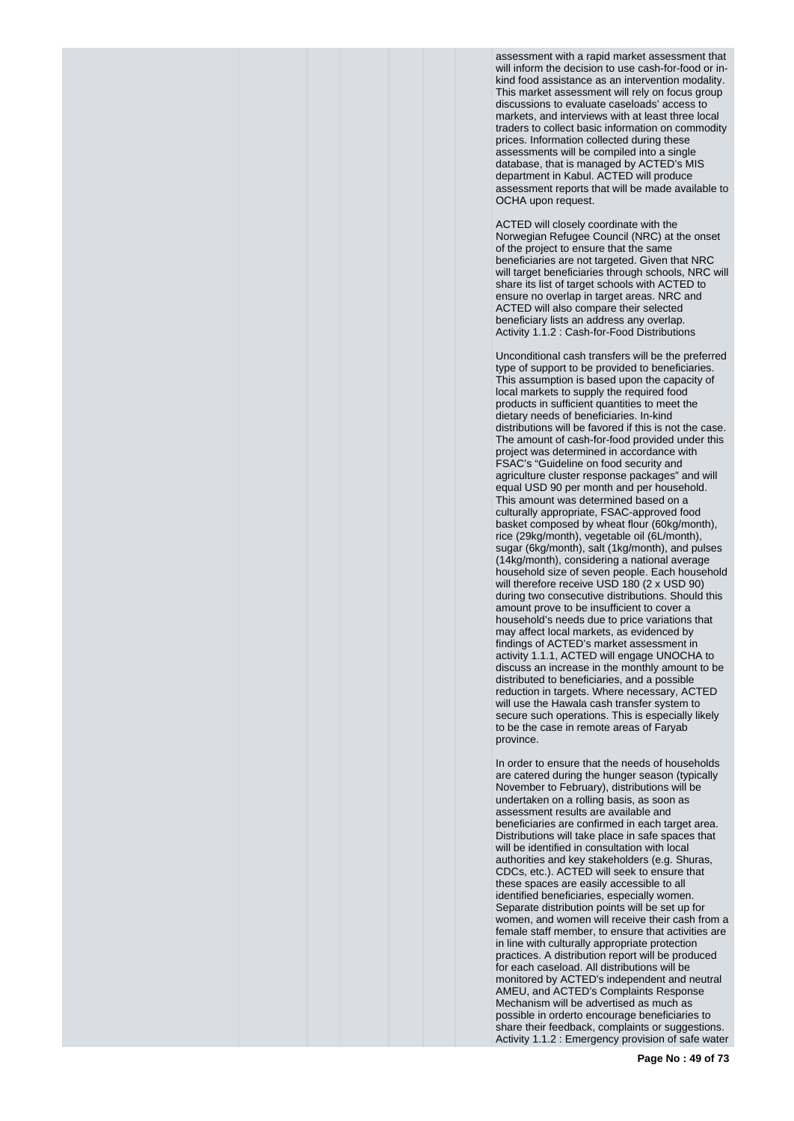assessment with a rapid market assessment that will inform the decision to use cash-for-food or inkind food assistance as an intervention modality. This market assessment will rely on focus group discussions to evaluate caseloads' access to markets, and interviews with at least three local traders to collect basic information on commodity prices. Information collected during these assessments will be compiled into a single database, that is managed by ACTED's MIS department in Kabul. ACTED will produce assessment reports that will be made available to OCHA upon request.

ACTED will closely coordinate with the Norwegian Refugee Council (NRC) at the onset of the project to ensure that the same beneficiaries are not targeted. Given that NRC will target beneficiaries through schools, NRC will share its list of target schools with ACTED to ensure no overlap in target areas. NRC and ACTED will also compare their selected beneficiary lists an address any overlap. Activity 1.1.2 : Cash-for-Food Distributions

Unconditional cash transfers will be the preferred type of support to be provided to beneficiaries. This assumption is based upon the capacity of local markets to supply the required food products in sufficient quantities to meet the dietary needs of beneficiaries. In-kind distributions will be favored if this is not the case. The amount of cash-for-food provided under this project was determined in accordance with FSAC's "Guideline on food security and agriculture cluster response packages" and will equal USD 90 per month and per household. This amount was determined based on a culturally appropriate, FSAC-approved food basket composed by wheat flour (60kg/month), rice (29kg/month), vegetable oil (6L/month), sugar (6kg/month), salt (1kg/month), and pulses (14kg/month), considering a national average household size of seven people. Each household will therefore receive USD 180 (2 x USD 90) during two consecutive distributions. Should this amount prove to be insufficient to cover a household's needs due to price variations that may affect local markets, as evidenced by findings of ACTED's market assessment in activity 1.1.1, ACTED will engage UNOCHA to discuss an increase in the monthly amount to be distributed to beneficiaries, and a possible reduction in targets. Where necessary, ACTED will use the Hawala cash transfer system to secure such operations. This is especially likely to be the case in remote areas of Faryab province.

In order to ensure that the needs of households are catered during the hunger season (typically November to February), distributions will be undertaken on a rolling basis, as soon as assessment results are available and beneficiaries are confirmed in each target area. Distributions will take place in safe spaces that will be identified in consultation with local authorities and key stakeholders (e.g. Shuras, CDCs, etc.). ACTED will seek to ensure that these spaces are easily accessible to all identified beneficiaries, especially women. Separate distribution points will be set up for women, and women will receive their cash from a female staff member, to ensure that activities are in line with culturally appropriate protection practices. A distribution report will be produced for each caseload. All distributions will be monitored by ACTED's independent and neutral AMEU, and ACTED's Complaints Response Mechanism will be advertised as much as possible in orderto encourage beneficiaries to share their feedback, complaints or suggestions. Activity 1.1.2 : Emergency provision of safe water

**Page No : 49 of 73**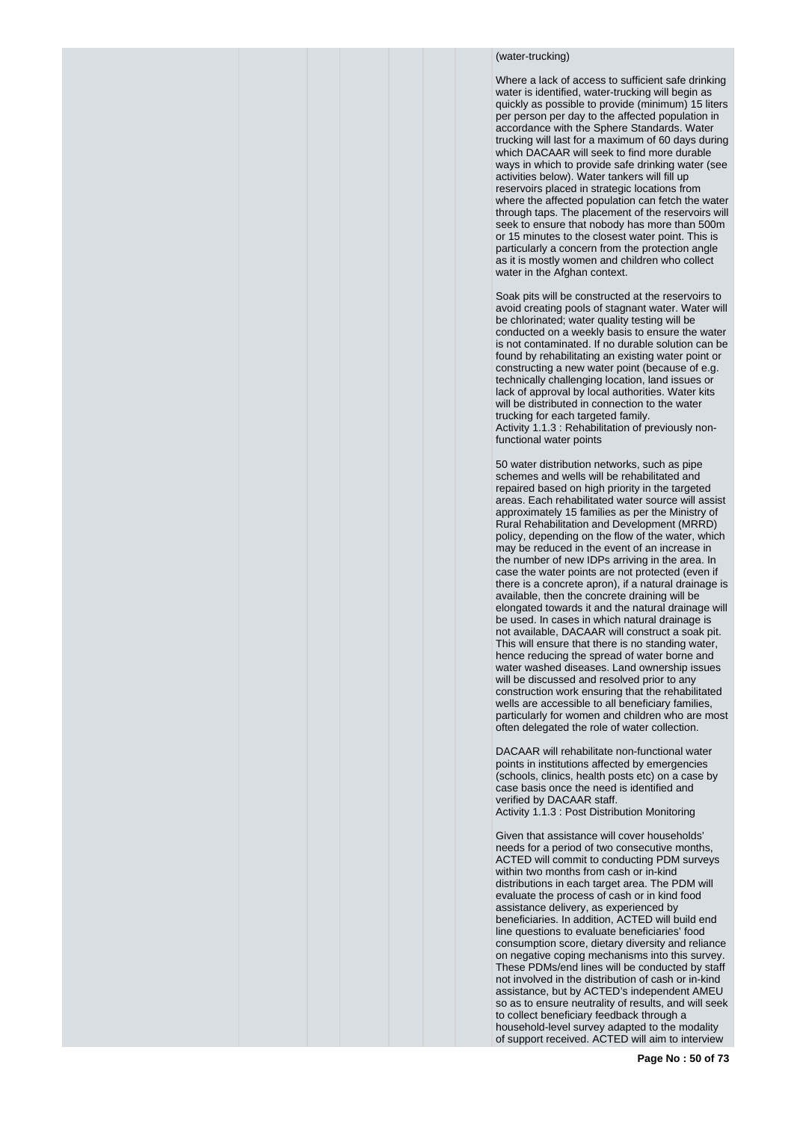## (water-trucking)

Where a lack of access to sufficient safe drinking water is identified, water-trucking will begin as quickly as possible to provide (minimum) 15 liters per person per day to the affected population in accordance with the Sphere Standards. Water trucking will last for a maximum of 60 days during which DACAAR will seek to find more durable ways in which to provide safe drinking water (see activities below). Water tankers will fill up reservoirs placed in strategic locations from where the affected population can fetch the water through taps. The placement of the reservoirs will seek to ensure that nobody has more than 500m or 15 minutes to the closest water point. This is particularly a concern from the protection angle as it is mostly women and children who collect water in the Afghan context.

Soak pits will be constructed at the reservoirs to avoid creating pools of stagnant water. Water will be chlorinated; water quality testing will be conducted on a weekly basis to ensure the water is not contaminated. If no durable solution can be found by rehabilitating an existing water point or constructing a new water point (because of e.g. technically challenging location, land issues or lack of approval by local authorities. Water kits will be distributed in connection to the water trucking for each targeted family. Activity 1.1.3 : Rehabilitation of previously nonfunctional water points

50 water distribution networks, such as pipe schemes and wells will be rehabilitated and repaired based on high priority in the targeted areas. Each rehabilitated water source will assist approximately 15 families as per the Ministry of Rural Rehabilitation and Development (MRRD) policy, depending on the flow of the water, which may be reduced in the event of an increase in the number of new IDPs arriving in the area. In case the water points are not protected (even if there is a concrete apron), if a natural drainage is available, then the concrete draining will be elongated towards it and the natural drainage will be used. In cases in which natural drainage is not available, DACAAR will construct a soak pit. This will ensure that there is no standing water, hence reducing the spread of water borne and water washed diseases. Land ownership issues will be discussed and resolved prior to any construction work ensuring that the rehabilitated wells are accessible to all beneficiary families, particularly for women and children who are most often delegated the role of water collection.

DACAAR will rehabilitate non-functional water points in institutions affected by emergencies (schools, clinics, health posts etc) on a case by case basis once the need is identified and verified by DACAAR staff.

Activity 1.1.3 : Post Distribution Monitoring

Given that assistance will cover households' needs for a period of two consecutive months, ACTED will commit to conducting PDM surveys within two months from cash or in-kind distributions in each target area. The PDM will evaluate the process of cash or in kind food assistance delivery, as experienced by beneficiaries. In addition, ACTED will build end line questions to evaluate beneficiaries' food consumption score, dietary diversity and reliance on negative coping mechanisms into this survey. These PDMs/end lines will be conducted by staff not involved in the distribution of cash or in-kind assistance, but by ACTED's independent AMEU so as to ensure neutrality of results, and will seek to collect beneficiary feedback through a household-level survey adapted to the modality of support received. ACTED will aim to interview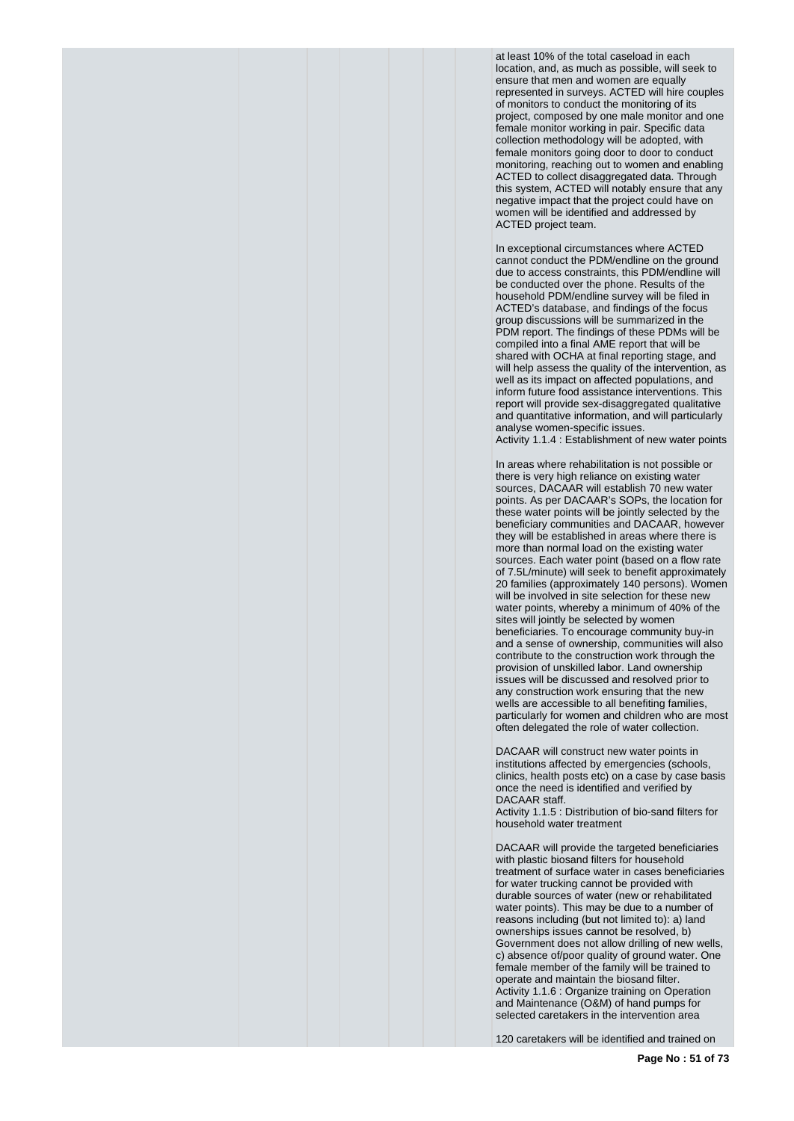at least 10% of the total caseload in each location, and, as much as possible, will seek to ensure that men and women are equally represented in surveys. ACTED will hire couples of monitors to conduct the monitoring of its project, composed by one male monitor and one female monitor working in pair. Specific data collection methodology will be adopted, with female monitors going door to door to conduct monitoring, reaching out to women and enabling ACTED to collect disaggregated data. Through this system, ACTED will notably ensure that any negative impact that the project could have on women will be identified and addressed by ACTED project team.

In exceptional circumstances where ACTED cannot conduct the PDM/endline on the ground due to access constraints, this PDM/endline will be conducted over the phone. Results of the household PDM/endline survey will be filed in ACTED's database, and findings of the focus group discussions will be summarized in the PDM report. The findings of these PDMs will be compiled into a final AME report that will be shared with OCHA at final reporting stage, and will help assess the quality of the intervention, as well as its impact on affected populations, and inform future food assistance interventions. This report will provide sex-disaggregated qualitative and quantitative information, and will particularly analyse women-specific issues.

Activity 1.1.4 : Establishment of new water points

In areas where rehabilitation is not possible or there is very high reliance on existing water sources, DACAAR will establish 70 new water points. As per DACAAR's SOPs, the location for these water points will be jointly selected by the beneficiary communities and DACAAR, however they will be established in areas where there is more than normal load on the existing water sources. Each water point (based on a flow rate of 7.5L/minute) will seek to benefit approximately 20 families (approximately 140 persons). Women will be involved in site selection for these new water points, whereby a minimum of 40% of the sites will jointly be selected by women beneficiaries. To encourage community buy-in and a sense of ownership, communities will also contribute to the construction work through the provision of unskilled labor. Land ownership issues will be discussed and resolved prior to any construction work ensuring that the new wells are accessible to all benefiting families, particularly for women and children who are most often delegated the role of water collection.

DACAAR will construct new water points in institutions affected by emergencies (schools, clinics, health posts etc) on a case by case basis once the need is identified and verified by DACAAR staff.

Activity 1.1.5 : Distribution of bio-sand filters for household water treatment

DACAAR will provide the targeted beneficiaries with plastic biosand filters for household treatment of surface water in cases beneficiaries for water trucking cannot be provided with durable sources of water (new or rehabilitated water points). This may be due to a number of reasons including (but not limited to): a) land ownerships issues cannot be resolved, b) Government does not allow drilling of new wells, c) absence of/poor quality of ground water. One female member of the family will be trained to operate and maintain the biosand filter. Activity 1.1.6 : Organize training on Operation and Maintenance (O&M) of hand pumps for selected caretakers in the intervention area

120 caretakers will be identified and trained on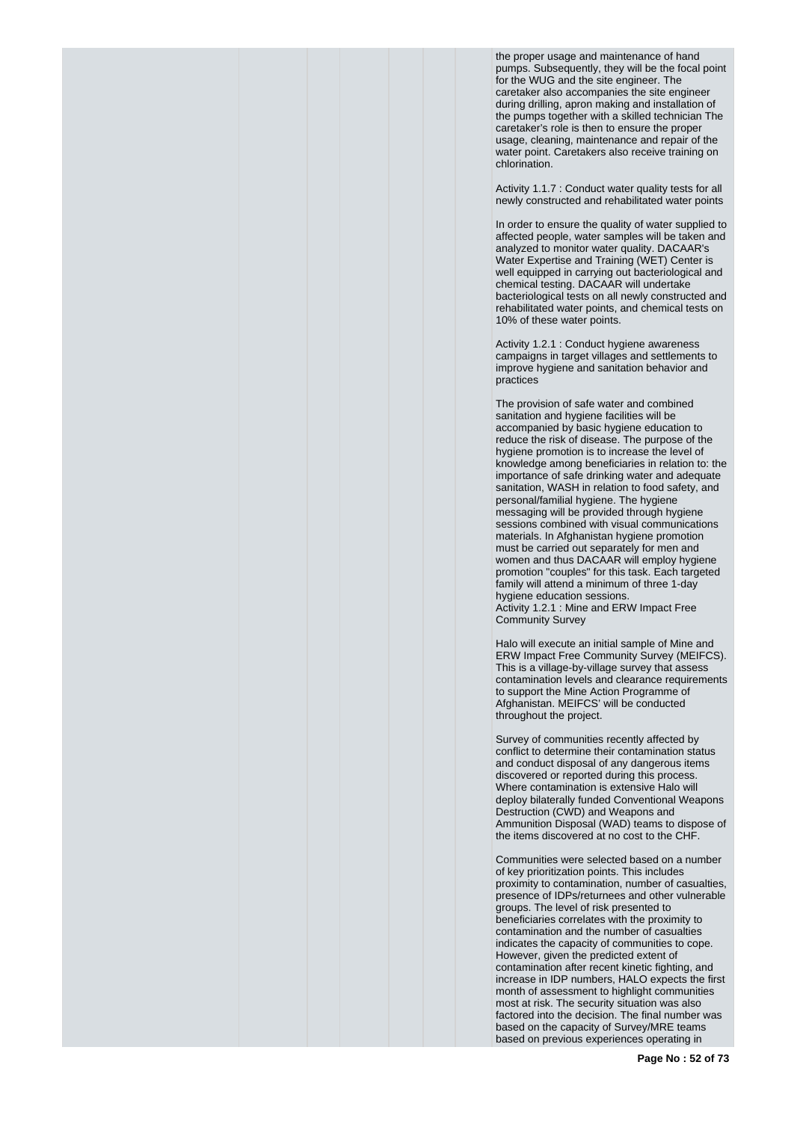the proper usage and maintenance of hand pumps. Subsequently, they will be the focal point for the WUG and the site engineer. The caretaker also accompanies the site engineer during drilling, apron making and installation of the pumps together with a skilled technician The caretaker's role is then to ensure the proper usage, cleaning, maintenance and repair of the water point. Caretakers also receive training on chlorination.

Activity 1.1.7 : Conduct water quality tests for all newly constructed and rehabilitated water points

In order to ensure the quality of water supplied to affected people, water samples will be taken and analyzed to monitor water quality. DACAAR's Water Expertise and Training (WET) Center is well equipped in carrying out bacteriological and chemical testing. DACAAR will undertake bacteriological tests on all newly constructed and rehabilitated water points, and chemical tests on 10% of these water points.

Activity 1.2.1 : Conduct hygiene awareness campaigns in target villages and settlements to improve hygiene and sanitation behavior and practices

The provision of safe water and combined sanitation and hygiene facilities will be accompanied by basic hygiene education to reduce the risk of disease. The purpose of the hygiene promotion is to increase the level of knowledge among beneficiaries in relation to: the importance of safe drinking water and adequate sanitation, WASH in relation to food safety, and personal/familial hygiene. The hygiene messaging will be provided through hygiene sessions combined with visual communications materials. In Afghanistan hygiene promotion must be carried out separately for men and women and thus DACAAR will employ hygiene promotion "couples" for this task. Each targeted family will attend a minimum of three 1-day hygiene education sessions. Activity 1.2.1 : Mine and ERW Impact Free Community Survey

Halo will execute an initial sample of Mine and ERW Impact Free Community Survey (MEIFCS). This is a village-by-village survey that assess contamination levels and clearance requirements to support the Mine Action Programme of Afghanistan. MEIFCS' will be conducted throughout the project.

Survey of communities recently affected by conflict to determine their contamination status and conduct disposal of any dangerous items discovered or reported during this process. Where contamination is extensive Halo will deploy bilaterally funded Conventional Weapons Destruction (CWD) and Weapons and Ammunition Disposal (WAD) teams to dispose of the items discovered at no cost to the CHF.

Communities were selected based on a number of key prioritization points. This includes proximity to contamination, number of casualties, presence of IDPs/returnees and other vulnerable groups. The level of risk presented to beneficiaries correlates with the proximity to contamination and the number of casualties indicates the capacity of communities to cope. However, given the predicted extent of contamination after recent kinetic fighting, and increase in IDP numbers, HALO expects the first month of assessment to highlight communities most at risk. The security situation was also factored into the decision. The final number was based on the capacity of Survey/MRE teams based on previous experiences operating in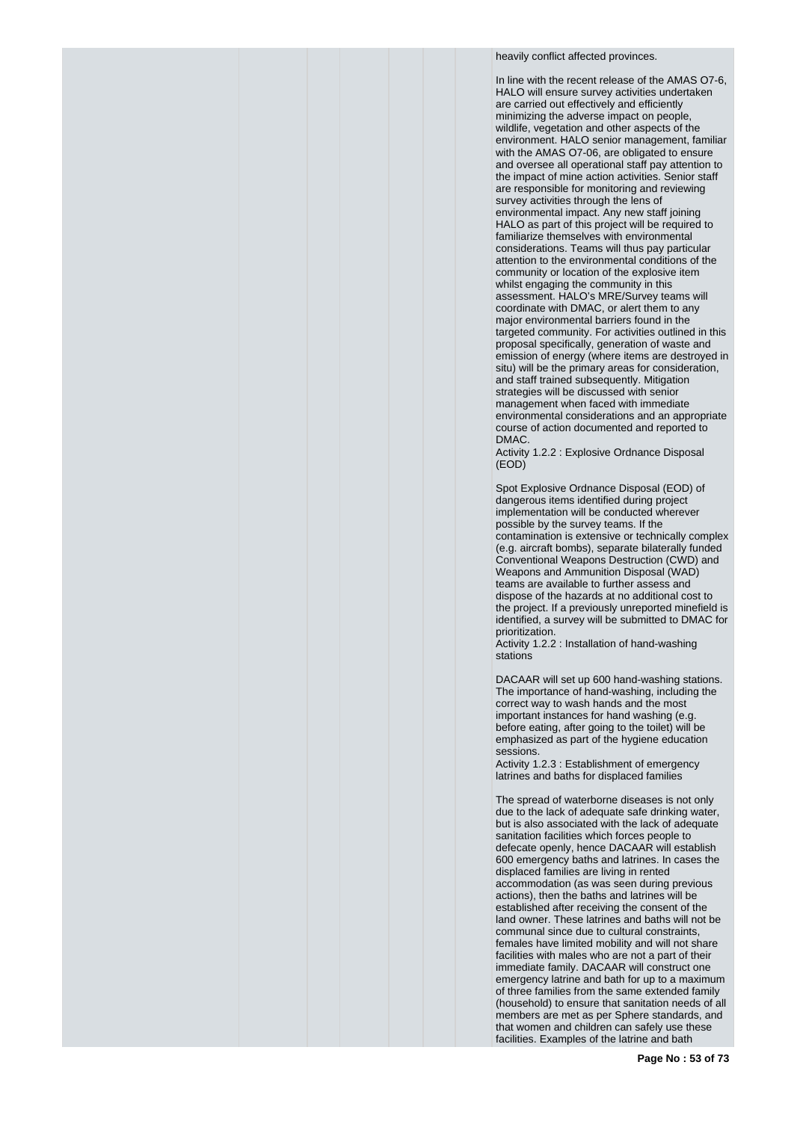heavily conflict affected provinces.

In line with the recent release of the AMAS O7-6, HALO will ensure survey activities undertaken are carried out effectively and efficiently minimizing the adverse impact on people, wildlife, vegetation and other aspects of the environment. HALO senior management, familiar with the AMAS O7-06, are obligated to ensure and oversee all operational staff pay attention to the impact of mine action activities. Senior staff are responsible for monitoring and reviewing survey activities through the lens of environmental impact. Any new staff joining HALO as part of this project will be required to familiarize themselves with environmental considerations. Teams will thus pay particular attention to the environmental conditions of the community or location of the explosive item whilst engaging the community in this assessment. HALO's MRE/Survey teams will coordinate with DMAC, or alert them to any major environmental barriers found in the targeted community. For activities outlined in this proposal specifically, generation of waste and emission of energy (where items are destroyed in situ) will be the primary areas for consideration, and staff trained subsequently. Mitigation strategies will be discussed with senior management when faced with immediate environmental considerations and an appropriate course of action documented and reported to **DMAC** 

Activity 1.2.2 : Explosive Ordnance Disposal (EOD)

Spot Explosive Ordnance Disposal (EOD) of dangerous items identified during project implementation will be conducted wherever possible by the survey teams. If the contamination is extensive or technically complex (e.g. aircraft bombs), separate bilaterally funded Conventional Weapons Destruction (CWD) and Weapons and Ammunition Disposal (WAD) teams are available to further assess and dispose of the hazards at no additional cost to the project. If a previously unreported minefield is identified, a survey will be submitted to DMAC for prioritization.

Activity 1.2.2 : Installation of hand-washing stations

DACAAR will set up 600 hand-washing stations. The importance of hand-washing, including the correct way to wash hands and the most important instances for hand washing (e.g. before eating, after going to the toilet) will be emphasized as part of the hygiene education sessions.

Activity 1.2.3 : Establishment of emergency latrines and baths for displaced families

The spread of waterborne diseases is not only due to the lack of adequate safe drinking water, but is also associated with the lack of adequate sanitation facilities which forces people to defecate openly, hence DACAAR will establish 600 emergency baths and latrines. In cases the displaced families are living in rented accommodation (as was seen during previous actions), then the baths and latrines will be established after receiving the consent of the land owner. These latrines and baths will not be communal since due to cultural constraints, females have limited mobility and will not share facilities with males who are not a part of their immediate family. DACAAR will construct one emergency latrine and bath for up to a maximum of three families from the same extended family (household) to ensure that sanitation needs of all members are met as per Sphere standards, and that women and children can safely use these facilities. Examples of the latrine and bath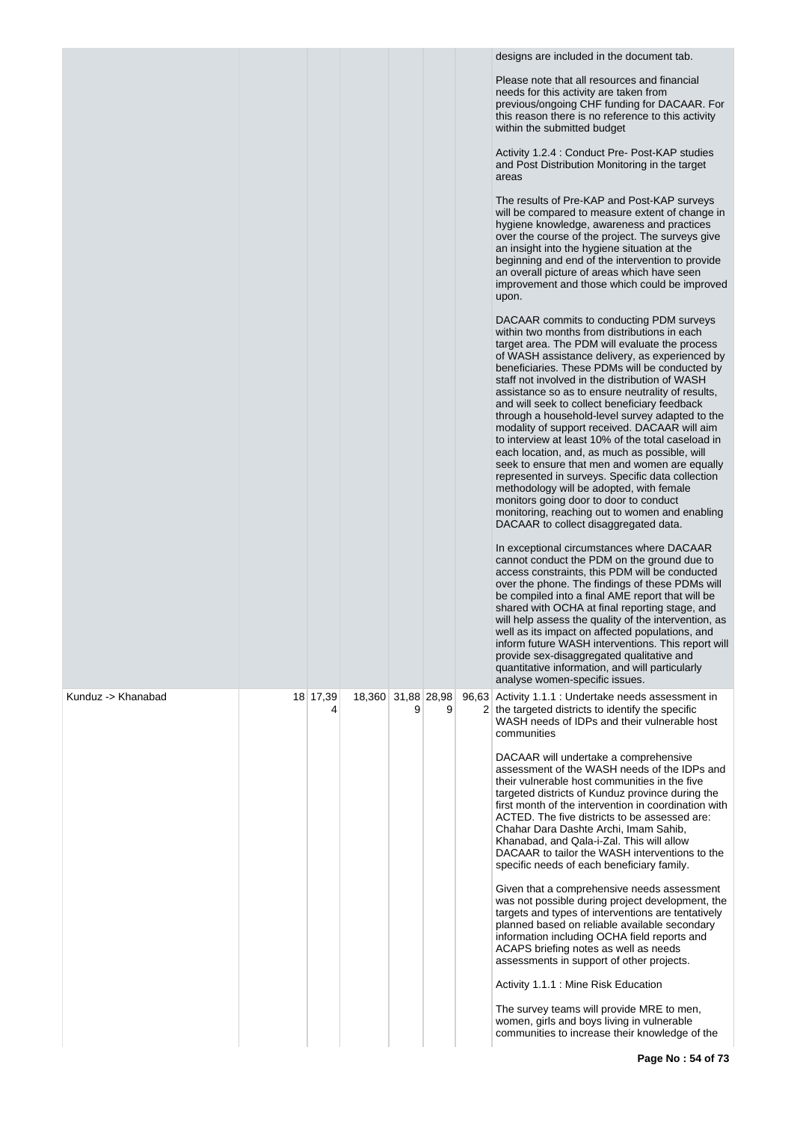|                    |               |                    |   |   | designs are included in the document tab.                                                                                                                                                                                                                                                                                                                                                                                                                                                                                                                                                                                                                                                                                                                                                                                                                                                               |
|--------------------|---------------|--------------------|---|---|---------------------------------------------------------------------------------------------------------------------------------------------------------------------------------------------------------------------------------------------------------------------------------------------------------------------------------------------------------------------------------------------------------------------------------------------------------------------------------------------------------------------------------------------------------------------------------------------------------------------------------------------------------------------------------------------------------------------------------------------------------------------------------------------------------------------------------------------------------------------------------------------------------|
|                    |               |                    |   |   | Please note that all resources and financial<br>needs for this activity are taken from<br>previous/ongoing CHF funding for DACAAR. For<br>this reason there is no reference to this activity<br>within the submitted budget                                                                                                                                                                                                                                                                                                                                                                                                                                                                                                                                                                                                                                                                             |
|                    |               |                    |   |   | Activity 1.2.4 : Conduct Pre- Post-KAP studies<br>and Post Distribution Monitoring in the target<br>areas                                                                                                                                                                                                                                                                                                                                                                                                                                                                                                                                                                                                                                                                                                                                                                                               |
|                    |               |                    |   |   | The results of Pre-KAP and Post-KAP surveys<br>will be compared to measure extent of change in<br>hygiene knowledge, awareness and practices<br>over the course of the project. The surveys give<br>an insight into the hygiene situation at the<br>beginning and end of the intervention to provide<br>an overall picture of areas which have seen<br>improvement and those which could be improved<br>upon.                                                                                                                                                                                                                                                                                                                                                                                                                                                                                           |
|                    |               |                    |   |   | DACAAR commits to conducting PDM surveys<br>within two months from distributions in each<br>target area. The PDM will evaluate the process<br>of WASH assistance delivery, as experienced by<br>beneficiaries. These PDMs will be conducted by<br>staff not involved in the distribution of WASH<br>assistance so as to ensure neutrality of results,<br>and will seek to collect beneficiary feedback<br>through a household-level survey adapted to the<br>modality of support received. DACAAR will aim<br>to interview at least 10% of the total caseload in<br>each location, and, as much as possible, will<br>seek to ensure that men and women are equally<br>represented in surveys. Specific data collection<br>methodology will be adopted, with female<br>monitors going door to door to conduct<br>monitoring, reaching out to women and enabling<br>DACAAR to collect disaggregated data. |
|                    |               |                    |   |   | In exceptional circumstances where DACAAR<br>cannot conduct the PDM on the ground due to<br>access constraints, this PDM will be conducted<br>over the phone. The findings of these PDMs will<br>be compiled into a final AME report that will be<br>shared with OCHA at final reporting stage, and<br>will help assess the quality of the intervention, as<br>well as its impact on affected populations, and<br>inform future WASH interventions. This report will<br>provide sex-disaggregated qualitative and<br>quantitative information, and will particularly<br>analyse women-specific issues.                                                                                                                                                                                                                                                                                                  |
| Kunduz -> Khanabad | 18 17,39<br>4 | 18,360 31,88 28,98 | 9 | 9 | 96,63 Activity 1.1.1 : Undertake needs assessment in<br>2 the targeted districts to identify the specific<br>WASH needs of IDPs and their vulnerable host<br>communities<br>DACAAR will undertake a comprehensive                                                                                                                                                                                                                                                                                                                                                                                                                                                                                                                                                                                                                                                                                       |
|                    |               |                    |   |   | assessment of the WASH needs of the IDPs and<br>their vulnerable host communities in the five<br>targeted districts of Kunduz province during the<br>first month of the intervention in coordination with<br>ACTED. The five districts to be assessed are:<br>Chahar Dara Dashte Archi, Imam Sahib,<br>Khanabad, and Qala-i-Zal. This will allow<br>DACAAR to tailor the WASH interventions to the<br>specific needs of each beneficiary family.                                                                                                                                                                                                                                                                                                                                                                                                                                                        |
|                    |               |                    |   |   | Given that a comprehensive needs assessment<br>was not possible during project development, the<br>targets and types of interventions are tentatively<br>planned based on reliable available secondary<br>information including OCHA field reports and<br>ACAPS briefing notes as well as needs<br>assessments in support of other projects.                                                                                                                                                                                                                                                                                                                                                                                                                                                                                                                                                            |
|                    |               |                    |   |   | Activity 1.1.1 : Mine Risk Education<br>The survey teams will provide MRE to men,<br>women, girls and boys living in vulnerable<br>communities to increase their knowledge of the                                                                                                                                                                                                                                                                                                                                                                                                                                                                                                                                                                                                                                                                                                                       |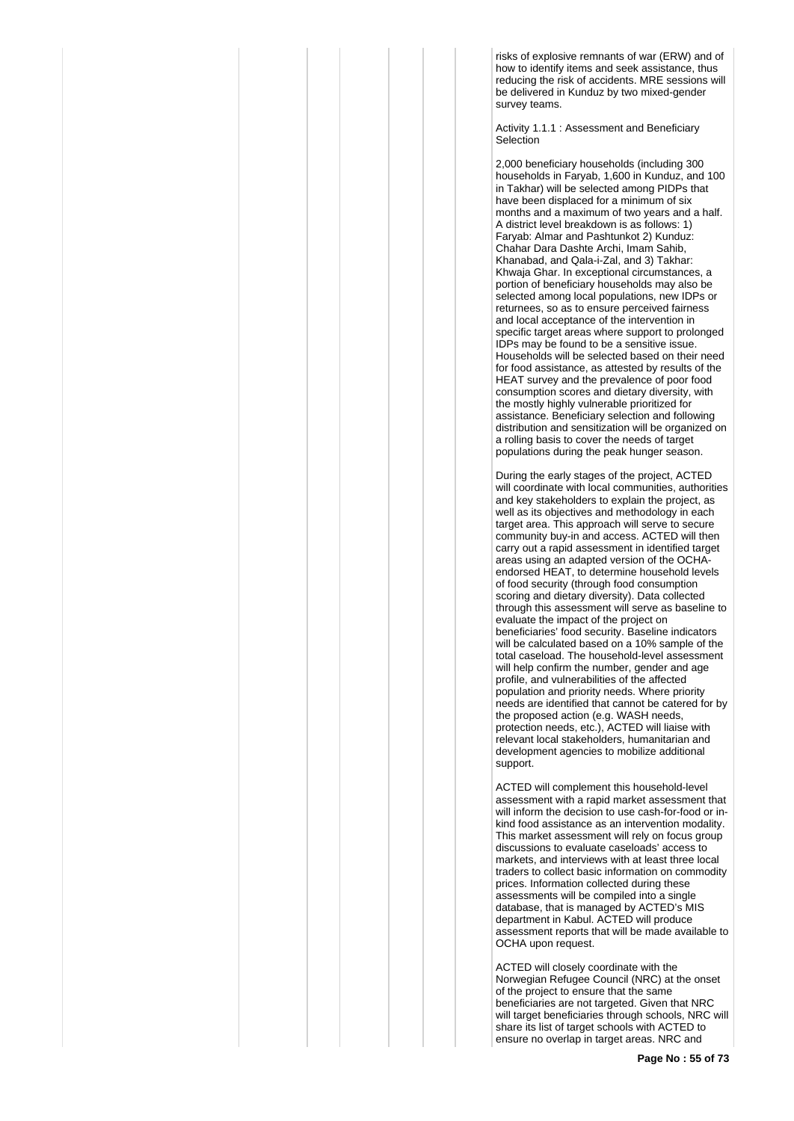risks of explosive remnants of war (ERW) and of how to identify items and seek assistance, thus reducing the risk of accidents. MRE sessions will be delivered in Kunduz by two mixed-gender survey teams.

Activity 1.1.1 · Assessment and Beneficiary Selection

2,000 beneficiary households (including 300 households in Faryab, 1,600 in Kunduz, and 100 in Takhar) will be selected among PIDPs that have been displaced for a minimum of six months and a maximum of two years and a half. A district level breakdown is as follows: 1) Faryab: Almar and Pashtunkot 2) Kunduz: Chahar Dara Dashte Archi, Imam Sahib, Khanabad, and Qala-i-Zal, and 3) Takhar: Khwaja Ghar. In exceptional circumstances, a portion of beneficiary households may also be selected among local populations, new IDPs or returnees, so as to ensure perceived fairness and local acceptance of the intervention in specific target areas where support to prolonged IDPs may be found to be a sensitive issue. Households will be selected based on their need for food assistance, as attested by results of the HEAT survey and the prevalence of poor food consumption scores and dietary diversity, with the mostly highly vulnerable prioritized for assistance. Beneficiary selection and following distribution and sensitization will be organized on a rolling basis to cover the needs of target populations during the peak hunger season.

During the early stages of the project, ACTED will coordinate with local communities, authorities and key stakeholders to explain the project, as well as its objectives and methodology in each target area. This approach will serve to secure community buy-in and access. ACTED will then carry out a rapid assessment in identified target areas using an adapted version of the OCHAendorsed HEAT, to determine household levels of food security (through food consumption scoring and dietary diversity). Data collected through this assessment will serve as baseline to evaluate the impact of the project on beneficiaries' food security. Baseline indicators will be calculated based on a 10% sample of the total caseload. The household-level assessment will help confirm the number, gender and age profile, and vulnerabilities of the affected population and priority needs. Where priority needs are identified that cannot be catered for by the proposed action (e.g. WASH needs, protection needs, etc.), ACTED will liaise with relevant local stakeholders, humanitarian and development agencies to mobilize additional support.

ACTED will complement this household-level assessment with a rapid market assessment that will inform the decision to use cash-for-food or inkind food assistance as an intervention modality. This market assessment will rely on focus group discussions to evaluate caseloads' access to markets, and interviews with at least three local traders to collect basic information on commodity prices. Information collected during these assessments will be compiled into a single database, that is managed by ACTED's MIS department in Kabul. ACTED will produce assessment reports that will be made available to OCHA upon request.

ACTED will closely coordinate with the Norwegian Refugee Council (NRC) at the onset of the project to ensure that the same beneficiaries are not targeted. Given that NRC will target beneficiaries through schools, NRC will share its list of target schools with ACTED to ensure no overlap in target areas. NRC and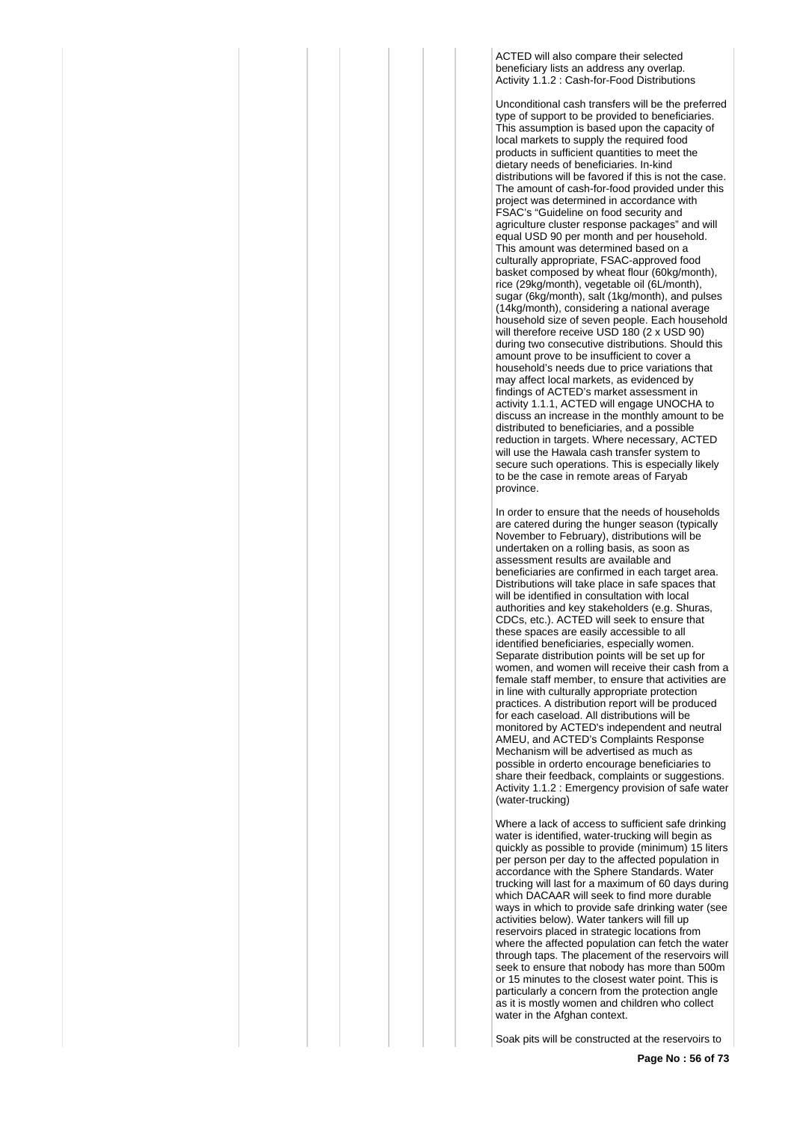ACTED will also compare their selected beneficiary lists an address any overlap. Activity 1.1.2 : Cash-for-Food Distributions

Unconditional cash transfers will be the preferred type of support to be provided to beneficiaries. This assumption is based upon the capacity of local markets to supply the required food products in sufficient quantities to meet the dietary needs of beneficiaries. In-kind distributions will be favored if this is not the case. The amount of cash-for-food provided under this project was determined in accordance with FSAC's "Guideline on food security and agriculture cluster response packages" and will equal USD 90 per month and per household. This amount was determined based on a culturally appropriate, FSAC-approved food basket composed by wheat flour (60kg/month), rice (29kg/month), vegetable oil (6L/month), sugar (6kg/month), salt (1kg/month), and pulses (14kg/month), considering a national average household size of seven people. Each household will therefore receive USD 180 (2 x USD 90) during two consecutive distributions. Should this amount prove to be insufficient to cover a household's needs due to price variations that may affect local markets, as evidenced by findings of ACTED's market assessment in activity 1.1.1, ACTED will engage UNOCHA to discuss an increase in the monthly amount to be distributed to beneficiaries, and a possible reduction in targets. Where necessary, ACTED will use the Hawala cash transfer system to secure such operations. This is especially likely to be the case in remote areas of Faryab province.

In order to ensure that the needs of households are catered during the hunger season (typically November to February), distributions will be undertaken on a rolling basis, as soon as assessment results are available and beneficiaries are confirmed in each target area. Distributions will take place in safe spaces that will be identified in consultation with local authorities and key stakeholders (e.g. Shuras, CDCs, etc.). ACTED will seek to ensure that these spaces are easily accessible to all identified beneficiaries, especially women. Separate distribution points will be set up for women, and women will receive their cash from a female staff member, to ensure that activities are in line with culturally appropriate protection practices. A distribution report will be produced for each caseload. All distributions will be monitored by ACTED's independent and neutral AMEU, and ACTED's Complaints Response Mechanism will be advertised as much as possible in orderto encourage beneficiaries to share their feedback, complaints or suggestions. Activity 1.1.2 : Emergency provision of safe water (water-trucking)

Where a lack of access to sufficient safe drinking water is identified, water-trucking will begin as quickly as possible to provide (minimum) 15 liters per person per day to the affected population in accordance with the Sphere Standards. Water trucking will last for a maximum of 60 days during which DACAAR will seek to find more durable ways in which to provide safe drinking water (see activities below). Water tankers will fill up reservoirs placed in strategic locations from where the affected population can fetch the water through taps. The placement of the reservoirs will seek to ensure that nobody has more than 500m or 15 minutes to the closest water point. This is particularly a concern from the protection angle as it is mostly women and children who collect water in the Afghan context.

Soak pits will be constructed at the reservoirs to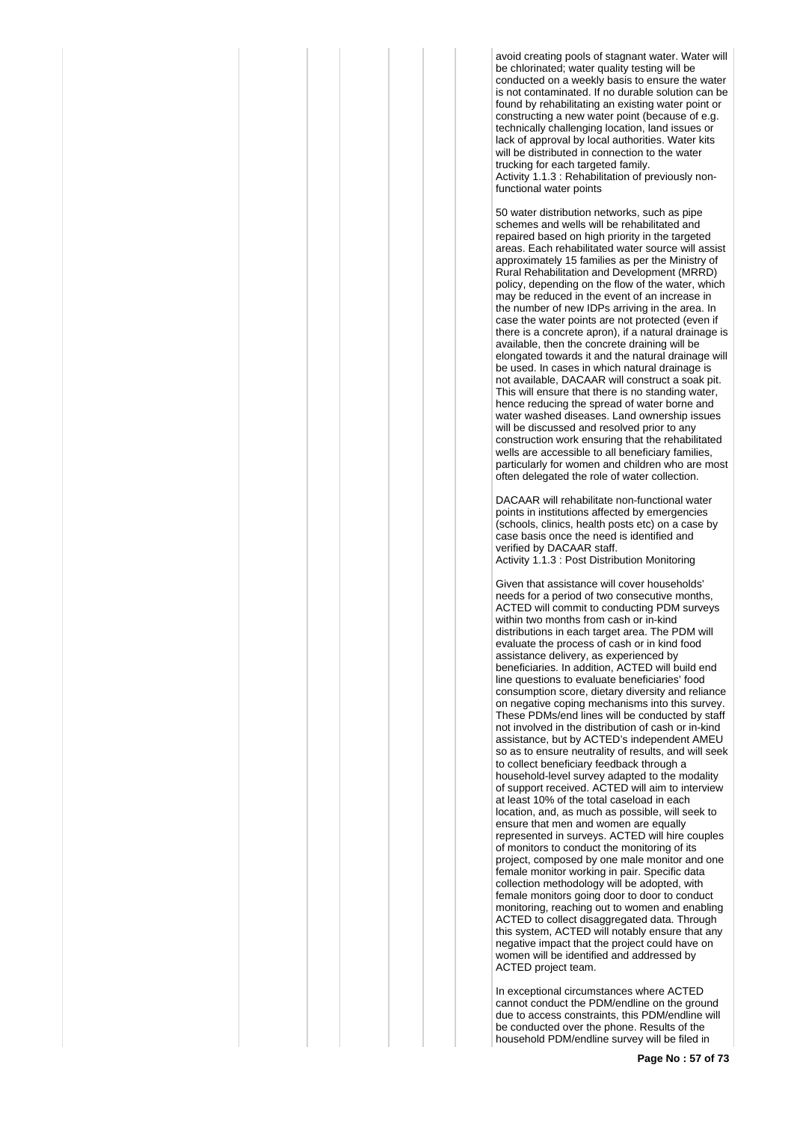avoid creating pools of stagnant water. Water will be chlorinated; water quality testing will be conducted on a weekly basis to ensure the water is not contaminated. If no durable solution can be found by rehabilitating an existing water point or constructing a new water point (because of e.g. technically challenging location, land issues or lack of approval by local authorities. Water kits will be distributed in connection to the water trucking for each targeted family. Activity 1.1.3 : Rehabilitation of previously nonfunctional water points

50 water distribution networks, such as pipe schemes and wells will be rehabilitated and repaired based on high priority in the targeted areas. Each rehabilitated water source will assist approximately 15 families as per the Ministry of Rural Rehabilitation and Development (MRRD) policy, depending on the flow of the water, which may be reduced in the event of an increase in the number of new IDPs arriving in the area. In case the water points are not protected (even if there is a concrete apron), if a natural drainage is available, then the concrete draining will be elongated towards it and the natural drainage will be used. In cases in which natural drainage is not available, DACAAR will construct a soak pit. This will ensure that there is no standing water, hence reducing the spread of water borne and water washed diseases. Land ownership issues will be discussed and resolved prior to any construction work ensuring that the rehabilitated wells are accessible to all beneficiary families, particularly for women and children who are most often delegated the role of water collection.

DACAAR will rehabilitate non-functional water points in institutions affected by emergencies (schools, clinics, health posts etc) on a case by case basis once the need is identified and verified by DACAAR staff.

Activity 1.1.3 : Post Distribution Monitoring

Given that assistance will cover households' needs for a period of two consecutive months, ACTED will commit to conducting PDM surveys within two months from cash or in-kind distributions in each target area. The PDM will evaluate the process of cash or in kind food assistance delivery, as experienced by beneficiaries. In addition, ACTED will build end line questions to evaluate beneficiaries' food consumption score, dietary diversity and reliance on negative coping mechanisms into this survey. These PDMs/end lines will be conducted by staff not involved in the distribution of cash or in-kind assistance, but by ACTED's independent AMEU so as to ensure neutrality of results, and will seek to collect beneficiary feedback through a household-level survey adapted to the modality of support received. ACTED will aim to interview at least 10% of the total caseload in each location, and, as much as possible, will seek to ensure that men and women are equally represented in surveys. ACTED will hire couples of monitors to conduct the monitoring of its project, composed by one male monitor and one female monitor working in pair. Specific data collection methodology will be adopted, with female monitors going door to door to conduct monitoring, reaching out to women and enabling ACTED to collect disaggregated data. Through this system, ACTED will notably ensure that any negative impact that the project could have on women will be identified and addressed by ACTED project team.

In exceptional circumstances where ACTED cannot conduct the PDM/endline on the ground due to access constraints, this PDM/endline will be conducted over the phone. Results of the household PDM/endline survey will be filed in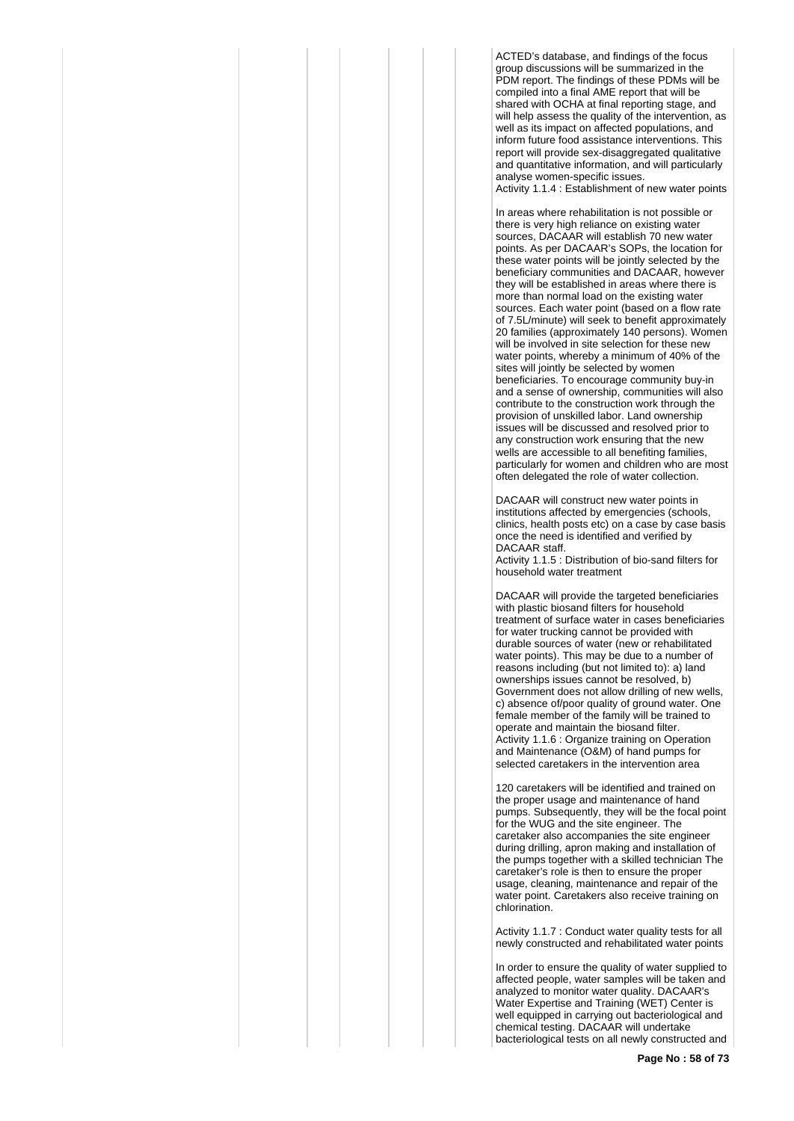ACTED's database, and findings of the focus group discussions will be summarized in the PDM report. The findings of these PDMs will be compiled into a final AME report that will be shared with OCHA at final reporting stage, and will help assess the quality of the intervention, as well as its impact on affected populations, and inform future food assistance interventions. This report will provide sex-disaggregated qualitative and quantitative information, and will particularly analyse women-specific issues.

Activity 1.1.4 : Establishment of new water points

In areas where rehabilitation is not possible or there is very high reliance on existing water sources, DACAAR will establish 70 new water points. As per DACAAR's SOPs, the location for these water points will be jointly selected by the beneficiary communities and DACAAR, however they will be established in areas where there is more than normal load on the existing water sources. Each water point (based on a flow rate of 7.5L/minute) will seek to benefit approximately 20 families (approximately 140 persons). Women will be involved in site selection for these new water points, whereby a minimum of 40% of the sites will jointly be selected by women beneficiaries. To encourage community buy-in and a sense of ownership, communities will also contribute to the construction work through the provision of unskilled labor. Land ownership issues will be discussed and resolved prior to any construction work ensuring that the new wells are accessible to all benefiting families, particularly for women and children who are most often delegated the role of water collection.

DACAAR will construct new water points in institutions affected by emergencies (schools, clinics, health posts etc) on a case by case basis once the need is identified and verified by DACAAR staff.

Activity 1.1.5 : Distribution of bio-sand filters for household water treatment

DACAAR will provide the targeted beneficiaries with plastic biosand filters for household treatment of surface water in cases beneficiaries for water trucking cannot be provided with durable sources of water (new or rehabilitated water points). This may be due to a number of reasons including (but not limited to): a) land ownerships issues cannot be resolved, b) Government does not allow drilling of new wells, c) absence of/poor quality of ground water. One female member of the family will be trained to operate and maintain the biosand filter. Activity 1.1.6 : Organize training on Operation and Maintenance (O&M) of hand pumps for selected caretakers in the intervention area

120 caretakers will be identified and trained on the proper usage and maintenance of hand pumps. Subsequently, they will be the focal point for the WUG and the site engineer. The caretaker also accompanies the site engineer during drilling, apron making and installation of the pumps together with a skilled technician The caretaker's role is then to ensure the proper usage, cleaning, maintenance and repair of the water point. Caretakers also receive training on chlorination.

Activity 1.1.7 : Conduct water quality tests for all newly constructed and rehabilitated water points

In order to ensure the quality of water supplied to affected people, water samples will be taken and analyzed to monitor water quality. DACAAR's Water Expertise and Training (WET) Center is well equipped in carrying out bacteriological and chemical testing. DACAAR will undertake bacteriological tests on all newly constructed and

**Page No : 58 of 73**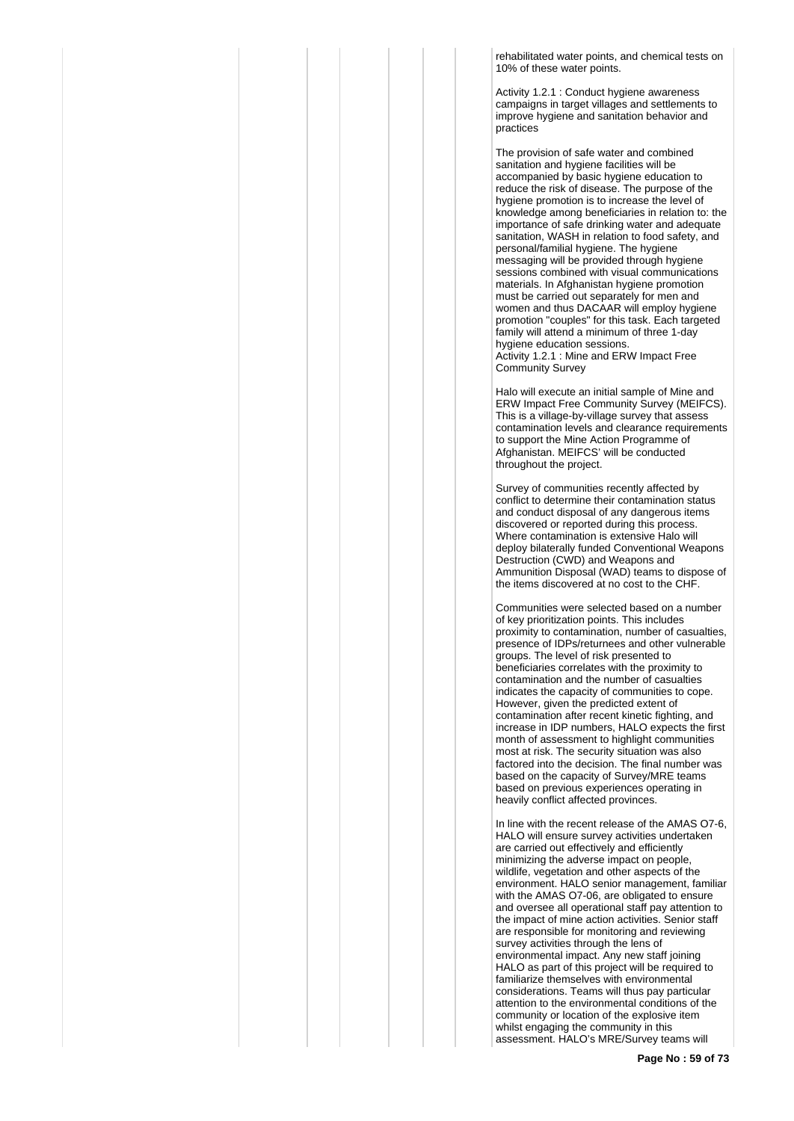rehabilitated water points, and chemical tests on 10% of these water points.

Activity 1.2.1 : Conduct hygiene awareness campaigns in target villages and settlements to improve hygiene and sanitation behavior and practices

The provision of safe water and combined sanitation and hygiene facilities will be accompanied by basic hygiene education to reduce the risk of disease. The purpose of the hygiene promotion is to increase the level of knowledge among beneficiaries in relation to: the importance of safe drinking water and adequate sanitation, WASH in relation to food safety, and personal/familial hygiene. The hygiene messaging will be provided through hygiene sessions combined with visual communications materials. In Afghanistan hygiene promotion must be carried out separately for men and women and thus DACAAR will employ hygiene promotion "couples" for this task. Each targeted family will attend a minimum of three 1-day hygiene education sessions. Activity 1.2.1 : Mine and ERW Impact Free Community Survey

Halo will execute an initial sample of Mine and ERW Impact Free Community Survey (MEIFCS). This is a village-by-village survey that assess contamination levels and clearance requirements to support the Mine Action Programme of Afghanistan. MEIFCS' will be conducted throughout the project.

Survey of communities recently affected by conflict to determine their contamination status and conduct disposal of any dangerous items discovered or reported during this process. Where contamination is extensive Halo will deploy bilaterally funded Conventional Weapons Destruction (CWD) and Weapons and Ammunition Disposal (WAD) teams to dispose of the items discovered at no cost to the CHF.

Communities were selected based on a number of key prioritization points. This includes proximity to contamination, number of casualties, presence of IDPs/returnees and other vulnerable groups. The level of risk presented to beneficiaries correlates with the proximity to contamination and the number of casualties indicates the capacity of communities to cope. However, given the predicted extent of contamination after recent kinetic fighting, and increase in IDP numbers, HALO expects the first month of assessment to highlight communities most at risk. The security situation was also factored into the decision. The final number was based on the capacity of Survey/MRE teams based on previous experiences operating in heavily conflict affected provinces.

In line with the recent release of the AMAS O7-6, HALO will ensure survey activities undertaken are carried out effectively and efficiently minimizing the adverse impact on people, wildlife, vegetation and other aspects of the environment. HALO senior management, familiar with the AMAS O7-06, are obligated to ensure and oversee all operational staff pay attention to the impact of mine action activities. Senior staff are responsible for monitoring and reviewing survey activities through the lens of environmental impact. Any new staff joining HALO as part of this project will be required to familiarize themselves with environmental considerations. Teams will thus pay particular attention to the environmental conditions of the community or location of the explosive item whilst engaging the community in this assessment. HALO's MRE/Survey teams will

**Page No : 59 of 73**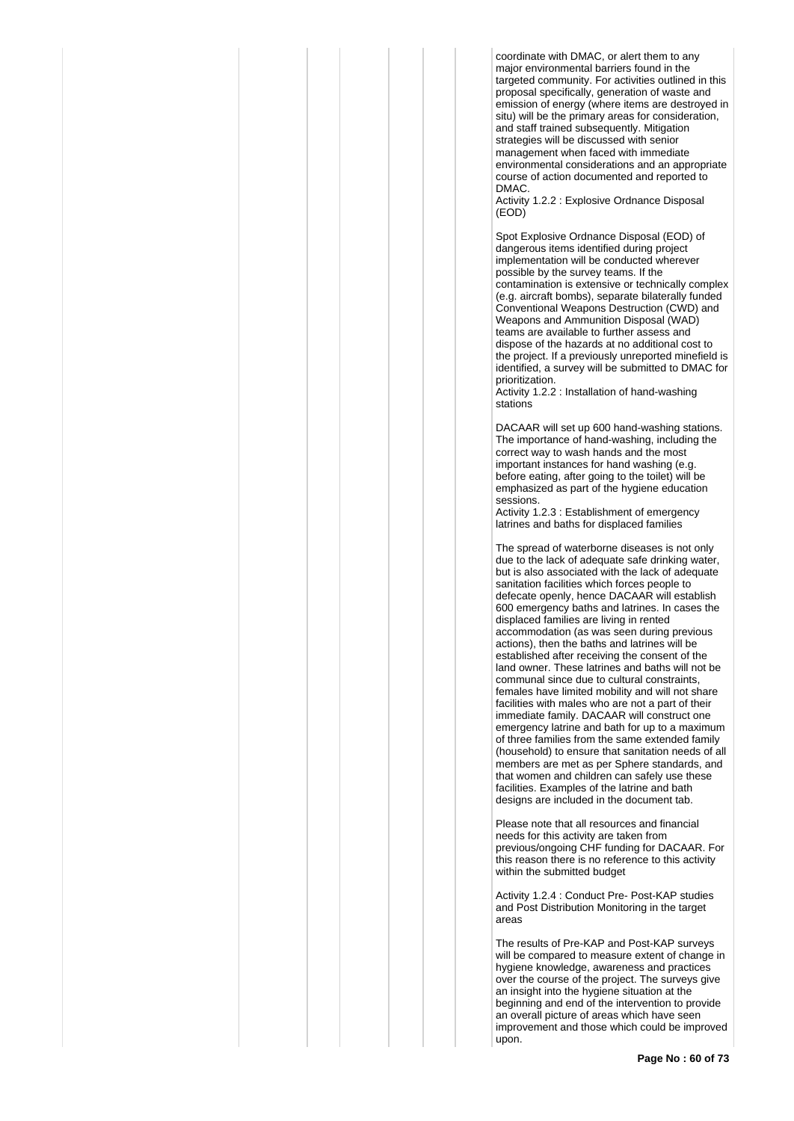coordinate with DMAC, or alert them to any major environmental barriers found in the targeted community. For activities outlined in this proposal specifically, generation of waste and emission of energy (where items are destroyed in situ) will be the primary areas for consideration, and staff trained subsequently. Mitigation strategies will be discussed with senior management when faced with immediate environmental considerations and an appropriate course of action documented and reported to DMAC.

Activity 1.2.2 : Explosive Ordnance Disposal (EOD)

Spot Explosive Ordnance Disposal (EOD) of dangerous items identified during project implementation will be conducted wherever possible by the survey teams. If the contamination is extensive or technically complex (e.g. aircraft bombs), separate bilaterally funded Conventional Weapons Destruction (CWD) and Weapons and Ammunition Disposal (WAD) teams are available to further assess and dispose of the hazards at no additional cost to the project. If a previously unreported minefield is identified, a survey will be submitted to DMAC for prioritization.

Activity 1.2.2 : Installation of hand-washing stations

DACAAR will set up 600 hand-washing stations. The importance of hand-washing, including the correct way to wash hands and the most important instances for hand washing (e.g. before eating, after going to the toilet) will be emphasized as part of the hygiene education sessions.

Activity 1.2.3 : Establishment of emergency latrines and baths for displaced families

The spread of waterborne diseases is not only due to the lack of adequate safe drinking water, but is also associated with the lack of adequate sanitation facilities which forces people to defecate openly, hence DACAAR will establish 600 emergency baths and latrines. In cases the displaced families are living in rented accommodation (as was seen during previous actions), then the baths and latrines will be established after receiving the consent of the land owner. These latrines and baths will not be communal since due to cultural constraints, females have limited mobility and will not share facilities with males who are not a part of their immediate family. DACAAR will construct one emergency latrine and bath for up to a maximum of three families from the same extended family (household) to ensure that sanitation needs of all members are met as per Sphere standards, and that women and children can safely use these facilities. Examples of the latrine and bath designs are included in the document tab.

Please note that all resources and financial needs for this activity are taken from previous/ongoing CHF funding for DACAAR. For this reason there is no reference to this activity within the submitted budget

Activity 1.2.4 : Conduct Pre- Post-KAP studies and Post Distribution Monitoring in the target areas

The results of Pre-KAP and Post-KAP surveys will be compared to measure extent of change in hygiene knowledge, awareness and practices over the course of the project. The surveys give an insight into the hygiene situation at the beginning and end of the intervention to provide an overall picture of areas which have seen improvement and those which could be improved upon.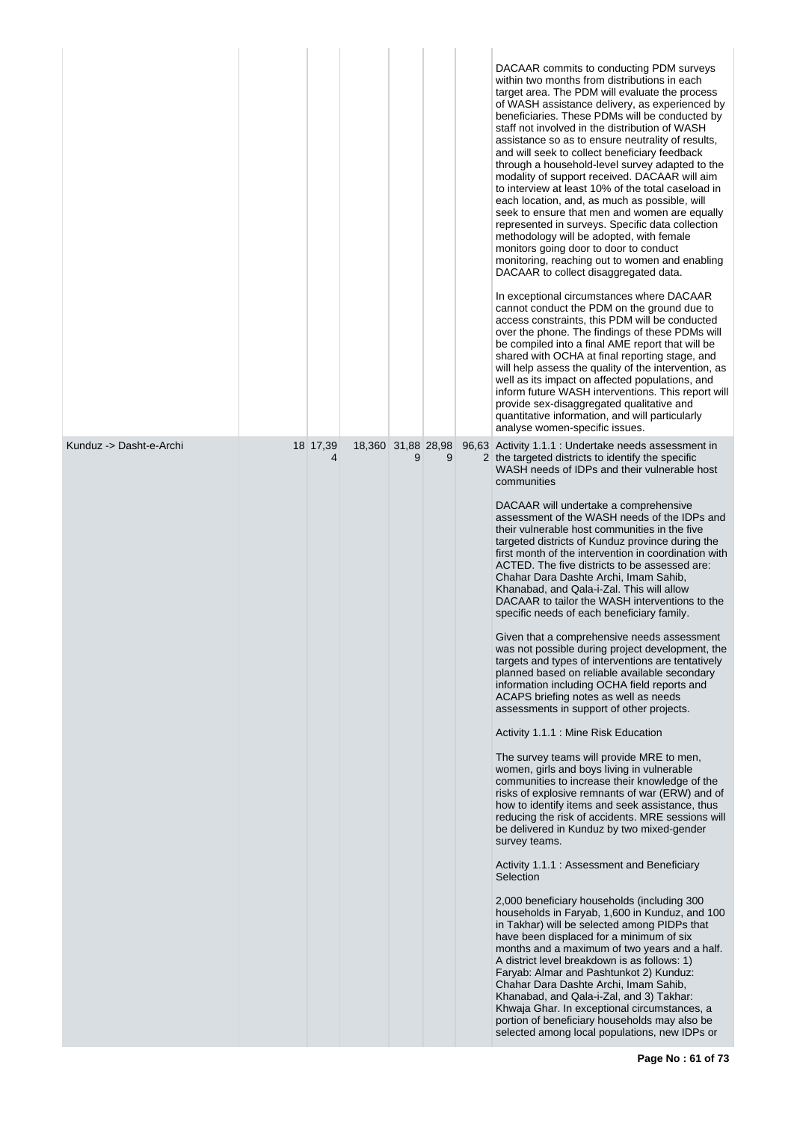|                         |               |                    |   |   | DACAAR commits to conducting PDM surveys<br>within two months from distributions in each<br>target area. The PDM will evaluate the process<br>of WASH assistance delivery, as experienced by<br>beneficiaries. These PDMs will be conducted by<br>staff not involved in the distribution of WASH<br>assistance so as to ensure neutrality of results,<br>and will seek to collect beneficiary feedback<br>through a household-level survey adapted to the<br>modality of support received. DACAAR will aim<br>to interview at least 10% of the total caseload in<br>each location, and, as much as possible, will<br>seek to ensure that men and women are equally<br>represented in surveys. Specific data collection<br>methodology will be adopted, with female<br>monitors going door to door to conduct<br>monitoring, reaching out to women and enabling<br>DACAAR to collect disaggregated data.<br>In exceptional circumstances where DACAAR<br>cannot conduct the PDM on the ground due to<br>access constraints, this PDM will be conducted<br>over the phone. The findings of these PDMs will<br>be compiled into a final AME report that will be<br>shared with OCHA at final reporting stage, and<br>will help assess the quality of the intervention, as<br>well as its impact on affected populations, and<br>inform future WASH interventions. This report will<br>provide sex-disaggregated qualitative and<br>quantitative information, and will particularly<br>analyse women-specific issues.                                                                                                                                                                                                                                                                                                                                                                                                                                                                                                                                                               |
|-------------------------|---------------|--------------------|---|---|---------------------------------------------------------------------------------------------------------------------------------------------------------------------------------------------------------------------------------------------------------------------------------------------------------------------------------------------------------------------------------------------------------------------------------------------------------------------------------------------------------------------------------------------------------------------------------------------------------------------------------------------------------------------------------------------------------------------------------------------------------------------------------------------------------------------------------------------------------------------------------------------------------------------------------------------------------------------------------------------------------------------------------------------------------------------------------------------------------------------------------------------------------------------------------------------------------------------------------------------------------------------------------------------------------------------------------------------------------------------------------------------------------------------------------------------------------------------------------------------------------------------------------------------------------------------------------------------------------------------------------------------------------------------------------------------------------------------------------------------------------------------------------------------------------------------------------------------------------------------------------------------------------------------------------------------------------------------------------------------------------------------------------------------------------------------------------|
| Kunduz -> Dasht-e-Archi | 18 17,39<br>4 | 18,360 31,88 28,98 | 9 | 9 | 96,63 Activity 1.1.1 : Undertake needs assessment in<br>2 the targeted districts to identify the specific<br>WASH needs of IDPs and their vulnerable host<br>communities<br>DACAAR will undertake a comprehensive<br>assessment of the WASH needs of the IDPs and<br>their vulnerable host communities in the five<br>targeted districts of Kunduz province during the<br>first month of the intervention in coordination with<br>ACTED. The five districts to be assessed are:<br>Chahar Dara Dashte Archi, Imam Sahib,<br>Khanabad, and Qala-i-Zal. This will allow<br>DACAAR to tailor the WASH interventions to the<br>specific needs of each beneficiary family.<br>Given that a comprehensive needs assessment<br>was not possible during project development, the<br>targets and types of interventions are tentatively<br>planned based on reliable available secondary<br>information including OCHA field reports and<br>ACAPS briefing notes as well as needs<br>assessments in support of other projects.<br>Activity 1.1.1 : Mine Risk Education<br>The survey teams will provide MRE to men,<br>women, girls and boys living in vulnerable<br>communities to increase their knowledge of the<br>risks of explosive remnants of war (ERW) and of<br>how to identify items and seek assistance, thus<br>reducing the risk of accidents. MRE sessions will<br>be delivered in Kunduz by two mixed-gender<br>survey teams.<br>Activity 1.1.1: Assessment and Beneficiary<br>Selection<br>2,000 beneficiary households (including 300<br>households in Faryab, 1,600 in Kunduz, and 100<br>in Takhar) will be selected among PIDPs that<br>have been displaced for a minimum of six<br>months and a maximum of two years and a half.<br>A district level breakdown is as follows: 1)<br>Faryab: Almar and Pashtunkot 2) Kunduz:<br>Chahar Dara Dashte Archi, Imam Sahib,<br>Khanabad, and Qala-i-Zal, and 3) Takhar:<br>Khwaja Ghar. In exceptional circumstances, a<br>portion of beneficiary households may also be<br>selected among local populations, new IDPs or |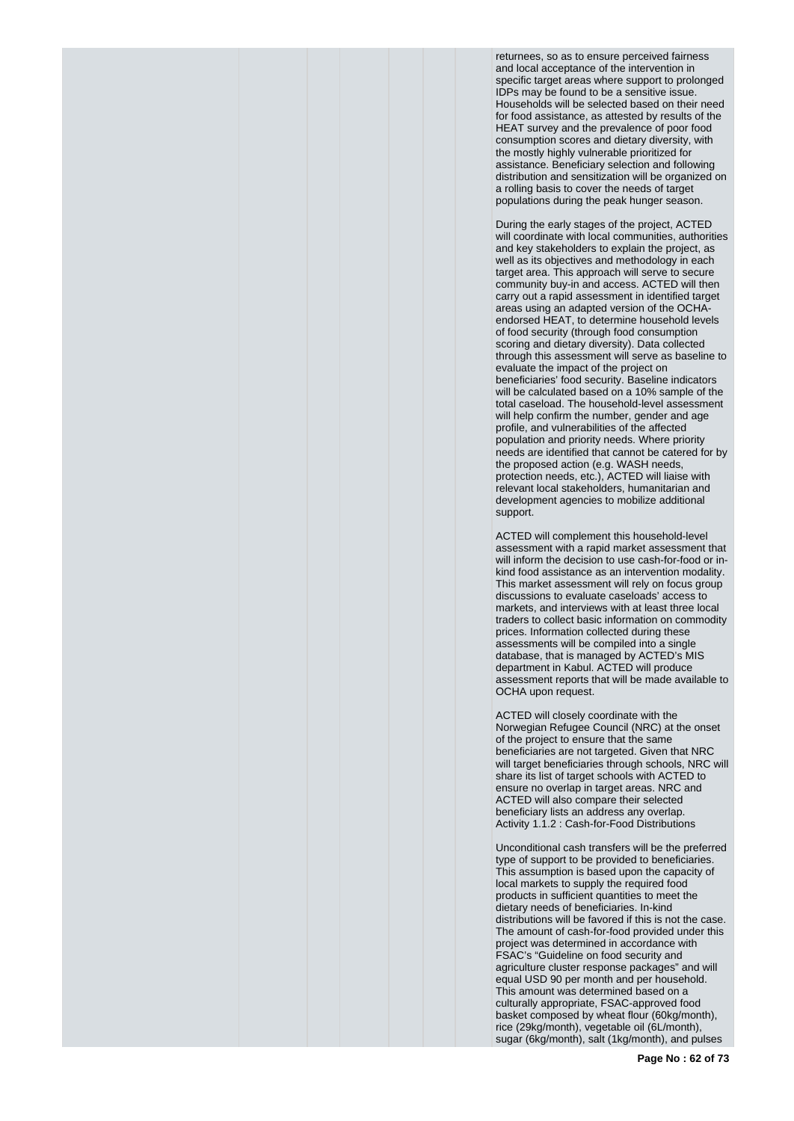returnees, so as to ensure perceived fairness and local acceptance of the intervention in specific target areas where support to prolonged IDPs may be found to be a sensitive issue. Households will be selected based on their need for food assistance, as attested by results of the HEAT survey and the prevalence of poor food consumption scores and dietary diversity, with the mostly highly vulnerable prioritized for assistance. Beneficiary selection and following distribution and sensitization will be organized on a rolling basis to cover the needs of target populations during the peak hunger season.

During the early stages of the project, ACTED will coordinate with local communities, authorities and key stakeholders to explain the project, as well as its objectives and methodology in each target area. This approach will serve to secure community buy-in and access. ACTED will then carry out a rapid assessment in identified target areas using an adapted version of the OCHAendorsed HEAT, to determine household levels of food security (through food consumption scoring and dietary diversity). Data collected through this assessment will serve as baseline to evaluate the impact of the project on beneficiaries' food security. Baseline indicators will be calculated based on a 10% sample of the total caseload. The household-level assessment will help confirm the number, gender and age profile, and vulnerabilities of the affected population and priority needs. Where priority needs are identified that cannot be catered for by the proposed action (e.g. WASH needs, protection needs, etc.), ACTED will liaise with relevant local stakeholders, humanitarian and development agencies to mobilize additional support.

ACTED will complement this household-level assessment with a rapid market assessment that will inform the decision to use cash-for-food or inkind food assistance as an intervention modality. This market assessment will rely on focus group discussions to evaluate caseloads' access to markets, and interviews with at least three local traders to collect basic information on commodity prices. Information collected during these assessments will be compiled into a single database, that is managed by ACTED's MIS department in Kabul. ACTED will produce assessment reports that will be made available to OCHA upon request.

ACTED will closely coordinate with the Norwegian Refugee Council (NRC) at the onset of the project to ensure that the same beneficiaries are not targeted. Given that NRC will target beneficiaries through schools, NRC will share its list of target schools with ACTED to ensure no overlap in target areas. NRC and ACTED will also compare their selected beneficiary lists an address any overlap. Activity 1.1.2 : Cash-for-Food Distributions

Unconditional cash transfers will be the preferred type of support to be provided to beneficiaries. This assumption is based upon the capacity of local markets to supply the required food products in sufficient quantities to meet the dietary needs of beneficiaries. In-kind distributions will be favored if this is not the case. The amount of cash-for-food provided under this project was determined in accordance with FSAC's "Guideline on food security and agriculture cluster response packages" and will equal USD 90 per month and per household. This amount was determined based on a culturally appropriate, FSAC-approved food basket composed by wheat flour (60kg/month), rice (29kg/month), vegetable oil (6L/month), sugar (6kg/month), salt (1kg/month), and pulses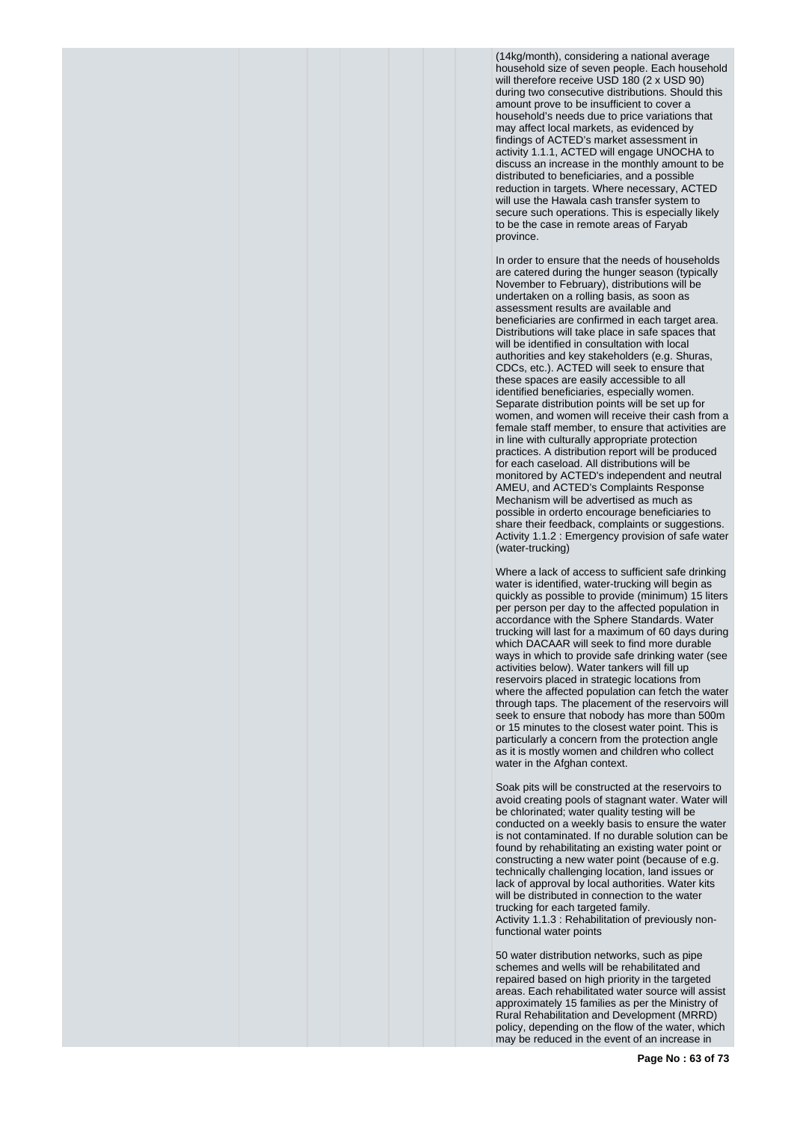(14kg/month), considering a national average household size of seven people. Each household will therefore receive USD 180 (2 x USD 90) during two consecutive distributions. Should this amount prove to be insufficient to cover a household's needs due to price variations that may affect local markets, as evidenced by findings of ACTED's market assessment in activity 1.1.1, ACTED will engage UNOCHA to discuss an increase in the monthly amount to be distributed to beneficiaries, and a possible reduction in targets. Where necessary, ACTED will use the Hawala cash transfer system to secure such operations. This is especially likely to be the case in remote areas of Faryab province.

In order to ensure that the needs of households are catered during the hunger season (typically November to February), distributions will be undertaken on a rolling basis, as soon as assessment results are available and beneficiaries are confirmed in each target area. Distributions will take place in safe spaces that will be identified in consultation with local authorities and key stakeholders (e.g. Shuras, CDCs, etc.). ACTED will seek to ensure that these spaces are easily accessible to all identified beneficiaries, especially women. Separate distribution points will be set up for women, and women will receive their cash from a female staff member, to ensure that activities are in line with culturally appropriate protection practices. A distribution report will be produced for each caseload. All distributions will be monitored by ACTED's independent and neutral AMEU, and ACTED's Complaints Response Mechanism will be advertised as much as possible in orderto encourage beneficiaries to share their feedback, complaints or suggestions. Activity 1.1.2 : Emergency provision of safe water (water-trucking)

Where a lack of access to sufficient safe drinking water is identified, water-trucking will begin as quickly as possible to provide (minimum) 15 liters per person per day to the affected population in accordance with the Sphere Standards. Water trucking will last for a maximum of 60 days during which DACAAR will seek to find more durable ways in which to provide safe drinking water (see activities below). Water tankers will fill up reservoirs placed in strategic locations from where the affected population can fetch the water through taps. The placement of the reservoirs will seek to ensure that nobody has more than 500m or 15 minutes to the closest water point. This is particularly a concern from the protection angle as it is mostly women and children who collect water in the Afghan context.

Soak pits will be constructed at the reservoirs to avoid creating pools of stagnant water. Water will be chlorinated; water quality testing will be conducted on a weekly basis to ensure the water is not contaminated. If no durable solution can be found by rehabilitating an existing water point or constructing a new water point (because of e.g. technically challenging location, land issues or lack of approval by local authorities. Water kits will be distributed in connection to the water trucking for each targeted family. Activity 1.1.3 : Rehabilitation of previously nonfunctional water points

50 water distribution networks, such as pipe schemes and wells will be rehabilitated and repaired based on high priority in the targeted areas. Each rehabilitated water source will assist approximately 15 families as per the Ministry of Rural Rehabilitation and Development (MRRD) policy, depending on the flow of the water, which may be reduced in the event of an increase in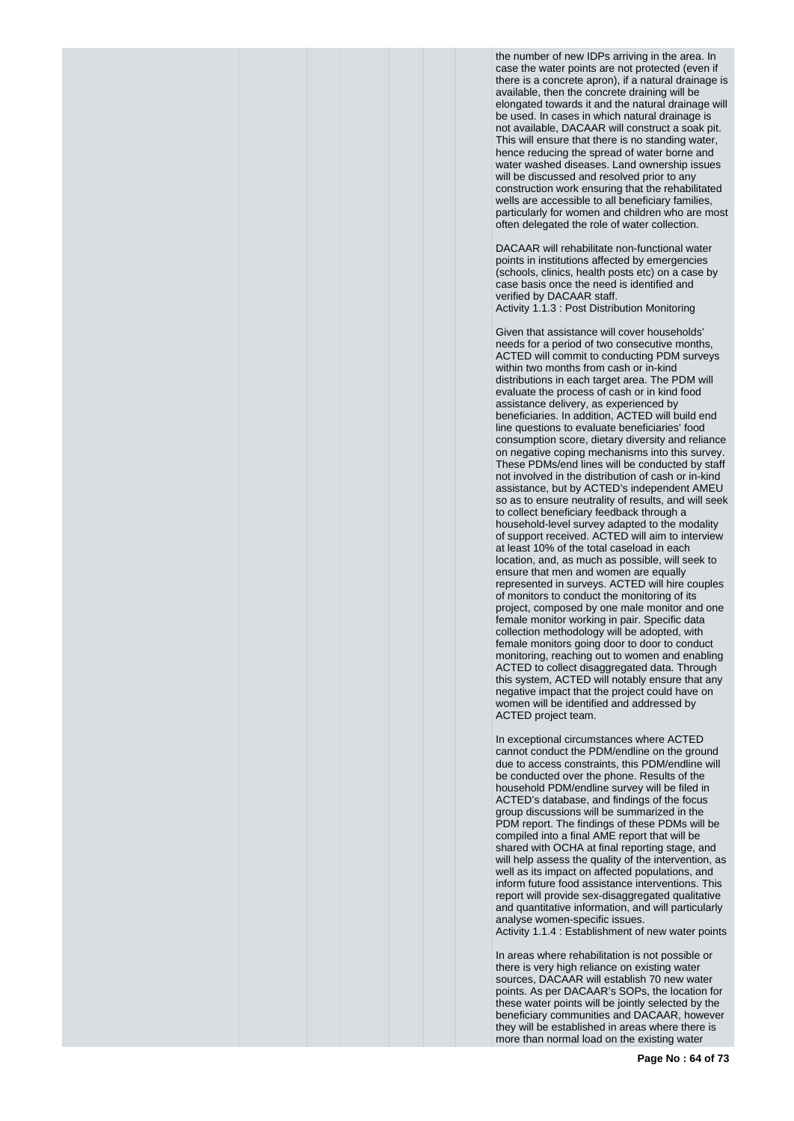the number of new IDPs arriving in the area. In case the water points are not protected (even if there is a concrete apron), if a natural drainage is available, then the concrete draining will be elongated towards it and the natural drainage will be used. In cases in which natural drainage is not available, DACAAR will construct a soak pit. This will ensure that there is no standing water, hence reducing the spread of water borne and water washed diseases. Land ownership issues will be discussed and resolved prior to any construction work ensuring that the rehabilitated wells are accessible to all beneficiary families, particularly for women and children who are most often delegated the role of water collection.

DACAAR will rehabilitate non-functional water points in institutions affected by emergencies (schools, clinics, health posts etc) on a case by case basis once the need is identified and verified by DACAAR staff. Activity 1.1.3 : Post Distribution Monitoring

Given that assistance will cover households' needs for a period of two consecutive months, ACTED will commit to conducting PDM surveys within two months from cash or in-kind distributions in each target area. The PDM will evaluate the process of cash or in kind food assistance delivery, as experienced by beneficiaries. In addition, ACTED will build end line questions to evaluate beneficiaries' food consumption score, dietary diversity and reliance on negative coping mechanisms into this survey. These PDMs/end lines will be conducted by staff not involved in the distribution of cash or in-kind assistance, but by ACTED's independent AMEU so as to ensure neutrality of results, and will seek to collect beneficiary feedback through a household-level survey adapted to the modality of support received. ACTED will aim to interview at least 10% of the total caseload in each location, and, as much as possible, will seek to ensure that men and women are equally represented in surveys. ACTED will hire couples of monitors to conduct the monitoring of its project, composed by one male monitor and one female monitor working in pair. Specific data collection methodology will be adopted, with female monitors going door to door to conduct monitoring, reaching out to women and enabling ACTED to collect disaggregated data. Through this system, ACTED will notably ensure that any negative impact that the project could have on women will be identified and addressed by ACTED project team.

In exceptional circumstances where ACTED cannot conduct the PDM/endline on the ground due to access constraints, this PDM/endline will be conducted over the phone. Results of the household PDM/endline survey will be filed in ACTED's database, and findings of the focus group discussions will be summarized in the PDM report. The findings of these PDMs will be compiled into a final AME report that will be shared with OCHA at final reporting stage, and will help assess the quality of the intervention, as well as its impact on affected populations, and inform future food assistance interventions. This report will provide sex-disaggregated qualitative and quantitative information, and will particularly analyse women-specific issues.

Activity 1.1.4 : Establishment of new water points

In areas where rehabilitation is not possible or there is very high reliance on existing water sources, DACAAR will establish 70 new water points. As per DACAAR's SOPs, the location for these water points will be jointly selected by the beneficiary communities and DACAAR, however they will be established in areas where there is more than normal load on the existing water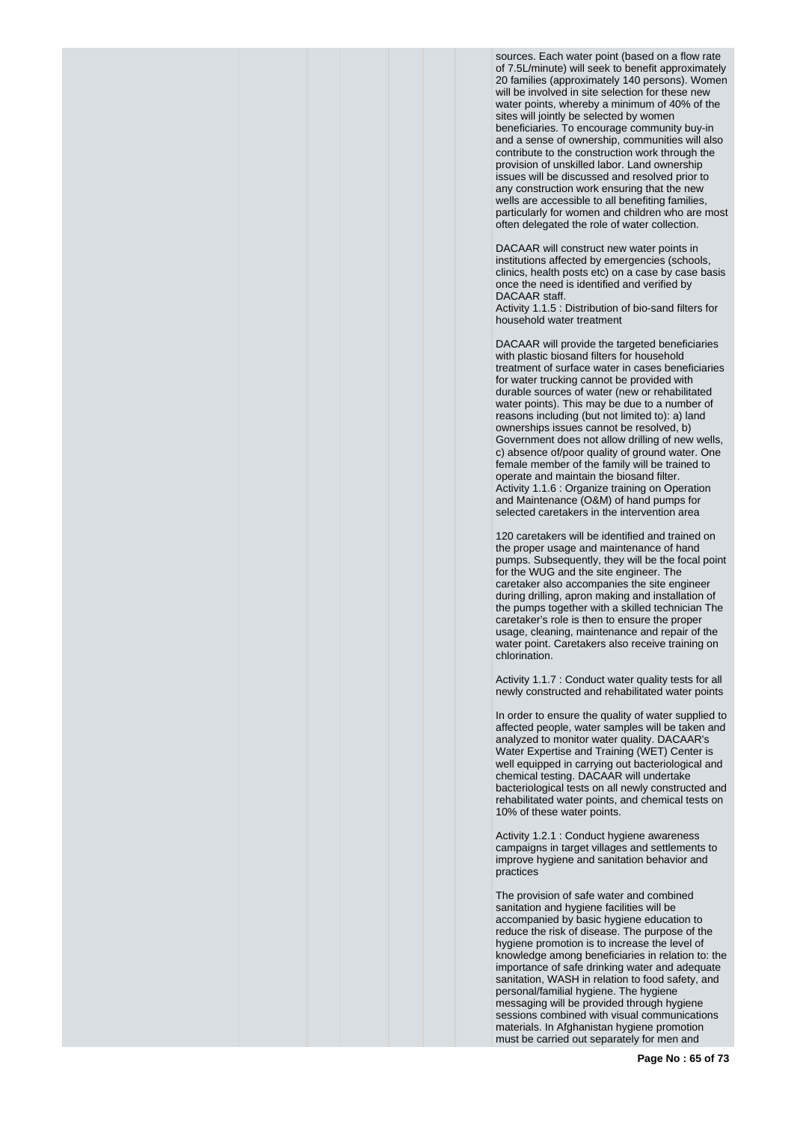sources. Each water point (based on a flow rate of 7.5L/minute) will seek to benefit approximately 20 families (approximately 140 persons). Women will be involved in site selection for these new water points, whereby a minimum of 40% of the sites will jointly be selected by women beneficiaries. To encourage community buy-in and a sense of ownership, communities will also contribute to the construction work through the provision of unskilled labor. Land ownership issues will be discussed and resolved prior to any construction work ensuring that the new wells are accessible to all benefiting families, particularly for women and children who are most often delegated the role of water collection.

DACAAR will construct new water points in institutions affected by emergencies (schools, clinics, health posts etc) on a case by case basis once the need is identified and verified by DACAAR staff. Activity 1.1.5 : Distribution of bio-sand filters for

household water treatment DACAAR will provide the targeted beneficiaries

with plastic biosand filters for household treatment of surface water in cases beneficiaries for water trucking cannot be provided with durable sources of water (new or rehabilitated water points). This may be due to a number of reasons including (but not limited to): a) land ownerships issues cannot be resolved, b) Government does not allow drilling of new wells, c) absence of/poor quality of ground water. One female member of the family will be trained to operate and maintain the biosand filter. Activity 1.1.6 : Organize training on Operation and Maintenance (O&M) of hand pumps for selected caretakers in the intervention area

120 caretakers will be identified and trained on the proper usage and maintenance of hand pumps. Subsequently, they will be the focal point for the WUG and the site engineer. The caretaker also accompanies the site engineer during drilling, apron making and installation of the pumps together with a skilled technician The caretaker's role is then to ensure the proper usage, cleaning, maintenance and repair of the water point. Caretakers also receive training on chlorination.

Activity 1.1.7 : Conduct water quality tests for all newly constructed and rehabilitated water points

In order to ensure the quality of water supplied to affected people, water samples will be taken and analyzed to monitor water quality. DACAAR's Water Expertise and Training (WET) Center is well equipped in carrying out bacteriological and chemical testing. DACAAR will undertake bacteriological tests on all newly constructed and rehabilitated water points, and chemical tests on 10% of these water points.

Activity 1.2.1 : Conduct hygiene awareness campaigns in target villages and settlements to improve hygiene and sanitation behavior and practices

The provision of safe water and combined sanitation and hygiene facilities will be accompanied by basic hygiene education to reduce the risk of disease. The purpose of the hygiene promotion is to increase the level of knowledge among beneficiaries in relation to: the importance of safe drinking water and adequate sanitation, WASH in relation to food safety, and personal/familial hygiene. The hygiene messaging will be provided through hygiene sessions combined with visual communications materials. In Afghanistan hygiene promotion must be carried out separately for men and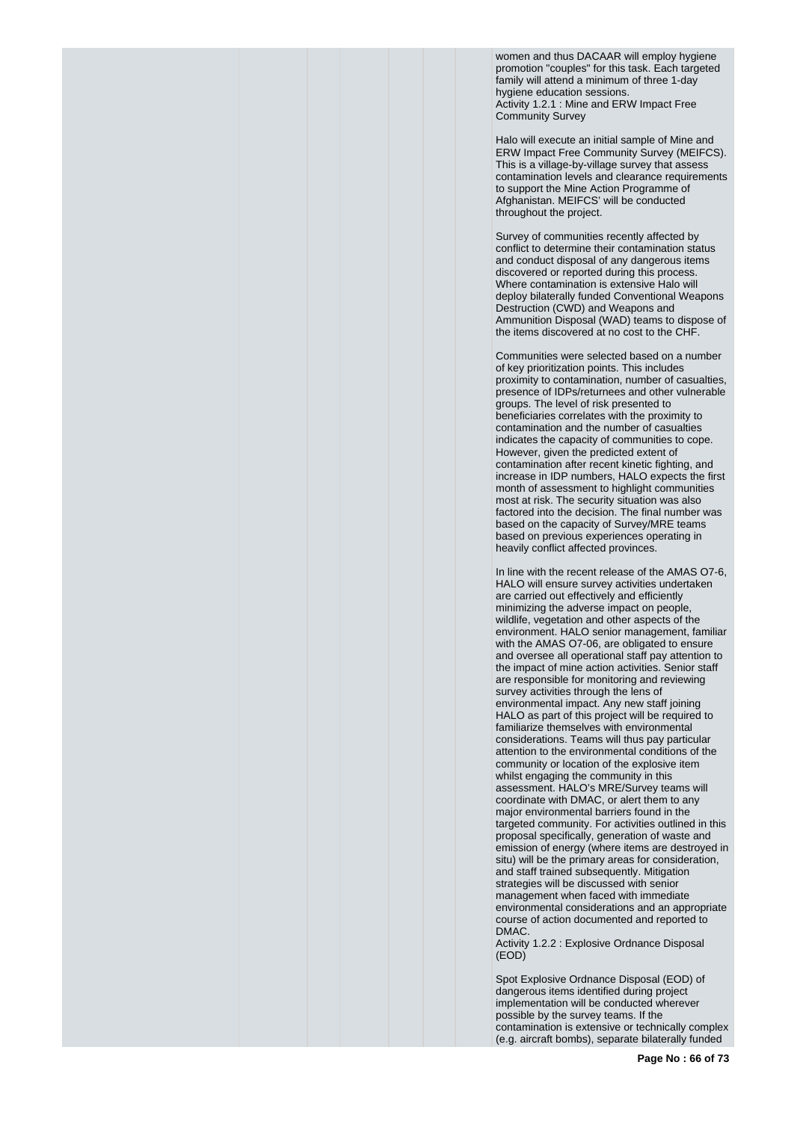women and thus DACAAR will employ hygiene promotion "couples" for this task. Each targeted family will attend a minimum of three 1-day hygiene education sessions. Activity 1.2.1 : Mine and ERW Impact Free Community Survey

Halo will execute an initial sample of Mine and ERW Impact Free Community Survey (MEIFCS). This is a village-by-village survey that assess contamination levels and clearance requirements to support the Mine Action Programme of Afghanistan. MEIFCS' will be conducted throughout the project.

Survey of communities recently affected by conflict to determine their contamination status and conduct disposal of any dangerous items discovered or reported during this process. Where contamination is extensive Halo will deploy bilaterally funded Conventional Weapons Destruction (CWD) and Weapons and Ammunition Disposal (WAD) teams to dispose of the items discovered at no cost to the CHF.

Communities were selected based on a number of key prioritization points. This includes proximity to contamination, number of casualties, presence of IDPs/returnees and other vulnerable groups. The level of risk presented to beneficiaries correlates with the proximity to contamination and the number of casualties indicates the capacity of communities to cope. However, given the predicted extent of contamination after recent kinetic fighting, and increase in IDP numbers, HALO expects the first month of assessment to highlight communities most at risk. The security situation was also factored into the decision. The final number was based on the capacity of Survey/MRE teams based on previous experiences operating in heavily conflict affected provinces.

In line with the recent release of the AMAS O7-6, HALO will ensure survey activities undertaken are carried out effectively and efficiently minimizing the adverse impact on people, wildlife, vegetation and other aspects of the environment. HALO senior management, familiar with the AMAS O7-06, are obligated to ensure and oversee all operational staff pay attention to the impact of mine action activities. Senior staff are responsible for monitoring and reviewing survey activities through the lens of environmental impact. Any new staff joining HALO as part of this project will be required to familiarize themselves with environmental considerations. Teams will thus pay particular attention to the environmental conditions of the community or location of the explosive item whilst engaging the community in this assessment. HALO's MRE/Survey teams will coordinate with DMAC, or alert them to any major environmental barriers found in the targeted community. For activities outlined in this proposal specifically, generation of waste and emission of energy (where items are destroyed in situ) will be the primary areas for consideration, and staff trained subsequently. Mitigation strategies will be discussed with senior management when faced with immediate environmental considerations and an appropriate course of action documented and reported to DMAC.

Activity 1.2.2 : Explosive Ordnance Disposal (EOD)

Spot Explosive Ordnance Disposal (EOD) of dangerous items identified during project implementation will be conducted wherever possible by the survey teams. If the contamination is extensive or technically complex (e.g. aircraft bombs), separate bilaterally funded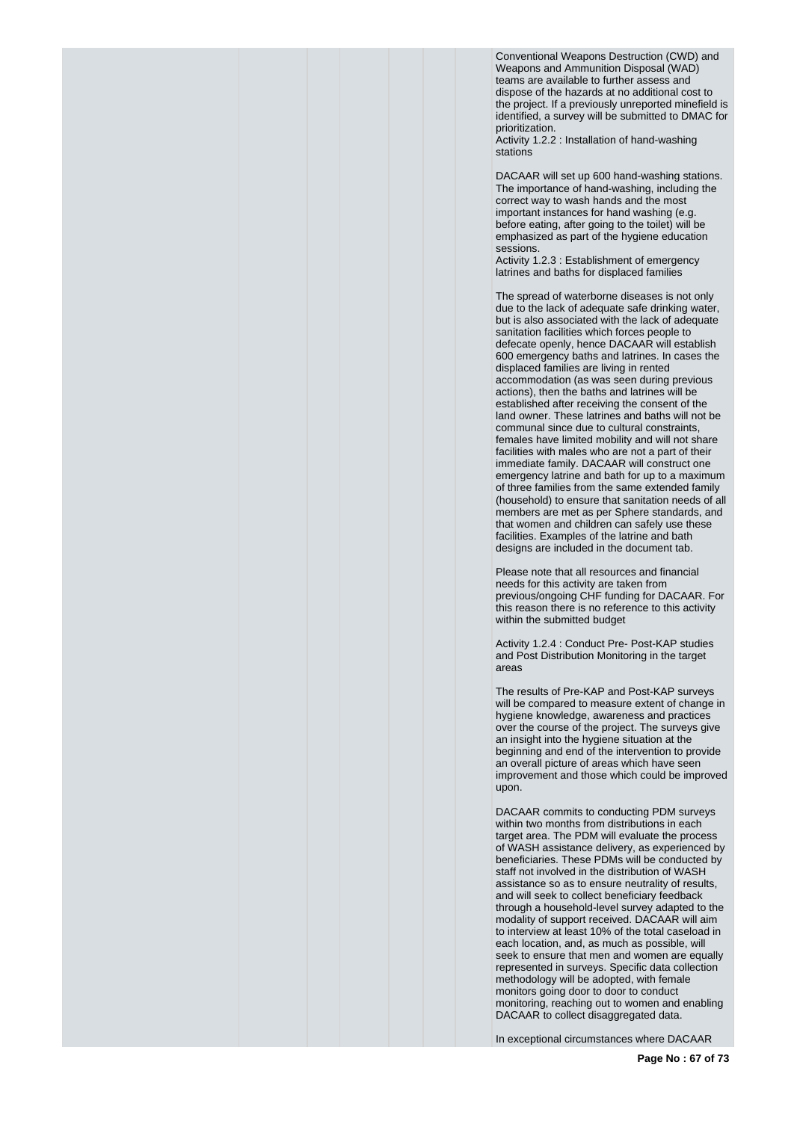Conventional Weapons Destruction (CWD) and Weapons and Ammunition Disposal (WAD) teams are available to further assess and dispose of the hazards at no additional cost to the project. If a previously unreported minefield is identified, a survey will be submitted to DMAC for prioritization.

Activity 1.2.2 : Installation of hand-washing stations

DACAAR will set up 600 hand-washing stations. The importance of hand-washing, including the correct way to wash hands and the most important instances for hand washing (e.g. before eating, after going to the toilet) will be emphasized as part of the hygiene education sessions.

Activity 1.2.3 : Establishment of emergency latrines and baths for displaced families

The spread of waterborne diseases is not only due to the lack of adequate safe drinking water, but is also associated with the lack of adequate sanitation facilities which forces people to defecate openly, hence DACAAR will establish 600 emergency baths and latrines. In cases the displaced families are living in rented accommodation (as was seen during previous actions), then the baths and latrines will be established after receiving the consent of the land owner. These latrines and baths will not be communal since due to cultural constraints, females have limited mobility and will not share facilities with males who are not a part of their immediate family. DACAAR will construct one emergency latrine and bath for up to a maximum of three families from the same extended family (household) to ensure that sanitation needs of all members are met as per Sphere standards, and that women and children can safely use these facilities. Examples of the latrine and bath designs are included in the document tab.

Please note that all resources and financial needs for this activity are taken from previous/ongoing CHF funding for DACAAR. For this reason there is no reference to this activity within the submitted budget

Activity 1.2.4 : Conduct Pre- Post-KAP studies and Post Distribution Monitoring in the target areas

The results of Pre-KAP and Post-KAP surveys will be compared to measure extent of change in hygiene knowledge, awareness and practices over the course of the project. The surveys give an insight into the hygiene situation at the beginning and end of the intervention to provide an overall picture of areas which have seen improvement and those which could be improved upon.

DACAAR commits to conducting PDM surveys within two months from distributions in each target area. The PDM will evaluate the process of WASH assistance delivery, as experienced by beneficiaries. These PDMs will be conducted by staff not involved in the distribution of WASH assistance so as to ensure neutrality of results, and will seek to collect beneficiary feedback through a household-level survey adapted to the modality of support received. DACAAR will aim to interview at least 10% of the total caseload in each location, and, as much as possible, will seek to ensure that men and women are equally represented in surveys. Specific data collection methodology will be adopted, with female monitors going door to door to conduct monitoring, reaching out to women and enabling DACAAR to collect disaggregated data.

In exceptional circumstances where DACAAR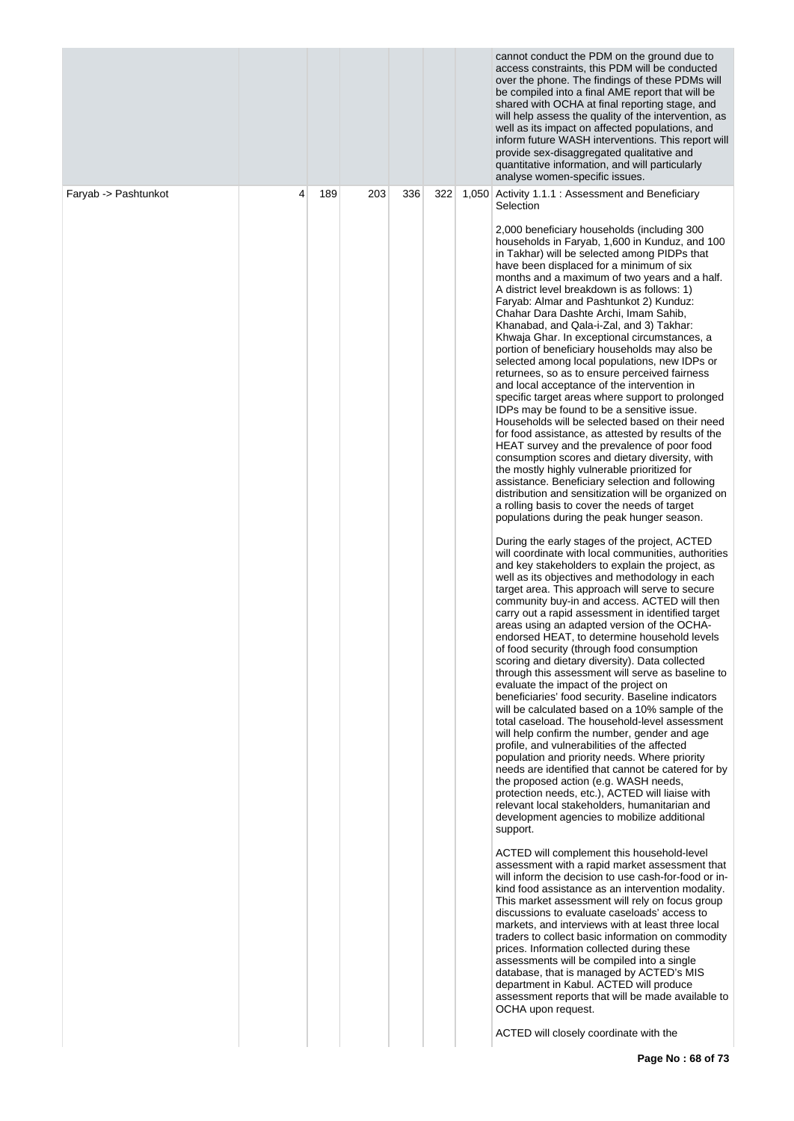| 322<br>Faryab -> Pashtunkot<br>4<br>189<br>203<br>336<br>1,050 Activity 1.1.1 : Assessment and Beneficiary<br>Selection<br>2,000 beneficiary households (including 300<br>in Takhar) will be selected among PIDPs that<br>have been displaced for a minimum of six<br>A district level breakdown is as follows: 1)<br>Faryab: Almar and Pashtunkot 2) Kunduz:<br>Chahar Dara Dashte Archi, Imam Sahib,<br>Khanabad, and Qala-i-Zal, and 3) Takhar:<br>Khwaja Ghar. In exceptional circumstances, a<br>portion of beneficiary households may also be<br>returnees, so as to ensure perceived fairness<br>and local acceptance of the intervention in<br>IDPs may be found to be a sensitive issue.<br>HEAT survey and the prevalence of poor food<br>consumption scores and dietary diversity, with<br>the mostly highly vulnerable prioritized for<br>assistance. Beneficiary selection and following<br>a rolling basis to cover the needs of target<br>populations during the peak hunger season.<br>During the early stages of the project, ACTED<br>and key stakeholders to explain the project, as<br>well as its objectives and methodology in each<br>target area. This approach will serve to secure<br>areas using an adapted version of the OCHA-<br>of food security (through food consumption<br>scoring and dietary diversity). Data collected<br>evaluate the impact of the project on<br>will help confirm the number, gender and age<br>profile, and vulnerabilities of the affected<br>population and priority needs. Where priority<br>the proposed action (e.g. WASH needs,<br>protection needs, etc.), ACTED will liaise with<br>relevant local stakeholders, humanitarian and<br>development agencies to mobilize additional<br>support.<br>ACTED will complement this household-level<br>discussions to evaluate caseloads' access to<br>prices. Information collected during these<br>assessments will be compiled into a single<br>database, that is managed by ACTED's MIS<br>department in Kabul. ACTED will produce<br>OCHA upon request. |  |  |  | cannot conduct the PDM on the ground due to<br>access constraints, this PDM will be conducted<br>over the phone. The findings of these PDMs will<br>be compiled into a final AME report that will be<br>shared with OCHA at final reporting stage, and<br>will help assess the quality of the intervention, as<br>well as its impact on affected populations, and<br>inform future WASH interventions. This report will<br>provide sex-disaggregated qualitative and<br>quantitative information, and will particularly<br>analyse women-specific issues.                                                                                                                                                                                                                                                                                                                                                                                                                                                                                                                                                                                                                         |
|----------------------------------------------------------------------------------------------------------------------------------------------------------------------------------------------------------------------------------------------------------------------------------------------------------------------------------------------------------------------------------------------------------------------------------------------------------------------------------------------------------------------------------------------------------------------------------------------------------------------------------------------------------------------------------------------------------------------------------------------------------------------------------------------------------------------------------------------------------------------------------------------------------------------------------------------------------------------------------------------------------------------------------------------------------------------------------------------------------------------------------------------------------------------------------------------------------------------------------------------------------------------------------------------------------------------------------------------------------------------------------------------------------------------------------------------------------------------------------------------------------------------------------------------------------------------------------------------------------------------------------------------------------------------------------------------------------------------------------------------------------------------------------------------------------------------------------------------------------------------------------------------------------------------------------------------------------------------------------------------------------------------------------------------------------------------|--|--|--|-----------------------------------------------------------------------------------------------------------------------------------------------------------------------------------------------------------------------------------------------------------------------------------------------------------------------------------------------------------------------------------------------------------------------------------------------------------------------------------------------------------------------------------------------------------------------------------------------------------------------------------------------------------------------------------------------------------------------------------------------------------------------------------------------------------------------------------------------------------------------------------------------------------------------------------------------------------------------------------------------------------------------------------------------------------------------------------------------------------------------------------------------------------------------------------|
|                                                                                                                                                                                                                                                                                                                                                                                                                                                                                                                                                                                                                                                                                                                                                                                                                                                                                                                                                                                                                                                                                                                                                                                                                                                                                                                                                                                                                                                                                                                                                                                                                                                                                                                                                                                                                                                                                                                                                                                                                                                                      |  |  |  |                                                                                                                                                                                                                                                                                                                                                                                                                                                                                                                                                                                                                                                                                                                                                                                                                                                                                                                                                                                                                                                                                                                                                                                   |
|                                                                                                                                                                                                                                                                                                                                                                                                                                                                                                                                                                                                                                                                                                                                                                                                                                                                                                                                                                                                                                                                                                                                                                                                                                                                                                                                                                                                                                                                                                                                                                                                                                                                                                                                                                                                                                                                                                                                                                                                                                                                      |  |  |  | households in Faryab, 1,600 in Kunduz, and 100<br>months and a maximum of two years and a half.<br>selected among local populations, new IDPs or<br>specific target areas where support to prolonged<br>Households will be selected based on their need<br>for food assistance, as attested by results of the<br>distribution and sensitization will be organized on<br>will coordinate with local communities, authorities<br>community buy-in and access. ACTED will then<br>carry out a rapid assessment in identified target<br>endorsed HEAT, to determine household levels<br>through this assessment will serve as baseline to<br>beneficiaries' food security. Baseline indicators<br>will be calculated based on a 10% sample of the<br>total caseload. The household-level assessment<br>needs are identified that cannot be catered for by<br>assessment with a rapid market assessment that<br>will inform the decision to use cash-for-food or in-<br>kind food assistance as an intervention modality.<br>This market assessment will rely on focus group<br>markets, and interviews with at least three local<br>traders to collect basic information on commodity |
|                                                                                                                                                                                                                                                                                                                                                                                                                                                                                                                                                                                                                                                                                                                                                                                                                                                                                                                                                                                                                                                                                                                                                                                                                                                                                                                                                                                                                                                                                                                                                                                                                                                                                                                                                                                                                                                                                                                                                                                                                                                                      |  |  |  | assessment reports that will be made available to<br>ACTED will closely coordinate with the                                                                                                                                                                                                                                                                                                                                                                                                                                                                                                                                                                                                                                                                                                                                                                                                                                                                                                                                                                                                                                                                                       |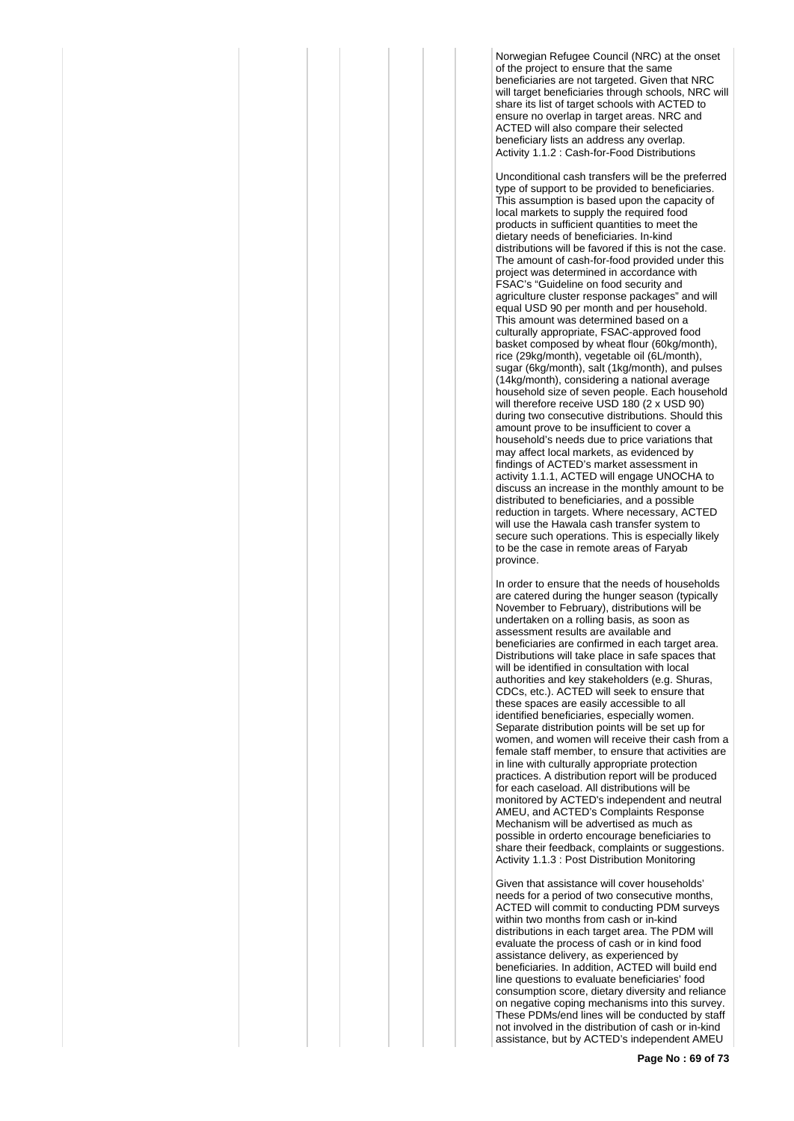Norwegian Refugee Council (NRC) at the onset of the project to ensure that the same beneficiaries are not targeted. Given that NRC will target beneficiaries through schools, NRC will share its list of target schools with ACTED to ensure no overlap in target areas. NRC and ACTED will also compare their selected beneficiary lists an address any overlap. Activity 1.1.2 : Cash-for-Food Distributions

Unconditional cash transfers will be the preferred type of support to be provided to beneficiaries. This assumption is based upon the capacity of local markets to supply the required food products in sufficient quantities to meet the dietary needs of beneficiaries. In-kind distributions will be favored if this is not the case. The amount of cash-for-food provided under this project was determined in accordance with FSAC's "Guideline on food security and agriculture cluster response packages" and will equal USD 90 per month and per household. This amount was determined based on a culturally appropriate, FSAC-approved food basket composed by wheat flour (60kg/month), rice (29kg/month), vegetable oil (6L/month), sugar (6kg/month), salt (1kg/month), and pulses (14kg/month), considering a national average household size of seven people. Each household will therefore receive USD 180 (2 x USD 90) during two consecutive distributions. Should this amount prove to be insufficient to cover a household's needs due to price variations that may affect local markets, as evidenced by findings of ACTED's market assessment in activity 1.1.1, ACTED will engage UNOCHA to discuss an increase in the monthly amount to be distributed to beneficiaries, and a possible reduction in targets. Where necessary, ACTED will use the Hawala cash transfer system to secure such operations. This is especially likely to be the case in remote areas of Faryab province.

In order to ensure that the needs of households are catered during the hunger season (typically November to February), distributions will be undertaken on a rolling basis, as soon as assessment results are available and beneficiaries are confirmed in each target area. Distributions will take place in safe spaces that will be identified in consultation with local authorities and key stakeholders (e.g. Shuras, CDCs, etc.). ACTED will seek to ensure that these spaces are easily accessible to all identified beneficiaries, especially women. Separate distribution points will be set up for women, and women will receive their cash from a female staff member, to ensure that activities are in line with culturally appropriate protection practices. A distribution report will be produced for each caseload. All distributions will be monitored by ACTED's independent and neutral AMEU, and ACTED's Complaints Response Mechanism will be advertised as much as possible in orderto encourage beneficiaries to share their feedback, complaints or suggestions. Activity 1.1.3 : Post Distribution Monitoring

Given that assistance will cover households' needs for a period of two consecutive months, ACTED will commit to conducting PDM surveys within two months from cash or in-kind distributions in each target area. The PDM will evaluate the process of cash or in kind food assistance delivery, as experienced by beneficiaries. In addition, ACTED will build end line questions to evaluate beneficiaries' food consumption score, dietary diversity and reliance on negative coping mechanisms into this survey. These PDMs/end lines will be conducted by staff not involved in the distribution of cash or in-kind assistance, but by ACTED's independent AMEU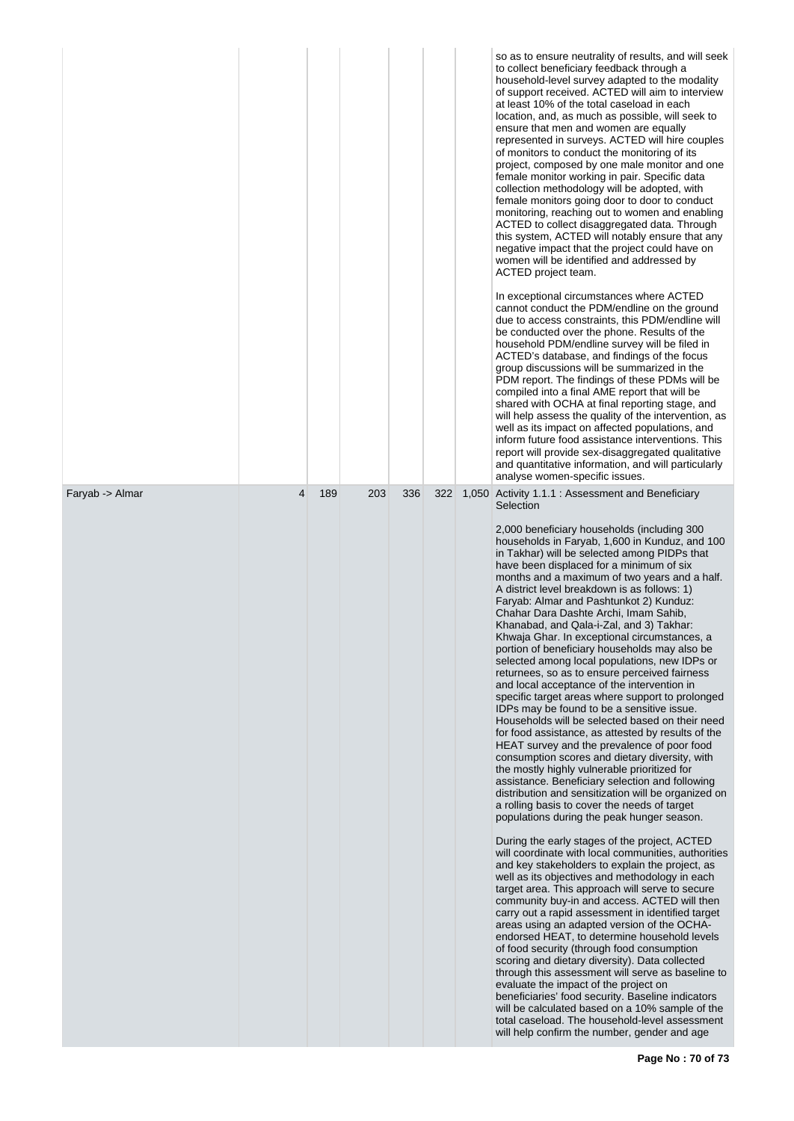|                 |   |     |     |     |     | so as to ensure neutrality of results, and will seek<br>to collect beneficiary feedback through a<br>household-level survey adapted to the modality<br>of support received. ACTED will aim to interview<br>at least 10% of the total caseload in each<br>location, and, as much as possible, will seek to<br>ensure that men and women are equally<br>represented in surveys. ACTED will hire couples<br>of monitors to conduct the monitoring of its<br>project, composed by one male monitor and one<br>female monitor working in pair. Specific data<br>collection methodology will be adopted, with<br>female monitors going door to door to conduct<br>monitoring, reaching out to women and enabling<br>ACTED to collect disaggregated data. Through<br>this system, ACTED will notably ensure that any<br>negative impact that the project could have on<br>women will be identified and addressed by<br>ACTED project team.<br>In exceptional circumstances where ACTED<br>cannot conduct the PDM/endline on the ground<br>due to access constraints, this PDM/endline will<br>be conducted over the phone. Results of the<br>household PDM/endline survey will be filed in<br>ACTED's database, and findings of the focus<br>group discussions will be summarized in the<br>PDM report. The findings of these PDMs will be<br>compiled into a final AME report that will be<br>shared with OCHA at final reporting stage, and<br>will help assess the quality of the intervention, as<br>well as its impact on affected populations, and<br>inform future food assistance interventions. This<br>report will provide sex-disaggregated qualitative<br>and quantitative information, and will particularly<br>analyse women-specific issues.                                                                                                                                                                                                                                                                                                                                                                                                                                           |
|-----------------|---|-----|-----|-----|-----|------------------------------------------------------------------------------------------------------------------------------------------------------------------------------------------------------------------------------------------------------------------------------------------------------------------------------------------------------------------------------------------------------------------------------------------------------------------------------------------------------------------------------------------------------------------------------------------------------------------------------------------------------------------------------------------------------------------------------------------------------------------------------------------------------------------------------------------------------------------------------------------------------------------------------------------------------------------------------------------------------------------------------------------------------------------------------------------------------------------------------------------------------------------------------------------------------------------------------------------------------------------------------------------------------------------------------------------------------------------------------------------------------------------------------------------------------------------------------------------------------------------------------------------------------------------------------------------------------------------------------------------------------------------------------------------------------------------------------------------------------------------------------------------------------------------------------------------------------------------------------------------------------------------------------------------------------------------------------------------------------------------------------------------------------------------------------------------------------------------------------------------------------------------------------------------------|
| Faryab -> Almar | 4 | 189 | 203 | 336 | 322 | 1,050 Activity 1.1.1 : Assessment and Beneficiary<br>Selection<br>2,000 beneficiary households (including 300<br>households in Faryab, 1,600 in Kunduz, and 100<br>in Takhar) will be selected among PIDPs that<br>have been displaced for a minimum of six<br>months and a maximum of two years and a half.<br>A district level breakdown is as follows: 1)<br>Faryab: Almar and Pashtunkot 2) Kunduz:<br>Chahar Dara Dashte Archi, Imam Sahib,<br>Khanabad, and Qala-i-Zal, and 3) Takhar:<br>Khwaja Ghar. In exceptional circumstances, a<br>portion of beneficiary households may also be<br>selected among local populations, new IDPs or<br>returnees, so as to ensure perceived fairness<br>and local acceptance of the intervention in<br>specific target areas where support to prolonged<br>IDPs may be found to be a sensitive issue.<br>Households will be selected based on their need<br>for food assistance, as attested by results of the<br>HEAT survey and the prevalence of poor food<br>consumption scores and dietary diversity, with<br>the mostly highly vulnerable prioritized for<br>assistance. Beneficiary selection and following<br>distribution and sensitization will be organized on<br>a rolling basis to cover the needs of target<br>populations during the peak hunger season.<br>During the early stages of the project, ACTED<br>will coordinate with local communities, authorities<br>and key stakeholders to explain the project, as<br>well as its objectives and methodology in each<br>target area. This approach will serve to secure<br>community buy-in and access. ACTED will then<br>carry out a rapid assessment in identified target<br>areas using an adapted version of the OCHA-<br>endorsed HEAT, to determine household levels<br>of food security (through food consumption<br>scoring and dietary diversity). Data collected<br>through this assessment will serve as baseline to<br>evaluate the impact of the project on<br>beneficiaries' food security. Baseline indicators<br>will be calculated based on a 10% sample of the<br>total caseload. The household-level assessment<br>will help confirm the number, gender and age |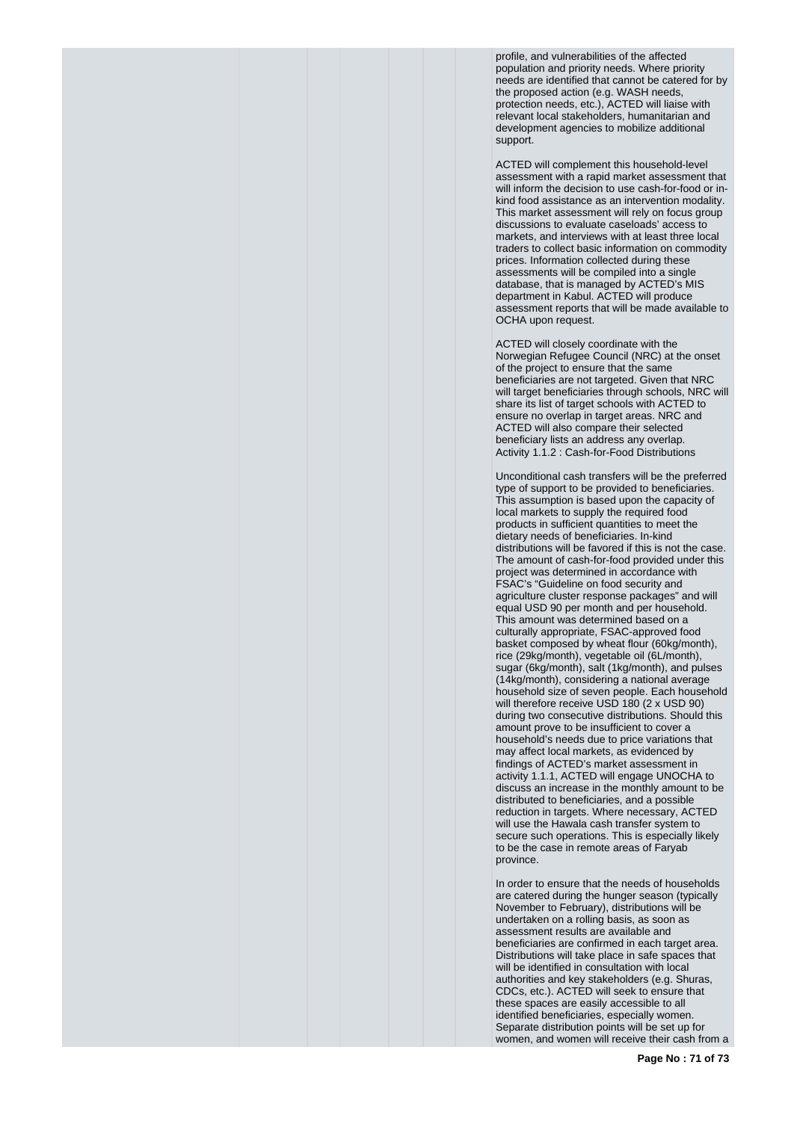profile, and vulnerabilities of the affected population and priority needs. Where priority needs are identified that cannot be catered for by the proposed action (e.g. WASH needs, protection needs, etc.), ACTED will liaise with relevant local stakeholders, humanitarian and development agencies to mobilize additional support.

ACTED will complement this household-level assessment with a rapid market assessment that will inform the decision to use cash-for-food or inkind food assistance as an intervention modality. This market assessment will rely on focus group discussions to evaluate caseloads' access to markets, and interviews with at least three local traders to collect basic information on commodity prices. Information collected during these assessments will be compiled into a single database, that is managed by ACTED's MIS department in Kabul. ACTED will produce assessment reports that will be made available to OCHA upon request.

ACTED will closely coordinate with the Norwegian Refugee Council (NRC) at the onset of the project to ensure that the same beneficiaries are not targeted. Given that NRC will target beneficiaries through schools, NRC will share its list of target schools with ACTED to ensure no overlap in target areas. NRC and ACTED will also compare their selected beneficiary lists an address any overlap. Activity 1.1.2 : Cash-for-Food Distributions

Unconditional cash transfers will be the preferred type of support to be provided to beneficiaries. This assumption is based upon the capacity of local markets to supply the required food products in sufficient quantities to meet the dietary needs of beneficiaries. In-kind distributions will be favored if this is not the case. The amount of cash-for-food provided under this project was determined in accordance with FSAC's "Guideline on food security and agriculture cluster response packages" and will equal USD 90 per month and per household. This amount was determined based on a culturally appropriate, FSAC-approved food basket composed by wheat flour (60kg/month), rice (29kg/month), vegetable oil (6L/month), sugar (6kg/month), salt (1kg/month), and pulses (14kg/month), considering a national average household size of seven people. Each household will therefore receive USD 180 (2 x USD 90) during two consecutive distributions. Should this amount prove to be insufficient to cover a household's needs due to price variations that may affect local markets, as evidenced by findings of ACTED's market assessment in activity 1.1.1, ACTED will engage UNOCHA to discuss an increase in the monthly amount to be distributed to beneficiaries, and a possible reduction in targets. Where necessary, ACTED will use the Hawala cash transfer system to secure such operations. This is especially likely to be the case in remote areas of Faryab province.

In order to ensure that the needs of households are catered during the hunger season (typically November to February), distributions will be undertaken on a rolling basis, as soon as assessment results are available and beneficiaries are confirmed in each target area. Distributions will take place in safe spaces that will be identified in consultation with local authorities and key stakeholders (e.g. Shuras, CDCs, etc.). ACTED will seek to ensure that these spaces are easily accessible to all identified beneficiaries, especially women. Separate distribution points will be set up for women, and women will receive their cash from a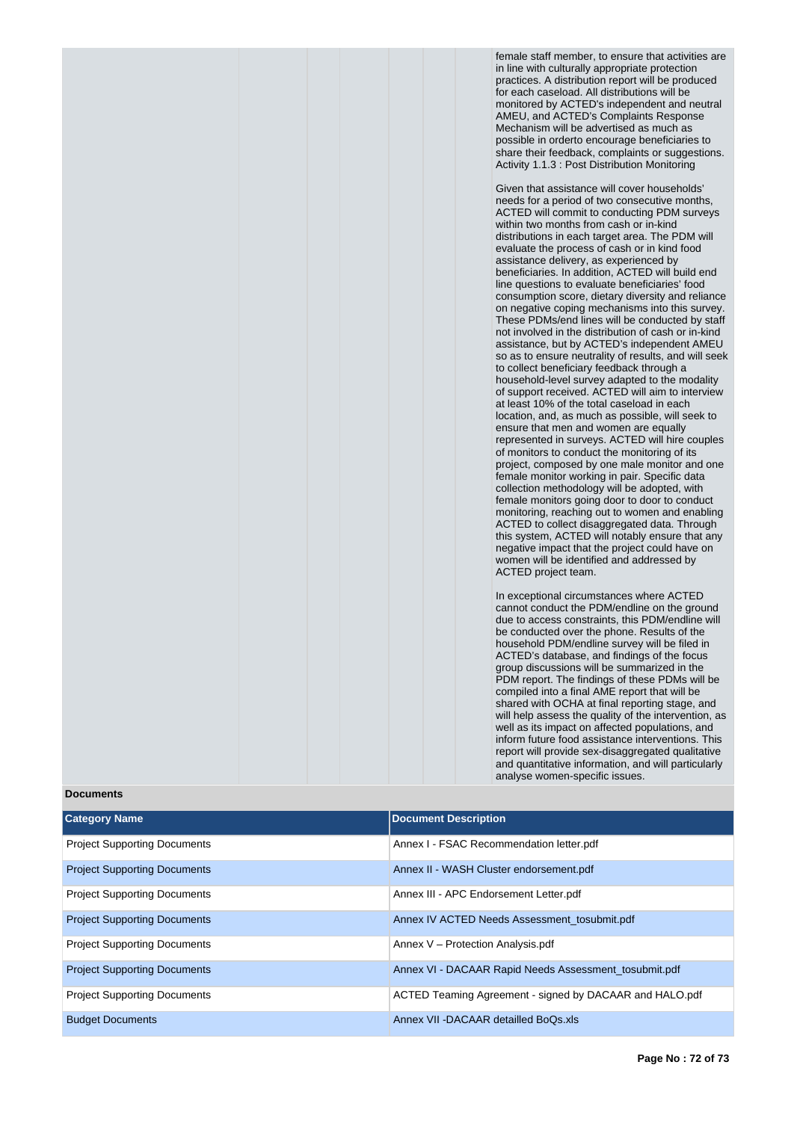female staff member, to ensure that activities are in line with culturally appropriate protection practices. A distribution report will be produced for each caseload. All distributions will be monitored by ACTED's independent and neutral AMEU, and ACTED's Complaints Response Mechanism will be advertised as much as possible in orderto encourage beneficiaries to share their feedback, complaints or suggestions. Activity 1.1.3 : Post Distribution Monitoring

Given that assistance will cover households' needs for a period of two consecutive months, ACTED will commit to conducting PDM surveys within two months from cash or in-kind distributions in each target area. The PDM will evaluate the process of cash or in kind food assistance delivery, as experienced by beneficiaries. In addition, ACTED will build end line questions to evaluate beneficiaries' food consumption score, dietary diversity and reliance on negative coping mechanisms into this survey. These PDMs/end lines will be conducted by staff not involved in the distribution of cash or in-kind assistance, but by ACTED's independent AMEU so as to ensure neutrality of results, and will seek to collect beneficiary feedback through a household-level survey adapted to the modality of support received. ACTED will aim to interview at least 10% of the total caseload in each location, and, as much as possible, will seek to ensure that men and women are equally represented in surveys. ACTED will hire couples of monitors to conduct the monitoring of its project, composed by one male monitor and one female monitor working in pair. Specific data collection methodology will be adopted, with female monitors going door to door to conduct monitoring, reaching out to women and enabling ACTED to collect disaggregated data. Through this system, ACTED will notably ensure that any negative impact that the project could have on women will be identified and addressed by ACTED project team.

In exceptional circumstances where ACTED cannot conduct the PDM/endline on the ground due to access constraints, this PDM/endline will be conducted over the phone. Results of the household PDM/endline survey will be filed in ACTED's database, and findings of the focus group discussions will be summarized in the PDM report. The findings of these PDMs will be compiled into a final AME report that will be shared with OCHA at final reporting stage, and will help assess the quality of the intervention, as well as its impact on affected populations, and inform future food assistance interventions. This report will provide sex-disaggregated qualitative and quantitative information, and will particularly analyse women-specific issues.

## **Documents**

| <b>Category Name</b>                | <b>Document Description</b>                             |
|-------------------------------------|---------------------------------------------------------|
| <b>Project Supporting Documents</b> | Annex I - FSAC Recommendation letter.pdf                |
| <b>Project Supporting Documents</b> | Annex II - WASH Cluster endorsement.pdf                 |
| <b>Project Supporting Documents</b> | Annex III - APC Endorsement Letter.pdf                  |
| <b>Project Supporting Documents</b> | Annex IV ACTED Needs Assessment tosubmit.pdf            |
| <b>Project Supporting Documents</b> | Annex V - Protection Analysis.pdf                       |
| <b>Project Supporting Documents</b> | Annex VI - DACAAR Rapid Needs Assessment tosubmit.pdf   |
| <b>Project Supporting Documents</b> | ACTED Teaming Agreement - signed by DACAAR and HALO.pdf |
| <b>Budget Documents</b>             | Annex VII - DACAAR detailled BoOs.xls                   |